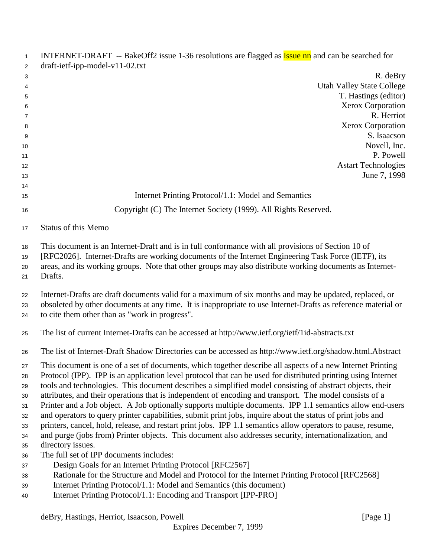| $\mathbf{1}$         | INTERNET-DRAFT -- BakeOff2 issue 1-36 resolutions are flagged as <b>Issue nn</b> and can be searched for                                                                                                                                                                                                                         |
|----------------------|----------------------------------------------------------------------------------------------------------------------------------------------------------------------------------------------------------------------------------------------------------------------------------------------------------------------------------|
| 2                    | $dr$ aft-ietf-ipp-model-v11-02.txt                                                                                                                                                                                                                                                                                               |
| 3<br>4               | R. deBry<br><b>Utah Valley State College</b>                                                                                                                                                                                                                                                                                     |
| 5                    | T. Hastings (editor)                                                                                                                                                                                                                                                                                                             |
| 6                    | Xerox Corporation                                                                                                                                                                                                                                                                                                                |
| 7                    | R. Herriot                                                                                                                                                                                                                                                                                                                       |
| 8                    | <b>Xerox Corporation</b>                                                                                                                                                                                                                                                                                                         |
| 9                    | S. Isaacson                                                                                                                                                                                                                                                                                                                      |
| 10                   | Novell, Inc.                                                                                                                                                                                                                                                                                                                     |
| 11                   | P. Powell                                                                                                                                                                                                                                                                                                                        |
| 12                   | <b>Astart Technologies</b>                                                                                                                                                                                                                                                                                                       |
| 13                   | June 7, 1998                                                                                                                                                                                                                                                                                                                     |
| 14                   |                                                                                                                                                                                                                                                                                                                                  |
| 15                   | Internet Printing Protocol/1.1: Model and Semantics                                                                                                                                                                                                                                                                              |
| 16                   | Copyright (C) The Internet Society (1999). All Rights Reserved.                                                                                                                                                                                                                                                                  |
| 17                   | Status of this Memo                                                                                                                                                                                                                                                                                                              |
| 18<br>19<br>20<br>21 | This document is an Internet-Draft and is in full conformance with all provisions of Section 10 of<br>[RFC2026]. Internet-Drafts are working documents of the Internet Engineering Task Force (IETF), its<br>areas, and its working groups. Note that other groups may also distribute working documents as Internet-<br>Drafts. |
| 22<br>23<br>24       | Internet-Drafts are draft documents valid for a maximum of six months and may be updated, replaced, or<br>obsoleted by other documents at any time. It is inappropriate to use Internet-Drafts as reference material or<br>to cite them other than as "work in progress".                                                        |
| 25                   | The list of current Internet-Drafts can be accessed at http://www.ietf.org/ietf/1id-abstracts.txt                                                                                                                                                                                                                                |
| 26                   | The list of Internet-Draft Shadow Directories can be accessed as http://www.ietf.org/shadow.html.Abstract                                                                                                                                                                                                                        |
| 27                   | This document is one of a set of documents, which together describe all aspects of a new Internet Printing                                                                                                                                                                                                                       |
| 28                   | Protocol (IPP). IPP is an application level protocol that can be used for distributed printing using Internet                                                                                                                                                                                                                    |
| 29                   | tools and technologies. This document describes a simplified model consisting of abstract objects, their                                                                                                                                                                                                                         |
| 30                   | attributes, and their operations that is independent of encoding and transport. The model consists of a                                                                                                                                                                                                                          |
| 31                   | Printer and a Job object. A Job optionally supports multiple documents. IPP 1.1 semantics allow end-users                                                                                                                                                                                                                        |
| 32                   | and operators to query printer capabilities, submit print jobs, inquire about the status of print jobs and                                                                                                                                                                                                                       |
| 33                   | printers, cancel, hold, release, and restart print jobs. IPP 1.1 semantics allow operators to pause, resume,                                                                                                                                                                                                                     |
| 34                   | and purge (jobs from) Printer objects. This document also addresses security, internationalization, and                                                                                                                                                                                                                          |
| 35                   | directory issues.                                                                                                                                                                                                                                                                                                                |
| 36                   | The full set of IPP documents includes:                                                                                                                                                                                                                                                                                          |
| 37                   | Design Goals for an Internet Printing Protocol [RFC2567]                                                                                                                                                                                                                                                                         |
| 38                   | Rationale for the Structure and Model and Protocol for the Internet Printing Protocol [RFC2568]                                                                                                                                                                                                                                  |
| 39                   | Internet Printing Protocol/1.1: Model and Semantics (this document)                                                                                                                                                                                                                                                              |
| 40                   | Internet Printing Protocol/1.1: Encoding and Transport [IPP-PRO]                                                                                                                                                                                                                                                                 |
|                      | deBry, Hastings, Herriot, Isaacson, Powell<br>[Page 1]                                                                                                                                                                                                                                                                           |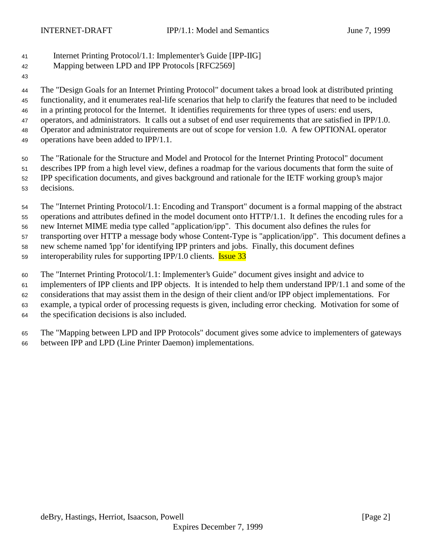## Internet Printing Protocol/1.1: Implementer's Guide [IPP-IIG]

- Mapping between LPD and IPP Protocols [RFC2569]
- 

 The "Design Goals for an Internet Printing Protocol" document takes a broad look at distributed printing functionality, and it enumerates real-life scenarios that help to clarify the features that need to be included in a printing protocol for the Internet. It identifies requirements for three types of users: end users, operators, and administrators. It calls out a subset of end user requirements that are satisfied in IPP/1.0. Operator and administrator requirements are out of scope for version 1.0. A few OPTIONAL operator 49 operations have been added to IPP/1.1.

 The "Rationale for the Structure and Model and Protocol for the Internet Printing Protocol" document describes IPP from a high level view, defines a roadmap for the various documents that form the suite of IPP specification documents, and gives background and rationale for the IETF working group's major decisions.

 The "Internet Printing Protocol/1.1: Encoding and Transport" document is a formal mapping of the abstract operations and attributes defined in the model document onto HTTP/1.1. It defines the encoding rules for a new Internet MIME media type called "application/ipp". This document also defines the rules for transporting over HTTP a message body whose Content-Type is "application/ipp". This document defines a new scheme named 'ipp' for identifying IPP printers and jobs. Finally, this document defines

59 interoperability rules for supporting IPP/1.0 clients. **Issue 33** 

The "Internet Printing Protocol/1.1: Implementer's Guide" document gives insight and advice to

implementers of IPP clients and IPP objects. It is intended to help them understand IPP/1.1 and some of the

considerations that may assist them in the design of their client and/or IPP object implementations. For

example, a typical order of processing requests is given, including error checking. Motivation for some of

the specification decisions is also included.

 The "Mapping between LPD and IPP Protocols" document gives some advice to implementers of gateways between IPP and LPD (Line Printer Daemon) implementations.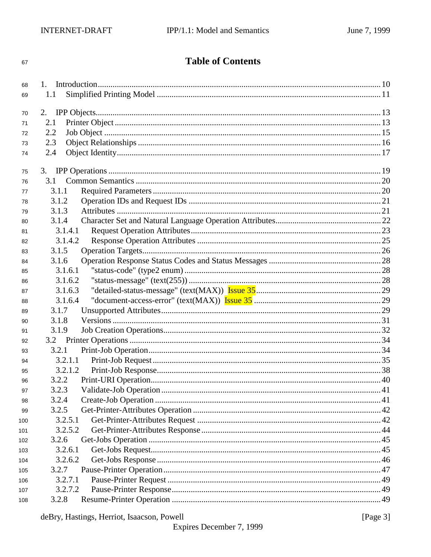# **Table of Contents**

| 68  | 1.               |  |
|-----|------------------|--|
| 69  | 1.1              |  |
| 70  | 2.               |  |
| 71  | 2.1              |  |
| 72  | 2.2              |  |
| 73  | 2.3              |  |
| 74  | 2.4              |  |
|     |                  |  |
| 75  |                  |  |
| 76  | 3.1              |  |
| 77  | 3.1.1            |  |
| 78  | 3.1.2            |  |
| 79  | 3.1.3            |  |
| 80  | 3.1.4            |  |
| 81  | 3.1.4.1          |  |
| 82  | 3.1.4.2          |  |
| 83  | 3.1.5            |  |
| 84  | 3.1.6            |  |
| 85  | 3.1.6.1          |  |
| 86  | 3.1.6.2          |  |
| 87  | 3.1.6.3          |  |
| 88  | 3.1.6.4          |  |
| 89  | 3.1.7            |  |
| 90  | 3.1.8            |  |
| 91  | 3.1.9            |  |
| 92  |                  |  |
| 93  | 3.2.1            |  |
| 94  | 3.2.1.1          |  |
| 95  | 3.2.1.2          |  |
| 96  | 3.2.2            |  |
| 97  | 3.2.3            |  |
| 98  | 3.2.4            |  |
| 99  | 3.2.5            |  |
| 100 | 3.2.5.1          |  |
|     |                  |  |
| 101 | 3.2.5.2          |  |
| 102 | 3.2.6            |  |
| 103 | 3.2.6.1          |  |
| 104 | 3.2.6.2          |  |
| 105 | 3.2.7            |  |
| 106 | 3.2.7.1          |  |
| 107 | 3.2.7.2<br>3.2.8 |  |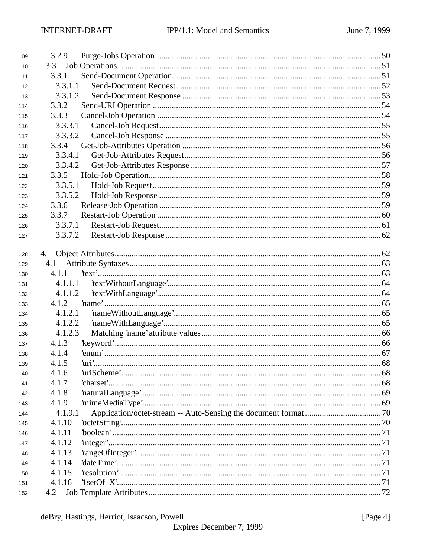| 109 | 3.2.9   |  |
|-----|---------|--|
| 110 | 3.3     |  |
| 111 | 3.3.1   |  |
| 112 | 3.3.1.1 |  |
| 113 | 3.3.1.2 |  |
| 114 | 3.3.2   |  |
| 115 | 3.3.3   |  |
| 116 | 3.3.3.1 |  |
| 117 | 3.3.3.2 |  |
| 118 | 3.3.4   |  |
| 119 | 3.3.4.1 |  |
| 120 | 3.3.4.2 |  |
| 121 | 3.3.5   |  |
| 122 | 3.3.5.1 |  |
| 123 | 3.3.5.2 |  |
| 124 | 3.3.6   |  |
| 125 | 3.3.7   |  |
| 126 | 3.3.7.1 |  |
| 127 | 3.3.7.2 |  |
|     |         |  |
| 128 | 4.      |  |
| 129 | 4.1     |  |
| 130 | 4.1.1   |  |
| 131 | 4.1.1.1 |  |
| 132 | 4.1.1.2 |  |
| 133 | 4.1.2   |  |
| 134 | 4.1.2.1 |  |
| 135 | 4.1.2.2 |  |
| 136 | 4.1.2.3 |  |
| 137 | 4.1.3   |  |
| 138 | 4.1.4   |  |
| 139 | 4.1.5   |  |
| 140 | 4.1.6   |  |
| 141 | 4.1.7   |  |
| 142 | 4.1.8   |  |
| 143 | 4.1.9   |  |
| 144 | 4.1.9.1 |  |
| 145 | 4.1.10  |  |
| 146 | 4.1.11  |  |
| 147 | 4.1.12  |  |
| 148 | 4.1.13  |  |
| 149 | 4.1.14  |  |
| 150 | 4.1.15  |  |
| 151 | 4.1.16  |  |
| 152 | 4.2     |  |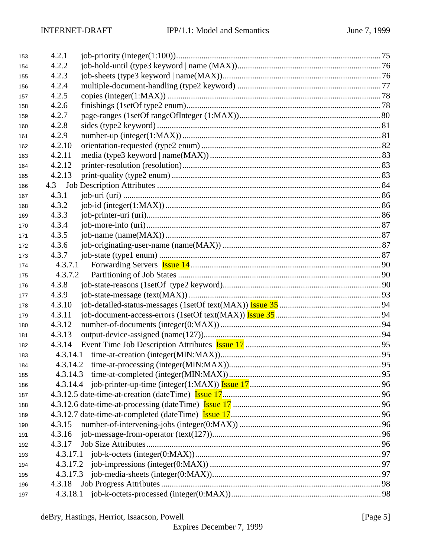| 153 | 4.2.1    |  |
|-----|----------|--|
| 154 | 4.2.2    |  |
| 155 | 4.2.3    |  |
| 156 | 4.2.4    |  |
| 157 | 4.2.5    |  |
| 158 | 4.2.6    |  |
| 159 | 4.2.7    |  |
| 160 | 4.2.8    |  |
| 161 | 4.2.9    |  |
| 162 | 4.2.10   |  |
| 163 | 4.2.11   |  |
| 164 | 4.2.12   |  |
| 165 | 4.2.13   |  |
| 166 |          |  |
| 167 | 4.3.1    |  |
| 168 | 4.3.2    |  |
| 169 | 4.3.3    |  |
| 170 | 4.3.4    |  |
| 171 | 4.3.5    |  |
| 172 | 4.3.6    |  |
| 173 | 4.3.7    |  |
| 174 | 4.3.7.1  |  |
| 175 | 4.3.7.2  |  |
| 176 | 4.3.8    |  |
| 177 | 4.3.9    |  |
| 178 | 4.3.10   |  |
| 179 | 4.3.11   |  |
| 180 | 4.3.12   |  |
| 181 | 4.3.13   |  |
| 182 | 4.3.14   |  |
| 183 |          |  |
| 184 |          |  |
| 185 |          |  |
| 186 |          |  |
| 187 |          |  |
| 188 |          |  |
| 189 |          |  |
| 190 | 4.3.15   |  |
| 191 | 4.3.16   |  |
| 192 | 4.3.17   |  |
| 193 |          |  |
| 194 |          |  |
| 195 | 4.3.17.3 |  |
| 196 |          |  |
| 197 |          |  |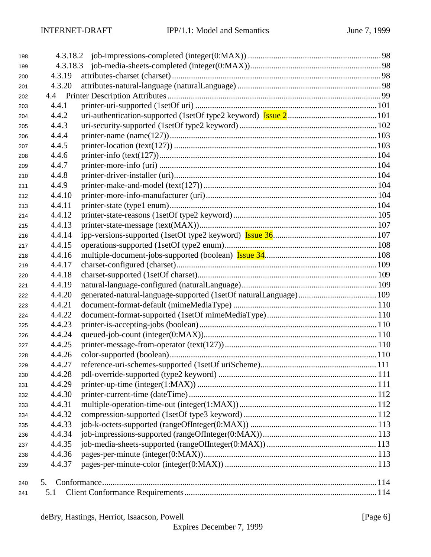| 198 |        |  |
|-----|--------|--|
| 199 |        |  |
| 200 | 4.3.19 |  |
| 201 | 4.3.20 |  |
| 202 |        |  |
| 203 | 4.4.1  |  |
| 204 | 4.4.2  |  |
| 205 | 4.4.3  |  |
| 206 | 4.4.4  |  |
| 207 | 4.4.5  |  |
| 208 | 4.4.6  |  |
| 209 | 4.4.7  |  |
| 210 | 4.4.8  |  |
| 211 | 4.4.9  |  |
| 212 | 4.4.10 |  |
| 213 | 4.4.11 |  |
| 214 | 4.4.12 |  |
| 215 | 4.4.13 |  |
| 216 | 4.4.14 |  |
| 217 | 4.4.15 |  |
| 218 | 4.4.16 |  |
| 219 | 4.4.17 |  |
| 220 | 4.4.18 |  |
| 221 | 4.4.19 |  |
| 222 | 4.4.20 |  |
| 223 | 4.4.21 |  |
| 224 | 4.4.22 |  |
| 225 | 4.4.23 |  |
| 226 | 4.4.24 |  |
| 227 | 4.4.25 |  |
| 228 | 4.4.26 |  |
| 229 | 4.4.27 |  |
| 230 | 4.4.28 |  |
| 231 | 4.4.29 |  |
| 232 | 4.4.30 |  |
| 233 | 4.4.31 |  |
| 234 | 4.4.32 |  |
| 235 | 4.4.33 |  |
| 236 | 4.4.34 |  |
| 237 | 4.4.35 |  |
| 238 | 4.4.36 |  |
| 239 | 4.4.37 |  |
|     |        |  |
| 240 | 5.     |  |
| 241 | 5.1    |  |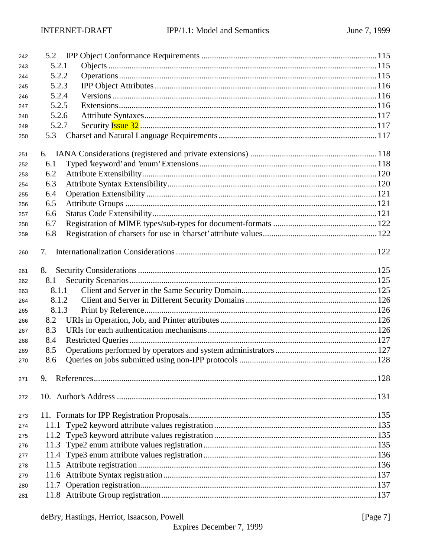| 242 |       |  |
|-----|-------|--|
| 243 | 5.2.1 |  |
| 244 | 5.2.2 |  |
| 245 | 5.2.3 |  |
| 246 | 5.2.4 |  |
| 247 | 5.2.5 |  |
| 248 | 5.2.6 |  |
| 249 | 5.2.7 |  |
| 250 |       |  |
| 251 |       |  |
| 252 | 6.1   |  |
| 253 | 6.2   |  |
| 254 | 6.3   |  |
| 255 | 6.4   |  |
| 256 | 6.5   |  |
| 257 | 6.6   |  |
| 258 | 6.7   |  |
| 259 | 6.8   |  |
| 260 | 7.    |  |
| 261 | 8.    |  |
| 262 | 8.1   |  |
| 263 | 8.1.1 |  |
| 264 | 8.1.2 |  |
| 265 | 8.1.3 |  |
| 266 | 8.2   |  |
| 267 | 8.3   |  |
| 268 | 8.4   |  |
| 269 | 8.5   |  |
| 270 | 8.6   |  |
| 271 | 9.    |  |
| 272 |       |  |
| 273 |       |  |
| 274 | 11.1  |  |
| 275 |       |  |
| 276 |       |  |
| 277 |       |  |
| 278 |       |  |
| 279 |       |  |
| 280 |       |  |
| 281 |       |  |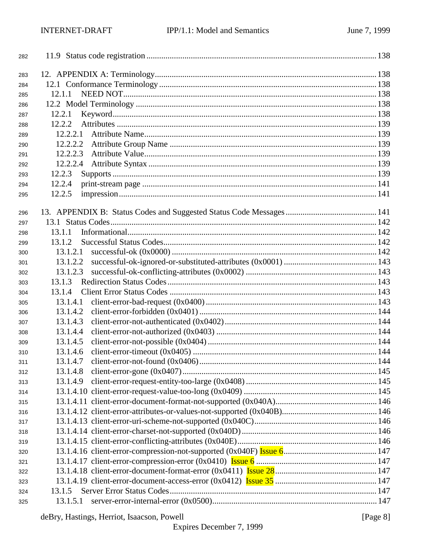| 282        |          |  |
|------------|----------|--|
| 283        |          |  |
| 284        |          |  |
| 285        | 12.1.1   |  |
| 286        |          |  |
| 287        | 12.2.1   |  |
| 288        | 12.2.2   |  |
| 289        | 12.2.2.1 |  |
| 290        | 12.2.2.2 |  |
| 291        | 12.2.2.3 |  |
| 292        | 12.2.2.4 |  |
| 293        | 12.2.3   |  |
| 294        | 12.2.4   |  |
| 295        | 12.2.5   |  |
|            |          |  |
| 296        |          |  |
| 297        |          |  |
| 298        | 13.1.1   |  |
| 299        | 13.1.2   |  |
| 300        | 13.1.2.1 |  |
| 301        | 13.1.2.2 |  |
| 302        | 13.1.2.3 |  |
| 303        | 13.1.3   |  |
| 304        | 13.1.4   |  |
| 305        | 13.1.4.1 |  |
| 306        | 13.1.4.2 |  |
| 307        | 13.1.4.3 |  |
| 308        | 13.1.4.4 |  |
| 309        | 13.1.4.5 |  |
| 310        | 13.1.4.6 |  |
| 311        | 13.1.4.7 |  |
| 312        | 13.1.4.8 |  |
| 313        | 13.1.4.9 |  |
| 314        |          |  |
| 315        |          |  |
| 316        |          |  |
| 317        |          |  |
| 318        |          |  |
| 319        |          |  |
| 320        |          |  |
| 321        |          |  |
| 322<br>323 |          |  |
| 324        | 13.1.5   |  |
|            | 13.1.5.1 |  |
| 325        |          |  |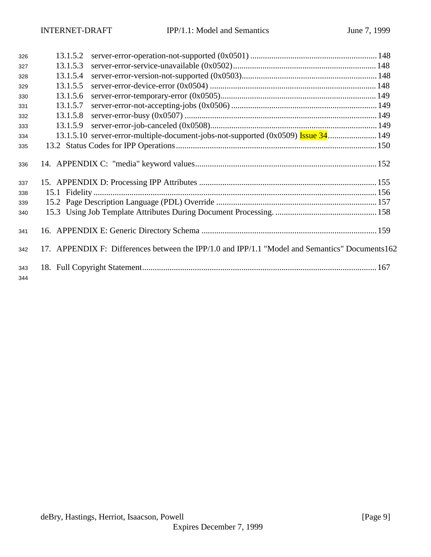| 326        | 13.1.5.2 |                                                                                                 |  |
|------------|----------|-------------------------------------------------------------------------------------------------|--|
| 327        | 13.1.5.3 |                                                                                                 |  |
| 328        | 13.1.5.4 |                                                                                                 |  |
| 329        | 13.1.5.5 |                                                                                                 |  |
| 330        | 13.1.5.6 |                                                                                                 |  |
| 331        | 13.1.5.7 |                                                                                                 |  |
| 332        | 13.1.5.8 |                                                                                                 |  |
| 333        | 13.1.5.9 |                                                                                                 |  |
| 334        |          |                                                                                                 |  |
| 335        |          |                                                                                                 |  |
| 336        |          |                                                                                                 |  |
| 337        |          |                                                                                                 |  |
| 338        |          |                                                                                                 |  |
| 339        |          |                                                                                                 |  |
| 340        |          |                                                                                                 |  |
| 341        |          |                                                                                                 |  |
| 342        |          | 17. APPENDIX F: Differences between the IPP/1.0 and IPP/1.1 "Model and Semantics" Documents 162 |  |
| 343<br>344 |          |                                                                                                 |  |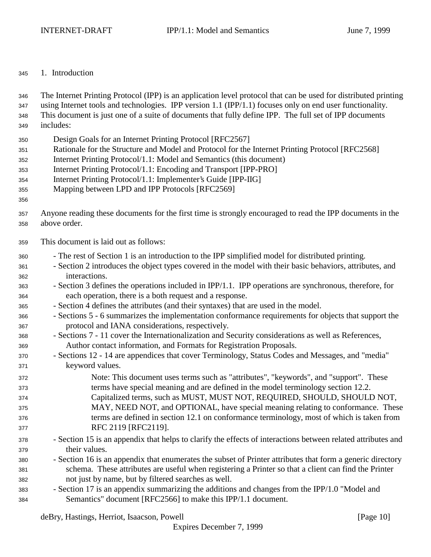#### 1. Introduction

 The Internet Printing Protocol (IPP) is an application level protocol that can be used for distributed printing using Internet tools and technologies. IPP version 1.1 (IPP/1.1) focuses only on end user functionality. This document is just one of a suite of documents that fully define IPP. The full set of IPP documents includes:

- Design Goals for an Internet Printing Protocol [RFC2567]
- Rationale for the Structure and Model and Protocol for the Internet Printing Protocol [RFC2568]
- Internet Printing Protocol/1.1: Model and Semantics (this document)
- Internet Printing Protocol/1.1: Encoding and Transport [IPP-PRO]
- Internet Printing Protocol/1.1: Implementer's Guide [IPP-IIG]
- Mapping between LPD and IPP Protocols [RFC2569]
- 
- Anyone reading these documents for the first time is strongly encouraged to read the IPP documents in the above order.
- This document is laid out as follows:
- The rest of Section 1 is an introduction to the IPP simplified model for distributed printing.
- Section 2 introduces the object types covered in the model with their basic behaviors, attributes, and interactions.
- Section 3 defines the operations included in IPP/1.1. IPP operations are synchronous, therefore, for each operation, there is a both request and a response.
- Section 4 defines the attributes (and their syntaxes) that are used in the model.
- Sections 5 6 summarizes the implementation conformance requirements for objects that support the protocol and IANA considerations, respectively.
- Sections 7 11 cover the Internationalization and Security considerations as well as References, Author contact information, and Formats for Registration Proposals.
- Sections 12 14 are appendices that cover Terminology, Status Codes and Messages, and "media" keyword values.
- Note: This document uses terms such as "attributes", "keywords", and "support". These terms have special meaning and are defined in the model terminology section 12.2. Capitalized terms, such as MUST, MUST NOT, REQUIRED, SHOULD, SHOULD NOT, MAY, NEED NOT, and OPTIONAL, have special meaning relating to conformance. These terms are defined in section 12.1 on conformance terminology, most of which is taken from
- RFC 2119 [RFC2119]. - Section 15 is an appendix that helps to clarify the effects of interactions between related attributes and their values.
- Section 16 is an appendix that enumerates the subset of Printer attributes that form a generic directory schema. These attributes are useful when registering a Printer so that a client can find the Printer not just by name, but by filtered searches as well.
- Section 17 is an appendix summarizing the additions and changes from the IPP/1.0 "Model and Semantics" document [RFC2566] to make this IPP/1.1 document.

deBry, Hastings, Herriot, Isaacson, Powell [Page 10] [Page 10]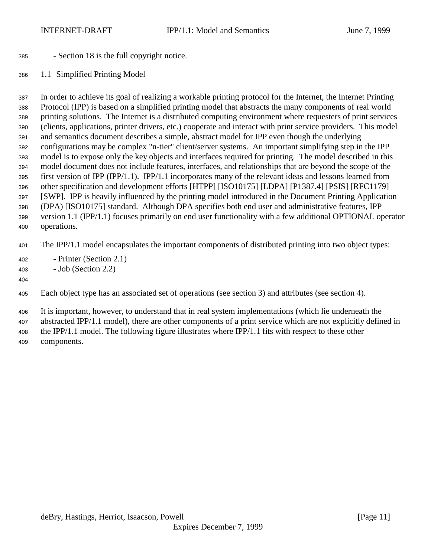- Section 18 is the full copyright notice.
- 1.1 Simplified Printing Model

 In order to achieve its goal of realizing a workable printing protocol for the Internet, the Internet Printing Protocol (IPP) is based on a simplified printing model that abstracts the many components of real world printing solutions. The Internet is a distributed computing environment where requesters of print services (clients, applications, printer drivers, etc.) cooperate and interact with print service providers. This model and semantics document describes a simple, abstract model for IPP even though the underlying configurations may be complex "n-tier" client/server systems. An important simplifying step in the IPP model is to expose only the key objects and interfaces required for printing. The model described in this model document does not include features, interfaces, and relationships that are beyond the scope of the first version of IPP (IPP/1.1). IPP/1.1 incorporates many of the relevant ideas and lessons learned from other specification and development efforts [HTPP] [ISO10175] [LDPA] [P1387.4] [PSIS] [RFC1179] [SWP]. IPP is heavily influenced by the printing model introduced in the Document Printing Application (DPA) [ISO10175] standard. Although DPA specifies both end user and administrative features, IPP version 1.1 (IPP/1.1) focuses primarily on end user functionality with a few additional OPTIONAL operator operations.

The IPP/1.1 model encapsulates the important components of distributed printing into two object types:

- Printer (Section 2.1)
- Job (Section 2.2)
- 

Each object type has an associated set of operations (see section 3) and attributes (see section 4).

 It is important, however, to understand that in real system implementations (which lie underneath the abstracted IPP/1.1 model), there are other components of a print service which are not explicitly defined in the IPP/1.1 model. The following figure illustrates where IPP/1.1 fits with respect to these other components.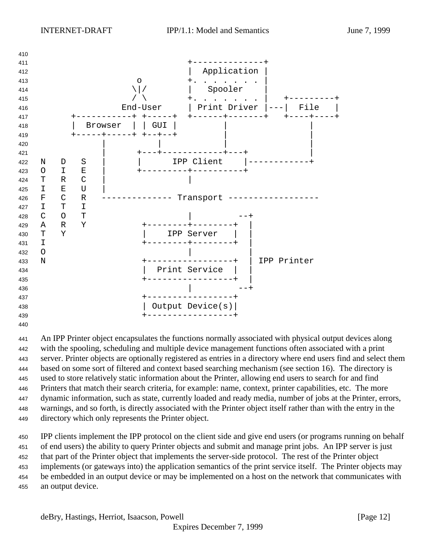

 An IPP Printer object encapsulates the functions normally associated with physical output devices along with the spooling, scheduling and multiple device management functions often associated with a print server. Printer objects are optionally registered as entries in a directory where end users find and select them based on some sort of filtered and context based searching mechanism (see section 16). The directory is used to store relatively static information about the Printer, allowing end users to search for and find Printers that match their search criteria, for example: name, context, printer capabilities, etc. The more dynamic information, such as state, currently loaded and ready media, number of jobs at the Printer, errors, warnings, and so forth, is directly associated with the Printer object itself rather than with the entry in the directory which only represents the Printer object.

 IPP clients implement the IPP protocol on the client side and give end users (or programs running on behalf of end users) the ability to query Printer objects and submit and manage print jobs. An IPP server is just that part of the Printer object that implements the server-side protocol. The rest of the Printer object implements (or gateways into) the application semantics of the print service itself. The Printer objects may be embedded in an output device or may be implemented on a host on the network that communicates with an output device.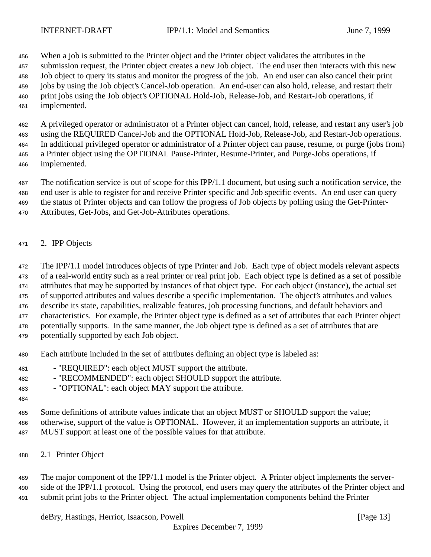When a job is submitted to the Printer object and the Printer object validates the attributes in the

 submission request, the Printer object creates a new Job object. The end user then interacts with this new Job object to query its status and monitor the progress of the job. An end user can also cancel their print jobs by using the Job object's Cancel-Job operation. An end-user can also hold, release, and restart their print jobs using the Job object's OPTIONAL Hold-Job, Release-Job, and Restart-Job operations, if implemented.

 A privileged operator or administrator of a Printer object can cancel, hold, release, and restart any user's job using the REQUIRED Cancel-Job and the OPTIONAL Hold-Job, Release-Job, and Restart-Job operations. In additional privileged operator or administrator of a Printer object can pause, resume, or purge (jobs from) a Printer object using the OPTIONAL Pause-Printer, Resume-Printer, and Purge-Jobs operations, if implemented.

 The notification service is out of scope for this IPP/1.1 document, but using such a notification service, the end user is able to register for and receive Printer specific and Job specific events. An end user can query the status of Printer objects and can follow the progress of Job objects by polling using the Get-Printer-

- Attributes, Get-Jobs, and Get-Job-Attributes operations.
- 2. IPP Objects

 The IPP/1.1 model introduces objects of type Printer and Job. Each type of object models relevant aspects of a real-world entity such as a real printer or real print job. Each object type is defined as a set of possible attributes that may be supported by instances of that object type. For each object (instance), the actual set of supported attributes and values describe a specific implementation. The object's attributes and values describe its state, capabilities, realizable features, job processing functions, and default behaviors and characteristics. For example, the Printer object type is defined as a set of attributes that each Printer object potentially supports. In the same manner, the Job object type is defined as a set of attributes that are potentially supported by each Job object.

- Each attribute included in the set of attributes defining an object type is labeled as:
- "REQUIRED": each object MUST support the attribute.
- "RECOMMENDED": each object SHOULD support the attribute.
- "OPTIONAL": each object MAY support the attribute.
- 

 Some definitions of attribute values indicate that an object MUST or SHOULD support the value; otherwise, support of the value is OPTIONAL. However, if an implementation supports an attribute, it MUST support at least one of the possible values for that attribute.

2.1 Printer Object

 The major component of the IPP/1.1 model is the Printer object. A Printer object implements the server-490 side of the IPP/1.1 protocol. Using the protocol, end users may query the attributes of the Printer object and submit print jobs to the Printer object. The actual implementation components behind the Printer

deBry, Hastings, Herriot, Isaacson, Powell **Example 20** (Page 13)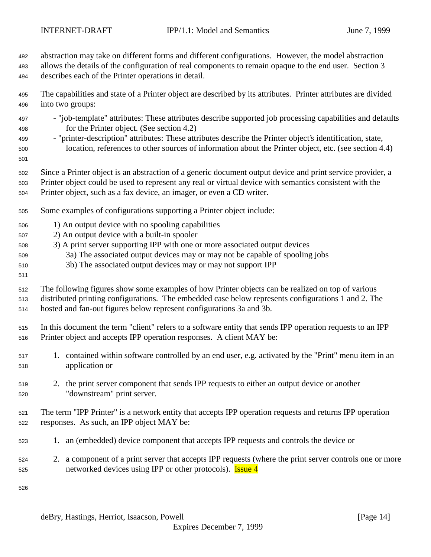abstraction may take on different forms and different configurations. However, the model abstraction

 allows the details of the configuration of real components to remain opaque to the end user. Section 3 describes each of the Printer operations in detail.

 The capabilities and state of a Printer object are described by its attributes. Printer attributes are divided into two groups:

- "job-template" attributes: These attributes describe supported job processing capabilities and defaults for the Printer object. (See section 4.2)
- "printer-description" attributes: These attributes describe the Printer object's identification, state, location, references to other sources of information about the Printer object, etc. (see section 4.4)
- 
- Since a Printer object is an abstraction of a generic document output device and print service provider, a
- Printer object could be used to represent any real or virtual device with semantics consistent with the Printer object, such as a fax device, an imager, or even a CD writer.
- Some examples of configurations supporting a Printer object include:
- 1) An output device with no spooling capabilities
- 2) An output device with a built-in spooler
- 3) A print server supporting IPP with one or more associated output devices
- 3a) The associated output devices may or may not be capable of spooling jobs
- 3b) The associated output devices may or may not support IPP
- 

 The following figures show some examples of how Printer objects can be realized on top of various distributed printing configurations. The embedded case below represents configurations 1 and 2. The hosted and fan-out figures below represent configurations 3a and 3b.

 In this document the term "client" refers to a software entity that sends IPP operation requests to an IPP Printer object and accepts IPP operation responses. A client MAY be:

- 1. contained within software controlled by an end user, e.g. activated by the "Print" menu item in an application or
- 2. the print server component that sends IPP requests to either an output device or another "downstream" print server.

 The term "IPP Printer" is a network entity that accepts IPP operation requests and returns IPP operation responses. As such, an IPP object MAY be:

- 1. an (embedded) device component that accepts IPP requests and controls the device or
- 2. a component of a print server that accepts IPP requests (where the print server controls one or more 525 networked devices using IPP or other protocols). **Issue 4**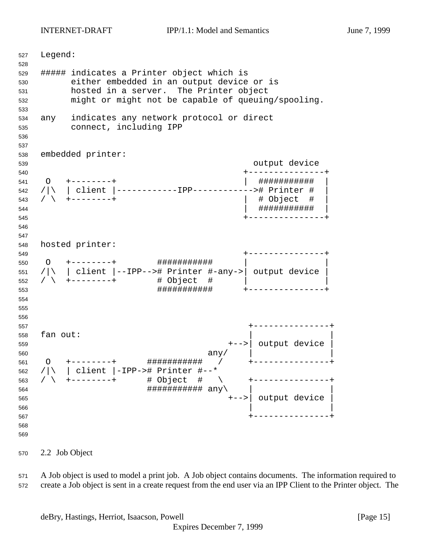Legend: ##### indicates a Printer object which is either embedded in an output device or is hosted in a server. The Printer object might or might not be capable of queuing/spooling. any indicates any network protocol or direct connect, including IPP embedded printer: output device +---------------+ O +--------+ | ########### | /|\ | client |------------IPP------------># Printer # | / \ +--------+ | # Object # | | ########### | +---------------+ hosted printer: +---------------+ O +--------+ ########### | | /|\ | client |--IPP--># Printer #-any->| output device | / \ +-------+  $\frac{1}{2}$  + 0bject #  $\frac{1}{2}$  ########### +---------------+ +---------------+ fan out: +-->| output device | any  $\vert$  any  $\vert$  any  $\vert$  any  $\vert$  any  $\vert$  any  $\vert$  any  $\vert$  any  $\vert$  any  $\vert$  and  $\vert$  and  $\vert$  and  $\vert$  and  $\vert$  and  $\vert$  and  $\vert$  and  $\vert$  and  $\vert$  and  $\vert$  and  $\vert$  and  $\vert$  and  $\vert$  and  $\vert$  and  $\vert$  and  $\vert$  O +--------+ ########### / +---------------+ /|\ | client |-IPP-># Printer #--\* / \ +--------+ # Object # \ +---------------+ ########### any\ | | +-->| output device | +---------------+ 

2.2 Job Object

 A Job object is used to model a print job. A Job object contains documents. The information required to create a Job object is sent in a create request from the end user via an IPP Client to the Printer object. The

deBry, Hastings, Herriot, Isaacson, Powell [Page 15]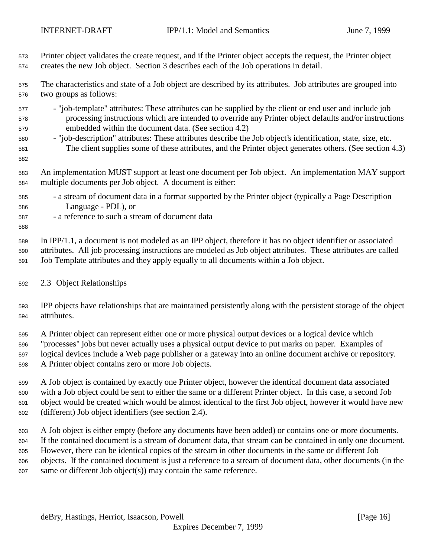Printer object validates the create request, and if the Printer object accepts the request, the Printer object creates the new Job object. Section 3 describes each of the Job operations in detail.

 The characteristics and state of a Job object are described by its attributes. Job attributes are grouped into two groups as follows:

- "job-template" attributes: These attributes can be supplied by the client or end user and include job processing instructions which are intended to override any Printer object defaults and/or instructions embedded within the document data. (See section 4.2)
- "job-description" attributes: These attributes describe the Job object's identification, state, size, etc. The client supplies some of these attributes, and the Printer object generates others. (See section 4.3)
- 

 An implementation MUST support at least one document per Job object. An implementation MAY support multiple documents per Job object. A document is either:

- a stream of document data in a format supported by the Printer object (typically a Page Description Language - PDL), or
- a reference to such a stream of document data

 In IPP/1.1, a document is not modeled as an IPP object, therefore it has no object identifier or associated attributes. All job processing instructions are modeled as Job object attributes. These attributes are called Job Template attributes and they apply equally to all documents within a Job object.

#### 2.3 Object Relationships

 IPP objects have relationships that are maintained persistently along with the persistent storage of the object attributes.

 A Printer object can represent either one or more physical output devices or a logical device which "processes" jobs but never actually uses a physical output device to put marks on paper. Examples of logical devices include a Web page publisher or a gateway into an online document archive or repository. A Printer object contains zero or more Job objects.

 A Job object is contained by exactly one Printer object, however the identical document data associated with a Job object could be sent to either the same or a different Printer object. In this case, a second Job object would be created which would be almost identical to the first Job object, however it would have new (different) Job object identifiers (see section 2.4).

 A Job object is either empty (before any documents have been added) or contains one or more documents. If the contained document is a stream of document data, that stream can be contained in only one document. However, there can be identical copies of the stream in other documents in the same or different Job objects. If the contained document is just a reference to a stream of document data, other documents (in the same or different Job object(s)) may contain the same reference.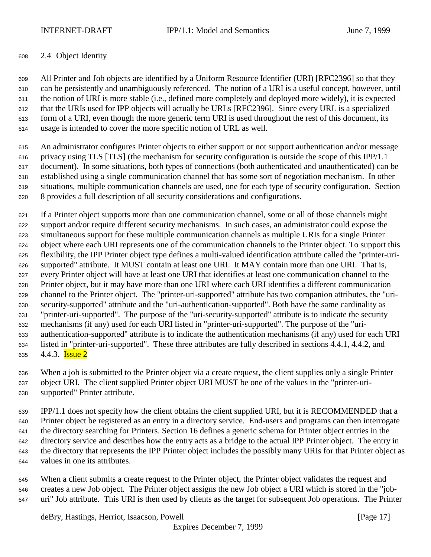#### 2.4 Object Identity

 All Printer and Job objects are identified by a Uniform Resource Identifier (URI) [RFC2396] so that they can be persistently and unambiguously referenced. The notion of a URI is a useful concept, however, until the notion of URI is more stable (i.e., defined more completely and deployed more widely), it is expected that the URIs used for IPP objects will actually be URLs [RFC2396]. Since every URL is a specialized form of a URI, even though the more generic term URI is used throughout the rest of this document, its usage is intended to cover the more specific notion of URL as well.

 An administrator configures Printer objects to either support or not support authentication and/or message privacy using TLS [TLS] (the mechanism for security configuration is outside the scope of this IPP/1.1 document). In some situations, both types of connections (both authenticated and unauthenticated) can be established using a single communication channel that has some sort of negotiation mechanism. In other situations, multiple communication channels are used, one for each type of security configuration. Section 8 provides a full description of all security considerations and configurations.

 If a Printer object supports more than one communication channel, some or all of those channels might support and/or require different security mechanisms. In such cases, an administrator could expose the simultaneous support for these multiple communication channels as multiple URIs for a single Printer object where each URI represents one of the communication channels to the Printer object. To support this flexibility, the IPP Printer object type defines a multi-valued identification attribute called the "printer-uri- supported" attribute. It MUST contain at least one URI. It MAY contain more than one URI. That is, every Printer object will have at least one URI that identifies at least one communication channel to the Printer object, but it may have more than one URI where each URI identifies a different communication channel to the Printer object. The "printer-uri-supported" attribute has two companion attributes, the "uri- security-supported" attribute and the "uri-authentication-supported". Both have the same cardinality as "printer-uri-supported". The purpose of the "uri-security-supported" attribute is to indicate the security mechanisms (if any) used for each URI listed in "printer-uri-supported". The purpose of the "uri- authentication-supported" attribute is to indicate the authentication mechanisms (if any) used for each URI listed in "printer-uri-supported". These three attributes are fully described in sections 4.4.1, 4.4.2, and  $4.4.3$ . **Issue 2** 

 When a job is submitted to the Printer object via a create request, the client supplies only a single Printer object URI. The client supplied Printer object URI MUST be one of the values in the "printer-uri-supported" Printer attribute.

 IPP/1.1 does not specify how the client obtains the client supplied URI, but it is RECOMMENDED that a Printer object be registered as an entry in a directory service. End-users and programs can then interrogate the directory searching for Printers. Section 16 defines a generic schema for Printer object entries in the directory service and describes how the entry acts as a bridge to the actual IPP Printer object. The entry in the directory that represents the IPP Printer object includes the possibly many URIs for that Printer object as values in one its attributes.

 When a client submits a create request to the Printer object, the Printer object validates the request and creates a new Job object. The Printer object assigns the new Job object a URI which is stored in the "job-uri" Job attribute. This URI is then used by clients as the target for subsequent Job operations. The Printer

deBry, Hastings, Herriot, Isaacson, Powell **Example 20** (Page 17)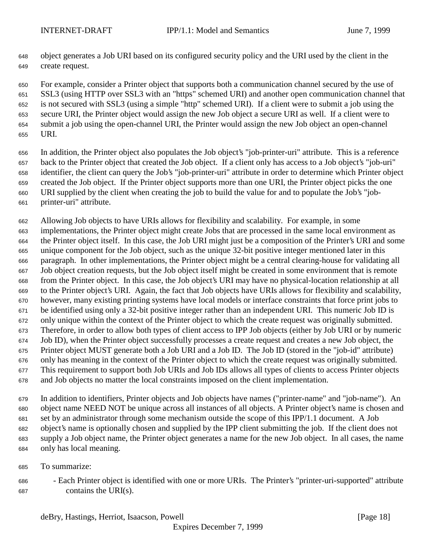object generates a Job URI based on its configured security policy and the URI used by the client in the create request.

 For example, consider a Printer object that supports both a communication channel secured by the use of SSL3 (using HTTP over SSL3 with an "https" schemed URI) and another open communication channel that is not secured with SSL3 (using a simple "http" schemed URI). If a client were to submit a job using the secure URI, the Printer object would assign the new Job object a secure URI as well. If a client were to submit a job using the open-channel URI, the Printer would assign the new Job object an open-channel URI.

 In addition, the Printer object also populates the Job object's "job-printer-uri" attribute. This is a reference back to the Printer object that created the Job object. If a client only has access to a Job object's "job-uri" identifier, the client can query the Job's "job-printer-uri" attribute in order to determine which Printer object created the Job object. If the Printer object supports more than one URI, the Printer object picks the one URI supplied by the client when creating the job to build the value for and to populate the Job's "job-printer-uri" attribute.

 Allowing Job objects to have URIs allows for flexibility and scalability. For example, in some implementations, the Printer object might create Jobs that are processed in the same local environment as the Printer object itself. In this case, the Job URI might just be a composition of the Printer's URI and some unique component for the Job object, such as the unique 32-bit positive integer mentioned later in this paragraph. In other implementations, the Printer object might be a central clearing-house for validating all Job object creation requests, but the Job object itself might be created in some environment that is remote from the Printer object. In this case, the Job object's URI may have no physical-location relationship at all to the Printer object's URI. Again, the fact that Job objects have URIs allows for flexibility and scalability, however, many existing printing systems have local models or interface constraints that force print jobs to be identified using only a 32-bit positive integer rather than an independent URI. This numeric Job ID is only unique within the context of the Printer object to which the create request was originally submitted. Therefore, in order to allow both types of client access to IPP Job objects (either by Job URI or by numeric Job ID), when the Printer object successfully processes a create request and creates a new Job object, the Printer object MUST generate both a Job URI and a Job ID. The Job ID (stored in the "job-id" attribute) only has meaning in the context of the Printer object to which the create request was originally submitted. This requirement to support both Job URIs and Job IDs allows all types of clients to access Printer objects and Job objects no matter the local constraints imposed on the client implementation.

 In addition to identifiers, Printer objects and Job objects have names ("printer-name" and "job-name"). An object name NEED NOT be unique across all instances of all objects. A Printer object's name is chosen and set by an administrator through some mechanism outside the scope of this IPP/1.1 document. A Job object's name is optionally chosen and supplied by the IPP client submitting the job. If the client does not supply a Job object name, the Printer object generates a name for the new Job object. In all cases, the name only has local meaning.

- To summarize:
- Each Printer object is identified with one or more URIs. The Printer's "printer-uri-supported" attribute contains the URI(s).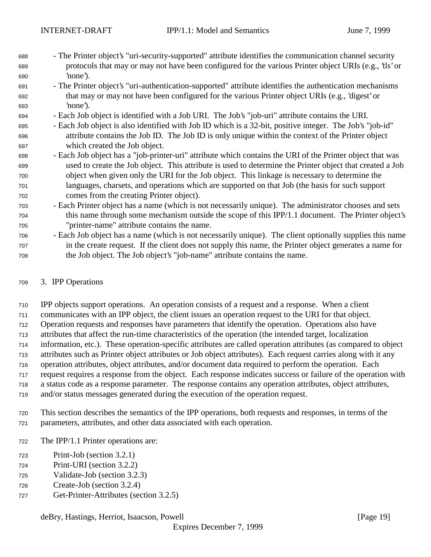- The Printer object's "uri-security-supported" attribute identifies the communication channel security protocols that may or may not have been configured for the various Printer object URIs (e.g., 'tls' or 'none').
- The Printer object's "uri-authentication-supported" attribute identifies the authentication mechanisms that may or may not have been configured for the various Printer object URIs (e.g., 'digest' or 'none').
- Each Job object is identified with a Job URI. The Job's "job-uri" attribute contains the URI.
- Each Job object is also identified with Job ID which is a 32-bit, positive integer. The Job's "job-id" attribute contains the Job ID. The Job ID is only unique within the context of the Printer object which created the Job object.
- Each Job object has a "job-printer-uri" attribute which contains the URI of the Printer object that was used to create the Job object. This attribute is used to determine the Printer object that created a Job object when given only the URI for the Job object. This linkage is necessary to determine the languages, charsets, and operations which are supported on that Job (the basis for such support comes from the creating Printer object).
- Each Printer object has a name (which is not necessarily unique). The administrator chooses and sets this name through some mechanism outside the scope of this IPP/1.1 document. The Printer object's "printer-name" attribute contains the name.
- Each Job object has a name (which is not necessarily unique). The client optionally supplies this name in the create request. If the client does not supply this name, the Printer object generates a name for the Job object. The Job object's "job-name" attribute contains the name.

### 3. IPP Operations

 IPP objects support operations. An operation consists of a request and a response. When a client communicates with an IPP object, the client issues an operation request to the URI for that object. Operation requests and responses have parameters that identify the operation. Operations also have attributes that affect the run-time characteristics of the operation (the intended target, localization information, etc.). These operation-specific attributes are called operation attributes (as compared to object attributes such as Printer object attributes or Job object attributes). Each request carries along with it any operation attributes, object attributes, and/or document data required to perform the operation. Each request requires a response from the object. Each response indicates success or failure of the operation with a status code as a response parameter. The response contains any operation attributes, object attributes, and/or status messages generated during the execution of the operation request.

- 
- This section describes the semantics of the IPP operations, both requests and responses, in terms of the parameters, attributes, and other data associated with each operation.
- The IPP/1.1 Printer operations are:
- Print-Job (section 3.2.1)
- Print-URI (section 3.2.2)
- Validate-Job (section 3.2.3)
- Create-Job (section 3.2.4)
- Get-Printer-Attributes (section 3.2.5)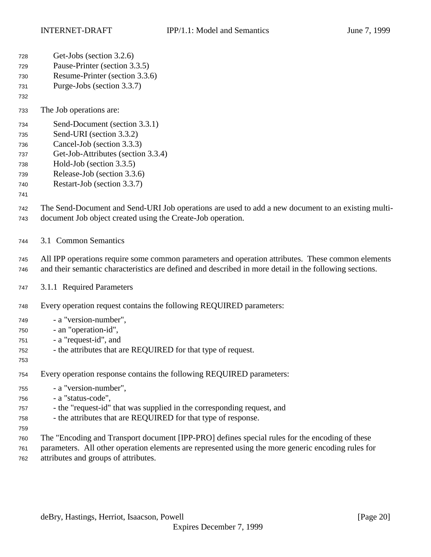| 728        | Get-Jobs (section 3.2.6)                                                                                                                                          |
|------------|-------------------------------------------------------------------------------------------------------------------------------------------------------------------|
| 729        | Pause-Printer (section 3.3.5)                                                                                                                                     |
| 730        | Resume-Printer (section 3.3.6)                                                                                                                                    |
| 731        | Purge-Jobs (section 3.3.7)                                                                                                                                        |
| 732        |                                                                                                                                                                   |
| 733        | The Job operations are:                                                                                                                                           |
| 734        | Send-Document (section 3.3.1)                                                                                                                                     |
| 735        | Send-URI (section 3.3.2)                                                                                                                                          |
| 736        | Cancel-Job (section 3.3.3)                                                                                                                                        |
| 737        | Get-Job-Attributes (section 3.3.4)                                                                                                                                |
| 738        | Hold-Job (section 3.3.5)                                                                                                                                          |
| 739        | Release-Job (section 3.3.6)                                                                                                                                       |
| 740        | Restart-Job (section 3.3.7)                                                                                                                                       |
| 741        |                                                                                                                                                                   |
| 742<br>743 | The Send-Document and Send-URI Job operations are used to add a new document to an existing multi-<br>document Job object created using the Create-Job operation. |
| 744        | 3.1 Common Semantics                                                                                                                                              |
| 745        | All IPP operations require some common parameters and operation attributes. These common elements                                                                 |
| 746        | and their semantic characteristics are defined and described in more detail in the following sections.                                                            |
| 747        | 3.1.1 Required Parameters                                                                                                                                         |
| 748        | Every operation request contains the following REQUIRED parameters:                                                                                               |
| 749        | - a "version-number",                                                                                                                                             |
| 750        | - an "operation-id",                                                                                                                                              |
| 751        | - a "request-id", and                                                                                                                                             |
| 752        | - the attributes that are REQUIRED for that type of request.                                                                                                      |
| 753        |                                                                                                                                                                   |
| 754        | Every operation response contains the following REQUIRED parameters:                                                                                              |
| 755        | - a "version-number",                                                                                                                                             |
| 756        | - a "status-code",                                                                                                                                                |
| 757        | - the "request-id" that was supplied in the corresponding request, and                                                                                            |
| 758        | - the attributes that are REQUIRED for that type of response.                                                                                                     |
| 759        |                                                                                                                                                                   |
| 760        | The "Encoding and Transport document [IPP-PRO] defines special rules for the encoding of these                                                                    |
| 761        | parameters. All other operation elements are represented using the more generic encoding rules for                                                                |
| 762        | attributes and groups of attributes.                                                                                                                              |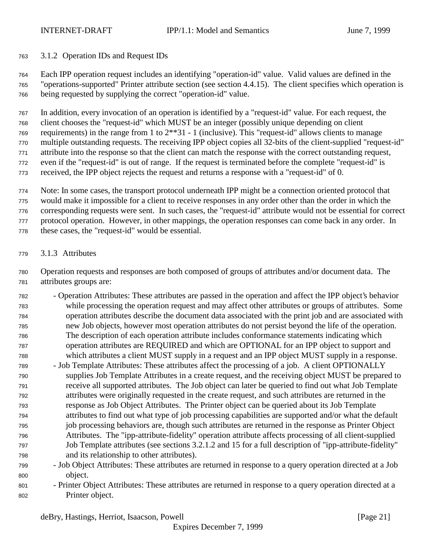3.1.2 Operation IDs and Request IDs

 Each IPP operation request includes an identifying "operation-id" value. Valid values are defined in the "operations-supported" Printer attribute section (see section 4.4.15). The client specifies which operation is being requested by supplying the correct "operation-id" value.

 In addition, every invocation of an operation is identified by a "request-id" value. For each request, the client chooses the "request-id" which MUST be an integer (possibly unique depending on client requirements) in the range from 1 to 2\*\*31 - 1 (inclusive). This "request-id" allows clients to manage multiple outstanding requests. The receiving IPP object copies all 32-bits of the client-supplied "request-id" attribute into the response so that the client can match the response with the correct outstanding request, even if the "request-id" is out of range. If the request is terminated before the complete "request-id" is received, the IPP object rejects the request and returns a response with a "request-id" of 0.

 Note: In some cases, the transport protocol underneath IPP might be a connection oriented protocol that would make it impossible for a client to receive responses in any order other than the order in which the

corresponding requests were sent. In such cases, the "request-id" attribute would not be essential for correct

protocol operation. However, in other mappings, the operation responses can come back in any order. In

these cases, the "request-id" would be essential.

3.1.3 Attributes

 Operation requests and responses are both composed of groups of attributes and/or document data. The attributes groups are:

- Operation Attributes: These attributes are passed in the operation and affect the IPP object's behavior while processing the operation request and may affect other attributes or groups of attributes. Some operation attributes describe the document data associated with the print job and are associated with new Job objects, however most operation attributes do not persist beyond the life of the operation. The description of each operation attribute includes conformance statements indicating which operation attributes are REQUIRED and which are OPTIONAL for an IPP object to support and which attributes a client MUST supply in a request and an IPP object MUST supply in a response.
- Job Template Attributes: These attributes affect the processing of a job. A client OPTIONALLY supplies Job Template Attributes in a create request, and the receiving object MUST be prepared to receive all supported attributes. The Job object can later be queried to find out what Job Template attributes were originally requested in the create request, and such attributes are returned in the response as Job Object Attributes. The Printer object can be queried about its Job Template attributes to find out what type of job processing capabilities are supported and/or what the default job processing behaviors are, though such attributes are returned in the response as Printer Object Attributes. The "ipp-attribute-fidelity" operation attribute affects processing of all client-supplied Job Template attributes (see sections 3.2.1.2 and 15 for a full description of "ipp-attribute-fidelity" and its relationship to other attributes).
- Job Object Attributes: These attributes are returned in response to a query operation directed at a Job object.
- Printer Object Attributes: These attributes are returned in response to a query operation directed at a Printer object.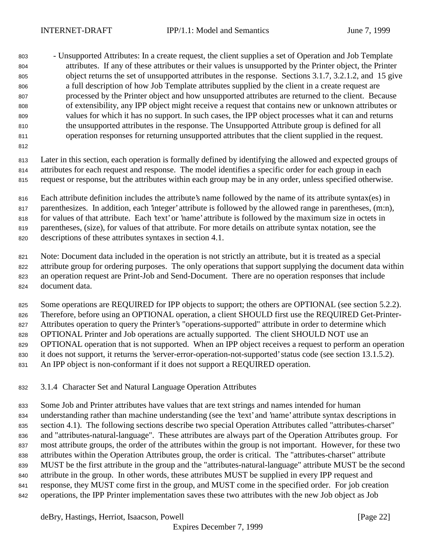- Unsupported Attributes: In a create request, the client supplies a set of Operation and Job Template attributes. If any of these attributes or their values is unsupported by the Printer object, the Printer object returns the set of unsupported attributes in the response. Sections 3.1.7, 3.2.1.2, and 15 give a full description of how Job Template attributes supplied by the client in a create request are processed by the Printer object and how unsupported attributes are returned to the client. Because of extensibility, any IPP object might receive a request that contains new or unknown attributes or values for which it has no support. In such cases, the IPP object processes what it can and returns the unsupported attributes in the response. The Unsupported Attribute group is defined for all operation responses for returning unsupported attributes that the client supplied in the request.

 Later in this section, each operation is formally defined by identifying the allowed and expected groups of attributes for each request and response. The model identifies a specific order for each group in each request or response, but the attributes within each group may be in any order, unless specified otherwise.

 Each attribute definition includes the attribute's name followed by the name of its attribute syntax(es) in parenthesizes. In addition, each 'integer' attribute is followed by the allowed range in parentheses, (m:n), for values of that attribute. Each 'text' or 'name' attribute is followed by the maximum size in octets in parentheses, (size), for values of that attribute. For more details on attribute syntax notation, see the descriptions of these attributes syntaxes in section 4.1.

 Note: Document data included in the operation is not strictly an attribute, but it is treated as a special attribute group for ordering purposes. The only operations that support supplying the document data within an operation request are Print-Job and Send-Document. There are no operation responses that include document data.

825 Some operations are REQUIRED for IPP objects to support; the others are OPTIONAL (see section 5.2.2). Therefore, before using an OPTIONAL operation, a client SHOULD first use the REQUIRED Get-Printer- Attributes operation to query the Printer's "operations-supported" attribute in order to determine which OPTIONAL Printer and Job operations are actually supported. The client SHOULD NOT use an OPTIONAL operation that is not supported. When an IPP object receives a request to perform an operation it does not support, it returns the 'server-error-operation-not-supported' status code (see section 13.1.5.2). An IPP object is non-conformant if it does not support a REQUIRED operation.

3.1.4 Character Set and Natural Language Operation Attributes

 Some Job and Printer attributes have values that are text strings and names intended for human understanding rather than machine understanding (see the 'text' and 'name' attribute syntax descriptions in section 4.1). The following sections describe two special Operation Attributes called "attributes-charset" and "attributes-natural-language". These attributes are always part of the Operation Attributes group. For most attribute groups, the order of the attributes within the group is not important. However, for these two attributes within the Operation Attributes group, the order is critical. The "attributes-charset" attribute MUST be the first attribute in the group and the "attributes-natural-language" attribute MUST be the second attribute in the group. In other words, these attributes MUST be supplied in every IPP request and response, they MUST come first in the group, and MUST come in the specified order. For job creation operations, the IPP Printer implementation saves these two attributes with the new Job object as Job

deBry, Hastings, Herriot, Isaacson, Powell [Page 22]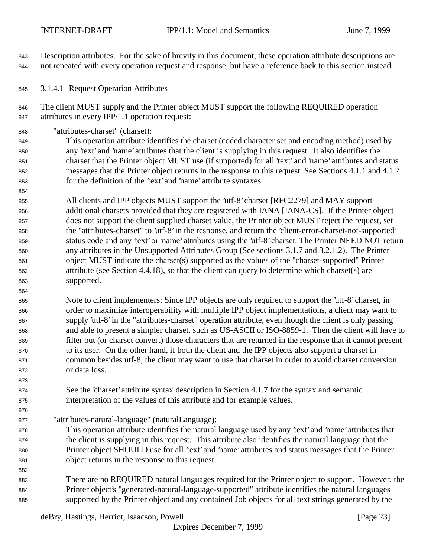Description attributes. For the sake of brevity in this document, these operation attribute descriptions are not repeated with every operation request and response, but have a reference back to this section instead.

3.1.4.1 Request Operation Attributes

 The client MUST supply and the Printer object MUST support the following REQUIRED operation attributes in every IPP/1.1 operation request:

"attributes-charset" (charset):

 This operation attribute identifies the charset (coded character set and encoding method) used by any 'text' and 'name' attributes that the client is supplying in this request. It also identifies the charset that the Printer object MUST use (if supported) for all 'text' and 'name' attributes and status messages that the Printer object returns in the response to this request. See Sections 4.1.1 and 4.1.2 for the definition of the 'text' and 'name' attribute syntaxes.

 All clients and IPP objects MUST support the 'utf-8' charset [RFC2279] and MAY support additional charsets provided that they are registered with IANA [IANA-CS]. If the Printer object does not support the client supplied charset value, the Printer object MUST reject the request, set the "attributes-charset" to 'utf-8' in the response, and return the 'client-error-charset-not-supported' status code and any 'text' or 'name' attributes using the 'utf-8' charset. The Printer NEED NOT return any attributes in the Unsupported Attributes Group (See sections 3.1.7 and 3.2.1.2). The Printer object MUST indicate the charset(s) supported as the values of the "charset-supported" Printer attribute (see Section 4.4.18), so that the client can query to determine which charset(s) are supported.

 Note to client implementers: Since IPP objects are only required to support the 'utf-8' charset, in order to maximize interoperability with multiple IPP object implementations, a client may want to supply 'utf-8' in the "attributes-charset" operation attribute, even though the client is only passing and able to present a simpler charset, such as US-ASCII or ISO-8859-1. Then the client will have to filter out (or charset convert) those characters that are returned in the response that it cannot present to its user. On the other hand, if both the client and the IPP objects also support a charset in common besides utf-8, the client may want to use that charset in order to avoid charset conversion or data loss.

- See the 'charset' attribute syntax description in Section 4.1.7 for the syntax and semantic interpretation of the values of this attribute and for example values.
- "attributes-natural-language" (naturalLanguage):
- This operation attribute identifies the natural language used by any 'text' and 'name' attributes that the client is supplying in this request. This attribute also identifies the natural language that the Printer object SHOULD use for all 'text' and 'name' attributes and status messages that the Printer object returns in the response to this request.
- There are no REQUIRED natural languages required for the Printer object to support. However, the Printer object's "generated-natural-language-supported" attribute identifies the natural languages supported by the Printer object and any contained Job objects for all text strings generated by the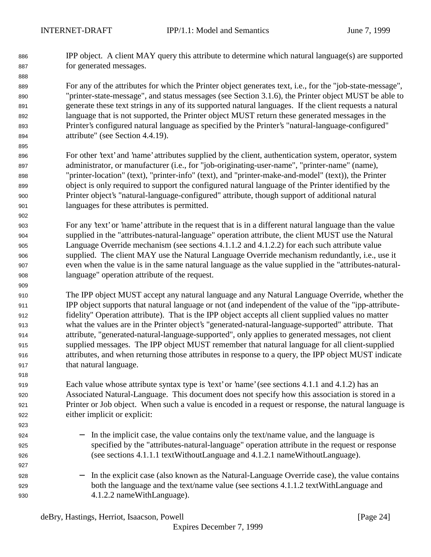IPP object. A client MAY query this attribute to determine which natural language(s) are supported for generated messages.

 For any of the attributes for which the Printer object generates text, i.e., for the "job-state-message", "printer-state-message", and status messages (see Section 3.1.6), the Printer object MUST be able to generate these text strings in any of its supported natural languages. If the client requests a natural language that is not supported, the Printer object MUST return these generated messages in the Printer's configured natural language as specified by the Printer's "natural-language-configured" attribute" (see Section 4.4.19).

- For other 'text' and 'name' attributes supplied by the client, authentication system, operator, system administrator, or manufacturer (i.e., for "job-originating-user-name", "printer-name" (name), "printer-location" (text), "printer-info" (text), and "printer-make-and-model" (text)), the Printer object is only required to support the configured natural language of the Printer identified by the Printer object's "natural-language-configured" attribute, though support of additional natural languages for these attributes is permitted.
- For any 'text' or 'name' attribute in the request that is in a different natural language than the value supplied in the "attributes-natural-language" operation attribute, the client MUST use the Natural Language Override mechanism (see sections 4.1.1.2 and 4.1.2.2) for each such attribute value supplied. The client MAY use the Natural Language Override mechanism redundantly, i.e., use it even when the value is in the same natural language as the value supplied in the "attributes-natural-language" operation attribute of the request.
- The IPP object MUST accept any natural language and any Natural Language Override, whether the IPP object supports that natural language or not (and independent of the value of the "ipp-attribute- fidelity" Operation attribute). That is the IPP object accepts all client supplied values no matter what the values are in the Printer object's "generated-natural-language-supported" attribute. That attribute, "generated-natural-language-supported", only applies to generated messages, not client supplied messages. The IPP object MUST remember that natural language for all client-supplied attributes, and when returning those attributes in response to a query, the IPP object MUST indicate that natural language.
- Each value whose attribute syntax type is 'text' or 'name' (see sections 4.1.1 and 4.1.2) has an Associated Natural-Language. This document does not specify how this association is stored in a Printer or Job object. When such a value is encoded in a request or response, the natural language is either implicit or explicit:
- **-** In the implicit case, the value contains only the text/name value, and the language is specified by the "attributes-natural-language" operation attribute in the request or response (see sections 4.1.1.1 textWithoutLanguage and 4.1.2.1 nameWithoutLanguage).
- − In the explicit case (also known as the Natural-Language Override case), the value contains both the language and the text/name value (see sections 4.1.1.2 textWithLanguage and 4.1.2.2 nameWithLanguage).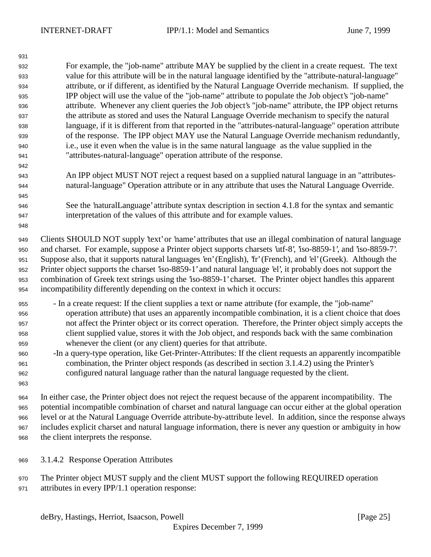For example, the "job-name" attribute MAY be supplied by the client in a create request. The text value for this attribute will be in the natural language identified by the "attribute-natural-language" attribute, or if different, as identified by the Natural Language Override mechanism. If supplied, the IPP object will use the value of the "job-name" attribute to populate the Job object's "job-name" attribute. Whenever any client queries the Job object's "job-name" attribute, the IPP object returns the attribute as stored and uses the Natural Language Override mechanism to specify the natural language, if it is different from that reported in the "attributes-natural-language" operation attribute of the response. The IPP object MAY use the Natural Language Override mechanism redundantly, i.e., use it even when the value is in the same natural language as the value supplied in the "attributes-natural-language" operation attribute of the response.

- An IPP object MUST NOT reject a request based on a supplied natural language in an "attributes-natural-language" Operation attribute or in any attribute that uses the Natural Language Override.
- See the 'naturalLanguage' attribute syntax description in section 4.1.8 for the syntax and semantic interpretation of the values of this attribute and for example values.

 Clients SHOULD NOT supply 'text' or 'name' attributes that use an illegal combination of natural language and charset. For example, suppose a Printer object supports charsets 'utf-8', 'iso-8859-1', and 'iso-8859-7'. Suppose also, that it supports natural languages 'en' (English), 'fr' (French), and 'el' (Greek). Although the Printer object supports the charset 'iso-8859-1' and natural language 'el', it probably does not support the combination of Greek text strings using the 'iso-8859-1' charset. The Printer object handles this apparent incompatibility differently depending on the context in which it occurs:

- In a create request: If the client supplies a text or name attribute (for example, the "job-name" operation attribute) that uses an apparently incompatible combination, it is a client choice that does not affect the Printer object or its correct operation. Therefore, the Printer object simply accepts the client supplied value, stores it with the Job object, and responds back with the same combination whenever the client (or any client) queries for that attribute.
- -In a query-type operation, like Get-Printer-Attributes: If the client requests an apparently incompatible combination, the Printer object responds (as described in section 3.1.4.2) using the Printer's configured natural language rather than the natural language requested by the client.
- In either case, the Printer object does not reject the request because of the apparent incompatibility. The potential incompatible combination of charset and natural language can occur either at the global operation level or at the Natural Language Override attribute-by-attribute level. In addition, since the response always includes explicit charset and natural language information, there is never any question or ambiguity in how the client interprets the response.
- 3.1.4.2 Response Operation Attributes
- The Printer object MUST supply and the client MUST support the following REQUIRED operation attributes in every IPP/1.1 operation response: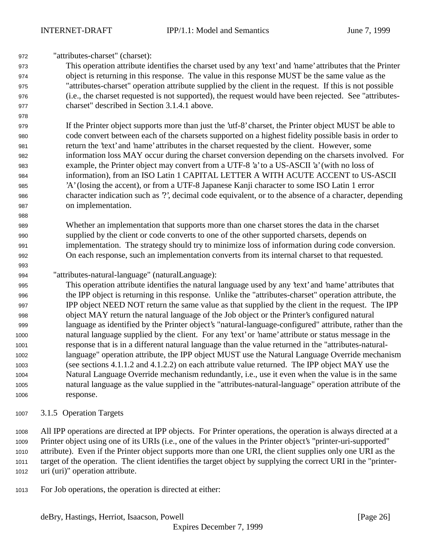"attributes-charset" (charset):

 This operation attribute identifies the charset used by any 'text' and 'name' attributes that the Printer object is returning in this response. The value in this response MUST be the same value as the "attributes-charset" operation attribute supplied by the client in the request. If this is not possible (i.e., the charset requested is not supported), the request would have been rejected. See "attributes-charset" described in Section 3.1.4.1 above.

 If the Printer object supports more than just the 'utf-8' charset, the Printer object MUST be able to code convert between each of the charsets supported on a highest fidelity possible basis in order to return the 'text' and 'name' attributes in the charset requested by the client. However, some information loss MAY occur during the charset conversion depending on the charsets involved. For example, the Printer object may convert from a UTF-8 'a' to a US-ASCII 'a' (with no loss of information), from an ISO Latin 1 CAPITAL LETTER A WITH ACUTE ACCENT to US-ASCII 'A' (losing the accent), or from a UTF-8 Japanese Kanji character to some ISO Latin 1 error character indication such as '?', decimal code equivalent, or to the absence of a character, depending on implementation.

 Whether an implementation that supports more than one charset stores the data in the charset supplied by the client or code converts to one of the other supported charsets, depends on implementation. The strategy should try to minimize loss of information during code conversion. On each response, such an implementation converts from its internal charset to that requested.

"attributes-natural-language" (naturalLanguage):

 This operation attribute identifies the natural language used by any 'text' and 'name' attributes that the IPP object is returning in this response. Unlike the "attributes-charset" operation attribute, the IPP object NEED NOT return the same value as that supplied by the client in the request. The IPP object MAY return the natural language of the Job object or the Printer's configured natural language as identified by the Printer object's "natural-language-configured" attribute, rather than the natural language supplied by the client. For any 'text' or 'name' attribute or status message in the response that is in a different natural language than the value returned in the "attributes-natural- language" operation attribute, the IPP object MUST use the Natural Language Override mechanism (see sections 4.1.1.2 and 4.1.2.2) on each attribute value returned. The IPP object MAY use the Natural Language Override mechanism redundantly, i.e., use it even when the value is in the same natural language as the value supplied in the "attributes-natural-language" operation attribute of the response.

3.1.5 Operation Targets

 All IPP operations are directed at IPP objects. For Printer operations, the operation is always directed at a Printer object using one of its URIs (i.e., one of the values in the Printer object's "printer-uri-supported" attribute). Even if the Printer object supports more than one URI, the client supplies only one URI as the target of the operation. The client identifies the target object by supplying the correct URI in the "printer-uri (uri)" operation attribute.

For Job operations, the operation is directed at either: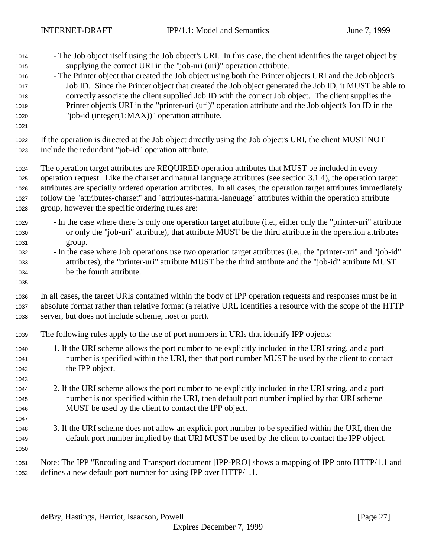- The Job object itself using the Job object's URI. In this case, the client identifies the target object by supplying the correct URI in the "job-uri (uri)" operation attribute.
- The Printer object that created the Job object using both the Printer objects URI and the Job object's Job ID. Since the Printer object that created the Job object generated the Job ID, it MUST be able to correctly associate the client supplied Job ID with the correct Job object. The client supplies the Printer object's URI in the "printer-uri (uri)" operation attribute and the Job object's Job ID in the "job-id (integer(1:MAX))" operation attribute.
- 

 If the operation is directed at the Job object directly using the Job object's URI, the client MUST NOT include the redundant "job-id" operation attribute.

 The operation target attributes are REQUIRED operation attributes that MUST be included in every operation request. Like the charset and natural language attributes (see section 3.1.4), the operation target attributes are specially ordered operation attributes. In all cases, the operation target attributes immediately follow the "attributes-charset" and "attributes-natural-language" attributes within the operation attribute group, however the specific ordering rules are:

- In the case where there is only one operation target attribute (i.e., either only the "printer-uri" attribute or only the "job-uri" attribute), that attribute MUST be the third attribute in the operation attributes group.
- In the case where Job operations use two operation target attributes (i.e., the "printer-uri" and "job-id" attributes), the "printer-uri" attribute MUST be the third attribute and the "job-id" attribute MUST be the fourth attribute.
- In all cases, the target URIs contained within the body of IPP operation requests and responses must be in absolute format rather than relative format (a relative URL identifies a resource with the scope of the HTTP server, but does not include scheme, host or port).
- The following rules apply to the use of port numbers in URIs that identify IPP objects:
- 1. If the URI scheme allows the port number to be explicitly included in the URI string, and a port number is specified within the URI, then that port number MUST be used by the client to contact the IPP object.
- 2. If the URI scheme allows the port number to be explicitly included in the URI string, and a port number is not specified within the URI, then default port number implied by that URI scheme MUST be used by the client to contact the IPP object.
- 3. If the URI scheme does not allow an explicit port number to be specified within the URI, then the default port number implied by that URI MUST be used by the client to contact the IPP object.
- 

 Note: The IPP "Encoding and Transport document [IPP-PRO] shows a mapping of IPP onto HTTP/1.1 and defines a new default port number for using IPP over HTTP/1.1.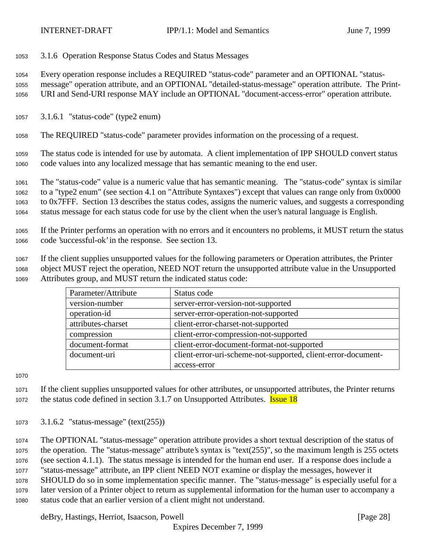3.1.6 Operation Response Status Codes and Status Messages

 Every operation response includes a REQUIRED "status-code" parameter and an OPTIONAL "status- message" operation attribute, and an OPTIONAL "detailed-status-message" operation attribute. The Print-URI and Send-URI response MAY include an OPTIONAL "document-access-error" operation attribute.

3.1.6.1 "status-code" (type2 enum)

The REQUIRED "status-code" parameter provides information on the processing of a request.

 The status code is intended for use by automata. A client implementation of IPP SHOULD convert status code values into any localized message that has semantic meaning to the end user.

 The "status-code" value is a numeric value that has semantic meaning. The "status-code" syntax is similar to a "type2 enum" (see section 4.1 on "Attribute Syntaxes") except that values can range only from 0x0000 to 0x7FFF. Section 13 describes the status codes, assigns the numeric values, and suggests a corresponding status message for each status code for use by the client when the user's natural language is English.

 If the Printer performs an operation with no errors and it encounters no problems, it MUST return the status code 'successful-ok' in the response. See section 13.

 If the client supplies unsupported values for the following parameters or Operation attributes, the Printer object MUST reject the operation, NEED NOT return the unsupported attribute value in the Unsupported Attributes group, and MUST return the indicated status code:

| Parameter/Attribute | Status code                                                   |
|---------------------|---------------------------------------------------------------|
| version-number      | server-error-version-not-supported                            |
| operation-id        | server-error-operation-not-supported                          |
| attributes-charset  | client-error-charset-not-supported                            |
| compression         | client-error-compression-not-supported                        |
| document-format     | client-error-document-format-not-supported                    |
| document-uri        | client-error-uri-scheme-not-supported, client-error-document- |
|                     | access-error                                                  |

 If the client supplies unsupported values for other attributes, or unsupported attributes, the Printer returns 1072 the status code defined in section 3.1.7 on Unsupported Attributes. **Issue 18** 

3.1.6.2 "status-message" (text(255))

 The OPTIONAL "status-message" operation attribute provides a short textual description of the status of the operation. The "status-message" attribute's syntax is "text(255)", so the maximum length is 255 octets (see section 4.1.1). The status message is intended for the human end user. If a response does include a "status-message" attribute, an IPP client NEED NOT examine or display the messages, however it SHOULD do so in some implementation specific manner. The "status-message" is especially useful for a later version of a Printer object to return as supplemental information for the human user to accompany a status code that an earlier version of a client might not understand.

deBry, Hastings, Herriot, Isaacson, Powell [Page 28]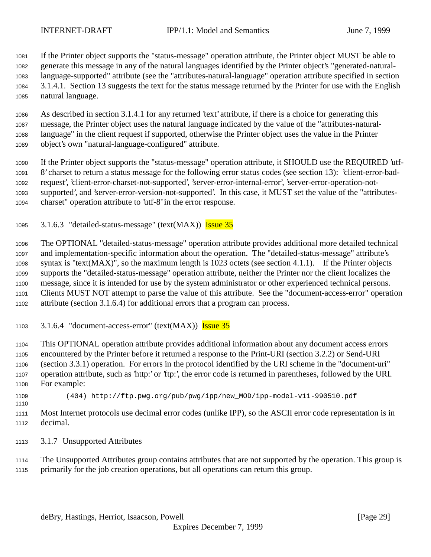If the Printer object supports the "status-message" operation attribute, the Printer object MUST be able to generate this message in any of the natural languages identified by the Printer object's "generated-natural- language-supported" attribute (see the "attributes-natural-language" operation attribute specified in section 3.1.4.1. Section 13 suggests the text for the status message returned by the Printer for use with the English natural language.

 As described in section 3.1.4.1 for any returned 'text' attribute, if there is a choice for generating this message, the Printer object uses the natural language indicated by the value of the "attributes-natural- language" in the client request if supported, otherwise the Printer object uses the value in the Printer object's own "natural-language-configured" attribute.

 If the Printer object supports the "status-message" operation attribute, it SHOULD use the REQUIRED 'utf- 8' charset to return a status message for the following error status codes (see section 13): 'client-error-bad- request', 'client-error-charset-not-supported', 'server-error-internal-error', 'server-error-operation-not- supported', and 'server-error-version-not-supported'. In this case, it MUST set the value of the "attributes-charset" operation attribute to 'utf-8' in the error response.

1095 3.1.6.3 "detailed-status-message" (text(MAX)) Issue 35

 The OPTIONAL "detailed-status-message" operation attribute provides additional more detailed technical and implementation-specific information about the operation. The "detailed-status-message" attribute's syntax is "text(MAX)", so the maximum length is 1023 octets (see section 4.1.1). If the Printer objects supports the "detailed-status-message" operation attribute, neither the Printer nor the client localizes the message, since it is intended for use by the system administrator or other experienced technical persons. Clients MUST NOT attempt to parse the value of this attribute. See the "document-access-error" operation attribute (section 3.1.6.4) for additional errors that a program can process.

3.1.6.4 "document-access-error" (text(MAX)) Issue 35

 This OPTIONAL operation attribute provides additional information about any document access errors encountered by the Printer before it returned a response to the Print-URI (section 3.2.2) or Send-URI (section 3.3.1) operation. For errors in the protocol identified by the URI scheme in the "document-uri" operation attribute, such as 'http:' or 'ftp:', the error code is returned in parentheses, followed by the URI. For example:

(404) http://ftp.pwg.org/pub/pwg/ipp/new\_MOD/ipp-model-v11-990510.pdf

 Most Internet protocols use decimal error codes (unlike IPP), so the ASCII error code representation is in decimal.

3.1.7 Unsupported Attributes

 The Unsupported Attributes group contains attributes that are not supported by the operation. This group is primarily for the job creation operations, but all operations can return this group.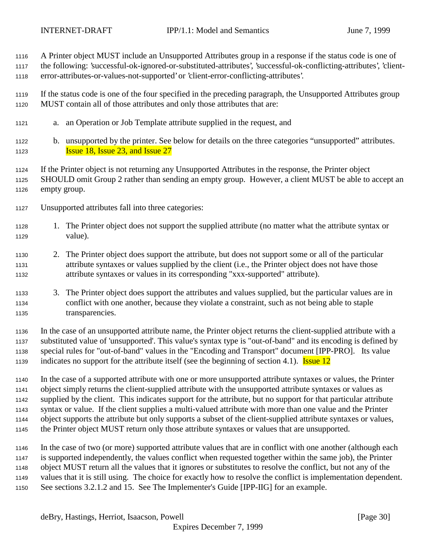A Printer object MUST include an Unsupported Attributes group in a response if the status code is one of

 the following: 'successful-ok-ignored-or-substituted-attributes', 'successful-ok-conflicting-attributes', 'client-error-attributes-or-values-not-supported' or 'client-error-conflicting-attributes'.

 If the status code is one of the four specified in the preceding paragraph, the Unsupported Attributes group MUST contain all of those attributes and only those attributes that are:

- a. an Operation or Job Template attribute supplied in the request, and
- b. unsupported by the printer. See below for details on the three categories "unsupported" attributes. **Issue 18, Issue 23, and Issue 27**

 If the Printer object is not returning any Unsupported Attributes in the response, the Printer object SHOULD omit Group 2 rather than sending an empty group. However, a client MUST be able to accept an empty group.

- Unsupported attributes fall into three categories:
- 1. The Printer object does not support the supplied attribute (no matter what the attribute syntax or value).
- 2. The Printer object does support the attribute, but does not support some or all of the particular attribute syntaxes or values supplied by the client (i.e., the Printer object does not have those attribute syntaxes or values in its corresponding "xxx-supported" attribute).
- 3. The Printer object does support the attributes and values supplied, but the particular values are in conflict with one another, because they violate a constraint, such as not being able to staple transparencies.

 In the case of an unsupported attribute name, the Printer object returns the client-supplied attribute with a substituted value of 'unsupported'. This value's syntax type is "out-of-band" and its encoding is defined by special rules for "out-of-band" values in the "Encoding and Transport" document [IPP-PRO]. Its value 1139 indicates no support for the attribute itself (see the beginning of section 4.1). **Issue 12** 

 In the case of a supported attribute with one or more unsupported attribute syntaxes or values, the Printer object simply returns the client-supplied attribute with the unsupported attribute syntaxes or values as supplied by the client. This indicates support for the attribute, but no support for that particular attribute syntax or value. If the client supplies a multi-valued attribute with more than one value and the Printer object supports the attribute but only supports a subset of the client-supplied attribute syntaxes or values, the Printer object MUST return only those attribute syntaxes or values that are unsupported.

 In the case of two (or more) supported attribute values that are in conflict with one another (although each is supported independently, the values conflict when requested together within the same job), the Printer object MUST return all the values that it ignores or substitutes to resolve the conflict, but not any of the values that it is still using. The choice for exactly how to resolve the conflict is implementation dependent. See sections 3.2.1.2 and 15. See The Implementer's Guide [IPP-IIG] for an example.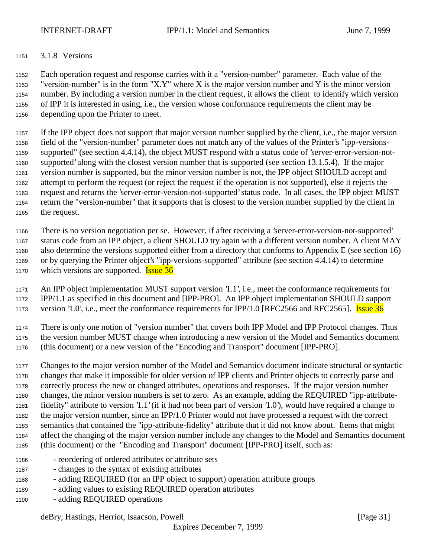#### 3.1.8 Versions

 Each operation request and response carries with it a "version-number" parameter. Each value of the "version-number" is in the form "X.Y" where X is the major version number and Y is the minor version number. By including a version number in the client request, it allows the client to identify which version of IPP it is interested in using, i.e., the version whose conformance requirements the client may be depending upon the Printer to meet.

 If the IPP object does not support that major version number supplied by the client, i.e., the major version field of the "version-number" parameter does not match any of the values of the Printer's "ipp-versions- supported" (see section 4.4.14), the object MUST respond with a status code of 'server-error-version-not- supported' along with the closest version number that is supported (see section 13.1.5.4). If the major version number is supported, but the minor version number is not, the IPP object SHOULD accept and attempt to perform the request (or reject the request if the operation is not supported), else it rejects the request and returns the 'server-error-version-not-supported' status code. In all cases, the IPP object MUST return the "version-number" that it supports that is closest to the version number supplied by the client in the request.

 There is no version negotiation per se. However, if after receiving a 'server-error-version-not-supported' status code from an IPP object, a client SHOULD try again with a different version number. A client MAY also determine the versions supported either from a directory that conforms to Appendix E (see section 16) or by querying the Printer object's "ipp-versions-supported" attribute (see section 4.4.14) to determine 1170 which versions are supported. **Issue 36** 

 An IPP object implementation MUST support version '1.1', i.e., meet the conformance requirements for IPP/1.1 as specified in this document and [IPP-PRO]. An IPP object implementation SHOULD support 1173 version '1.0', i.e., meet the conformance requirements for IPP/1.0 [RFC2566 and RFC2565]. **Issue 36** 

 There is only one notion of "version number" that covers both IPP Model and IPP Protocol changes. Thus the version number MUST change when introducing a new version of the Model and Semantics document (this document) or a new version of the "Encoding and Transport" document [IPP-PRO].

- Changes to the major version number of the Model and Semantics document indicate structural or syntactic changes that make it impossible for older version of IPP clients and Printer objects to correctly parse and correctly process the new or changed attributes, operations and responses. If the major version number changes, the minor version numbers is set to zero. As an example, adding the REQUIRED "ipp-attribute- fidelity" attribute to version '1.1' (if it had not been part of version '1.0'), would have required a change to the major version number, since an IPP/1.0 Printer would not have processed a request with the correct semantics that contained the "ipp-attribute-fidelity" attribute that it did not know about. Items that might affect the changing of the major version number include any changes to the Model and Semantics document (this document) or the "Encoding and Transport" document [IPP-PRO] itself, such as:
- reordering of ordered attributes or attribute sets
- changes to the syntax of existing attributes
- adding REQUIRED (for an IPP object to support) operation attribute groups
- adding values to existing REQUIRED operation attributes
- adding REQUIRED operations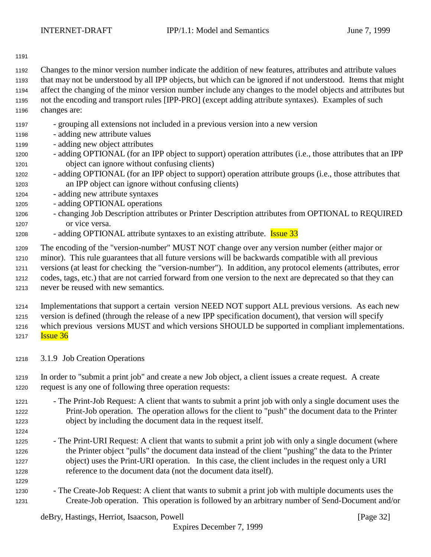Changes to the minor version number indicate the addition of new features, attributes and attribute values

- that may not be understood by all IPP objects, but which can be ignored if not understood. Items that might
- affect the changing of the minor version number include any changes to the model objects and attributes but
- not the encoding and transport rules [IPP-PRO] (except adding attribute syntaxes). Examples of such changes are:
- grouping all extensions not included in a previous version into a new version
- adding new attribute values
- adding new object attributes
- adding OPTIONAL (for an IPP object to support) operation attributes (i.e., those attributes that an IPP object can ignore without confusing clients)
- adding OPTIONAL (for an IPP object to support) operation attribute groups (i.e., those attributes that an IPP object can ignore without confusing clients)
- 1204 adding new attribute syntaxes
- adding OPTIONAL operations
- changing Job Description attributes or Printer Description attributes from OPTIONAL to REQUIRED or vice versa.
- 1208 adding OPTIONAL attribute syntaxes to an existing attribute. **Issue 33**

The encoding of the "version-number" MUST NOT change over any version number (either major or

minor). This rule guarantees that all future versions will be backwards compatible with all previous

 versions (at least for checking the "version-number"). In addition, any protocol elements (attributes, error codes, tags, etc.) that are not carried forward from one version to the next are deprecated so that they can

never be reused with new semantics.

 Implementations that support a certain version NEED NOT support ALL previous versions. As each new version is defined (through the release of a new IPP specification document), that version will specify

- which previous versions MUST and which versions SHOULD be supported in compliant implementations.
- **Issue 36**
- 3.1.9 Job Creation Operations

 In order to "submit a print job" and create a new Job object, a client issues a create request. A create request is any one of following three operation requests:

- The Print-Job Request: A client that wants to submit a print job with only a single document uses the Print-Job operation. The operation allows for the client to "push" the document data to the Printer object by including the document data in the request itself.
- 

1225 - The Print-URI Request: A client that wants to submit a print job with only a single document (where the Printer object "pulls" the document data instead of the client "pushing" the data to the Printer object) uses the Print-URI operation. In this case, the client includes in the request only a URI reference to the document data (not the document data itself).

 - The Create-Job Request: A client that wants to submit a print job with multiple documents uses the Create-Job operation. This operation is followed by an arbitrary number of Send-Document and/or

deBry, Hastings, Herriot, Isaacson, Powell [Page 32]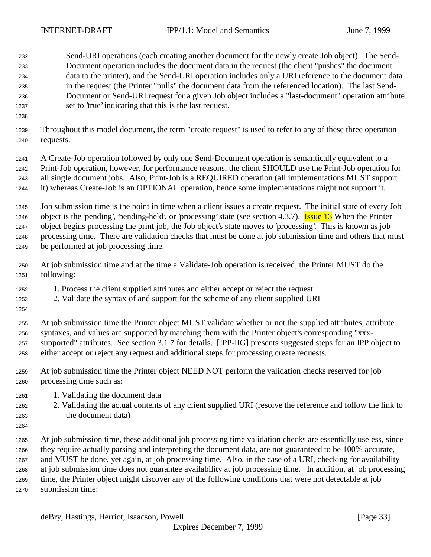Send-URI operations (each creating another document for the newly create Job object). The Send- Document operation includes the document data in the request (the client "pushes" the document data to the printer), and the Send-URI operation includes only a URI reference to the document data in the request (the Printer "pulls" the document data from the referenced location). The last Send- Document or Send-URI request for a given Job object includes a "last-document" operation attribute set to 'true' indicating that this is the last request.

- 
- Throughout this model document, the term "create request" is used to refer to any of these three operation requests.

 A Create-Job operation followed by only one Send-Document operation is semantically equivalent to a Print-Job operation, however, for performance reasons, the client SHOULD use the Print-Job operation for all single document jobs. Also, Print-Job is a REQUIRED operation (all implementations MUST support it) whereas Create-Job is an OPTIONAL operation, hence some implementations might not support it.

 Job submission time is the point in time when a client issues a create request. The initial state of every Job 1246 object is the 'pending', 'pending-held', or 'processing' state (see section 4.3.7). **Issue 13** When the Printer object begins processing the print job, the Job object's state moves to 'processing'. This is known as job processing time. There are validation checks that must be done at job submission time and others that must be performed at job processing time.

- At job submission time and at the time a Validate-Job operation is received, the Printer MUST do the following:
- 1. Process the client supplied attributes and either accept or reject the request
- 2. Validate the syntax of and support for the scheme of any client supplied URI
- 

 At job submission time the Printer object MUST validate whether or not the supplied attributes, attribute syntaxes, and values are supported by matching them with the Printer object's corresponding "xxx- supported" attributes. See section 3.1.7 for details. [IPP-IIG] presents suggested steps for an IPP object to either accept or reject any request and additional steps for processing create requests.

- At job submission time the Printer object NEED NOT perform the validation checks reserved for job processing time such as:
- 1. Validating the document data
- 2. Validating the actual contents of any client supplied URI (resolve the reference and follow the link to the document data)
- 

 At job submission time, these additional job processing time validation checks are essentially useless, since they require actually parsing and interpreting the document data, are not guaranteed to be 100% accurate, and MUST be done, yet again, at job processing time. Also, in the case of a URI, checking for availability at job submission time does not guarantee availability at job processing time. In addition, at job processing time, the Printer object might discover any of the following conditions that were not detectable at job submission time: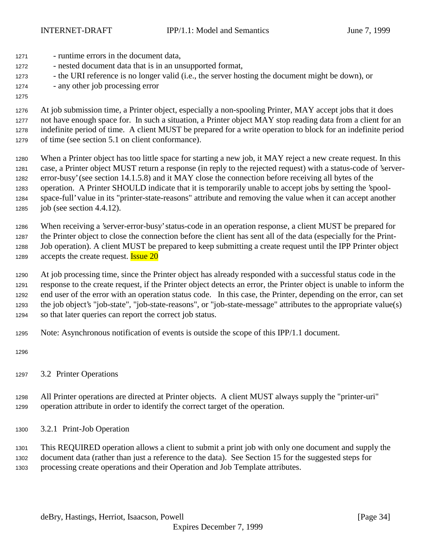- runtime errors in the document data, - nested document data that is in an unsupported format, - the URI reference is no longer valid (i.e., the server hosting the document might be down), or - any other job processing error

# 

 At job submission time, a Printer object, especially a non-spooling Printer, MAY accept jobs that it does not have enough space for. In such a situation, a Printer object MAY stop reading data from a client for an indefinite period of time. A client MUST be prepared for a write operation to block for an indefinite period of time (see section 5.1 on client conformance).

 When a Printer object has too little space for starting a new job, it MAY reject a new create request. In this case, a Printer object MUST return a response (in reply to the rejected request) with a status-code of 'server- error-busy' (see section 14.1.5.8) and it MAY close the connection before receiving all bytes of the operation. A Printer SHOULD indicate that it is temporarily unable to accept jobs by setting the 'spool- space-full' value in its "printer-state-reasons" attribute and removing the value when it can accept another job (see section 4.4.12).

 When receiving a 'server-error-busy' status-code in an operation response, a client MUST be prepared for the Printer object to close the connection before the client has sent all of the data (especially for the Print- Job operation). A client MUST be prepared to keep submitting a create request until the IPP Printer object 1289 accepts the create request. **Issue 20** 

 At job processing time, since the Printer object has already responded with a successful status code in the response to the create request, if the Printer object detects an error, the Printer object is unable to inform the end user of the error with an operation status code. In this case, the Printer, depending on the error, can set the job object's "job-state", "job-state-reasons", or "job-state-message" attributes to the appropriate value(s) so that later queries can report the correct job status.

Note: Asynchronous notification of events is outside the scope of this IPP/1.1 document.

3.2 Printer Operations

 All Printer operations are directed at Printer objects. A client MUST always supply the "printer-uri" operation attribute in order to identify the correct target of the operation.

3.2.1 Print-Job Operation

 This REQUIRED operation allows a client to submit a print job with only one document and supply the document data (rather than just a reference to the data). See Section 15 for the suggested steps for processing create operations and their Operation and Job Template attributes.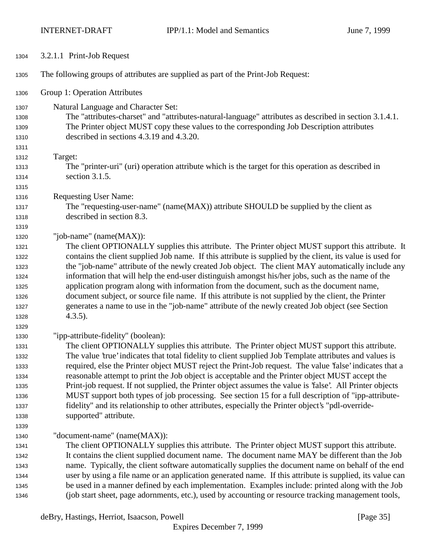| 1304         | 3.2.1.1 Print-Job Request                                                                                                                                                                               |
|--------------|---------------------------------------------------------------------------------------------------------------------------------------------------------------------------------------------------------|
| 1305         | The following groups of attributes are supplied as part of the Print-Job Request:                                                                                                                       |
| 1306         | Group 1: Operation Attributes                                                                                                                                                                           |
| 1307         | Natural Language and Character Set:                                                                                                                                                                     |
| 1308         | The "attributes-charset" and "attributes-natural-language" attributes as described in section 3.1.4.1.                                                                                                  |
| 1309         | The Printer object MUST copy these values to the corresponding Job Description attributes                                                                                                               |
| 1310         | described in sections 4.3.19 and 4.3.20.                                                                                                                                                                |
| 1311         |                                                                                                                                                                                                         |
| 1312         | Target:                                                                                                                                                                                                 |
| 1313         | The "printer-uri" (uri) operation attribute which is the target for this operation as described in                                                                                                      |
| 1314         | section 3.1.5.                                                                                                                                                                                          |
| 1315         |                                                                                                                                                                                                         |
| 1316         | <b>Requesting User Name:</b>                                                                                                                                                                            |
| 1317         | The "requesting-user-name" (name(MAX)) attribute SHOULD be supplied by the client as                                                                                                                    |
| 1318         | described in section 8.3.                                                                                                                                                                               |
| 1319         |                                                                                                                                                                                                         |
| 1320         | "job-name" (name(MAX)):                                                                                                                                                                                 |
| 1321         | The client OPTIONALLY supplies this attribute. The Printer object MUST support this attribute. It                                                                                                       |
| 1322         | contains the client supplied Job name. If this attribute is supplied by the client, its value is used for                                                                                               |
| 1323         | the "job-name" attribute of the newly created Job object. The client MAY automatically include any                                                                                                      |
| 1324         | information that will help the end-user distinguish amongst his/her jobs, such as the name of the                                                                                                       |
| 1325         | application program along with information from the document, such as the document name,                                                                                                                |
| 1326         | document subject, or source file name. If this attribute is not supplied by the client, the Printer<br>generates a name to use in the "job-name" attribute of the newly created Job object (see Section |
| 1327<br>1328 | $4.3.5$ ).                                                                                                                                                                                              |
| 1329         |                                                                                                                                                                                                         |
| 1330         | "ipp-attribute-fidelity" (boolean):                                                                                                                                                                     |
| 1331         | The client OPTIONALLY supplies this attribute. The Printer object MUST support this attribute.                                                                                                          |
| 1332         | The value 'true' indicates that total fidelity to client supplied Job Template attributes and values is                                                                                                 |
| 1333         | required, else the Printer object MUST reject the Print-Job request. The value 'false' indicates that a                                                                                                 |
| 1334         | reasonable attempt to print the Job object is acceptable and the Printer object MUST accept the                                                                                                         |
| 1335         | Print-job request. If not supplied, the Printer object assumes the value is 'false'. All Printer objects                                                                                                |
| 1336         | MUST support both types of job processing. See section 15 for a full description of "ipp-attribute-                                                                                                     |
| 1337         | fidelity" and its relationship to other attributes, especially the Printer object's "pdl-override-                                                                                                      |
| 1338         | supported" attribute.                                                                                                                                                                                   |
| 1339         |                                                                                                                                                                                                         |
| 1340         | "document-name" (name(MAX)):                                                                                                                                                                            |
| 1341         | The client OPTIONALLY supplies this attribute. The Printer object MUST support this attribute.                                                                                                          |
| 1342         | It contains the client supplied document name. The document name MAY be different than the Job                                                                                                          |
| 1343         | name. Typically, the client software automatically supplies the document name on behalf of the end                                                                                                      |
| 1344         | user by using a file name or an application generated name. If this attribute is supplied, its value can                                                                                                |
| 1345         | be used in a manner defined by each implementation. Examples include: printed along with the Job                                                                                                        |
| 1346         | (job start sheet, page adornments, etc.), used by accounting or resource tracking management tools,                                                                                                     |

deBry, Hastings, Herriot, Isaacson, Powell [Page 35]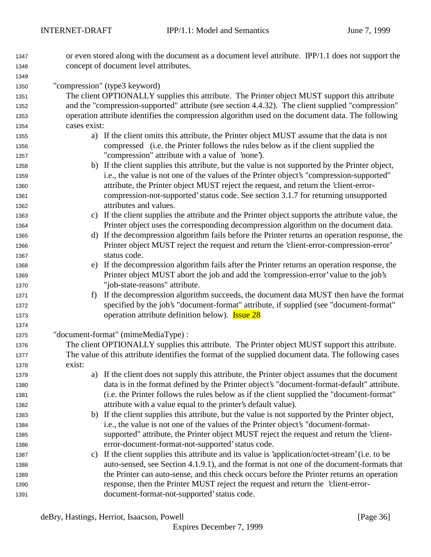- or even stored along with the document as a document level attribute. IPP/1.1 does not support the concept of document level attributes.
- "compression" (type3 keyword)

 The client OPTIONALLY supplies this attribute. The Printer object MUST support this attribute and the "compression-supported" attribute (see section 4.4.32). The client supplied "compression" operation attribute identifies the compression algorithm used on the document data. The following cases exist:

- a) If the client omits this attribute, the Printer object MUST assume that the data is not compressed (i.e. the Printer follows the rules below as if the client supplied the "compression" attribute with a value of 'none').
- b) If the client supplies this attribute, but the value is not supported by the Printer object, i.e., the value is not one of the values of the Printer object's "compression-supported" attribute, the Printer object MUST reject the request, and return the 'client-error- compression-not-supported' status code. See section 3.1.7 for returning unsupported attributes and values.
- c) If the client supplies the attribute and the Printer object supports the attribute value, the Printer object uses the corresponding decompression algorithm on the document data.
- d) If the decompression algorithm fails before the Printer returns an operation response, the Printer object MUST reject the request and return the 'client-error-compression-error' status code.
- e) If the decompression algorithm fails after the Printer returns an operation response, the Printer object MUST abort the job and add the 'compression-error' value to the job's "job-state-reasons" attribute.
- f) If the decompression algorithm succeeds, the document data MUST then have the format specified by the job's "document-format" attribute, if supplied (see "document-format" 1373 operation attribute definition below). **Issue 28**

"document-format" (mimeMediaType) :

- The client OPTIONALLY supplies this attribute. The Printer object MUST support this attribute. The value of this attribute identifies the format of the supplied document data. The following cases exist:
- a) If the client does not supply this attribute, the Printer object assumes that the document data is in the format defined by the Printer object's "document-format-default" attribute. (i.e. the Printer follows the rules below as if the client supplied the "document-format" attribute with a value equal to the printer's default value).
- b) If the client supplies this attribute, but the value is not supported by the Printer object, i.e., the value is not one of the values of the Printer object's "document-format- supported" attribute, the Printer object MUST reject the request and return the 'client-error-document-format-not-supported' status code.
- c) If the client supplies this attribute and its value is 'application/octet-stream' (i.e. to be auto-sensed, see Section 4.1.9.1), and the format is not one of the document-formats that the Printer can auto-sense, and this check occurs before the Printer returns an operation response, then the Printer MUST reject the request and return the 'client-error-document-format-not-supported' status code.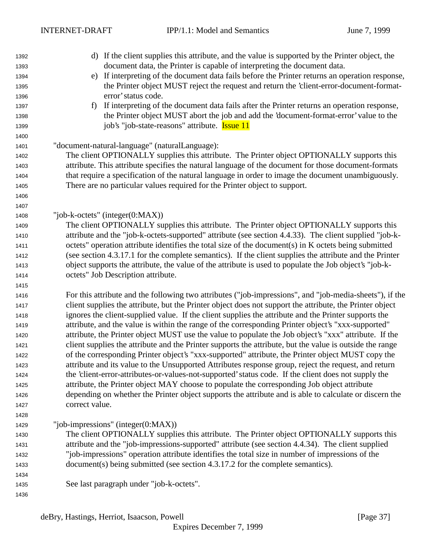| 1392 | d) If the client supplies this attribute, and the value is supported by the Printer object, the          |
|------|----------------------------------------------------------------------------------------------------------|
| 1393 | document data, the Printer is capable of interpreting the document data.                                 |
| 1394 | If interpreting of the document data fails before the Printer returns an operation response,<br>e)       |
| 1395 | the Printer object MUST reject the request and return the 'client-error-document-format-                 |
| 1396 | error' status code.                                                                                      |
| 1397 | If interpreting of the document data fails after the Printer returns an operation response,<br>$f$ )     |
| 1398 | the Printer object MUST abort the job and add the 'document-format-error' value to the                   |
| 1399 | job's "job-state-reasons" attribute. <b>Issue 11</b>                                                     |
| 1400 |                                                                                                          |
| 1401 | "document-natural-language" (naturalLanguage):                                                           |
| 1402 | The client OPTIONALLY supplies this attribute. The Printer object OPTIONALLY supports this               |
| 1403 | attribute. This attribute specifies the natural language of the document for those document-formats      |
| 1404 | that require a specification of the natural language in order to image the document unambiguously.       |
| 1405 | There are no particular values required for the Printer object to support.                               |
| 1406 |                                                                                                          |
| 1407 |                                                                                                          |
| 1408 | "job-k-octets" (integer $(0:MAX)$ )                                                                      |
| 1409 | The client OPTIONALLY supplies this attribute. The Printer object OPTIONALLY supports this               |
| 1410 | attribute and the "job-k-octets-supported" attribute (see section 4.4.33). The client supplied "job-k-   |
| 1411 | octets" operation attribute identifies the total size of the document(s) in K octets being submitted     |
| 1412 | (see section 4.3.17.1 for the complete semantics). If the client supplies the attribute and the Printer  |
| 1413 | object supports the attribute, the value of the attribute is used to populate the Job object's "job-k-   |
| 1414 | octets" Job Description attribute.                                                                       |
| 1415 |                                                                                                          |
| 1416 | For this attribute and the following two attributes ("job-impressions", and "job-media-sheets"), if the  |
| 1417 | client supplies the attribute, but the Printer object does not support the attribute, the Printer object |
| 1418 | ignores the client-supplied value. If the client supplies the attribute and the Printer supports the     |
| 1419 | attribute, and the value is within the range of the corresponding Printer object's "xxx-supported"       |
| 1420 | attribute, the Printer object MUST use the value to populate the Job object's "xxx" attribute. If the    |
| 1421 | client supplies the attribute and the Printer supports the attribute, but the value is outside the range |
| 1422 | of the corresponding Printer object's "xxx-supported" attribute, the Printer object MUST copy the        |
| 1423 | attribute and its value to the Unsupported Attributes response group, reject the request, and return     |
| 1424 | the 'client-error-attributes-or-values-not-supported' status code. If the client does not supply the     |
| 1425 | attribute, the Printer object MAY choose to populate the corresponding Job object attribute              |
| 1426 | depending on whether the Printer object supports the attribute and is able to calculate or discern the   |
| 1427 | correct value.                                                                                           |
| 1428 |                                                                                                          |
| 1429 | "job-impressions" (integer $(0:MAX)$ )                                                                   |
| 1430 | The client OPTIONALLY supplies this attribute. The Printer object OPTIONALLY supports this               |
| 1431 | attribute and the "job-impressions-supported" attribute (see section 4.4.34). The client supplied        |
| 1432 | "job-impressions" operation attribute identifies the total size in number of impressions of the          |
| 1433 | document(s) being submitted (see section 4.3.17.2 for the complete semantics).                           |
| 1434 |                                                                                                          |
| 1435 | See last paragraph under "job-k-octets".                                                                 |
| 1436 |                                                                                                          |
|      |                                                                                                          |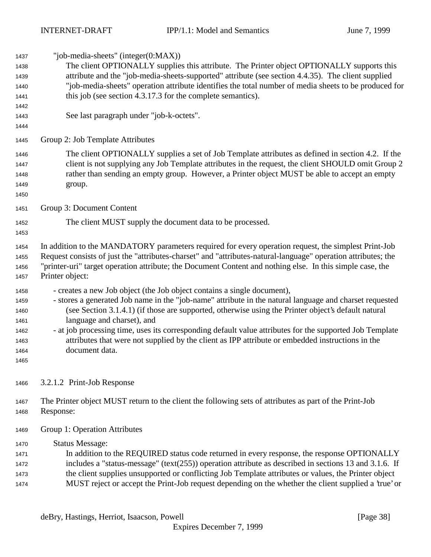"job-media-sheets" (integer(0:MAX)) The client OPTIONALLY supplies this attribute. The Printer object OPTIONALLY supports this attribute and the "job-media-sheets-supported" attribute (see section 4.4.35). The client supplied "job-media-sheets" operation attribute identifies the total number of media sheets to be produced for this job (see section 4.3.17.3 for the complete semantics). See last paragraph under "job-k-octets". Group 2: Job Template Attributes The client OPTIONALLY supplies a set of Job Template attributes as defined in section 4.2. If the client is not supplying any Job Template attributes in the request, the client SHOULD omit Group 2 rather than sending an empty group. However, a Printer object MUST be able to accept an empty group. Group 3: Document Content The client MUST supply the document data to be processed. In addition to the MANDATORY parameters required for every operation request, the simplest Print-Job Request consists of just the "attributes-charset" and "attributes-natural-language" operation attributes; the "printer-uri" target operation attribute; the Document Content and nothing else. In this simple case, the Printer object: - creates a new Job object (the Job object contains a single document), - stores a generated Job name in the "job-name" attribute in the natural language and charset requested (see Section 3.1.4.1) (if those are supported, otherwise using the Printer object's default natural language and charset), and - at job processing time, uses its corresponding default value attributes for the supported Job Template attributes that were not supplied by the client as IPP attribute or embedded instructions in the document data. 3.2.1.2 Print-Job Response The Printer object MUST return to the client the following sets of attributes as part of the Print-Job Response: Group 1: Operation Attributes Status Message: In addition to the REQUIRED status code returned in every response, the response OPTIONALLY includes a "status-message" (text(255)) operation attribute as described in sections 13 and 3.1.6. If the client supplies unsupported or conflicting Job Template attributes or values, the Printer object MUST reject or accept the Print-Job request depending on the whether the client supplied a 'true' or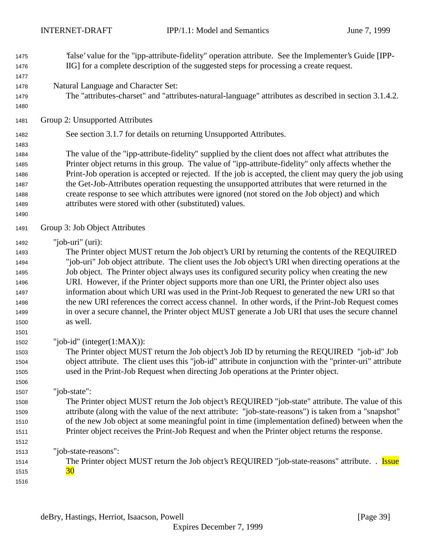'false' value for the "ipp-attribute-fidelity" operation attribute. See the Implementer's Guide [IPP- IIG] for a complete description of the suggested steps for processing a create request. Natural Language and Character Set: The "attributes-charset" and "attributes-natural-language" attributes as described in section 3.1.4.2. Group 2: Unsupported Attributes See section 3.1.7 for details on returning Unsupported Attributes. The value of the "ipp-attribute-fidelity" supplied by the client does not affect what attributes the Printer object returns in this group. The value of "ipp-attribute-fidelity" only affects whether the Print-Job operation is accepted or rejected. If the job is accepted, the client may query the job using the Get-Job-Attributes operation requesting the unsupported attributes that were returned in the create response to see which attributes were ignored (not stored on the Job object) and which attributes were stored with other (substituted) values. Group 3: Job Object Attributes "job-uri" (uri): The Printer object MUST return the Job object's URI by returning the contents of the REQUIRED "job-uri" Job object attribute. The client uses the Job object's URI when directing operations at the Job object. The Printer object always uses its configured security policy when creating the new URI. However, if the Printer object supports more than one URI, the Printer object also uses information about which URI was used in the Print-Job Request to generated the new URI so that the new URI references the correct access channel. In other words, if the Print-Job Request comes in over a secure channel, the Printer object MUST generate a Job URI that uses the secure channel as well. "job-id" (integer(1:MAX)): The Printer object MUST return the Job object's Job ID by returning the REQUIRED "job-id" Job object attribute. The client uses this "job-id" attribute in conjunction with the "printer-uri" attribute used in the Print-Job Request when directing Job operations at the Printer object. "job-state": The Printer object MUST return the Job object's REQUIRED "job-state" attribute. The value of this attribute (along with the value of the next attribute: "job-state-reasons") is taken from a "snapshot" of the new Job object at some meaningful point in time (implementation defined) between when the Printer object receives the Print-Job Request and when the Printer object returns the response. "job-state-reasons": 1514 The Printer object MUST return the Job object's REQUIRED "job-state-reasons" attribute. . **Issue**  $\frac{30}{ }$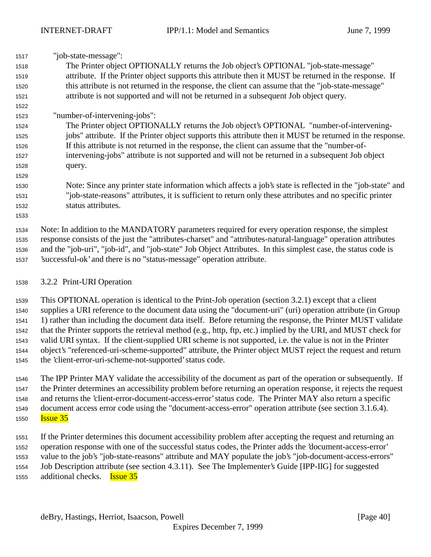| 1517 | "job-state-message":                                                                                          |
|------|---------------------------------------------------------------------------------------------------------------|
| 1518 | The Printer object OPTIONALLY returns the Job object's OPTIONAL "job-state-message"                           |
| 1519 | attribute. If the Printer object supports this attribute then it MUST be returned in the response. If         |
| 1520 | this attribute is not returned in the response, the client can assume that the "job-state-message"            |
| 1521 | attribute is not supported and will not be returned in a subsequent Job object query.                         |
| 1522 |                                                                                                               |
| 1523 | "number-of-intervening-jobs":                                                                                 |
| 1524 | The Printer object OPTIONALLY returns the Job object's OPTIONAL "number-of-intervening-                       |
| 1525 | jobs" attribute. If the Printer object supports this attribute then it MUST be returned in the response.      |
| 1526 | If this attribute is not returned in the response, the client can assume that the "number-of-                 |
| 1527 | intervening-jobs" attribute is not supported and will not be returned in a subsequent Job object              |
| 1528 | query.                                                                                                        |
| 1529 |                                                                                                               |
| 1530 | Note: Since any printer state information which affects a job's state is reflected in the "job-state" and     |
| 1531 | "job-state-reasons" attributes, it is sufficient to return only these attributes and no specific printer      |
| 1532 | status attributes.                                                                                            |
| 1533 |                                                                                                               |
| 1534 | Note: In addition to the MANDATORY parameters required for every operation response, the simplest             |
| 1535 | response consists of the just the "attributes-charset" and "attributes-natural-language" operation attributes |
| 1536 | and the "job-uri", "job-id", and "job-state" Job Object Attributes. In this simplest case, the status code is |
| 1537 | 'successful-ok' and there is no "status-message" operation attribute.                                         |
| 1538 | 3.2.2 Print-URI Operation                                                                                     |

 This OPTIONAL operation is identical to the Print-Job operation (section 3.2.1) except that a client supplies a URI reference to the document data using the "document-uri" (uri) operation attribute (in Group 1) rather than including the document data itself. Before returning the response, the Printer MUST validate that the Printer supports the retrieval method (e.g., http, ftp, etc.) implied by the URI, and MUST check for valid URI syntax. If the client-supplied URI scheme is not supported, i.e. the value is not in the Printer object's "referenced-uri-scheme-supported" attribute, the Printer object MUST reject the request and return the 'client-error-uri-scheme-not-supported' status code.

 The IPP Printer MAY validate the accessibility of the document as part of the operation or subsequently. If the Printer determines an accessibility problem before returning an operation response, it rejects the request and returns the 'client-error-document-access-error' status code. The Printer MAY also return a specific document access error code using the "document-access-error" operation attribute (see section 3.1.6.4). **Issue 35** 

 If the Printer determines this document accessibility problem after accepting the request and returning an operation response with one of the successful status codes, the Printer adds the 'document-access-error' value to the job's "job-state-reasons" attribute and MAY populate the job's "job-document-access-errors" Job Description attribute (see section 4.3.11). See The Implementer's Guide [IPP-IIG] for suggested additional checks. Issue 35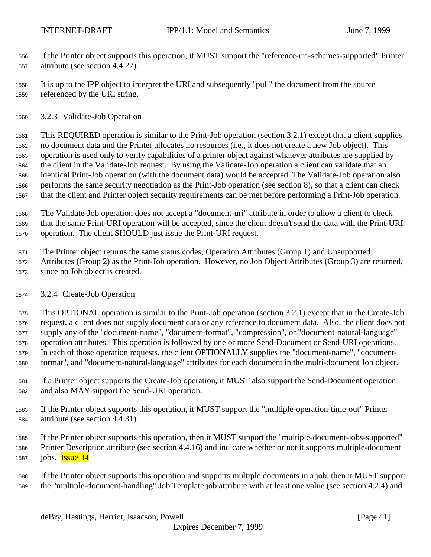If the Printer object supports this operation, it MUST support the "reference-uri-schemes-supported" Printer attribute (see section 4.4.27).

 It is up to the IPP object to interpret the URI and subsequently "pull" the document from the source referenced by the URI string.

3.2.3 Validate-Job Operation

 This REQUIRED operation is similar to the Print-Job operation (section 3.2.1) except that a client supplies no document data and the Printer allocates no resources (i.e., it does not create a new Job object). This operation is used only to verify capabilities of a printer object against whatever attributes are supplied by the client in the Validate-Job request. By using the Validate-Job operation a client can validate that an identical Print-Job operation (with the document data) would be accepted. The Validate-Job operation also performs the same security negotiation as the Print-Job operation (see section 8), so that a client can check that the client and Printer object security requirements can be met before performing a Print-Job operation.

 The Validate-Job operation does not accept a "document-uri" attribute in order to allow a client to check that the same Print-URI operation will be accepted, since the client doesn't send the data with the Print-URI operation. The client SHOULD just issue the Print-URI request.

 The Printer object returns the same status codes, Operation Attributes (Group 1) and Unsupported Attributes (Group 2) as the Print-Job operation. However, no Job Object Attributes (Group 3) are returned, since no Job object is created.

3.2.4 Create-Job Operation

 This OPTIONAL operation is similar to the Print-Job operation (section 3.2.1) except that in the Create-Job request, a client does not supply document data or any reference to document data. Also, the client does not supply any of the "document-name", "document-format", "compression", or "document-natural-language" operation attributes. This operation is followed by one or more Send-Document or Send-URI operations. In each of those operation requests, the client OPTIONALLY supplies the "document-name", "document-format", and "document-natural-language" attributes for each document in the multi-document Job object.

- If a Printer object supports the Create-Job operation, it MUST also support the Send-Document operation and also MAY support the Send-URI operation.
- If the Printer object supports this operation, it MUST support the "multiple-operation-time-out" Printer attribute (see section 4.4.31).
- If the Printer object supports this operation, then it MUST support the "multiple-document-jobs-supported" Printer Description attribute (see section 4.4.16) and indicate whether or not it supports multiple-document 1587 jobs. **Issue 34**

 If the Printer object supports this operation and supports multiple documents in a job, then it MUST support the "multiple-document-handling" Job Template job attribute with at least one value (see section 4.2.4) and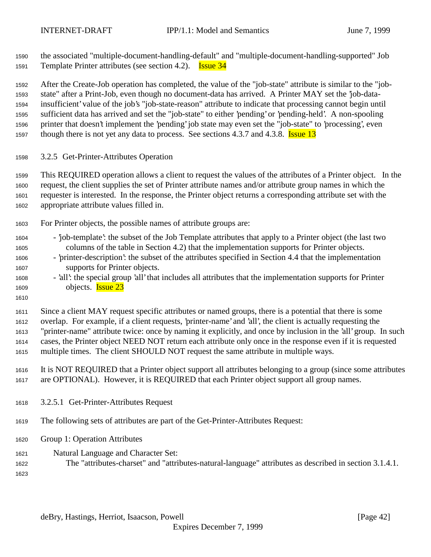the associated "multiple-document-handling-default" and "multiple-document-handling-supported" Job 1591 Template Printer attributes (see section 4.2). **Issue 34** 

 After the Create-Job operation has completed, the value of the "job-state" attribute is similar to the "job- state" after a Print-Job, even though no document-data has arrived. A Printer MAY set the 'job-data- insufficient' value of the job's "job-state-reason" attribute to indicate that processing cannot begin until sufficient data has arrived and set the "job-state" to either 'pending' or 'pending-held'. A non-spooling printer that doesn't implement the 'pending' job state may even set the "job-state" to 'processing', even 1597 though there is not yet any data to process. See sections 4.3.7 and 4.3.8. **Issue 13** 

3.2.5 Get-Printer-Attributes Operation

 This REQUIRED operation allows a client to request the values of the attributes of a Printer object. In the request, the client supplies the set of Printer attribute names and/or attribute group names in which the requester is interested. In the response, the Printer object returns a corresponding attribute set with the appropriate attribute values filled in.

- For Printer objects, the possible names of attribute groups are:
- 'job-template': the subset of the Job Template attributes that apply to a Printer object (the last two columns of the table in Section 4.2) that the implementation supports for Printer objects.
- 'printer-description': the subset of the attributes specified in Section 4.4 that the implementation supports for Printer objects.
- 'all': the special group 'all' that includes all attributes that the implementation supports for Printer objects. Issue 23
- 

 Since a client MAY request specific attributes or named groups, there is a potential that there is some overlap. For example, if a client requests, 'printer-name' and 'all', the client is actually requesting the "printer-name" attribute twice: once by naming it explicitly, and once by inclusion in the 'all' group. In such cases, the Printer object NEED NOT return each attribute only once in the response even if it is requested multiple times. The client SHOULD NOT request the same attribute in multiple ways.

 It is NOT REQUIRED that a Printer object support all attributes belonging to a group (since some attributes are OPTIONAL). However, it is REQUIRED that each Printer object support all group names.

- 3.2.5.1 Get-Printer-Attributes Request
- The following sets of attributes are part of the Get-Printer-Attributes Request:
- Group 1: Operation Attributes
- Natural Language and Character Set:
- The "attributes-charset" and "attributes-natural-language" attributes as described in section 3.1.4.1.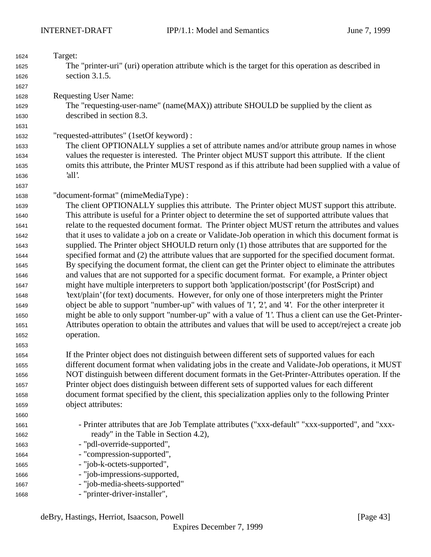| 1624 | Target:                                                                                                  |
|------|----------------------------------------------------------------------------------------------------------|
| 1625 | The "printer-uri" (uri) operation attribute which is the target for this operation as described in       |
| 1626 | section 3.1.5.                                                                                           |
| 1627 |                                                                                                          |
| 1628 | <b>Requesting User Name:</b>                                                                             |
| 1629 | The "requesting-user-name" (name(MAX)) attribute SHOULD be supplied by the client as                     |
| 1630 | described in section 8.3.                                                                                |
| 1631 |                                                                                                          |
| 1632 | "requested-attributes" (1setOf keyword) :                                                                |
| 1633 | The client OPTIONALLY supplies a set of attribute names and/or attribute group names in whose            |
| 1634 | values the requester is interested. The Printer object MUST support this attribute. If the client        |
| 1635 | omits this attribute, the Printer MUST respond as if this attribute had been supplied with a value of    |
| 1636 | 'all'.                                                                                                   |
| 1637 |                                                                                                          |
| 1638 | "document-format" (mimeMediaType) :                                                                      |
| 1639 | The client OPTIONALLY supplies this attribute. The Printer object MUST support this attribute.           |
| 1640 | This attribute is useful for a Printer object to determine the set of supported attribute values that    |
| 1641 | relate to the requested document format. The Printer object MUST return the attributes and values        |
| 1642 | that it uses to validate a job on a create or Validate-Job operation in which this document format is    |
| 1643 | supplied. The Printer object SHOULD return only (1) those attributes that are supported for the          |
| 1644 | specified format and (2) the attribute values that are supported for the specified document format.      |
| 1645 | By specifying the document format, the client can get the Printer object to eliminate the attributes     |
| 1646 | and values that are not supported for a specific document format. For example, a Printer object          |
| 1647 | might have multiple interpreters to support both 'application/postscript' (for PostScript) and           |
| 1648 | 'text/plain' (for text) documents. However, for only one of those interpreters might the Printer         |
| 1649 | object be able to support "number-up" with values of '1', '2', and '4'. For the other interpreter it     |
| 1650 | might be able to only support "number-up" with a value of '1'. Thus a client can use the Get-Printer-    |
| 1651 | Attributes operation to obtain the attributes and values that will be used to accept/reject a create job |
| 1652 | operation.                                                                                               |
| 1653 |                                                                                                          |
| 1654 | If the Printer object does not distinguish between different sets of supported values for each           |
| 1655 | different document format when validating jobs in the create and Validate-Job operations, it MUST        |
| 1656 | NOT distinguish between different document formats in the Get-Printer-Attributes operation. If the       |
| 1657 | Printer object does distinguish between different sets of supported values for each different            |
| 1658 | document format specified by the client, this specialization applies only to the following Printer       |
| 1659 | object attributes:                                                                                       |
| 1660 |                                                                                                          |
| 1661 | - Printer attributes that are Job Template attributes ("xxx-default" "xxx-supported", and "xxx-          |
| 1662 | ready" in the Table in Section 4.2),                                                                     |
| 1663 | - "pdl-override-supported",                                                                              |
| 1664 | - "compression-supported",                                                                               |
| 1665 | - "job-k-octets-supported",                                                                              |
| 1666 | - "job-impressions-supported,                                                                            |
| 1667 | - "job-media-sheets-supported"                                                                           |
| 1668 | - "printer-driver-installer",                                                                            |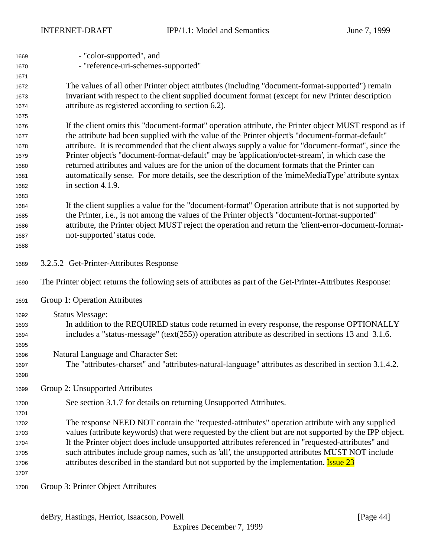| 1669 | - "color-supported", and                                                                                    |
|------|-------------------------------------------------------------------------------------------------------------|
| 1670 | - "reference-uri-schemes-supported"                                                                         |
| 1671 |                                                                                                             |
| 1672 | The values of all other Printer object attributes (including "document-format-supported") remain            |
| 1673 | invariant with respect to the client supplied document format (except for new Printer description           |
| 1674 | attribute as registered according to section 6.2).                                                          |
| 1675 |                                                                                                             |
| 1676 | If the client omits this "document-format" operation attribute, the Printer object MUST respond as if       |
| 1677 | the attribute had been supplied with the value of the Printer object's "document-format-default"            |
| 1678 | attribute. It is recommended that the client always supply a value for "document-format", since the         |
| 1679 | Printer object's "document-format-default" may be 'application/octet-stream', in which case the             |
| 1680 | returned attributes and values are for the union of the document formats that the Printer can               |
| 1681 | automatically sense. For more details, see the description of the 'mimeMediaType' attribute syntax          |
| 1682 | in section 4.1.9.                                                                                           |
| 1683 |                                                                                                             |
| 1684 | If the client supplies a value for the "document-format" Operation attribute that is not supported by       |
| 1685 | the Printer, i.e., is not among the values of the Printer object's "document-format-supported"              |
| 1686 | attribute, the Printer object MUST reject the operation and return the 'client-error-document-format-       |
| 1687 | not-supported' status code.                                                                                 |
| 1688 |                                                                                                             |
| 1689 | 3.2.5.2 Get-Printer-Attributes Response                                                                     |
| 1690 | The Printer object returns the following sets of attributes as part of the Get-Printer-Attributes Response: |
| 1691 | Group 1: Operation Attributes                                                                               |
| 1692 | <b>Status Message:</b>                                                                                      |
| 1693 | In addition to the REQUIRED status code returned in every response, the response OPTIONALLY                 |
| 1694 | includes a "status-message" (text $(255)$ ) operation attribute as described in sections 13 and 3.1.6.      |
| 1695 |                                                                                                             |
| 1696 | Natural Language and Character Set:                                                                         |
| 1697 | The "attributes-charset" and "attributes-natural-language" attributes as described in section 3.1.4.2.      |
| 1698 |                                                                                                             |
| 1699 | Group 2: Unsupported Attributes                                                                             |
| 1700 | See section 3.1.7 for details on returning Unsupported Attributes.                                          |
| 1701 |                                                                                                             |
| 1702 | The response NEED NOT contain the "requested-attributes" operation attribute with any supplied              |
| 1703 | values (attribute keywords) that were requested by the client but are not supported by the IPP object.      |
| 1704 | If the Printer object does include unsupported attributes referenced in "requested-attributes" and          |
| 1705 | such attributes include group names, such as 'all', the unsupported attributes MUST NOT include             |
| 1706 | attributes described in the standard but not supported by the implementation. <b>Issue 23</b>               |
| 1707 |                                                                                                             |
| 1708 | Group 3: Printer Object Attributes                                                                          |
|      |                                                                                                             |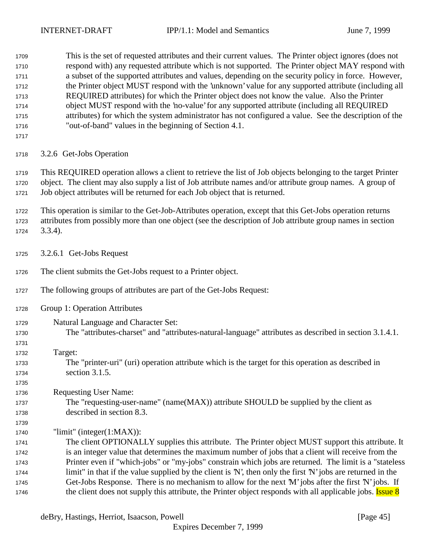This is the set of requested attributes and their current values. The Printer object ignores (does not respond with) any requested attribute which is not supported. The Printer object MAY respond with a subset of the supported attributes and values, depending on the security policy in force. However, the Printer object MUST respond with the 'unknown' value for any supported attribute (including all REQUIRED attributes) for which the Printer object does not know the value. Also the Printer object MUST respond with the 'no-value' for any supported attribute (including all REQUIRED attributes) for which the system administrator has not configured a value. See the description of the "out-of-band" values in the beginning of Section 4.1.

3.2.6 Get-Jobs Operation

 This REQUIRED operation allows a client to retrieve the list of Job objects belonging to the target Printer object. The client may also supply a list of Job attribute names and/or attribute group names. A group of Job object attributes will be returned for each Job object that is returned.

 This operation is similar to the Get-Job-Attributes operation, except that this Get-Jobs operation returns attributes from possibly more than one object (see the description of Job attribute group names in section 3.3.4).

- 3.2.6.1 Get-Jobs Request
- The client submits the Get-Jobs request to a Printer object.
- The following groups of attributes are part of the Get-Jobs Request:
- Group 1: Operation Attributes
- Natural Language and Character Set: The "attributes-charset" and "attributes-natural-language" attributes as described in section 3.1.4.1.
- Target:

- The "printer-uri" (uri) operation attribute which is the target for this operation as described in section 3.1.5.
- Requesting User Name:
- The "requesting-user-name" (name(MAX)) attribute SHOULD be supplied by the client as described in section 8.3.
- "limit" (integer(1:MAX)):

 The client OPTIONALLY supplies this attribute. The Printer object MUST support this attribute. It is an integer value that determines the maximum number of jobs that a client will receive from the Printer even if "which-jobs" or "my-jobs" constrain which jobs are returned. The limit is a "stateless limit" in that if the value supplied by the client is 'N', then only the first 'N' jobs are returned in the Get-Jobs Response. There is no mechanism to allow for the next 'M' jobs after the first 'N' jobs. If 1746 the client does not supply this attribute, the Printer object responds with all applicable jobs. Issue 8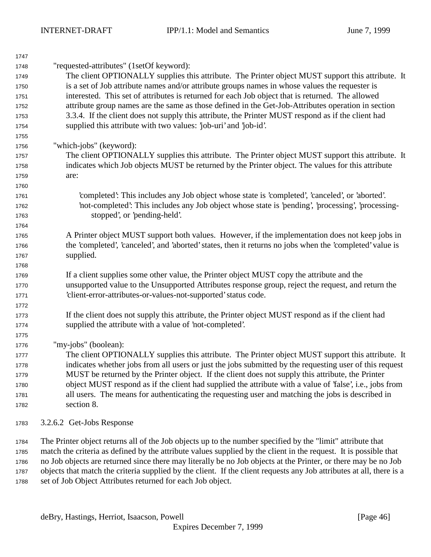| 1747 |                                                                                                          |
|------|----------------------------------------------------------------------------------------------------------|
| 1748 | "requested-attributes" (1setOf keyword):                                                                 |
| 1749 | The client OPTIONALLY supplies this attribute. The Printer object MUST support this attribute. It        |
| 1750 | is a set of Job attribute names and/or attribute groups names in whose values the requester is           |
| 1751 | interested. This set of attributes is returned for each Job object that is returned. The allowed         |
| 1752 | attribute group names are the same as those defined in the Get-Job-Attributes operation in section       |
| 1753 | 3.3.4. If the client does not supply this attribute, the Printer MUST respond as if the client had       |
| 1754 | supplied this attribute with two values: 'job-uri' and 'job-id'.                                         |
| 1755 |                                                                                                          |
| 1756 | "which-jobs" (keyword):                                                                                  |
| 1757 | The client OPTIONALLY supplies this attribute. The Printer object MUST support this attribute. It        |
| 1758 | indicates which Job objects MUST be returned by the Printer object. The values for this attribute        |
| 1759 | are:                                                                                                     |
| 1760 |                                                                                                          |
| 1761 | 'completed': This includes any Job object whose state is 'completed', 'canceled', or 'aborted'.          |
| 1762 | 'not-completed': This includes any Job object whose state is 'pending', 'processing', 'processing-       |
| 1763 | stopped', or 'pending-held'.                                                                             |
| 1764 |                                                                                                          |
| 1765 | A Printer object MUST support both values. However, if the implementation does not keep jobs in          |
| 1766 | the 'completed', 'canceled', and 'aborted' states, then it returns no jobs when the 'completed' value is |
| 1767 | supplied.                                                                                                |
| 1768 |                                                                                                          |
| 1769 | If a client supplies some other value, the Printer object MUST copy the attribute and the                |
| 1770 | unsupported value to the Unsupported Attributes response group, reject the request, and return the       |
| 1771 | 'client-error-attributes-or-values-not-supported' status code.                                           |
| 1772 |                                                                                                          |
| 1773 | If the client does not supply this attribute, the Printer object MUST respond as if the client had       |
| 1774 | supplied the attribute with a value of 'not-completed'.                                                  |
| 1775 |                                                                                                          |
| 1776 | "my-jobs" (boolean):                                                                                     |
| 1777 | The client OPTIONALLY supplies this attribute. The Printer object MUST support this attribute. It        |
| 1778 | indicates whether jobs from all users or just the jobs submitted by the requesting user of this request  |
| 1779 | MUST be returned by the Printer object. If the client does not supply this attribute, the Printer        |
| 1780 | object MUST respond as if the client had supplied the attribute with a value of 'false', i.e., jobs from |
| 1781 | all users. The means for authenticating the requesting user and matching the jobs is described in        |
| 1782 | section 8.                                                                                               |
| 1783 | 3.2.6.2 Get-Jobs Response                                                                                |

 The Printer object returns all of the Job objects up to the number specified by the "limit" attribute that match the criteria as defined by the attribute values supplied by the client in the request. It is possible that no Job objects are returned since there may literally be no Job objects at the Printer, or there may be no Job objects that match the criteria supplied by the client. If the client requests any Job attributes at all, there is a set of Job Object Attributes returned for each Job object.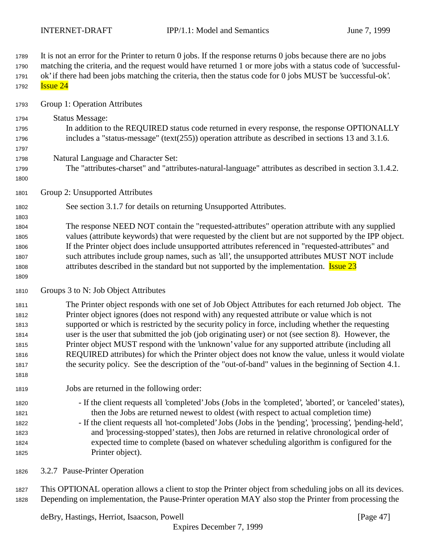It is not an error for the Printer to return 0 jobs. If the response returns 0 jobs because there are no jobs matching the criteria, and the request would have returned 1 or more jobs with a status code of 'successful- ok' if there had been jobs matching the criteria, then the status code for 0 jobs MUST be 'successful-ok'. **Issue 24**  Group 1: Operation Attributes Status Message: In addition to the REQUIRED status code returned in every response, the response OPTIONALLY includes a "status-message" (text(255)) operation attribute as described in sections 13 and 3.1.6. Natural Language and Character Set: The "attributes-charset" and "attributes-natural-language" attributes as described in section 3.1.4.2. Group 2: Unsupported Attributes See section 3.1.7 for details on returning Unsupported Attributes. The response NEED NOT contain the "requested-attributes" operation attribute with any supplied values (attribute keywords) that were requested by the client but are not supported by the IPP object. If the Printer object does include unsupported attributes referenced in "requested-attributes" and such attributes include group names, such as 'all', the unsupported attributes MUST NOT include 1808 attributes described in the standard but not supported by the implementation. **Issue 23**  Groups 3 to N: Job Object Attributes The Printer object responds with one set of Job Object Attributes for each returned Job object. The Printer object ignores (does not respond with) any requested attribute or value which is not supported or which is restricted by the security policy in force, including whether the requesting user is the user that submitted the job (job originating user) or not (see section 8). However, the Printer object MUST respond with the 'unknown' value for any supported attribute (including all REQUIRED attributes) for which the Printer object does not know the value, unless it would violate the security policy. See the description of the "out-of-band" values in the beginning of Section 4.1. Jobs are returned in the following order: - If the client requests all 'completed' Jobs (Jobs in the 'completed', 'aborted', or 'canceled' states), then the Jobs are returned newest to oldest (with respect to actual completion time) - If the client requests all 'not-completed' Jobs (Jobs in the 'pending', 'processing', 'pending-held', and 'processing-stopped' states), then Jobs are returned in relative chronological order of expected time to complete (based on whatever scheduling algorithm is configured for the Printer object).

3.2.7 Pause-Printer Operation

 This OPTIONAL operation allows a client to stop the Printer object from scheduling jobs on all its devices. Depending on implementation, the Pause-Printer operation MAY also stop the Printer from processing the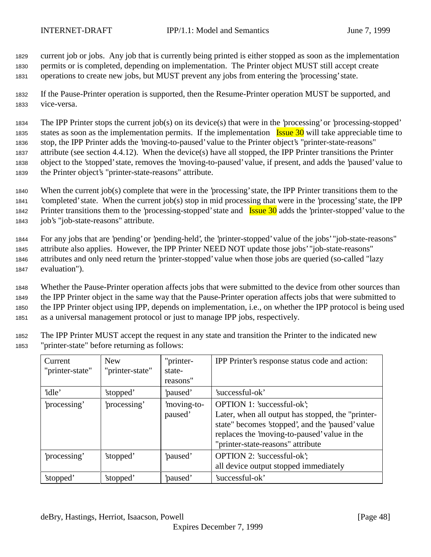<sup>1829</sup> current job or jobs. Any job that is currently being printed is either stopped as soon as the implementation <sup>1830</sup> permits or is completed, depending on implementation. The Printer object MUST still accept create <sup>1831</sup> operations to create new jobs, but MUST prevent any jobs from entering the 'processing' state.

<sup>1832</sup> If the Pause-Printer operation is supported, then the Resume-Printer operation MUST be supported, and <sup>1833</sup> vice-versa.

 The IPP Printer stops the current job(s) on its device(s) that were in the 'processing' or 'processing-stopped' 1835 states as soon as the implementation permits. If the implementation Issue 30 will take appreciable time to stop, the IPP Printer adds the 'moving-to-paused' value to the Printer object's "printer-state-reasons" attribute (see section 4.4.12). When the device(s) have all stopped, the IPP Printer transitions the Printer object to the 'stopped' state, removes the 'moving-to-paused' value, if present, and adds the 'paused' value to the Printer object's "printer-state-reasons" attribute.

 When the current job(s) complete that were in the 'processing' state, the IPP Printer transitions them to the 'completed' state. When the current job(s) stop in mid processing that were in the 'processing' state, the IPP 1842 Printer transitions them to the 'processing-stopped' state and **Issue 30** adds the 'printer-stopped' value to the job's "job-state-reasons" attribute.

 For any jobs that are 'pending' or 'pending-held', the 'printer-stopped' value of the jobs' "job-state-reasons" attribute also applies. However, the IPP Printer NEED NOT update those jobs' "job-state-reasons" attributes and only need return the 'printer-stopped' value when those jobs are queried (so-called "lazy evaluation").

 Whether the Pause-Printer operation affects jobs that were submitted to the device from other sources than the IPP Printer object in the same way that the Pause-Printer operation affects jobs that were submitted to the IPP Printer object using IPP, depends on implementation, i.e., on whether the IPP protocol is being used as a universal management protocol or just to manage IPP jobs, respectively.

<sup>1852</sup> The IPP Printer MUST accept the request in any state and transition the Printer to the indicated new <sup>1853</sup> "printer-state" before returning as follows:

| Current<br>"printer-state" | <b>New</b><br>"printer-state" | "printer-<br>state-<br>reasons" | IPP Printer's response status code and action:                                                                                                                                                                           |
|----------------------------|-------------------------------|---------------------------------|--------------------------------------------------------------------------------------------------------------------------------------------------------------------------------------------------------------------------|
| 'idle'                     | 'stopped'                     | paused'                         | 'successful-ok'                                                                                                                                                                                                          |
| 'processing'               | processing'                   | moving-to-<br>paused'           | OPTION 1: 'successful-ok';<br>Later, when all output has stopped, the "printer-<br>state" becomes 'stopped', and the 'paused' value<br>replaces the 'moving-to-paused' value in the<br>"printer-state-reasons" attribute |
| processing'                | 'stopped'                     | paused'                         | OPTION 2: 'successful-ok';<br>all device output stopped immediately                                                                                                                                                      |
| 'stopped'                  | 'stopped'                     | 'paused'                        | 'successful-ok'                                                                                                                                                                                                          |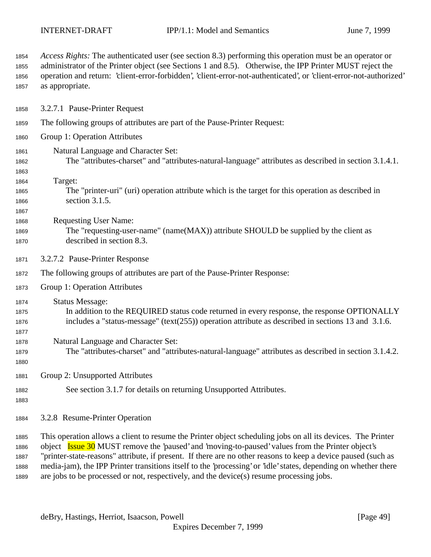*Access Rights:* The authenticated user (see section 8.3) performing this operation must be an operator or administrator of the Printer object (see Sections 1 and 8.5). Otherwise, the IPP Printer MUST reject the operation and return: 'client-error-forbidden', 'client-error-not-authenticated', or 'client-error-not-authorized' as appropriate.

- 3.2.7.1 Pause-Printer Request
- The following groups of attributes are part of the Pause-Printer Request:
- Group 1: Operation Attributes
- Natural Language and Character Set:
- The "attributes-charset" and "attributes-natural-language" attributes as described in section 3.1.4.1.
- 
- Target:
- The "printer-uri" (uri) operation attribute which is the target for this operation as described in section 3.1.5.
- 

Requesting User Name:

- The "requesting-user-name" (name(MAX)) attribute SHOULD be supplied by the client as described in section 8.3.
- 3.2.7.2 Pause-Printer Response
- The following groups of attributes are part of the Pause-Printer Response:
- Group 1: Operation Attributes
- Status Message:
- In addition to the REQUIRED status code returned in every response, the response OPTIONALLY includes a "status-message" (text(255)) operation attribute as described in sections 13 and 3.1.6.
- Natural Language and Character Set:
- The "attributes-charset" and "attributes-natural-language" attributes as described in section 3.1.4.2.
- 

- Group 2: Unsupported Attributes
- See section 3.1.7 for details on returning Unsupported Attributes.
- 
- 3.2.8 Resume-Printer Operation

 This operation allows a client to resume the Printer object scheduling jobs on all its devices. The Printer object Issue 30 MUST remove the 'paused' and 'moving-to-paused' values from the Printer object's "printer-state-reasons" attribute, if present. If there are no other reasons to keep a device paused (such as media-jam), the IPP Printer transitions itself to the 'processing' or 'idle' states, depending on whether there are jobs to be processed or not, respectively, and the device(s) resume processing jobs.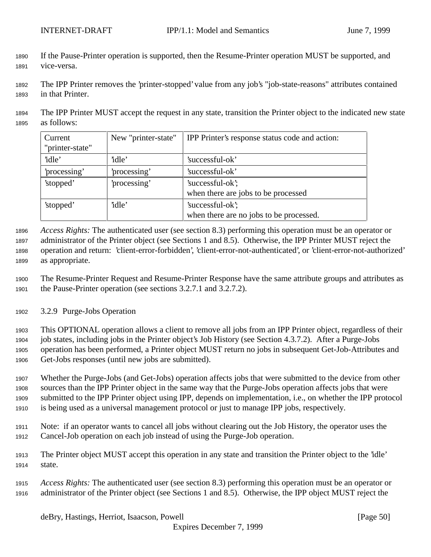- If the Pause-Printer operation is supported, then the Resume-Printer operation MUST be supported, and vice-versa.
- The IPP Printer removes the 'printer-stopped' value from any job's "job-state-reasons" attributes contained in that Printer.

 The IPP Printer MUST accept the request in any state, transition the Printer object to the indicated new state as follows:

| Current<br>"printer-state" | New "printer-state" | IPP Printer's response status code and action:              |
|----------------------------|---------------------|-------------------------------------------------------------|
| 'idle'                     | 'idle'              | 'successful-ok'                                             |
| 'processing'               | processing'         | 'successful-ok'                                             |
| 'stopped'                  | 'processing'        | 'successful-ok';                                            |
|                            |                     | when there are jobs to be processed                         |
| 'stopped'                  | 'idle'              | 'successful-ok';<br>when there are no jobs to be processed. |

 *Access Rights:* The authenticated user (see section 8.3) performing this operation must be an operator or administrator of the Printer object (see Sections 1 and 8.5). Otherwise, the IPP Printer MUST reject the operation and return: 'client-error-forbidden', 'client-error-not-authenticated', or 'client-error-not-authorized' as appropriate.

 The Resume-Printer Request and Resume-Printer Response have the same attribute groups and attributes as the Pause-Printer operation (see sections 3.2.7.1 and 3.2.7.2).

3.2.9 Purge-Jobs Operation

 This OPTIONAL operation allows a client to remove all jobs from an IPP Printer object, regardless of their job states, including jobs in the Printer object's Job History (see Section 4.3.7.2). After a Purge-Jobs operation has been performed, a Printer object MUST return no jobs in subsequent Get-Job-Attributes and Get-Jobs responses (until new jobs are submitted).

 Whether the Purge-Jobs (and Get-Jobs) operation affects jobs that were submitted to the device from other sources than the IPP Printer object in the same way that the Purge-Jobs operation affects jobs that were submitted to the IPP Printer object using IPP, depends on implementation, i.e., on whether the IPP protocol is being used as a universal management protocol or just to manage IPP jobs, respectively.

- Note: if an operator wants to cancel all jobs without clearing out the Job History, the operator uses the Cancel-Job operation on each job instead of using the Purge-Job operation.
- The Printer object MUST accept this operation in any state and transition the Printer object to the 'idle' state.
- *Access Rights:* The authenticated user (see section 8.3) performing this operation must be an operator or administrator of the Printer object (see Sections 1 and 8.5). Otherwise, the IPP object MUST reject the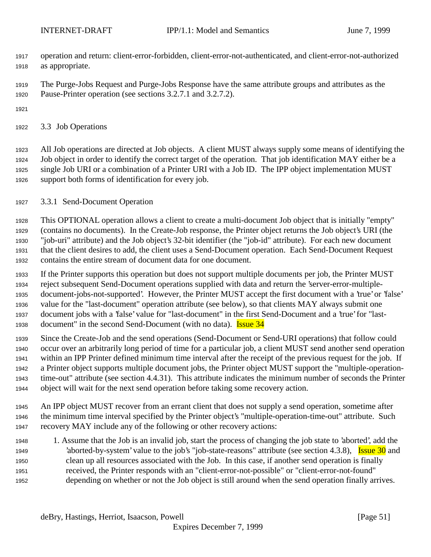- operation and return: client-error-forbidden, client-error-not-authenticated, and client-error-not-authorized as appropriate.
- The Purge-Jobs Request and Purge-Jobs Response have the same attribute groups and attributes as the Pause-Printer operation (see sections 3.2.7.1 and 3.2.7.2).
- 
- 3.3 Job Operations

 All Job operations are directed at Job objects. A client MUST always supply some means of identifying the Job object in order to identify the correct target of the operation. That job identification MAY either be a single Job URI or a combination of a Printer URI with a Job ID. The IPP object implementation MUST support both forms of identification for every job.

3.3.1 Send-Document Operation

 This OPTIONAL operation allows a client to create a multi-document Job object that is initially "empty" (contains no documents). In the Create-Job response, the Printer object returns the Job object's URI (the "job-uri" attribute) and the Job object's 32-bit identifier (the "job-id" attribute). For each new document that the client desires to add, the client uses a Send-Document operation. Each Send-Document Request contains the entire stream of document data for one document.

- If the Printer supports this operation but does not support multiple documents per job, the Printer MUST reject subsequent Send-Document operations supplied with data and return the 'server-error-multiple- document-jobs-not-supported'. However, the Printer MUST accept the first document with a 'true' or 'false' value for the "last-document" operation attribute (see below), so that clients MAY always submit one document jobs with a 'false' value for "last-document" in the first Send-Document and a 'true' for "last-1938 document" in the second Send-Document (with no data). **Issue 34**
- Since the Create-Job and the send operations (Send-Document or Send-URI operations) that follow could occur over an arbitrarily long period of time for a particular job, a client MUST send another send operation within an IPP Printer defined minimum time interval after the receipt of the previous request for the job. If a Printer object supports multiple document jobs, the Printer object MUST support the "multiple-operation- time-out" attribute (see section 4.4.31). This attribute indicates the minimum number of seconds the Printer object will wait for the next send operation before taking some recovery action.
- An IPP object MUST recover from an errant client that does not supply a send operation, sometime after the minimum time interval specified by the Printer object's "multiple-operation-time-out" attribute. Such recovery MAY include any of the following or other recovery actions:
- 1. Assume that the Job is an invalid job, start the process of changing the job state to 'aborted', add the 1949 'aborted-by-system' value to the job's "job-state-reasons" attribute (see section 4.3.8), Issue 30 and clean up all resources associated with the Job. In this case, if another send operation is finally received, the Printer responds with an "client-error-not-possible" or "client-error-not-found" depending on whether or not the Job object is still around when the send operation finally arrives.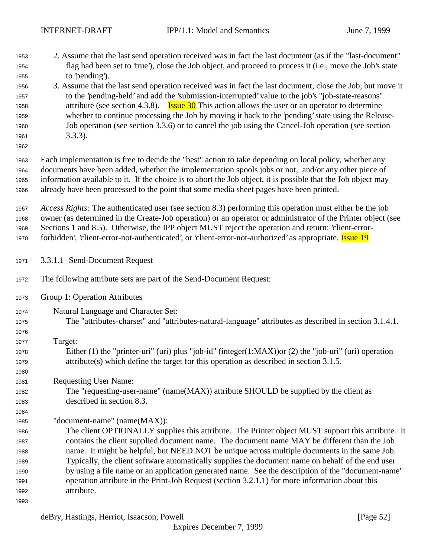| 1953 | 2. Assume that the last send operation received was in fact the last document (as if the "last-document"  |
|------|-----------------------------------------------------------------------------------------------------------|
| 1954 | flag had been set to 'true'), close the Job object, and proceed to process it (i.e., move the Job's state |
| 1955 | to 'pending').                                                                                            |
| 1956 | 3. Assume that the last send operation received was in fact the last document, close the Job, but move it |

 to the 'pending-held' and add the 'submission-interrupted' value to the job's "job-state-reasons" 1958 attribute (see section 4.3.8). **Issue 30** This action allows the user or an operator to determine whether to continue processing the Job by moving it back to the 'pending' state using the Release- Job operation (see section 3.3.6) or to cancel the job using the Cancel-Job operation (see section 3.3.3).

 Each implementation is free to decide the "best" action to take depending on local policy, whether any documents have been added, whether the implementation spools jobs or not, and/or any other piece of information available to it. If the choice is to abort the Job object, it is possible that the Job object may already have been processed to the point that some media sheet pages have been printed.

 *Access Rights:* The authenticated user (see section 8.3) performing this operation must either be the job owner (as determined in the Create-Job operation) or an operator or administrator of the Printer object (see Sections 1 and 8.5). Otherwise, the IPP object MUST reject the operation and return: 'client-error-1970 forbidden', 'client-error-not-authenticated', or 'client-error-not-authorized' as appropriate. **Issue 19** 

- 3.3.1.1 Send-Document Request
- The following attribute sets are part of the Send-Document Request:
- Group 1: Operation Attributes
- Natural Language and Character Set: The "attributes-charset" and "attributes-natural-language" attributes as described in section 3.1.4.1.
- 
- Target: Either (1) the "printer-uri" (uri) plus "job-id" (integer(1:MAX))or (2) the "job-uri" (uri) operation attribute(s) which define the target for this operation as described in section 3.1.5.
- Requesting User Name:
- The "requesting-user-name" (name(MAX)) attribute SHOULD be supplied by the client as described in section 8.3.
- "document-name" (name(MAX)):

 The client OPTIONALLY supplies this attribute. The Printer object MUST support this attribute. It contains the client supplied document name. The document name MAY be different than the Job name. It might be helpful, but NEED NOT be unique across multiple documents in the same Job. Typically, the client software automatically supplies the document name on behalf of the end user by using a file name or an application generated name. See the description of the "document-name" operation attribute in the Print-Job Request (section 3.2.1.1) for more information about this attribute.

```
1993
```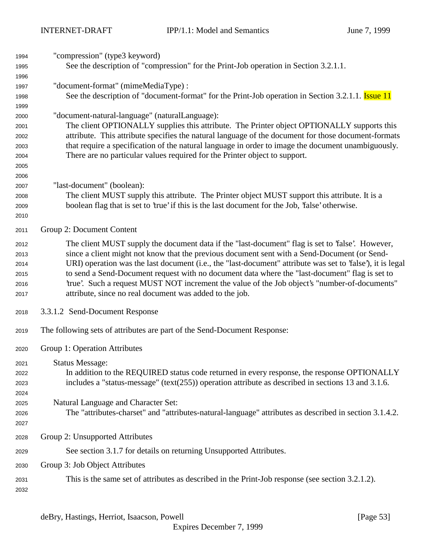| 1994         | "compression" (type3 keyword)                                                                                                                                                                             |
|--------------|-----------------------------------------------------------------------------------------------------------------------------------------------------------------------------------------------------------|
| 1995         | See the description of "compression" for the Print-Job operation in Section 3.2.1.1.                                                                                                                      |
| 1996         |                                                                                                                                                                                                           |
| 1997         | "document-format" (mimeMediaType) :                                                                                                                                                                       |
| 1998         | See the description of "document-format" for the Print-Job operation in Section 3.2.1.1. <b>Issue 11</b>                                                                                                  |
| 1999         |                                                                                                                                                                                                           |
| 2000         | "document-natural-language" (naturalLanguage):                                                                                                                                                            |
| 2001         | The client OPTIONALLY supplies this attribute. The Printer object OPTIONALLY supports this                                                                                                                |
| 2002<br>2003 | attribute. This attribute specifies the natural language of the document for those document-formats<br>that require a specification of the natural language in order to image the document unambiguously. |
| 2004         | There are no particular values required for the Printer object to support.                                                                                                                                |
| 2005         |                                                                                                                                                                                                           |
| 2006         |                                                                                                                                                                                                           |
| 2007         | "last-document" (boolean):                                                                                                                                                                                |
| 2008         | The client MUST supply this attribute. The Printer object MUST support this attribute. It is a                                                                                                            |
| 2009         | boolean flag that is set to 'true' if this is the last document for the Job, 'false' otherwise.                                                                                                           |
| 2010         |                                                                                                                                                                                                           |
| 2011         | Group 2: Document Content                                                                                                                                                                                 |
| 2012         | The client MUST supply the document data if the "last-document" flag is set to 'false'. However,                                                                                                          |
| 2013         | since a client might not know that the previous document sent with a Send-Document (or Send-                                                                                                              |
| 2014         | URI) operation was the last document (i.e., the "last-document" attribute was set to 'false'), it is legal                                                                                                |
| 2015         | to send a Send-Document request with no document data where the "last-document" flag is set to                                                                                                            |
| 2016         | 'true'. Such a request MUST NOT increment the value of the Job object's "number-of-documents"                                                                                                             |
| 2017         | attribute, since no real document was added to the job.                                                                                                                                                   |
| 2018         | 3.3.1.2 Send-Document Response                                                                                                                                                                            |
| 2019         | The following sets of attributes are part of the Send-Document Response:                                                                                                                                  |
| 2020         | Group 1: Operation Attributes                                                                                                                                                                             |
| 2021         | <b>Status Message:</b>                                                                                                                                                                                    |
| 2022         | In addition to the REQUIRED status code returned in every response, the response OPTIONALLY                                                                                                               |
| 2023         | includes a "status-message" (text $(255)$ ) operation attribute as described in sections 13 and 3.1.6.                                                                                                    |
| 2024         |                                                                                                                                                                                                           |
| 2025         | Natural Language and Character Set:                                                                                                                                                                       |
| 2026         | The "attributes-charset" and "attributes-natural-language" attributes as described in section 3.1.4.2.                                                                                                    |
| 2027         |                                                                                                                                                                                                           |
| 2028         | Group 2: Unsupported Attributes                                                                                                                                                                           |
| 2029         | See section 3.1.7 for details on returning Unsupported Attributes.                                                                                                                                        |
| 2030         | Group 3: Job Object Attributes                                                                                                                                                                            |
| 2031         | This is the same set of attributes as described in the Print-Job response (see section 3.2.1.2).                                                                                                          |
| 2032         |                                                                                                                                                                                                           |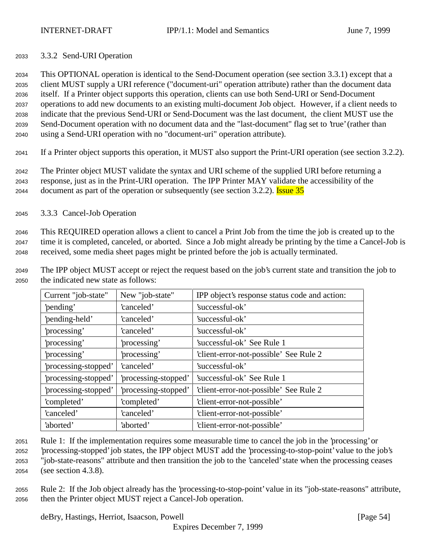## <sup>2033</sup> 3.3.2 Send-URI Operation

 This OPTIONAL operation is identical to the Send-Document operation (see section 3.3.1) except that a client MUST supply a URI reference ("document-uri" operation attribute) rather than the document data itself. If a Printer object supports this operation, clients can use both Send-URI or Send-Document operations to add new documents to an existing multi-document Job object. However, if a client needs to indicate that the previous Send-URI or Send-Document was the last document, the client MUST use the Send-Document operation with no document data and the "last-document" flag set to 'true' (rather than using a Send-URI operation with no "document-uri" operation attribute).

<sup>2041</sup> If a Printer object supports this operation, it MUST also support the Print-URI operation (see section 3.2.2).

<sup>2042</sup> The Printer object MUST validate the syntax and URI scheme of the supplied URI before returning a <sup>2043</sup> response, just as in the Print-URI operation. The IPP Printer MAY validate the accessibility of the 2044 document as part of the operation or subsequently (see section 3.2.2). **Issue 35** 

<sup>2045</sup> 3.3.3 Cancel-Job Operation

<sup>2046</sup> This REQUIRED operation allows a client to cancel a Print Job from the time the job is created up to the <sup>2047</sup> time it is completed, canceled, or aborted. Since a Job might already be printing by the time a Cancel-Job is <sup>2048</sup> received, some media sheet pages might be printed before the job is actually terminated.

<sup>2049</sup> The IPP object MUST accept or reject the request based on the job's current state and transition the job to <sup>2050</sup> the indicated new state as follows:

| Current "job-state"  | New "job-state"      | IPP object's response status code and action: |
|----------------------|----------------------|-----------------------------------------------|
| 'pending'            | 'canceled'           | 'successful-ok'                               |
| 'pending-held'       | 'canceled'           | 'successful-ok'                               |
| processing'          | 'canceled'           | 'successful-ok'                               |
| 'processing'         | processing'          | 'successful-ok' See Rule 1                    |
| 'processing'         | processing'          | 'client-error-not-possible' See Rule 2        |
| 'processing-stopped' | 'canceled'           | 'successful-ok'                               |
| 'processing-stopped' | 'processing-stopped' | 'successful-ok' See Rule 1                    |
| 'processing-stopped' | 'processing-stopped' | 'client-error-not-possible' See Rule 2        |
| 'completed'          | 'completed'          | 'client-error-not-possible'                   |
| 'canceled'           | 'canceled'           | 'client-error-not-possible'                   |
| 'aborted'            | 'aborted'            | 'client-error-not-possible'                   |

 Rule 1: If the implementation requires some measurable time to cancel the job in the 'processing' or 'processing-stopped' job states, the IPP object MUST add the 'processing-to-stop-point' value to the job's "job-state-reasons" attribute and then transition the job to the 'canceled' state when the processing ceases (see section 4.3.8).

<sup>2055</sup> Rule 2: If the Job object already has the 'processing-to-stop-point' value in its "job-state-reasons" attribute, <sup>2056</sup> then the Printer object MUST reject a Cancel-Job operation.

deBry, Hastings, Herriot, Isaacson, Powell [Page 54]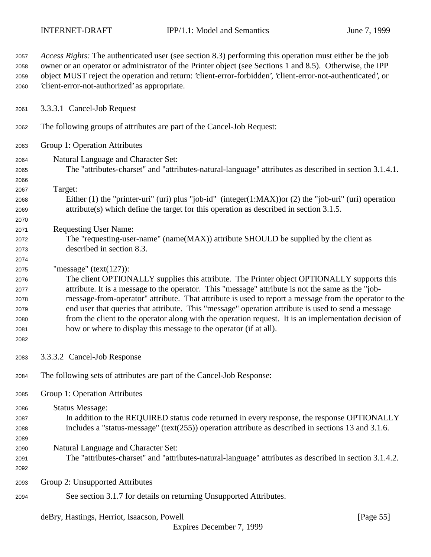| 2057 | Access Rights: The authenticated user (see section 8.3) performing this operation must either be the job<br>owner or an operator or administrator of the Printer object (see Sections 1 and 8.5). Otherwise, the IPP |
|------|----------------------------------------------------------------------------------------------------------------------------------------------------------------------------------------------------------------------|
| 2058 |                                                                                                                                                                                                                      |
| 2059 | object MUST reject the operation and return: 'client-error-forbidden', 'client-error-not-authenticated', or                                                                                                          |
| 2060 | 'client-error-not-authorized' as appropriate.                                                                                                                                                                        |
| 2061 | 3.3.3.1 Cancel-Job Request                                                                                                                                                                                           |
| 2062 | The following groups of attributes are part of the Cancel-Job Request:                                                                                                                                               |
| 2063 | Group 1: Operation Attributes                                                                                                                                                                                        |
| 2064 | Natural Language and Character Set:                                                                                                                                                                                  |
| 2065 | The "attributes-charset" and "attributes-natural-language" attributes as described in section 3.1.4.1.                                                                                                               |
| 2066 |                                                                                                                                                                                                                      |
| 2067 | Target:                                                                                                                                                                                                              |
| 2068 | Either (1) the "printer-uri" (uri) plus "job-id" (integer(1:MAX)) or (2) the "job-uri" (uri) operation                                                                                                               |
| 2069 | $attribute(s)$ which define the target for this operation as described in section 3.1.5.                                                                                                                             |
| 2070 |                                                                                                                                                                                                                      |
| 2071 | <b>Requesting User Name:</b>                                                                                                                                                                                         |
| 2072 | The "requesting-user-name" (name(MAX)) attribute SHOULD be supplied by the client as                                                                                                                                 |
| 2073 | described in section 8.3.                                                                                                                                                                                            |
| 2074 |                                                                                                                                                                                                                      |
| 2075 | "message" $(text(127))$ :                                                                                                                                                                                            |
| 2076 | The client OPTIONALLY supplies this attribute. The Printer object OPTIONALLY supports this                                                                                                                           |
| 2077 | attribute. It is a message to the operator. This "message" attribute is not the same as the "job-                                                                                                                    |
| 2078 | message-from-operator" attribute. That attribute is used to report a message from the operator to the                                                                                                                |
| 2079 | end user that queries that attribute. This "message" operation attribute is used to send a message                                                                                                                   |
| 2080 | from the client to the operator along with the operation request. It is an implementation decision of                                                                                                                |
| 2081 | how or where to display this message to the operator (if at all).                                                                                                                                                    |
| 2082 |                                                                                                                                                                                                                      |
| 2083 | 3.3.3.2 Cancel-Job Response                                                                                                                                                                                          |
| 2084 | The following sets of attributes are part of the Cancel-Job Response:                                                                                                                                                |
| 2085 | Group 1: Operation Attributes                                                                                                                                                                                        |
| 2086 | <b>Status Message:</b>                                                                                                                                                                                               |
| 2087 | In addition to the REQUIRED status code returned in every response, the response OPTIONALLY                                                                                                                          |
| 2088 | includes a "status-message" (text(255)) operation attribute as described in sections 13 and 3.1.6.                                                                                                                   |
| 2089 |                                                                                                                                                                                                                      |
| 2090 | Natural Language and Character Set:                                                                                                                                                                                  |
| 2091 | The "attributes-charset" and "attributes-natural-language" attributes as described in section 3.1.4.2.                                                                                                               |
| 2092 |                                                                                                                                                                                                                      |
| 2093 | Group 2: Unsupported Attributes                                                                                                                                                                                      |
| 2094 | See section 3.1.7 for details on returning Unsupported Attributes.                                                                                                                                                   |
|      |                                                                                                                                                                                                                      |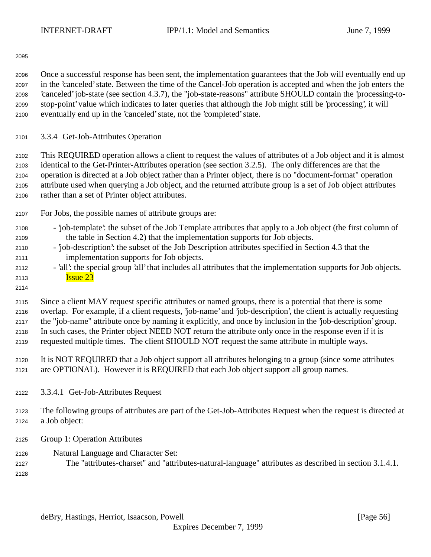Once a successful response has been sent, the implementation guarantees that the Job will eventually end up in the 'canceled' state. Between the time of the Cancel-Job operation is accepted and when the job enters the 'canceled' job-state (see section 4.3.7), the "job-state-reasons" attribute SHOULD contain the 'processing-to- stop-point' value which indicates to later queries that although the Job might still be 'processing', it will eventually end up in the 'canceled' state, not the 'completed' state.

3.3.4 Get-Job-Attributes Operation

 This REQUIRED operation allows a client to request the values of attributes of a Job object and it is almost identical to the Get-Printer-Attributes operation (see section 3.2.5). The only differences are that the operation is directed at a Job object rather than a Printer object, there is no "document-format" operation attribute used when querying a Job object, and the returned attribute group is a set of Job object attributes rather than a set of Printer object attributes.

- For Jobs, the possible names of attribute groups are:
- 'job-template': the subset of the Job Template attributes that apply to a Job object (the first column of the table in Section 4.2) that the implementation supports for Job objects.
- 'job-description': the subset of the Job Description attributes specified in Section 4.3 that the implementation supports for Job objects.
- 'all': the special group 'all' that includes all attributes that the implementation supports for Job objects. **Issue 23**
- 

 Since a client MAY request specific attributes or named groups, there is a potential that there is some overlap. For example, if a client requests, 'job-name' and 'job-description', the client is actually requesting the "job-name" attribute once by naming it explicitly, and once by inclusion in the 'job-description' group.

 In such cases, the Printer object NEED NOT return the attribute only once in the response even if it is requested multiple times. The client SHOULD NOT request the same attribute in multiple ways.

- It is NOT REQUIRED that a Job object support all attributes belonging to a group (since some attributes are OPTIONAL). However it is REQUIRED that each Job object support all group names.
- 3.3.4.1 Get-Job-Attributes Request

 The following groups of attributes are part of the Get-Job-Attributes Request when the request is directed at a Job object:

- Group 1: Operation Attributes
- Natural Language and Character Set:
- The "attributes-charset" and "attributes-natural-language" attributes as described in section 3.1.4.1.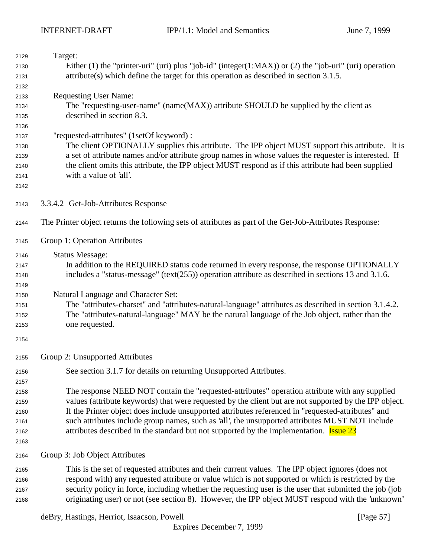| 2129 | Target:                                                                                                 |
|------|---------------------------------------------------------------------------------------------------------|
| 2130 | Either (1) the "printer-uri" (uri) plus "job-id" (integer(1:MAX)) or (2) the "job-uri" (uri) operation  |
| 2131 | $attribute(s)$ which define the target for this operation as described in section 3.1.5.                |
| 2132 |                                                                                                         |
| 2133 | <b>Requesting User Name:</b>                                                                            |
| 2134 | The "requesting-user-name" (name(MAX)) attribute SHOULD be supplied by the client as                    |
| 2135 | described in section 8.3.                                                                               |
| 2136 |                                                                                                         |
| 2137 | "requested-attributes" (1setOf keyword) :                                                               |
| 2138 | The client OPTIONALLY supplies this attribute. The IPP object MUST support this attribute. It is        |
| 2139 | a set of attribute names and/or attribute group names in whose values the requester is interested. If   |
| 2140 | the client omits this attribute, the IPP object MUST respond as if this attribute had been supplied     |
| 2141 | with a value of 'all'.                                                                                  |
| 2142 |                                                                                                         |
| 2143 | 3.3.4.2 Get-Job-Attributes Response                                                                     |
| 2144 | The Printer object returns the following sets of attributes as part of the Get-Job-Attributes Response: |
| 2145 | Group 1: Operation Attributes                                                                           |
| 2146 | <b>Status Message:</b>                                                                                  |
| 2147 | In addition to the REQUIRED status code returned in every response, the response OPTIONALLY             |
| 2148 | includes a "status-message" (text(255)) operation attribute as described in sections 13 and 3.1.6.      |
| 2149 |                                                                                                         |
| 2150 | Natural Language and Character Set:                                                                     |
| 2151 | The "attributes-charset" and "attributes-natural-language" attributes as described in section 3.1.4.2.  |
| 2152 | The "attributes-natural-language" MAY be the natural language of the Job object, rather than the        |
| 2153 | one requested.                                                                                          |
| 2154 |                                                                                                         |
| 2155 | Group 2: Unsupported Attributes                                                                         |
| 2156 | See section 3.1.7 for details on returning Unsupported Attributes.                                      |
| 2157 |                                                                                                         |
| 2158 | The response NEED NOT contain the "requested-attributes" operation attribute with any supplied          |
| 2159 | values (attribute keywords) that were requested by the client but are not supported by the IPP object.  |
| 2160 | If the Printer object does include unsupported attributes referenced in "requested-attributes" and      |
| 2161 | such attributes include group names, such as 'all', the unsupported attributes MUST NOT include         |
| 2162 | attributes described in the standard but not supported by the implementation. <b>Issue 23</b>           |
| 2163 |                                                                                                         |
| 2164 | Group 3: Job Object Attributes                                                                          |
| 2165 | This is the set of requested attributes and their current values. The IPP object ignores (does not      |
| 2166 | respond with) any requested attribute or value which is not supported or which is restricted by the     |
| 2167 | security policy in force, including whether the requesting user is the user that submitted the job (job |
| 2168 | originating user) or not (see section 8). However, the IPP object MUST respond with the 'unknown'       |

deBry, Hastings, Herriot, Isaacson, Powell [Page 57]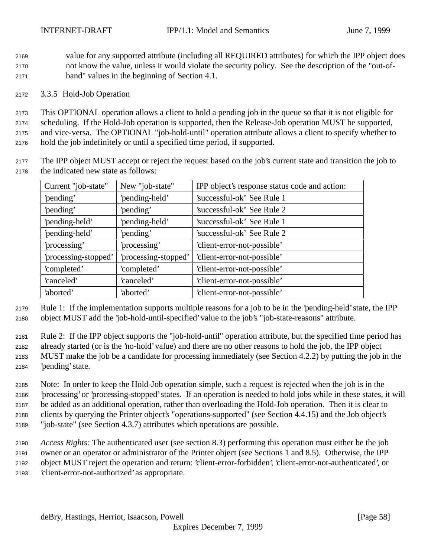value for any supported attribute (including all REQUIRED attributes) for which the IPP object does not know the value, unless it would violate the security policy. See the description of the "out-of-band" values in the beginning of Section 4.1.

3.3.5 Hold-Job Operation

 This OPTIONAL operation allows a client to hold a pending job in the queue so that it is not eligible for scheduling. If the Hold-Job operation is supported, then the Release-Job operation MUST be supported, and vice-versa. The OPTIONAL "job-hold-until" operation attribute allows a client to specify whether to hold the job indefinitely or until a specified time period, if supported.

 The IPP object MUST accept or reject the request based on the job's current state and transition the job to the indicated new state as follows:

| Current "job-state"  | New "job-state"      | IPP object's response status code and action: |
|----------------------|----------------------|-----------------------------------------------|
| 'pending'            | 'pending-held'       | 'successful-ok' See Rule 1                    |
| 'pending'            | 'pending'            | 'successful-ok' See Rule 2                    |
| 'pending-held'       | 'pending-held'       | 'successful-ok' See Rule 1                    |
| 'pending-held'       | 'pending'            | 'successful-ok' See Rule 2                    |
| processing'          | processing'          | 'client-error-not-possible'                   |
| 'processing-stopped' | 'processing-stopped' | 'client-error-not-possible'                   |
| 'completed'          | 'completed'          | 'client-error-not-possible'                   |
| 'canceled'           | 'canceled'           | 'client-error-not-possible'                   |
| 'aborted'            | 'aborted'            | 'client-error-not-possible'                   |

 Rule 1: If the implementation supports multiple reasons for a job to be in the 'pending-held' state, the IPP object MUST add the 'job-hold-until-specified' value to the job's "job-state-reasons" attribute.

 Rule 2: If the IPP object supports the "job-hold-until" operation attribute, but the specified time period has already started (or is the 'no-hold' value) and there are no other reasons to hold the job, the IPP object MUST make the job be a candidate for processing immediately (see Section 4.2.2) by putting the job in the 'pending' state.

 Note: In order to keep the Hold-Job operation simple, such a request is rejected when the job is in the 'processing' or 'processing-stopped' states. If an operation is needed to hold jobs while in these states, it will be added as an additional operation, rather than overloading the Hold-Job operation. Then it is clear to clients by querying the Printer object's "operations-supported" (see Section 4.4.15) and the Job object's "job-state" (see Section 4.3.7) attributes which operations are possible.

 *Access Rights:* The authenticated user (see section 8.3) performing this operation must either be the job owner or an operator or administrator of the Printer object (see Sections 1 and 8.5). Otherwise, the IPP object MUST reject the operation and return: 'client-error-forbidden', 'client-error-not-authenticated', or 'client-error-not-authorized' as appropriate.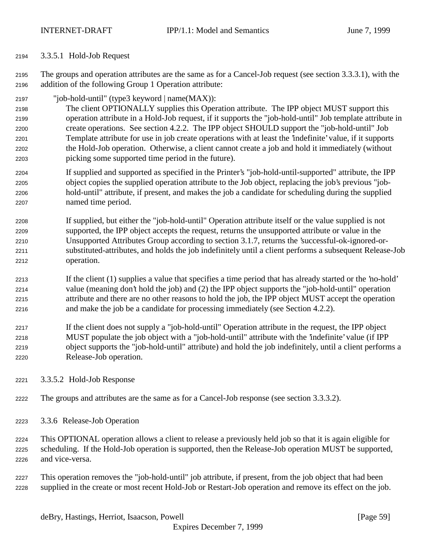3.3.5.1 Hold-Job Request

 The groups and operation attributes are the same as for a Cancel-Job request (see section 3.3.3.1), with the addition of the following Group 1 Operation attribute:

"job-hold-until" (type3 keyword | name(MAX)):

 The client OPTIONALLY supplies this Operation attribute. The IPP object MUST support this operation attribute in a Hold-Job request, if it supports the "job-hold-until" Job template attribute in create operations. See section 4.2.2. The IPP object SHOULD support the "job-hold-until" Job Template attribute for use in job create operations with at least the 'indefinite' value, if it supports the Hold-Job operation. Otherwise, a client cannot create a job and hold it immediately (without picking some supported time period in the future).

- If supplied and supported as specified in the Printer's "job-hold-until-supported" attribute, the IPP object copies the supplied operation attribute to the Job object, replacing the job's previous "job- hold-until" attribute, if present, and makes the job a candidate for scheduling during the supplied named time period.
- If supplied, but either the "job-hold-until" Operation attribute itself or the value supplied is not supported, the IPP object accepts the request, returns the unsupported attribute or value in the Unsupported Attributes Group according to section 3.1.7, returns the 'successful-ok-ignored-or- substituted-attributes, and holds the job indefinitely until a client performs a subsequent Release-Job operation.
- If the client (1) supplies a value that specifies a time period that has already started or the 'no-hold' value (meaning don't hold the job) and (2) the IPP object supports the "job-hold-until" operation attribute and there are no other reasons to hold the job, the IPP object MUST accept the operation and make the job be a candidate for processing immediately (see Section 4.2.2).
- If the client does not supply a "job-hold-until" Operation attribute in the request, the IPP object MUST populate the job object with a "job-hold-until" attribute with the 'indefinite' value (if IPP object supports the "job-hold-until" attribute) and hold the job indefinitely, until a client performs a Release-Job operation.
- 3.3.5.2 Hold-Job Response
- The groups and attributes are the same as for a Cancel-Job response (see section 3.3.3.2).
- 3.3.6 Release-Job Operation
- This OPTIONAL operation allows a client to release a previously held job so that it is again eligible for scheduling. If the Hold-Job operation is supported, then the Release-Job operation MUST be supported, and vice-versa.
- This operation removes the "job-hold-until" job attribute, if present, from the job object that had been supplied in the create or most recent Hold-Job or Restart-Job operation and remove its effect on the job.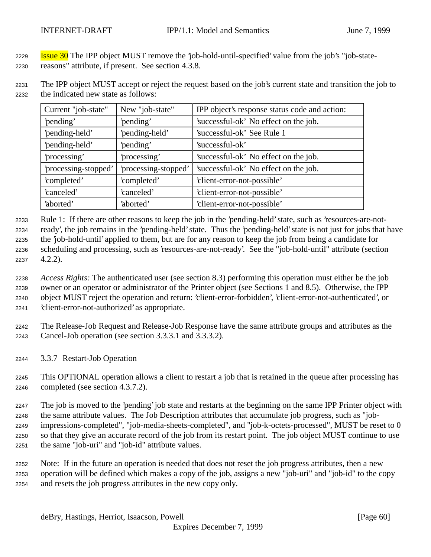**Issue 30** The IPP object MUST remove the 'job-hold-until-specified' value from the job's "job-state-reasons" attribute, if present. See section 4.3.8.

 The IPP object MUST accept or reject the request based on the job's current state and transition the job to the indicated new state as follows:

| Current "job-state"  | New "job-state"                                               | IPP object's response status code and action: |
|----------------------|---------------------------------------------------------------|-----------------------------------------------|
| 'pending'            | 'pending'                                                     | 'successful-ok' No effect on the job.         |
| 'pending-held'       | 'pending-held'                                                | 'successful-ok' See Rule 1                    |
| 'pending-held'       | 'pending'                                                     | 'successful-ok'                               |
| 'processing'         | 'processing'                                                  | 'successful-ok' No effect on the job.         |
| 'processing-stopped' | 'processing-stopped'<br>'successful-ok' No effect on the job. |                                               |
| 'completed'          | 'completed'                                                   | 'client-error-not-possible'                   |
| 'canceled'           | 'canceled'                                                    | 'client-error-not-possible'                   |
| 'aborted'            | 'aborted'                                                     | 'client-error-not-possible'                   |

 Rule 1: If there are other reasons to keep the job in the 'pending-held' state, such as 'resources-are-not- ready', the job remains in the 'pending-held' state. Thus the 'pending-held' state is not just for jobs that have the 'job-hold-until' applied to them, but are for any reason to keep the job from being a candidate for scheduling and processing, such as 'resources-are-not-ready'. See the "job-hold-until" attribute (section 4.2.2).

 *Access Rights:* The authenticated user (see section 8.3) performing this operation must either be the job owner or an operator or administrator of the Printer object (see Sections 1 and 8.5). Otherwise, the IPP object MUST reject the operation and return: 'client-error-forbidden', 'client-error-not-authenticated', or 'client-error-not-authorized' as appropriate.

 The Release-Job Request and Release-Job Response have the same attribute groups and attributes as the Cancel-Job operation (see section 3.3.3.1 and 3.3.3.2).

3.3.7 Restart-Job Operation

 This OPTIONAL operation allows a client to restart a job that is retained in the queue after processing has completed (see section 4.3.7.2).

 The job is moved to the 'pending' job state and restarts at the beginning on the same IPP Printer object with the same attribute values. The Job Description attributes that accumulate job progress, such as "job- impressions-completed", "job-media-sheets-completed", and "job-k-octets-processed", MUST be reset to 0 so that they give an accurate record of the job from its restart point. The job object MUST continue to use the same "job-uri" and "job-id" attribute values.

 Note: If in the future an operation is needed that does not reset the job progress attributes, then a new operation will be defined which makes a copy of the job, assigns a new "job-uri" and "job-id" to the copy and resets the job progress attributes in the new copy only.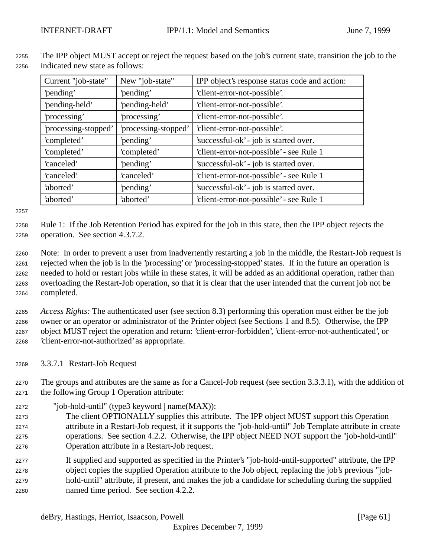| Current "job-state"  | New "job-state"      | IPP object's response status code and action: |  |
|----------------------|----------------------|-----------------------------------------------|--|
| 'pending'            | 'pending'            | 'client-error-not-possible'.                  |  |
| 'pending-held'       | 'pending-held'       | 'client-error-not-possible'.                  |  |
| 'processing'         | 'processing'         | 'client-error-not-possible'.                  |  |
| 'processing-stopped' | 'processing-stopped' | 'client-error-not-possible'.                  |  |
| 'completed'          | 'pending'            | 'successful-ok' - job is started over.        |  |
| 'completed'          | 'completed'          | 'client-error-not-possible' - see Rule 1      |  |
| 'canceled'           | 'pending'            | 'successful-ok' - job is started over.        |  |
| 'canceled'           | 'canceled'           | 'client-error-not-possible' - see Rule 1      |  |
| 'aborted'            | 'pending'            | 'successful-ok' - job is started over.        |  |
| 'aborted'            | 'aborted'            | 'client-error-not-possible' - see Rule 1      |  |

 The IPP object MUST accept or reject the request based on the job's current state, transition the job to the indicated new state as follows:

 Rule 1: If the Job Retention Period has expired for the job in this state, then the IPP object rejects the operation. See section 4.3.7.2.

 Note: In order to prevent a user from inadvertently restarting a job in the middle, the Restart-Job request is rejected when the job is in the 'processing' or 'processing-stopped' states. If in the future an operation is needed to hold or restart jobs while in these states, it will be added as an additional operation, rather than overloading the Restart-Job operation, so that it is clear that the user intended that the current job not be completed.

 *Access Rights:* The authenticated user (see section 8.3) performing this operation must either be the job owner or an operator or administrator of the Printer object (see Sections 1 and 8.5). Otherwise, the IPP object MUST reject the operation and return: 'client-error-forbidden', 'client-error-not-authenticated', or 'client-error-not-authorized' as appropriate.

3.3.7.1 Restart-Job Request

 The groups and attributes are the same as for a Cancel-Job request (see section 3.3.3.1), with the addition of the following Group 1 Operation attribute:

"job-hold-until" (type3 keyword | name(MAX)):

 The client OPTIONALLY supplies this attribute. The IPP object MUST support this Operation attribute in a Restart-Job request, if it supports the "job-hold-until" Job Template attribute in create operations. See section 4.2.2. Otherwise, the IPP object NEED NOT support the "job-hold-until" Operation attribute in a Restart-Job request.

 If supplied and supported as specified in the Printer's "job-hold-until-supported" attribute, the IPP object copies the supplied Operation attribute to the Job object, replacing the job's previous "job- hold-until" attribute, if present, and makes the job a candidate for scheduling during the supplied named time period. See section 4.2.2.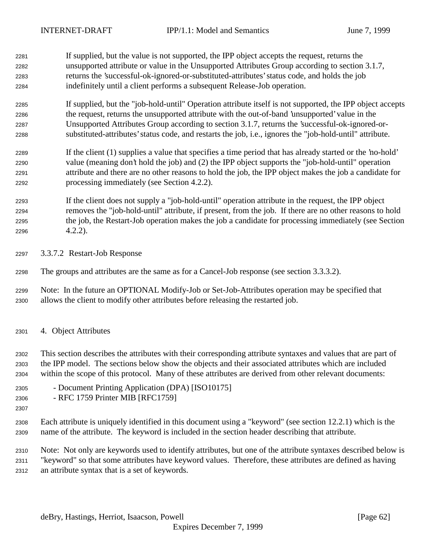If supplied, but the value is not supported, the IPP object accepts the request, returns the unsupported attribute or value in the Unsupported Attributes Group according to section 3.1.7, returns the 'successful-ok-ignored-or-substituted-attributes' status code, and holds the job indefinitely until a client performs a subsequent Release-Job operation.

 If supplied, but the "job-hold-until" Operation attribute itself is not supported, the IPP object accepts the request, returns the unsupported attribute with the out-of-band 'unsupported' value in the Unsupported Attributes Group according to section 3.1.7, returns the 'successful-ok-ignored-or-substituted-attributes' status code, and restarts the job, i.e., ignores the "job-hold-until" attribute.

 If the client (1) supplies a value that specifies a time period that has already started or the 'no-hold' value (meaning don't hold the job) and (2) the IPP object supports the "job-hold-until" operation attribute and there are no other reasons to hold the job, the IPP object makes the job a candidate for processing immediately (see Section 4.2.2).

 If the client does not supply a "job-hold-until" operation attribute in the request, the IPP object removes the "job-hold-until" attribute, if present, from the job. If there are no other reasons to hold the job, the Restart-Job operation makes the job a candidate for processing immediately (see Section 4.2.2).

3.3.7.2 Restart-Job Response

The groups and attributes are the same as for a Cancel-Job response (see section 3.3.3.2).

 Note: In the future an OPTIONAL Modify-Job or Set-Job-Attributes operation may be specified that allows the client to modify other attributes before releasing the restarted job.

4. Object Attributes

 This section describes the attributes with their corresponding attribute syntaxes and values that are part of the IPP model. The sections below show the objects and their associated attributes which are included within the scope of this protocol. Many of these attributes are derived from other relevant documents:

- Document Printing Application (DPA) [ISO10175]
- RFC 1759 Printer MIB [RFC1759]
- 

 Each attribute is uniquely identified in this document using a "keyword" (see section 12.2.1) which is the name of the attribute. The keyword is included in the section header describing that attribute.

 Note: Not only are keywords used to identify attributes, but one of the attribute syntaxes described below is "keyword" so that some attributes have keyword values. Therefore, these attributes are defined as having an attribute syntax that is a set of keywords.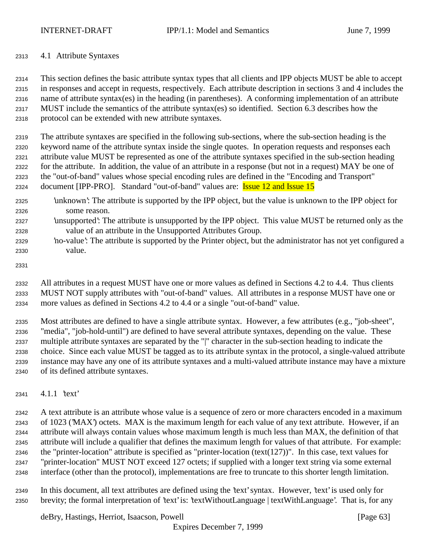## 4.1 Attribute Syntaxes

 This section defines the basic attribute syntax types that all clients and IPP objects MUST be able to accept in responses and accept in requests, respectively. Each attribute description in sections 3 and 4 includes the name of attribute syntax(es) in the heading (in parentheses). A conforming implementation of an attribute MUST include the semantics of the attribute syntax(es) so identified. Section 6.3 describes how the protocol can be extended with new attribute syntaxes.

 The attribute syntaxes are specified in the following sub-sections, where the sub-section heading is the keyword name of the attribute syntax inside the single quotes. In operation requests and responses each attribute value MUST be represented as one of the attribute syntaxes specified in the sub-section heading for the attribute. In addition, the value of an attribute in a response (but not in a request) MAY be one of the "out-of-band" values whose special encoding rules are defined in the "Encoding and Transport" 2324 document [IPP-PRO]. Standard "out-of-band" values are: **Issue 12 and Issue 15** 

- 'unknown': The attribute is supported by the IPP object, but the value is unknown to the IPP object for some reason.
- 'unsupported': The attribute is unsupported by the IPP object. This value MUST be returned only as the value of an attribute in the Unsupported Attributes Group.
- 'no-value': The attribute is supported by the Printer object, but the administrator has not yet configured a value.
- 

 All attributes in a request MUST have one or more values as defined in Sections 4.2 to 4.4. Thus clients MUST NOT supply attributes with "out-of-band" values. All attributes in a response MUST have one or more values as defined in Sections 4.2 to 4.4 or a single "out-of-band" value.

 Most attributes are defined to have a single attribute syntax. However, a few attributes (e.g., "job-sheet", "media", "job-hold-until") are defined to have several attribute syntaxes, depending on the value. These multiple attribute syntaxes are separated by the "|" character in the sub-section heading to indicate the choice. Since each value MUST be tagged as to its attribute syntax in the protocol, a single-valued attribute instance may have any one of its attribute syntaxes and a multi-valued attribute instance may have a mixture of its defined attribute syntaxes.

4.1.1 'text'

 A text attribute is an attribute whose value is a sequence of zero or more characters encoded in a maximum of 1023 ('MAX') octets. MAX is the maximum length for each value of any text attribute. However, if an attribute will always contain values whose maximum length is much less than MAX, the definition of that attribute will include a qualifier that defines the maximum length for values of that attribute. For example: 2346 the "printer-location" attribute is specified as "printer-location (text(127))". In this case, text values for "printer-location" MUST NOT exceed 127 octets; if supplied with a longer text string via some external interface (other than the protocol), implementations are free to truncate to this shorter length limitation.

 In this document, all text attributes are defined using the 'text' syntax. However, 'text' is used only for brevity; the formal interpretation of 'text' is: 'textWithoutLanguage | textWithLanguage'. That is, for any

deBry, Hastings, Herriot, Isaacson, Powell [Page 63]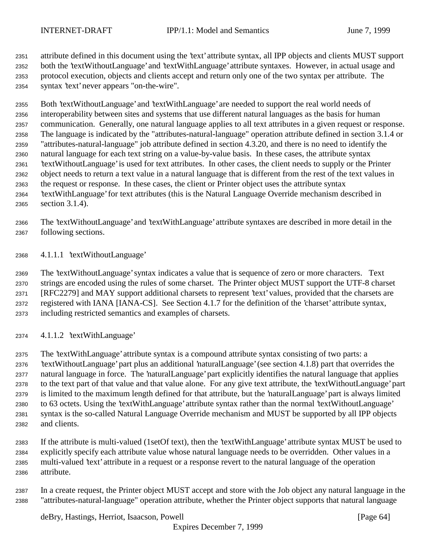attribute defined in this document using the 'text' attribute syntax, all IPP objects and clients MUST support both the 'textWithoutLanguage' and 'textWithLanguage' attribute syntaxes. However, in actual usage and protocol execution, objects and clients accept and return only one of the two syntax per attribute. The syntax 'text' never appears "on-the-wire".

 Both 'textWithoutLanguage' and 'textWithLanguage' are needed to support the real world needs of interoperability between sites and systems that use different natural languages as the basis for human communication. Generally, one natural language applies to all text attributes in a given request or response. The language is indicated by the "attributes-natural-language" operation attribute defined in section 3.1.4 or "attributes-natural-language" job attribute defined in section 4.3.20, and there is no need to identify the natural language for each text string on a value-by-value basis. In these cases, the attribute syntax 'textWithoutLanguage' is used for text attributes. In other cases, the client needs to supply or the Printer object needs to return a text value in a natural language that is different from the rest of the text values in the request or response. In these cases, the client or Printer object uses the attribute syntax 'textWithLanguage' for text attributes (this is the Natural Language Override mechanism described in section 3.1.4).

 The 'textWithoutLanguage' and 'textWithLanguage' attribute syntaxes are described in more detail in the following sections.

4.1.1.1 'textWithoutLanguage'

 The 'textWithoutLanguage' syntax indicates a value that is sequence of zero or more characters. Text strings are encoded using the rules of some charset. The Printer object MUST support the UTF-8 charset [RFC2279] and MAY support additional charsets to represent 'text' values, provided that the charsets are registered with IANA [IANA-CS]. See Section 4.1.7 for the definition of the 'charset' attribute syntax, including restricted semantics and examples of charsets.

4.1.1.2 'textWithLanguage'

 The 'textWithLanguage' attribute syntax is a compound attribute syntax consisting of two parts: a 'textWithoutLanguage' part plus an additional 'naturalLanguage' (see section 4.1.8) part that overrides the natural language in force. The 'naturalLanguage' part explicitly identifies the natural language that applies to the text part of that value and that value alone. For any give text attribute, the 'textWithoutLanguage' part is limited to the maximum length defined for that attribute, but the 'naturalLanguage' part is always limited to 63 octets. Using the 'textWithLanguage' attribute syntax rather than the normal 'textWithoutLanguage' syntax is the so-called Natural Language Override mechanism and MUST be supported by all IPP objects and clients.

 If the attribute is multi-valued (1setOf text), then the 'textWithLanguage' attribute syntax MUST be used to explicitly specify each attribute value whose natural language needs to be overridden. Other values in a multi-valued 'text' attribute in a request or a response revert to the natural language of the operation attribute.

 In a create request, the Printer object MUST accept and store with the Job object any natural language in the "attributes-natural-language" operation attribute, whether the Printer object supports that natural language

deBry, Hastings, Herriot, Isaacson, Powell **Example 20** (Page 64)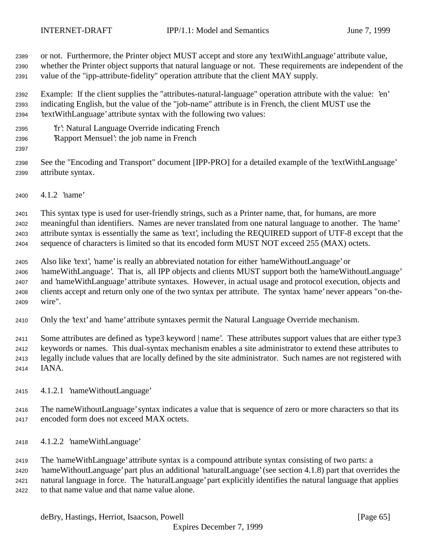or not. Furthermore, the Printer object MUST accept and store any 'textWithLanguage' attribute value,

 whether the Printer object supports that natural language or not. These requirements are independent of the value of the "ipp-attribute-fidelity" operation attribute that the client MAY supply.

 Example: If the client supplies the "attributes-natural-language" operation attribute with the value: 'en' indicating English, but the value of the "job-name" attribute is in French, the client MUST use the 'textWithLanguage' attribute syntax with the following two values:

- 'fr': Natural Language Override indicating French
- 'Rapport Mensuel': the job name in French
- 

 See the "Encoding and Transport" document [IPP-PRO] for a detailed example of the 'textWithLanguage' attribute syntax.

4.1.2 'name'

 This syntax type is used for user-friendly strings, such as a Printer name, that, for humans, are more meaningful than identifiers. Names are never translated from one natural language to another. The 'name' attribute syntax is essentially the same as 'text', including the REQUIRED support of UTF-8 except that the sequence of characters is limited so that its encoded form MUST NOT exceed 255 (MAX) octets.

 Also like 'text', 'name' is really an abbreviated notation for either 'nameWithoutLanguage' or 'nameWithLanguage'. That is, all IPP objects and clients MUST support both the 'nameWithoutLanguage' and 'nameWithLanguage' attribute syntaxes. However, in actual usage and protocol execution, objects and clients accept and return only one of the two syntax per attribute. The syntax 'name' never appears "on-the-wire".

Only the 'text' and 'name' attribute syntaxes permit the Natural Language Override mechanism.

 Some attributes are defined as 'type3 keyword | name'. These attributes support values that are either type3 keywords or names. This dual-syntax mechanism enables a site administrator to extend these attributes to legally include values that are locally defined by the site administrator. Such names are not registered with IANA.

- 4.1.2.1 'nameWithoutLanguage'
- The nameWithoutLanguage' syntax indicates a value that is sequence of zero or more characters so that its encoded form does not exceed MAX octets.
- 4.1.2.2 'nameWithLanguage'

 The 'nameWithLanguage' attribute syntax is a compound attribute syntax consisting of two parts: a 'nameWithoutLanguage' part plus an additional 'naturalLanguage' (see section 4.1.8) part that overrides the natural language in force. The 'naturalLanguage' part explicitly identifies the natural language that applies to that name value and that name value alone.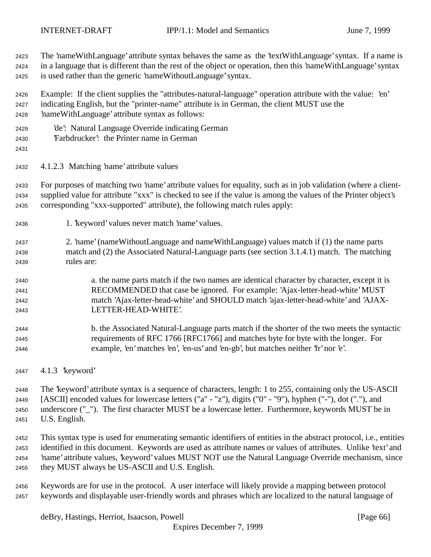The 'nameWithLanguage' attribute syntax behaves the same as the 'textWithLanguage' syntax. If a name is in a language that is different than the rest of the object or operation, then this 'nameWithLanguage' syntax is used rather than the generic 'nameWithoutLanguage' syntax.

 Example: If the client supplies the "attributes-natural-language" operation attribute with the value: 'en' indicating English, but the "printer-name" attribute is in German, the client MUST use the 'nameWithLanguage' attribute syntax as follows:

- 'de': Natural Language Override indicating German
- 'Farbdrucker': the Printer name in German
- 

4.1.2.3 Matching 'name' attribute values

 For purposes of matching two 'name' attribute values for equality, such as in job validation (where a client- supplied value for attribute "xxx" is checked to see if the value is among the values of the Printer object's corresponding "xxx-supported" attribute), the following match rules apply:

- 1. 'keyword' values never match 'name' values.
- 2. 'name' (nameWithoutLanguage and nameWithLanguage) values match if (1) the name parts match and (2) the Associated Natural-Language parts (see section 3.1.4.1) match. The matching rules are:
- a. the name parts match if the two names are identical character by character, except it is RECOMMENDED that case be ignored. For example: 'Ajax-letter-head-white' MUST match 'Ajax-letter-head-white' and SHOULD match 'ajax-letter-head-white' and 'AJAX-LETTER-HEAD-WHITE'.
- b. the Associated Natural-Language parts match if the shorter of the two meets the syntactic requirements of RFC 1766 [RFC1766] and matches byte for byte with the longer. For example, 'en' matches 'en', 'en-us' and 'en-gb', but matches neither 'fr' nor 'e'.
- 4.1.3 'keyword'

 The 'keyword' attribute syntax is a sequence of characters, length: 1 to 255, containing only the US-ASCII [ASCII] encoded values for lowercase letters ("a" - "z"), digits ("0" - "9"), hyphen ("-"), dot ("."), and underscore ("\_"). The first character MUST be a lowercase letter. Furthermore, keywords MUST be in U.S. English.

 This syntax type is used for enumerating semantic identifiers of entities in the abstract protocol, i.e., entities identified in this document. Keywords are used as attribute names or values of attributes. Unlike 'text' and 'name' attribute values, 'keyword' values MUST NOT use the Natural Language Override mechanism, since they MUST always be US-ASCII and U.S. English.

 Keywords are for use in the protocol. A user interface will likely provide a mapping between protocol keywords and displayable user-friendly words and phrases which are localized to the natural language of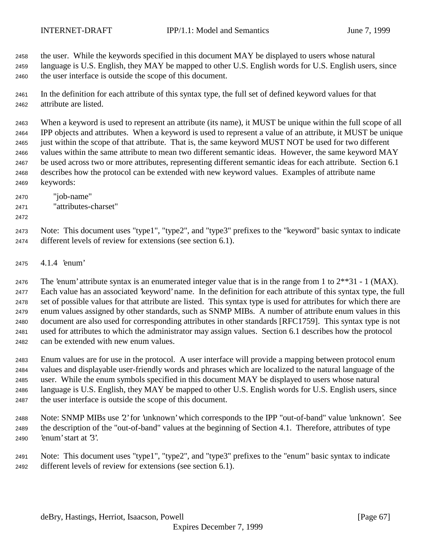the user. While the keywords specified in this document MAY be displayed to users whose natural language is U.S. English, they MAY be mapped to other U.S. English words for U.S. English users, since

the user interface is outside the scope of this document.

 In the definition for each attribute of this syntax type, the full set of defined keyword values for that attribute are listed.

 When a keyword is used to represent an attribute (its name), it MUST be unique within the full scope of all IPP objects and attributes. When a keyword is used to represent a value of an attribute, it MUST be unique just within the scope of that attribute. That is, the same keyword MUST NOT be used for two different values within the same attribute to mean two different semantic ideas. However, the same keyword MAY be used across two or more attributes, representing different semantic ideas for each attribute. Section 6.1 describes how the protocol can be extended with new keyword values. Examples of attribute name keywords:

- "job-name"
- "attributes-charset"
- 

 Note: This document uses "type1", "type2", and "type3" prefixes to the "keyword" basic syntax to indicate different levels of review for extensions (see section 6.1).

4.1.4 'enum'

2476 The 'enum' attribute syntax is an enumerated integer value that is in the range from 1 to  $2^{**}31 - 1$  (MAX). Each value has an associated 'keyword' name. In the definition for each attribute of this syntax type, the full set of possible values for that attribute are listed. This syntax type is used for attributes for which there are enum values assigned by other standards, such as SNMP MIBs. A number of attribute enum values in this document are also used for corresponding attributes in other standards [RFC1759]. This syntax type is not used for attributes to which the administrator may assign values. Section 6.1 describes how the protocol can be extended with new enum values.

 Enum values are for use in the protocol. A user interface will provide a mapping between protocol enum values and displayable user-friendly words and phrases which are localized to the natural language of the user. While the enum symbols specified in this document MAY be displayed to users whose natural language is U.S. English, they MAY be mapped to other U.S. English words for U.S. English users, since the user interface is outside the scope of this document.

 Note: SNMP MIBs use '2' for 'unknown' which corresponds to the IPP "out-of-band" value 'unknown'. See the description of the "out-of-band" values at the beginning of Section 4.1. Therefore, attributes of type 'enum' start at '3'.

 Note: This document uses "type1", "type2", and "type3" prefixes to the "enum" basic syntax to indicate different levels of review for extensions (see section 6.1).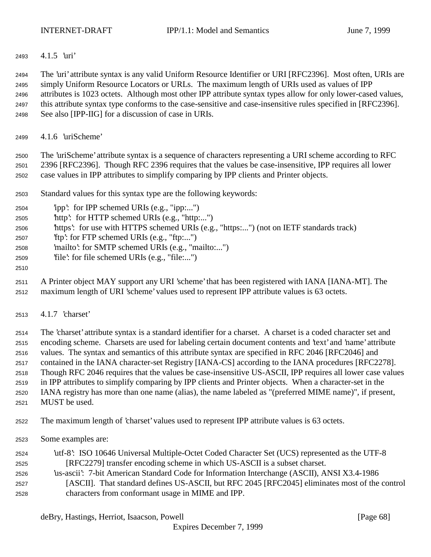4.1.5 'uri'

 The 'uri' attribute syntax is any valid Uniform Resource Identifier or URI [RFC2396]. Most often, URIs are simply Uniform Resource Locators or URLs. The maximum length of URIs used as values of IPP attributes is 1023 octets. Although most other IPP attribute syntax types allow for only lower-cased values, this attribute syntax type conforms to the case-sensitive and case-insensitive rules specified in [RFC2396]. See also [IPP-IIG] for a discussion of case in URIs.

4.1.6 'uriScheme'

 The 'uriScheme' attribute syntax is a sequence of characters representing a URI scheme according to RFC 2396 [RFC2396]. Though RFC 2396 requires that the values be case-insensitive, IPP requires all lower case values in IPP attributes to simplify comparing by IPP clients and Printer objects.

Standard values for this syntax type are the following keywords:

| 2504 |  | 'ipp': for IPP schemed URIs (e.g., "ipp:") |  |  |
|------|--|--------------------------------------------|--|--|

- 'http': for HTTP schemed URIs (e.g., "http:...")
- 'https': for use with HTTPS schemed URIs (e.g., "https:...") (not on IETF standards track)
- 'ftp': for FTP schemed URIs (e.g., "ftp:...")
- 'mailto': for SMTP schemed URIs (e.g., "mailto:...")
- 'file': for file schemed URIs (e.g., "file:...")
- 
- A Printer object MAY support any URI 'scheme' that has been registered with IANA [IANA-MT]. The maximum length of URI 'scheme' values used to represent IPP attribute values is 63 octets.
- 4.1.7 'charset'

 The 'charset' attribute syntax is a standard identifier for a charset. A charset is a coded character set and encoding scheme. Charsets are used for labeling certain document contents and 'text' and 'name' attribute values. The syntax and semantics of this attribute syntax are specified in RFC 2046 [RFC2046] and contained in the IANA character-set Registry [IANA-CS] according to the IANA procedures [RFC2278]. Though RFC 2046 requires that the values be case-insensitive US-ASCII, IPP requires all lower case values in IPP attributes to simplify comparing by IPP clients and Printer objects. When a character-set in the IANA registry has more than one name (alias), the name labeled as "(preferred MIME name)", if present,

MUST be used.

The maximum length of 'charset' values used to represent IPP attribute values is 63 octets.

Some examples are:

| 2524 | utf-8: ISO 10646 Universal Multiple-Octet Coded Character Set (UCS) represented as the UTF-8   |
|------|------------------------------------------------------------------------------------------------|
| 2525 | [RFC2279] transfer encoding scheme in which US-ASCII is a subset charset.                      |
| 2526 | us-ascii': 7-bit American Standard Code for Information Interchange (ASCII), ANSI X3.4-1986    |
| 2527 | [ASCII]. That standard defines US-ASCII, but RFC 2045 [RFC2045] eliminates most of the control |
| 2528 | characters from conformant usage in MIME and IPP.                                              |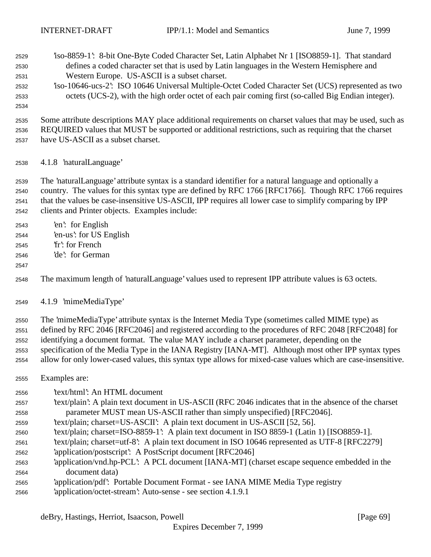'iso-8859-1': 8-bit One-Byte Coded Character Set, Latin Alphabet Nr 1 [ISO8859-1]. That standard

- defines a coded character set that is used by Latin languages in the Western Hemisphere and Western Europe. US-ASCII is a subset charset. 'iso-10646-ucs-2': ISO 10646 Universal Multiple-Octet Coded Character Set (UCS) represented as two octets (UCS-2), with the high order octet of each pair coming first (so-called Big Endian integer). Some attribute descriptions MAY place additional requirements on charset values that may be used, such as REQUIRED values that MUST be supported or additional restrictions, such as requiring that the charset have US-ASCII as a subset charset. 4.1.8 'naturalLanguage' The 'naturalLanguage' attribute syntax is a standard identifier for a natural language and optionally a country. The values for this syntax type are defined by RFC 1766 [RFC1766]. Though RFC 1766 requires that the values be case-insensitive US-ASCII, IPP requires all lower case to simplify comparing by IPP clients and Printer objects. Examples include: 'en': for English 'en-us': for US English 'fr': for French 'de': for German The maximum length of 'naturalLanguage' values used to represent IPP attribute values is 63 octets. 4.1.9 'mimeMediaType' The 'mimeMediaType' attribute syntax is the Internet Media Type (sometimes called MIME type) as defined by RFC 2046 [RFC2046] and registered according to the procedures of RFC 2048 [RFC2048] for identifying a document format. The value MAY include a charset parameter, depending on the specification of the Media Type in the IANA Registry [IANA-MT]. Although most other IPP syntax types allow for only lower-cased values, this syntax type allows for mixed-case values which are case-insensitive. Examples are: 'text/html': An HTML document 'text/plain': A plain text document in US-ASCII (RFC 2046 indicates that in the absence of the charset parameter MUST mean US-ASCII rather than simply unspecified) [RFC2046]. 'text/plain; charset=US-ASCII': A plain text document in US-ASCII [52, 56]. 'text/plain; charset=ISO-8859-1': A plain text document in ISO 8859-1 (Latin 1) [ISO8859-1]. 'text/plain; charset=utf-8': A plain text document in ISO 10646 represented as UTF-8 [RFC2279] 'application/postscript': A PostScript document [RFC2046] 'application/vnd.hp-PCL': A PCL document [IANA-MT] (charset escape sequence embedded in the document data) 'application/pdf': Portable Document Format - see IANA MIME Media Type registry
- 'application/octet-stream': Auto-sense see section 4.1.9.1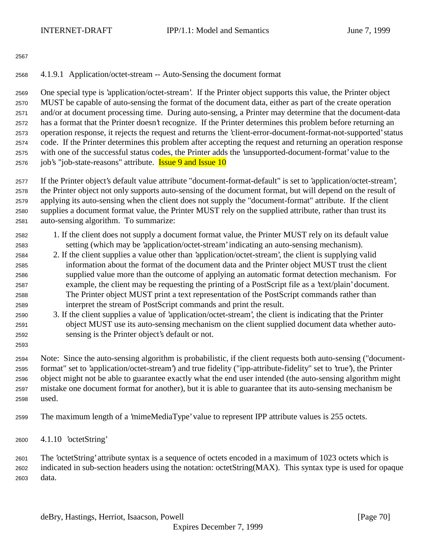## 4.1.9.1 Application/octet-stream -- Auto-Sensing the document format

 One special type is 'application/octet-stream'. If the Printer object supports this value, the Printer object MUST be capable of auto-sensing the format of the document data, either as part of the create operation and/or at document processing time. During auto-sensing, a Printer may determine that the document-data has a format that the Printer doesn't recognize. If the Printer determines this problem before returning an operation response, it rejects the request and returns the 'client-error-document-format-not-supported' status code. If the Printer determines this problem after accepting the request and returning an operation response with one of the successful status codes, the Printer adds the 'unsupported-document-format' value to the 2576 job's "job-state-reasons" attribute. **Issue 9 and Issue 10** 

 If the Printer object's default value attribute "document-format-default" is set to 'application/octet-stream', the Printer object not only supports auto-sensing of the document format, but will depend on the result of applying its auto-sensing when the client does not supply the "document-format" attribute. If the client supplies a document format value, the Printer MUST rely on the supplied attribute, rather than trust its auto-sensing algorithm. To summarize:

- 1. If the client does not supply a document format value, the Printer MUST rely on its default value setting (which may be 'application/octet-stream' indicating an auto-sensing mechanism).
- 2. If the client supplies a value other than 'application/octet-stream', the client is supplying valid information about the format of the document data and the Printer object MUST trust the client supplied value more than the outcome of applying an automatic format detection mechanism. For example, the client may be requesting the printing of a PostScript file as a 'text/plain' document. The Printer object MUST print a text representation of the PostScript commands rather than interpret the stream of PostScript commands and print the result.
- 3. If the client supplies a value of 'application/octet-stream', the client is indicating that the Printer object MUST use its auto-sensing mechanism on the client supplied document data whether auto-sensing is the Printer object's default or not.
- 

 Note: Since the auto-sensing algorithm is probabilistic, if the client requests both auto-sensing ("document- format" set to 'application/octet-stream') and true fidelity ("ipp-attribute-fidelity" set to 'true'), the Printer object might not be able to guarantee exactly what the end user intended (the auto-sensing algorithm might mistake one document format for another), but it is able to guarantee that its auto-sensing mechanism be used.

The maximum length of a 'mimeMediaType' value to represent IPP attribute values is 255 octets.

4.1.10 'octetString'

 The 'octetString' attribute syntax is a sequence of octets encoded in a maximum of 1023 octets which is indicated in sub-section headers using the notation: octetString(MAX). This syntax type is used for opaque data.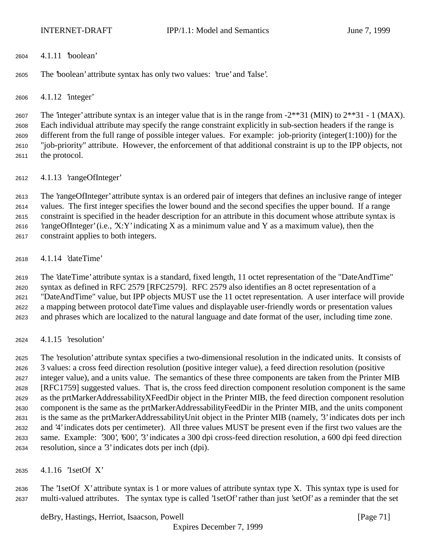4.1.11 'boolean'

The 'boolean' attribute syntax has only two values: 'true' and 'false'.

4.1.12 'integer'

2607 The 'integer' attribute syntax is an integer value that is in the range from  $-2**31$  (MIN) to  $2**31 - 1$  (MAX). Each individual attribute may specify the range constraint explicitly in sub-section headers if the range is different from the full range of possible integer values. For example: job-priority (integer(1:100)) for the "job-priority" attribute. However, the enforcement of that additional constraint is up to the IPP objects, not the protocol.

4.1.13 'rangeOfInteger'

 The 'rangeOfInteger' attribute syntax is an ordered pair of integers that defines an inclusive range of integer values. The first integer specifies the lower bound and the second specifies the upper bound. If a range constraint is specified in the header description for an attribute in this document whose attribute syntax is 2616 'rangeOfInteger' (i.e., 'X:Y' indicating X as a minimum value and Y as a maximum value), then the constraint applies to both integers.

4.1.14 'dateTime'

 The 'dateTime' attribute syntax is a standard, fixed length, 11 octet representation of the "DateAndTime" syntax as defined in RFC 2579 [RFC2579]. RFC 2579 also identifies an 8 octet representation of a "DateAndTime" value, but IPP objects MUST use the 11 octet representation. A user interface will provide a mapping between protocol dateTime values and displayable user-friendly words or presentation values and phrases which are localized to the natural language and date format of the user, including time zone.

4.1.15 'resolution'

 The 'resolution' attribute syntax specifies a two-dimensional resolution in the indicated units. It consists of 3 values: a cross feed direction resolution (positive integer value), a feed direction resolution (positive integer value), and a units value. The semantics of these three components are taken from the Printer MIB [RFC1759] suggested values. That is, the cross feed direction component resolution component is the same as the prtMarkerAddressabilityXFeedDir object in the Printer MIB, the feed direction component resolution component is the same as the prtMarkerAddressabilityFeedDir in the Printer MIB, and the units component is the same as the prtMarkerAddressabilityUnit object in the Printer MIB (namely, '3' indicates dots per inch and '4' indicates dots per centimeter). All three values MUST be present even if the first two values are the same. Example: '300', '600', '3' indicates a 300 dpi cross-feed direction resolution, a 600 dpi feed direction resolution, since a '3' indicates dots per inch (dpi).

4.1.16 '1setOf X'

 The '1setOf X' attribute syntax is 1 or more values of attribute syntax type X. This syntax type is used for multi-valued attributes. The syntax type is called '1setOf' rather than just 'setOf' as a reminder that the set

deBry, Hastings, Herriot, Isaacson, Powell [Page 71]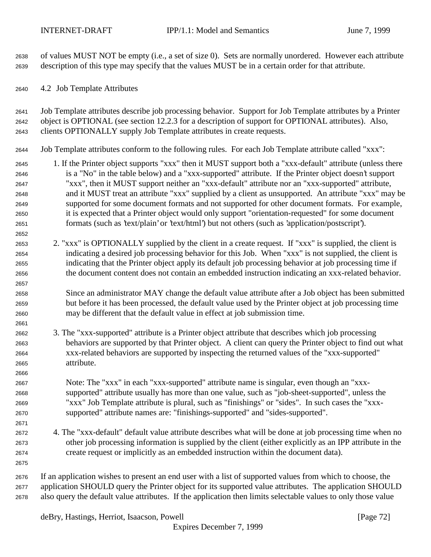of values MUST NOT be empty (i.e., a set of size 0). Sets are normally unordered. However each attribute description of this type may specify that the values MUST be in a certain order for that attribute.

4.2 Job Template Attributes

 Job Template attributes describe job processing behavior. Support for Job Template attributes by a Printer object is OPTIONAL (see section 12.2.3 for a description of support for OPTIONAL attributes). Also, clients OPTIONALLY supply Job Template attributes in create requests.

- Job Template attributes conform to the following rules. For each Job Template attribute called "xxx":
- 1. If the Printer object supports "xxx" then it MUST support both a "xxx-default" attribute (unless there is a "No" in the table below) and a "xxx-supported" attribute. If the Printer object doesn't support "xxx", then it MUST support neither an "xxx-default" attribute nor an "xxx-supported" attribute, and it MUST treat an attribute "xxx" supplied by a client as unsupported. An attribute "xxx" may be supported for some document formats and not supported for other document formats. For example, it is expected that a Printer object would only support "orientation-requested" for some document formats (such as 'text/plain' or 'text/html') but not others (such as 'application/postscript').
- 2. "xxx" is OPTIONALLY supplied by the client in a create request. If "xxx" is supplied, the client is indicating a desired job processing behavior for this Job. When "xxx" is not supplied, the client is indicating that the Printer object apply its default job processing behavior at job processing time if the document content does not contain an embedded instruction indicating an xxx-related behavior.
- Since an administrator MAY change the default value attribute after a Job object has been submitted but before it has been processed, the default value used by the Printer object at job processing time may be different that the default value in effect at job submission time.
- 3. The "xxx-supported" attribute is a Printer object attribute that describes which job processing behaviors are supported by that Printer object. A client can query the Printer object to find out what xxx-related behaviors are supported by inspecting the returned values of the "xxx-supported" attribute.
- Note: The "xxx" in each "xxx-supported" attribute name is singular, even though an "xxx- supported" attribute usually has more than one value, such as "job-sheet-supported", unless the "xxx" Job Template attribute is plural, such as "finishings" or "sides". In such cases the "xxx-supported" attribute names are: "finishings-supported" and "sides-supported".
- 4. The "xxx-default" default value attribute describes what will be done at job processing time when no other job processing information is supplied by the client (either explicitly as an IPP attribute in the create request or implicitly as an embedded instruction within the document data).
- If an application wishes to present an end user with a list of supported values from which to choose, the application SHOULD query the Printer object for its supported value attributes. The application SHOULD also query the default value attributes. If the application then limits selectable values to only those value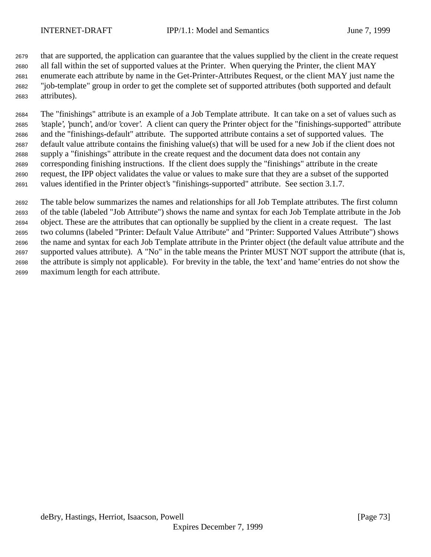that are supported, the application can guarantee that the values supplied by the client in the create request all fall within the set of supported values at the Printer. When querying the Printer, the client MAY enumerate each attribute by name in the Get-Printer-Attributes Request, or the client MAY just name the "job-template" group in order to get the complete set of supported attributes (both supported and default attributes).

 The "finishings" attribute is an example of a Job Template attribute. It can take on a set of values such as 'staple', 'punch', and/or 'cover'. A client can query the Printer object for the "finishings-supported" attribute and the "finishings-default" attribute. The supported attribute contains a set of supported values. The default value attribute contains the finishing value(s) that will be used for a new Job if the client does not supply a "finishings" attribute in the create request and the document data does not contain any corresponding finishing instructions. If the client does supply the "finishings" attribute in the create request, the IPP object validates the value or values to make sure that they are a subset of the supported values identified in the Printer object's "finishings-supported" attribute. See section 3.1.7.

 The table below summarizes the names and relationships for all Job Template attributes. The first column of the table (labeled "Job Attribute") shows the name and syntax for each Job Template attribute in the Job object. These are the attributes that can optionally be supplied by the client in a create request. The last two columns (labeled "Printer: Default Value Attribute" and "Printer: Supported Values Attribute") shows the name and syntax for each Job Template attribute in the Printer object (the default value attribute and the supported values attribute). A "No" in the table means the Printer MUST NOT support the attribute (that is, the attribute is simply not applicable). For brevity in the table, the 'text' and 'name' entries do not show the maximum length for each attribute.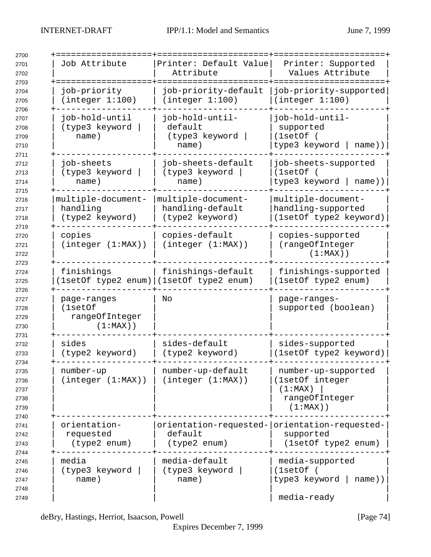| Job Attribute                                           | Printer: Default Value<br>Attribute                          | Printer: Supported<br>Values Attribute                                             |
|---------------------------------------------------------|--------------------------------------------------------------|------------------------------------------------------------------------------------|
| job-priority<br>(integer 1:100)                         | job-priority-default<br>(integer 1:100)                      | job-priority-supported<br>(integer 1:100)                                          |
| job-hold-until<br>(type3 keyword<br>name)               | job-hold-until-<br>default<br>(type3 keyword<br>name)        | job-hold-until-<br>supported<br>(1setOf)<br>type3 keyword<br>$name)$ )             |
| job-sheets<br>(type3 keyword<br>name)                   | job-sheets-default<br>(type3 keyword<br>name)                | job-sheets-supported<br>(1setOf)<br>type3 keyword  <br>$name)$ )                   |
| multiple-document-<br>handling<br>(type2 keyword)       | multiple-document-<br>handling-default<br>(type2 keyword)    | multiple-document-<br>handling-supported<br>(1setOf type2 keyword)                 |
| copies<br>(integer (1:MAX))                             | copies-default<br>(integer (1:MAX))                          | copies-supported<br>(rangeOfInteger<br>$(1:MAX)$ )                                 |
| finishings                                              | finishings-default<br>1setOf type2 enum) (1setOf type2 enum) | finishings-supported<br>(1setOf type2 enum)                                        |
| page-ranges<br>(1setOf<br>rangeOfInteger<br>$(1:MAX)$ ) | No                                                           | page-ranges-<br>supported (boolean)                                                |
| sides<br>(type2 keyword)                                | sides-default<br>(type2 keyword)                             | sides-supported<br>(1setOf type2 keyword)                                          |
| number-up<br>(integer (1:MAX))                          | number-up-default<br>(integer (1:MAX))                       | number-up-supported<br>(1setOf integer<br>(1:MAX)<br>rangeOfInteger<br>$(1:MAX)$ ) |
| orientation-<br>requested<br>(type2 enum)               | default<br>(type2 enum)                                      | orientation-requested- orientation-requested-<br>supported<br>(1setOf type2 enum)  |
| media<br>(type3 keyword<br>name)                        | media-default<br>(type3 keyword<br>name)                     | media-supported<br>(1setOf)<br>type3 keyword<br>$name)$ )<br>media-ready           |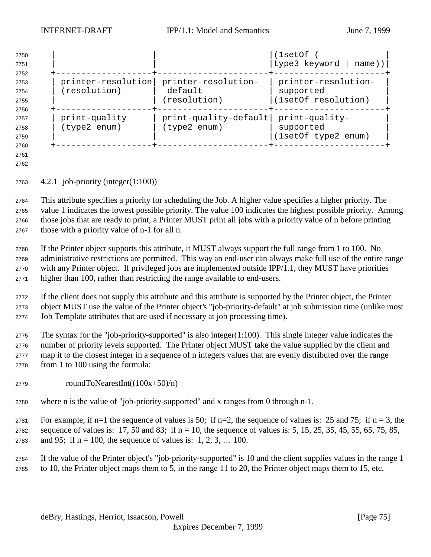| 2750<br>2751<br>2752 |               |                                        | (lsetOf<br> type3 keyword   name)) |
|----------------------|---------------|----------------------------------------|------------------------------------|
| 2753                 |               | printer-resolution printer-resolution- | printer-resolution-                |
|                      | (resolution)  | default                                | supported                          |
| 2754                 |               |                                        |                                    |
| 2755                 |               | (resolution)                           | (1setOf resolution)                |
| 2756                 |               |                                        |                                    |
| 2757                 | print-quality | $print-quality-default$                | print-quality-                     |
| 2758                 | (type2 enum)  | (type2 enum)                           | supported                          |
| 2759                 |               |                                        | (1setOf type2 enum)                |
| 2760                 |               |                                        |                                    |

 

4.2.1 job-priority (integer(1:100))

 This attribute specifies a priority for scheduling the Job. A higher value specifies a higher priority. The value 1 indicates the lowest possible priority. The value 100 indicates the highest possible priority. Among those jobs that are ready to print, a Printer MUST print all jobs with a priority value of n before printing those with a priority value of n-1 for all n.

 If the Printer object supports this attribute, it MUST always support the full range from 1 to 100. No administrative restrictions are permitted. This way an end-user can always make full use of the entire range with any Printer object. If privileged jobs are implemented outside IPP/1.1, they MUST have priorities higher than 100, rather than restricting the range available to end-users.

 If the client does not supply this attribute and this attribute is supported by the Printer object, the Printer object MUST use the value of the Printer object's "job-priority-default" at job submission time (unlike most Job Template attributes that are used if necessary at job processing time).

 The syntax for the "job-priority-supported" is also integer(1:100). This single integer value indicates the number of priority levels supported. The Printer object MUST take the value supplied by the client and map it to the closest integer in a sequence of n integers values that are evenly distributed over the range from 1 to 100 using the formula:

- roundToNearestInt( $(100x+50)/n$ )
- where n is the value of "job-priority-supported" and x ranges from 0 through n-1.

2781 For example, if n=1 the sequence of values is 50; if n=2, the sequence of values is: 25 and 75; if n = 3, the 2782 sequence of values is: 17, 50 and 83; if  $n = 10$ , the sequence of values is: 5, 15, 25, 35, 45, 55, 65, 75, 85, 2783 and 95; if  $n = 100$ , the sequence of values is: 1, 2, 3, ... 100.

 If the value of the Printer object's "job-priority-supported" is 10 and the client supplies values in the range 1 to 10, the Printer object maps them to 5, in the range 11 to 20, the Printer object maps them to 15, etc.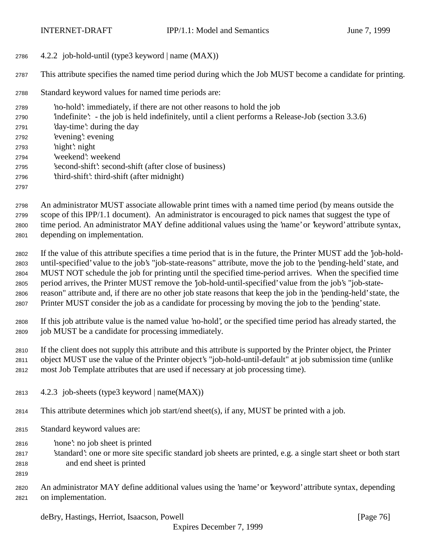4.2.2 job-hold-until (type3 keyword | name (MAX))

This attribute specifies the named time period during which the Job MUST become a candidate for printing.

Standard keyword values for named time periods are:

 'no-hold': immediately, if there are not other reasons to hold the job 'indefinite': - the job is held indefinitely, until a client performs a Release-Job (section 3.3.6) 'day-time': during the day 'evening': evening 'night': night 'weekend': weekend 'second-shift': second-shift (after close of business) 'third-shift': third-shift (after midnight) 

 An administrator MUST associate allowable print times with a named time period (by means outside the scope of this IPP/1.1 document). An administrator is encouraged to pick names that suggest the type of time period. An administrator MAY define additional values using the 'name' or 'keyword' attribute syntax, depending on implementation.

 If the value of this attribute specifies a time period that is in the future, the Printer MUST add the 'job-hold- until-specified' value to the job's "job-state-reasons" attribute, move the job to the 'pending-held' state, and MUST NOT schedule the job for printing until the specified time-period arrives. When the specified time period arrives, the Printer MUST remove the 'job-hold-until-specified' value from the job's "job-state- reason" attribute and, if there are no other job state reasons that keep the job in the 'pending-held' state, the Printer MUST consider the job as a candidate for processing by moving the job to the 'pending' state.

 If this job attribute value is the named value 'no-hold', or the specified time period has already started, the job MUST be a candidate for processing immediately.

 If the client does not supply this attribute and this attribute is supported by the Printer object, the Printer object MUST use the value of the Printer object's "job-hold-until-default" at job submission time (unlike most Job Template attributes that are used if necessary at job processing time).

- 2813  $4.2.3$  job-sheets (type3 keyword | name(MAX))
- This attribute determines which job start/end sheet(s), if any, MUST be printed with a job.
- Standard keyword values are:
- 'none': no job sheet is printed
- 'standard': one or more site specific standard job sheets are printed, e.g. a single start sheet or both start and end sheet is printed
- 
- An administrator MAY define additional values using the 'name' or 'keyword' attribute syntax, depending on implementation.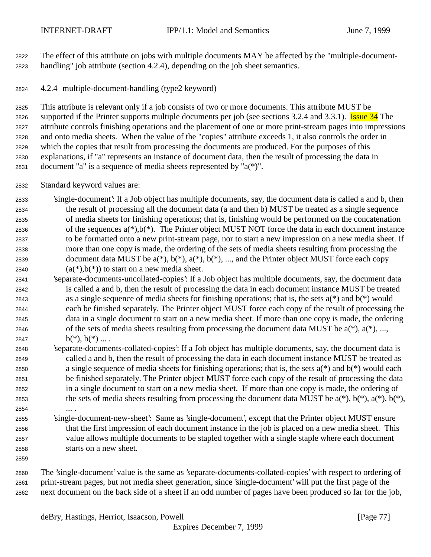The effect of this attribute on jobs with multiple documents MAY be affected by the "multiple-document-handling" job attribute (section 4.2.4), depending on the job sheet semantics.

4.2.4 multiple-document-handling (type2 keyword)

 This attribute is relevant only if a job consists of two or more documents. This attribute MUST be 2826 supported if the Printer supports multiple documents per job (see sections 3.2.4 and 3.3.1). Issue 34 The attribute controls finishing operations and the placement of one or more print-stream pages into impressions and onto media sheets. When the value of the "copies" attribute exceeds 1, it also controls the order in which the copies that result from processing the documents are produced. For the purposes of this explanations, if "a" represents an instance of document data, then the result of processing the data in document "a" is a sequence of media sheets represented by "a(\*)".

Standard keyword values are:

 'single-document': If a Job object has multiple documents, say, the document data is called a and b, then the result of processing all the document data (a and then b) MUST be treated as a single sequence of media sheets for finishing operations; that is, finishing would be performed on the concatenation 2836 of the sequences  $a(*)$ ,  $b(*)$ . The Printer object MUST NOT force the data in each document instance to be formatted onto a new print-stream page, nor to start a new impression on a new media sheet. If more than one copy is made, the ordering of the sets of media sheets resulting from processing the 2839 document data MUST be  $a(*)$ ,  $b(*)$ ,  $a(*)$ ,  $b(*)$ , ..., and the Printer object MUST force each copy  $(a<sup>*</sup>)$ ,  $b<sup>*</sup>$ ) to start on a new media sheet.

- 'separate-documents-uncollated-copies': If a Job object has multiple documents, say, the document data is called a and b, then the result of processing the data in each document instance MUST be treated 2843 as a single sequence of media sheets for finishing operations; that is, the sets  $a^{(*)}$  and  $b^{(*)}$  would each be finished separately. The Printer object MUST force each copy of the result of processing the data in a single document to start on a new media sheet. If more than one copy is made, the ordering 2846 of the sets of media sheets resulting from processing the document data MUST be  $a(*)$ ,  $a(*)$ , ..., 2847 b(\*),  $b(*)$ , ...
- 'separate-documents-collated-copies': If a Job object has multiple documents, say, the document data is called a and b, then the result of processing the data in each document instance MUST be treated as a single sequence of media sheets for finishing operations; that is, the sets a(\*) and b(\*) would each be finished separately. The Printer object MUST force each copy of the result of processing the data in a single document to start on a new media sheet. If more than one copy is made, the ordering of 2853 the sets of media sheets resulting from processing the document data MUST be  $a(*)$ ,  $b(*)$ ,  $a(*)$ ,  $b(*)$ ,  $b(*)$ , ... .
- 'single-document-new-sheet': Same as 'single-document', except that the Printer object MUST ensure that the first impression of each document instance in the job is placed on a new media sheet. This value allows multiple documents to be stapled together with a single staple where each document starts on a new sheet.
- 

 The 'single-document' value is the same as 'separate-documents-collated-copies' with respect to ordering of print-stream pages, but not media sheet generation, since 'single-document' will put the first page of the next document on the back side of a sheet if an odd number of pages have been produced so far for the job,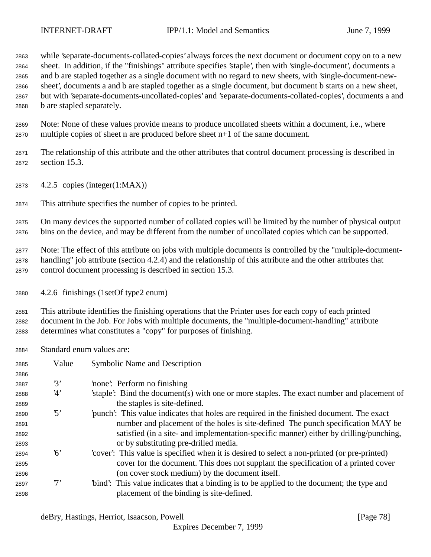while 'separate-documents-collated-copies' always forces the next document or document copy on to a new sheet. In addition, if the "finishings" attribute specifies 'staple', then with 'single-document', documents a and b are stapled together as a single document with no regard to new sheets, with 'single-document-new- sheet', documents a and b are stapled together as a single document, but document b starts on a new sheet, but with 'separate-documents-uncollated-copies' and 'separate-documents-collated-copies', documents a and b are stapled separately.

 Note: None of these values provide means to produce uncollated sheets within a document, i.e., where multiple copies of sheet n are produced before sheet n+1 of the same document.

 The relationship of this attribute and the other attributes that control document processing is described in section 15.3.

- 4.2.5 copies (integer(1:MAX))
- This attribute specifies the number of copies to be printed.

 On many devices the supported number of collated copies will be limited by the number of physical output bins on the device, and may be different from the number of uncollated copies which can be supported.

 Note: The effect of this attribute on jobs with multiple documents is controlled by the "multiple-document- handling" job attribute (section 4.2.4) and the relationship of this attribute and the other attributes that control document processing is described in section 15.3.

4.2.6 finishings (1setOf type2 enum)

 This attribute identifies the finishing operations that the Printer uses for each copy of each printed document in the Job. For Jobs with multiple documents, the "multiple-document-handling" attribute determines what constitutes a "copy" for purposes of finishing.

Standard enum values are:

| 2885 | Value      | <b>Symbolic Name and Description</b>                                                       |
|------|------------|--------------------------------------------------------------------------------------------|
| 2886 |            |                                                                                            |
| 2887 | 3'         | none: Perform no finishing                                                                 |
| 2888 | 4'         | staple. Bind the document (s) with one or more staples. The exact number and placement of  |
| 2889 |            | the staples is site-defined.                                                               |
| 2890 | $\cdot$ 5' | punch': This value indicates that holes are required in the finished document. The exact   |
| 2891 |            | number and placement of the holes is site-defined. The punch specification MAY be          |
| 2892 |            | satisfied (in a site- and implementation-specific manner) either by drilling/punching,     |
| 2893 |            | or by substituting pre-drilled media.                                                      |
| 2894 | 6'         | cover. This value is specified when it is desired to select a non-printed (or pre-printed) |
| 2895 |            | cover for the document. This does not supplant the specification of a printed cover        |
| 2896 |            | (on cover stock medium) by the document itself.                                            |
| 2897 | $7^,$      | "bind": This value indicates that a binding is to be applied to the document; the type and |
| 2898 |            | placement of the binding is site-defined.                                                  |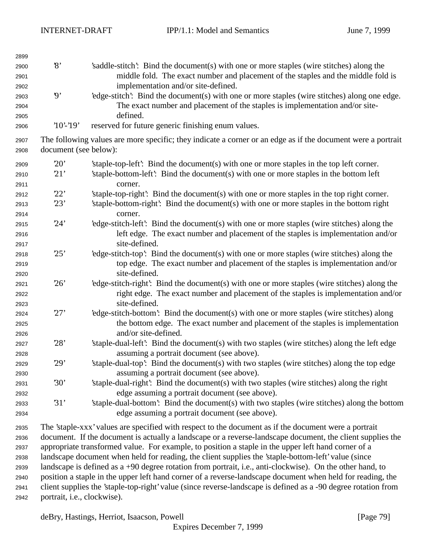| 2899 |                          |                                                                                                                |
|------|--------------------------|----------------------------------------------------------------------------------------------------------------|
| 2900 | $\mathcal{S}$            | 's addle-stitch': Bind the document(s) with one or more staples (wire stitches) along the                      |
| 2901 |                          | middle fold. The exact number and placement of the staples and the middle fold is                              |
| 2902 |                          | implementation and/or site-defined.                                                                            |
| 2903 | $\boldsymbol{\vartheta}$ | 'edge-stitch': Bind the document(s) with one or more staples (wire stitches) along one edge.                   |
| 2904 |                          | The exact number and placement of the staples is implementation and/or site-                                   |
| 2905 |                          | defined.                                                                                                       |
| 2906 | $'10'$ -'19'             | reserved for future generic finishing enum values.                                                             |
| 2907 |                          | The following values are more specific; they indicate a corner or an edge as if the document were a portrait   |
| 2908 | document (see below):    |                                                                                                                |
| 2909 | 20'                      | 'staple-top-left': Bind the document(s) with one or more staples in the top left corner.                       |
| 2910 | 21'                      | 'staple-bottom-left': Bind the document(s) with one or more staples in the bottom left                         |
| 2911 |                          | corner.                                                                                                        |
| 2912 | 22'                      | 'staple-top-right': Bind the document(s) with one or more staples in the top right corner.                     |
| 2913 | 23'                      | 'staple-bottom-right': Bind the document(s) with one or more staples in the bottom right                       |
| 2914 |                          | corner.                                                                                                        |
| 2915 | 24'                      | 'edge-stitch-left': Bind the document(s) with one or more staples (wire stitches) along the                    |
| 2916 |                          | left edge. The exact number and placement of the staples is implementation and/or                              |
| 2917 |                          | site-defined.                                                                                                  |
| 2918 | 25'                      | 'edge-stitch-top': Bind the document(s) with one or more staples (wire stitches) along the                     |
| 2919 |                          | top edge. The exact number and placement of the staples is implementation and/or                               |
| 2920 |                          | site-defined.                                                                                                  |
| 2921 | 26'                      | 'edge-stitch-right': Bind the document(s) with one or more staples (wire stitches) along the                   |
| 2922 |                          | right edge. The exact number and placement of the staples is implementation and/or                             |
| 2923 |                          | site-defined.                                                                                                  |
| 2924 | 27'                      | 'edge-stitch-bottom': Bind the document(s) with one or more staples (wire stitches) along                      |
| 2925 |                          | the bottom edge. The exact number and placement of the staples is implementation                               |
| 2926 |                          | and/or site-defined.                                                                                           |
| 2927 | 28'                      | 'staple-dual-left': Bind the document(s) with two staples (wire stitches) along the left edge                  |
| 2928 |                          | assuming a portrait document (see above).                                                                      |
| 2929 | 29'                      | 'staple-dual-top': Bind the document(s) with two staples (wire stitches) along the top edge                    |
| 2930 |                          | assuming a portrait document (see above).                                                                      |
| 2931 | 30'                      | 'staple-dual-right': Bind the document(s) with two staples (wire stitches) along the right                     |
| 2932 |                          | edge assuming a portrait document (see above).                                                                 |
| 2933 | 31'                      | 'staple-dual-bottom': Bind the document(s) with two staples (wire stitches) along the bottom                   |
| 2934 |                          | edge assuming a portrait document (see above).                                                                 |
| 2935 |                          | The 'staple-xxx' values are specified with respect to the document as if the document were a portrait          |
| 2936 |                          | document. If the document is actually a landscape or a reverse-landscape document, the client supplies the     |
| 2937 |                          | appropriate transformed value. For example, to position a staple in the upper left hand corner of a            |
| 2938 |                          | landscape document when held for reading, the client supplies the 'staple-bottom-left' value (since            |
| 2939 |                          | landscape is defined as a +90 degree rotation from portrait, i.e., anti-clockwise). On the other hand, to      |
| 2940 |                          | position a staple in the upper left hand corner of a reverse-landscape document when held for reading, the     |
| 2941 |                          | client supplies the 'staple-top-right' value (since reverse-landscape is defined as a -90 degree rotation from |

portrait, i.e., clockwise).

deBry, Hastings, Herriot, Isaacson, Powell [Page 79]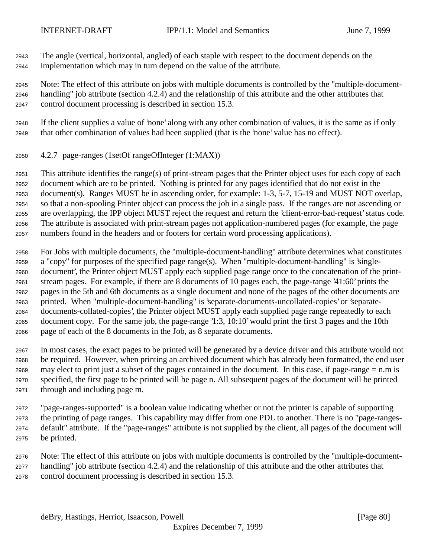The angle (vertical, horizontal, angled) of each staple with respect to the document depends on the implementation which may in turn depend on the value of the attribute.

 Note: The effect of this attribute on jobs with multiple documents is controlled by the "multiple-document- handling" job attribute (section 4.2.4) and the relationship of this attribute and the other attributes that control document processing is described in section 15.3.

 If the client supplies a value of 'none' along with any other combination of values, it is the same as if only that other combination of values had been supplied (that is the 'none' value has no effect).

4.2.7 page-ranges (1setOf rangeOfInteger (1:MAX))

 This attribute identifies the range(s) of print-stream pages that the Printer object uses for each copy of each document which are to be printed. Nothing is printed for any pages identified that do not exist in the document(s). Ranges MUST be in ascending order, for example: 1-3, 5-7, 15-19 and MUST NOT overlap, so that a non-spooling Printer object can process the job in a single pass. If the ranges are not ascending or are overlapping, the IPP object MUST reject the request and return the 'client-error-bad-request' status code. The attribute is associated with print-stream pages not application-numbered pages (for example, the page numbers found in the headers and or footers for certain word processing applications).

 For Jobs with multiple documents, the "multiple-document-handling" attribute determines what constitutes a "copy" for purposes of the specified page range(s). When "multiple-document-handling" is 'single- document', the Printer object MUST apply each supplied page range once to the concatenation of the print- stream pages. For example, if there are 8 documents of 10 pages each, the page-range '41:60' prints the pages in the 5th and 6th documents as a single document and none of the pages of the other documents are printed. When "multiple-document-handling" is 'separate-documents-uncollated-copies' or 'separate- documents-collated-copies', the Printer object MUST apply each supplied page range repeatedly to each document copy. For the same job, the page-range '1:3, 10:10' would print the first 3 pages and the 10th page of each of the 8 documents in the Job, as 8 separate documents.

 In most cases, the exact pages to be printed will be generated by a device driver and this attribute would not be required. However, when printing an archived document which has already been formatted, the end user 2969 may elect to print just a subset of the pages contained in the document. In this case, if page-range  $= n.m$  is specified, the first page to be printed will be page n. All subsequent pages of the document will be printed through and including page m.

 "page-ranges-supported" is a boolean value indicating whether or not the printer is capable of supporting the printing of page ranges. This capability may differ from one PDL to another. There is no "page-ranges- default" attribute. If the "page-ranges" attribute is not supplied by the client, all pages of the document will be printed.

 Note: The effect of this attribute on jobs with multiple documents is controlled by the "multiple-document- handling" job attribute (section 4.2.4) and the relationship of this attribute and the other attributes that control document processing is described in section 15.3.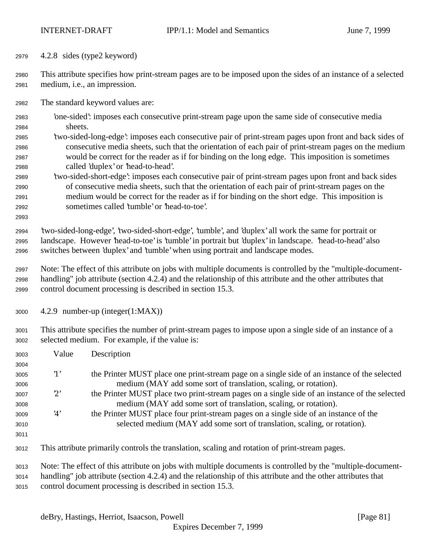4.2.8 sides (type2 keyword)

 This attribute specifies how print-stream pages are to be imposed upon the sides of an instance of a selected medium, i.e., an impression.

The standard keyword values are:

- 'one-sided': imposes each consecutive print-stream page upon the same side of consecutive media sheets.
- 'two-sided-long-edge': imposes each consecutive pair of print-stream pages upon front and back sides of consecutive media sheets, such that the orientation of each pair of print-stream pages on the medium would be correct for the reader as if for binding on the long edge. This imposition is sometimes called 'duplex' or 'head-to-head'.
- 'two-sided-short-edge': imposes each consecutive pair of print-stream pages upon front and back sides of consecutive media sheets, such that the orientation of each pair of print-stream pages on the medium would be correct for the reader as if for binding on the short edge. This imposition is sometimes called 'tumble' or 'head-to-toe'.
- 'two-sided-long-edge', 'two-sided-short-edge', 'tumble', and 'duplex' all work the same for portrait or landscape. However 'head-to-toe' is 'tumble' in portrait but 'duplex' in landscape. 'head-to-head' also switches between 'duplex' and 'tumble' when using portrait and landscape modes.
- Note: The effect of this attribute on jobs with multiple documents is controlled by the "multiple-document- handling" job attribute (section 4.2.4) and the relationship of this attribute and the other attributes that control document processing is described in section 15.3.
- 4.2.9 number-up (integer(1:MAX))
- This attribute specifies the number of print-stream pages to impose upon a single side of an instance of a selected medium. For example, if the value is:

| 3003 | Value        | Description                                                                                                  |
|------|--------------|--------------------------------------------------------------------------------------------------------------|
| 3004 |              |                                                                                                              |
| 3005 | $\cdot_1$    | the Printer MUST place one print-stream page on a single side of an instance of the selected                 |
| 3006 |              | medium (MAY add some sort of translation, scaling, or rotation).                                             |
| 3007 | $2^{\prime}$ | the Printer MUST place two print-stream pages on a single side of an instance of the selected                |
| 3008 |              | medium (MAY add some sort of translation, scaling, or rotation).                                             |
| 3009 | 4'           | the Printer MUST place four print-stream pages on a single side of an instance of the                        |
| 3010 |              | selected medium (MAY add some sort of translation, scaling, or rotation).                                    |
| 3011 |              |                                                                                                              |
| 3012 |              | This attribute primarily controls the translation, scaling and rotation of print-stream pages.               |
| 3013 |              | Note: The effect of this attribute on jobs with multiple documents is controlled by the "multiple-document-  |
| 3014 |              | handling" job attribute (section 4.2.4) and the relationship of this attribute and the other attributes that |

control document processing is described in section 15.3.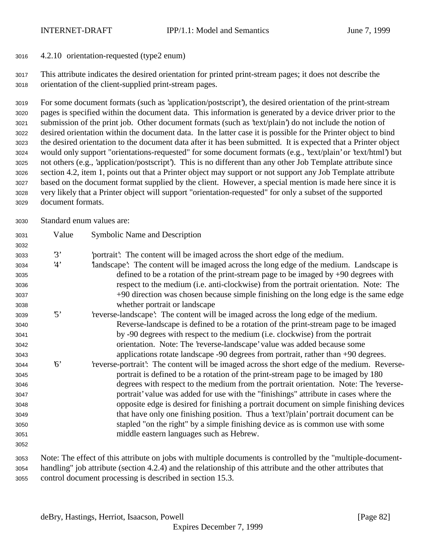4.2.10 orientation-requested (type2 enum)

 This attribute indicates the desired orientation for printed print-stream pages; it does not describe the orientation of the client-supplied print-stream pages.

 For some document formats (such as 'application/postscript'), the desired orientation of the print-stream pages is specified within the document data. This information is generated by a device driver prior to the submission of the print job. Other document formats (such as 'text/plain') do not include the notion of desired orientation within the document data. In the latter case it is possible for the Printer object to bind the desired orientation to the document data after it has been submitted. It is expected that a Printer object would only support "orientations-requested" for some document formats (e.g., 'text/plain' or 'text/html') but not others (e.g., 'application/postscript'). This is no different than any other Job Template attribute since section 4.2, item 1, points out that a Printer object may support or not support any Job Template attribute based on the document format supplied by the client. However, a special mention is made here since it is very likely that a Printer object will support "orientation-requested" for only a subset of the supported document formats.

Standard enum values are:

| 3031 | Value      | <b>Symbolic Name and Description</b>                                                         |
|------|------------|----------------------------------------------------------------------------------------------|
| 3032 |            |                                                                                              |
| 3033 | 3'         | portrait: The content will be imaged across the short edge of the medium.                    |
| 3034 | 4'         | landscape': The content will be imaged across the long edge of the medium. Landscape is      |
| 3035 |            | defined to be a rotation of the print-stream page to be imaged by $+90$ degrees with         |
| 3036 |            | respect to the medium (i.e. anti-clockwise) from the portrait orientation. Note: The         |
| 3037 |            | +90 direction was chosen because simple finishing on the long edge is the same edge          |
| 3038 |            | whether portrait or landscape                                                                |
| 3039 | $\cdot$ 5' | 'reverse-landscape': The content will be imaged across the long edge of the medium.          |
| 3040 |            | Reverse-landscape is defined to be a rotation of the print-stream page to be imaged          |
| 3041 |            | by -90 degrees with respect to the medium (i.e. clockwise) from the portrait                 |
| 3042 |            | orientation. Note: The 'reverse-landscape' value was added because some                      |
| 3043 |            | applications rotate landscape -90 degrees from portrait, rather than +90 degrees.            |
| 3044 | 6'         | 'reverse-portrait': The content will be imaged across the short edge of the medium. Reverse- |
| 3045 |            | portrait is defined to be a rotation of the print-stream page to be imaged by 180            |
| 3046 |            | degrees with respect to the medium from the portrait orientation. Note: The 'reverse-        |
| 3047 |            | portrait' value was added for use with the "finishings" attribute in cases where the         |
| 3048 |            | opposite edge is desired for finishing a portrait document on simple finishing devices       |
| 3049 |            | that have only one finishing position. Thus a 'text'/plain' portrait document can be         |
| 3050 |            | stapled "on the right" by a simple finishing device as is common use with some               |
| 3051 |            | middle eastern languages such as Hebrew.                                                     |
| 3052 |            |                                                                                              |
|      |            |                                                                                              |

 Note: The effect of this attribute on jobs with multiple documents is controlled by the "multiple-document- handling" job attribute (section 4.2.4) and the relationship of this attribute and the other attributes that control document processing is described in section 15.3.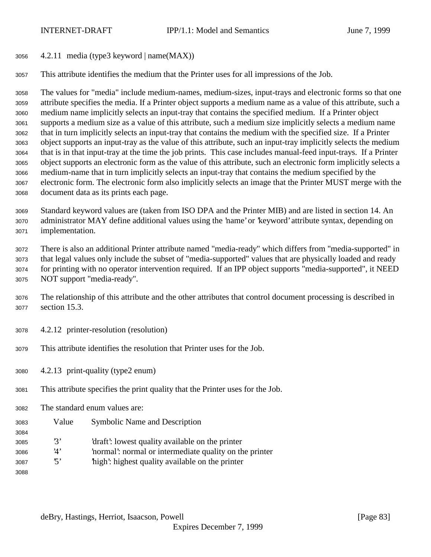- 4.2.11 media (type3 keyword | name(MAX))
- This attribute identifies the medium that the Printer uses for all impressions of the Job.

 The values for "media" include medium-names, medium-sizes, input-trays and electronic forms so that one attribute specifies the media. If a Printer object supports a medium name as a value of this attribute, such a medium name implicitly selects an input-tray that contains the specified medium. If a Printer object supports a medium size as a value of this attribute, such a medium size implicitly selects a medium name that in turn implicitly selects an input-tray that contains the medium with the specified size. If a Printer object supports an input-tray as the value of this attribute, such an input-tray implicitly selects the medium that is in that input-tray at the time the job prints. This case includes manual-feed input-trays. If a Printer object supports an electronic form as the value of this attribute, such an electronic form implicitly selects a medium-name that in turn implicitly selects an input-tray that contains the medium specified by the electronic form. The electronic form also implicitly selects an image that the Printer MUST merge with the document data as its prints each page.

 Standard keyword values are (taken from ISO DPA and the Printer MIB) and are listed in section 14. An administrator MAY define additional values using the 'name' or 'keyword' attribute syntax, depending on implementation.

 There is also an additional Printer attribute named "media-ready" which differs from "media-supported" in that legal values only include the subset of "media-supported" values that are physically loaded and ready for printing with no operator intervention required. If an IPP object supports "media-supported", it NEED NOT support "media-ready".

- The relationship of this attribute and the other attributes that control document processing is described in section 15.3.
- 4.2.12 printer-resolution (resolution)
- This attribute identifies the resolution that Printer uses for the Job.
- 4.2.13 print-quality (type2 enum)
- This attribute specifies the print quality that the Printer uses for the Job.
- The standard enum values are:
- Value Symbolic Name and Description
- '3' 'draft': lowest quality available on the printer
- '4' 'normal': normal or intermediate quality on the printer
- '5' 'high': highest quality available on the printer
-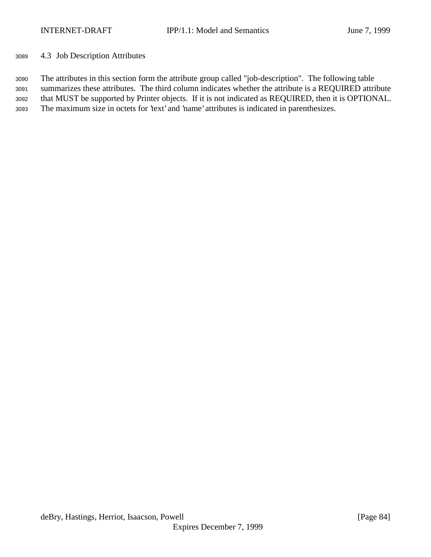4.3 Job Description Attributes

 The attributes in this section form the attribute group called "job-description". The following table summarizes these attributes. The third column indicates whether the attribute is a REQUIRED attribute that MUST be supported by Printer objects. If it is not indicated as REQUIRED, then it is OPTIONAL. The maximum size in octets for 'text' and 'name' attributes is indicated in parenthesizes.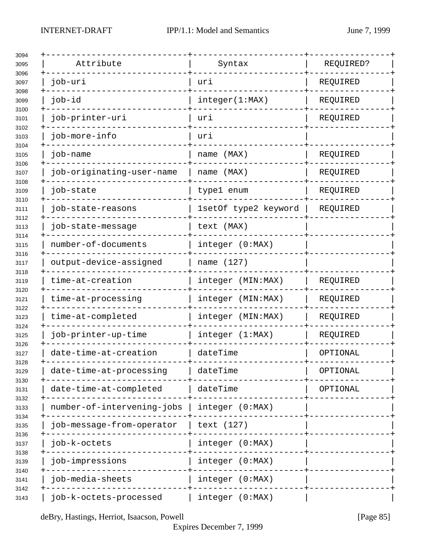| Attribute                  | Syntax               | REQUIRED? |  |
|----------------------------|----------------------|-----------|--|
| job-uri                    | uri                  | REQUIRED  |  |
| job-id                     | integer(1:MAX)       | REQUIRED  |  |
| job-printer-uri            | uri                  | REQUIRED  |  |
| job-more-info              | uri                  |           |  |
| job-name                   | name (MAX)           | REQUIRED  |  |
| job-originating-user-name  | name (MAX)           | REQUIRED  |  |
| job-state                  | type1 enum           | REQUIRED  |  |
| job-state-reasons          | 1setOf type2 keyword | REQUIRED  |  |
| job-state-message          | text (MAX)           |           |  |
| number-of-documents        | integer (0:MAX)      |           |  |
| output-device-assigned     | name (127)           |           |  |
| time-at-creation           | integer (MIN:MAX)    | REQUIRED  |  |
| time-at-processing         | integer (MIN:MAX)    | REQUIRED  |  |
| time-at-completed          | integer (MIN:MAX)    | REQUIRED  |  |
| job-printer-up-time        | integer (1:MAX)      | REQUIRED  |  |
| date-time-at-creation      | dateTime             | OPTIONAL  |  |
| date-time-at-processing    | dateTime             | OPTIONAL  |  |
| date-time-at-completed     | dateTime             | OPTIONAL  |  |
| number-of-intervening-jobs | integer (0:MAX)      |           |  |
| job-message-from-operator  | text (127)           |           |  |
| job-k-octets               | integer (0:MAX)      |           |  |
| job-impressions            | integer (0:MAX)      |           |  |
| job-media-sheets           | integer (0:MAX)      |           |  |
| job-k-octets-processed     | integer (0:MAX)      |           |  |

deBry, Hastings, Herriot, Isaacson, Powell [Page 85]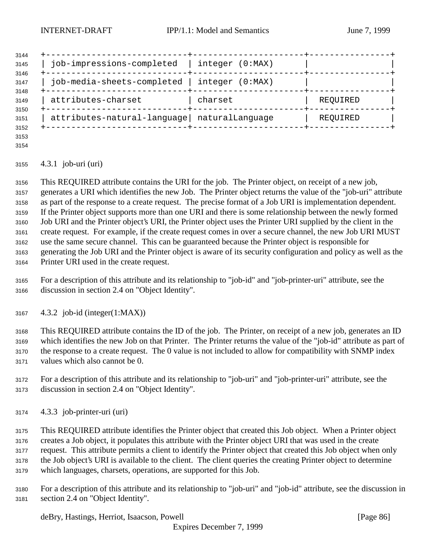| 3144<br>3145         | job-impressions-completed                   | integer (0:MAX)    |          |  |
|----------------------|---------------------------------------------|--------------------|----------|--|
| 3146<br>3147<br>3148 | job-media-sheets-completed                  | integer<br>(0:MAX) |          |  |
| 3149<br>3150         | attributes-charset                          | charset            | REQUIRED |  |
| 3151<br>3152         | attributes-natural-language naturalLanguage |                    | REQUIRED |  |
|                      |                                             |                    |          |  |

 

## 4.3.1 job-uri (uri)

 This REQUIRED attribute contains the URI for the job. The Printer object, on receipt of a new job, generates a URI which identifies the new Job. The Printer object returns the value of the "job-uri" attribute as part of the response to a create request. The precise format of a Job URI is implementation dependent. If the Printer object supports more than one URI and there is some relationship between the newly formed Job URI and the Printer object's URI, the Printer object uses the Printer URI supplied by the client in the create request. For example, if the create request comes in over a secure channel, the new Job URI MUST use the same secure channel. This can be guaranteed because the Printer object is responsible for generating the Job URI and the Printer object is aware of its security configuration and policy as well as the Printer URI used in the create request.

 For a description of this attribute and its relationship to "job-id" and "job-printer-uri" attribute, see the discussion in section 2.4 on "Object Identity".

4.3.2 job-id (integer(1:MAX))

 This REQUIRED attribute contains the ID of the job. The Printer, on receipt of a new job, generates an ID which identifies the new Job on that Printer. The Printer returns the value of the "job-id" attribute as part of the response to a create request. The 0 value is not included to allow for compatibility with SNMP index values which also cannot be 0.

- For a description of this attribute and its relationship to "job-uri" and "job-printer-uri" attribute, see the discussion in section 2.4 on "Object Identity".
- 4.3.3 job-printer-uri (uri)

 This REQUIRED attribute identifies the Printer object that created this Job object. When a Printer object creates a Job object, it populates this attribute with the Printer object URI that was used in the create request. This attribute permits a client to identify the Printer object that created this Job object when only the Job object's URI is available to the client. The client queries the creating Printer object to determine which languages, charsets, operations, are supported for this Job.

 For a description of this attribute and its relationship to "job-uri" and "job-id" attribute, see the discussion in section 2.4 on "Object Identity".

deBry, Hastings, Herriot, Isaacson, Powell [Page 86]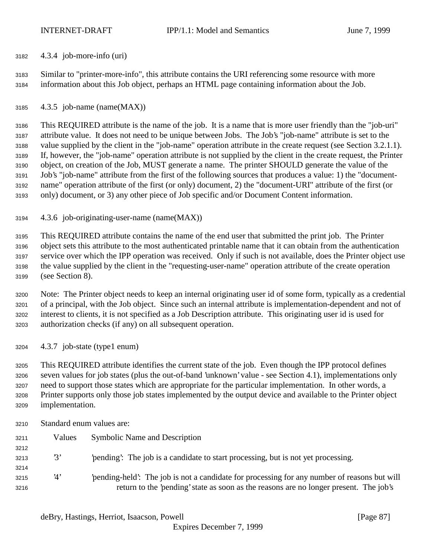4.3.4 job-more-info (uri)

 Similar to "printer-more-info", this attribute contains the URI referencing some resource with more information about this Job object, perhaps an HTML page containing information about the Job.

4.3.5 job-name (name(MAX))

 This REQUIRED attribute is the name of the job. It is a name that is more user friendly than the "job-uri" attribute value. It does not need to be unique between Jobs. The Job's "job-name" attribute is set to the value supplied by the client in the "job-name" operation attribute in the create request (see Section 3.2.1.1). If, however, the "job-name" operation attribute is not supplied by the client in the create request, the Printer object, on creation of the Job, MUST generate a name. The printer SHOULD generate the value of the Job's "job-name" attribute from the first of the following sources that produces a value: 1) the "document- name" operation attribute of the first (or only) document, 2) the "document-URI" attribute of the first (or only) document, or 3) any other piece of Job specific and/or Document Content information.

4.3.6 job-originating-user-name (name(MAX))

 This REQUIRED attribute contains the name of the end user that submitted the print job. The Printer object sets this attribute to the most authenticated printable name that it can obtain from the authentication service over which the IPP operation was received. Only if such is not available, does the Printer object use the value supplied by the client in the "requesting-user-name" operation attribute of the create operation (see Section 8).

 Note: The Printer object needs to keep an internal originating user id of some form, typically as a credential of a principal, with the Job object. Since such an internal attribute is implementation-dependent and not of interest to clients, it is not specified as a Job Description attribute. This originating user id is used for authorization checks (if any) on all subsequent operation.

4.3.7 job-state (type1 enum)

 This REQUIRED attribute identifies the current state of the job. Even though the IPP protocol defines seven values for job states (plus the out-of-band 'unknown' value - see Section 4.1), implementations only need to support those states which are appropriate for the particular implementation. In other words, a Printer supports only those job states implemented by the output device and available to the Printer object implementation.

Standard enum values are:

| Values | <b>Symbolic Name and Description</b>                                                         |
|--------|----------------------------------------------------------------------------------------------|
|        |                                                                                              |
| 3'     | pending. The job is a candidate to start processing, but is not yet processing.              |
|        |                                                                                              |
| '4'    | 'pending-held': The job is not a candidate for processing for any number of reasons but will |
|        | return to the 'pending' state as soon as the reasons are no longer present. The job's        |
|        |                                                                                              |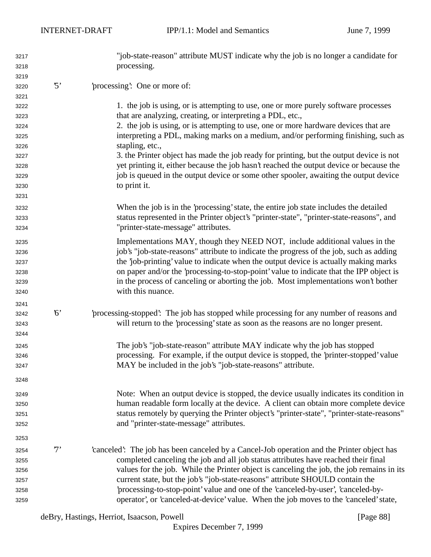| 3217 |             | "job-state-reason" attribute MUST indicate why the job is no longer a candidate for        |
|------|-------------|--------------------------------------------------------------------------------------------|
| 3218 |             | processing.                                                                                |
| 3219 |             |                                                                                            |
| 3220 | $\cdot$ 5'  | 'processing': One or more of:                                                              |
| 3221 |             |                                                                                            |
| 3222 |             | 1. the job is using, or is attempting to use, one or more purely software processes        |
| 3223 |             | that are analyzing, creating, or interpreting a PDL, etc.,                                 |
| 3224 |             | 2. the job is using, or is attempting to use, one or more hardware devices that are        |
| 3225 |             | interpreting a PDL, making marks on a medium, and/or performing finishing, such as         |
| 3226 |             | stapling, etc.,                                                                            |
| 3227 |             | 3. the Printer object has made the job ready for printing, but the output device is not    |
| 3228 |             | yet printing it, either because the job hasn't reached the output device or because the    |
| 3229 |             | job is queued in the output device or some other spooler, awaiting the output device       |
| 3230 |             | to print it.                                                                               |
| 3231 |             |                                                                                            |
| 3232 |             | When the job is in the 'processing' state, the entire job state includes the detailed      |
| 3233 |             | status represented in the Printer object's "printer-state", "printer-state-reasons", and   |
| 3234 |             | "printer-state-message" attributes.                                                        |
| 3235 |             | Implementations MAY, though they NEED NOT, include additional values in the                |
| 3236 |             | job's "job-state-reasons" attribute to indicate the progress of the job, such as adding    |
| 3237 |             | the 'job-printing' value to indicate when the output device is actually making marks       |
| 3238 |             | on paper and/or the 'processing-to-stop-point' value to indicate that the IPP object is    |
| 3239 |             | in the process of canceling or aborting the job. Most implementations won't bother         |
| 3240 |             | with this nuance.                                                                          |
| 3241 |             |                                                                                            |
| 3242 | $6^{\circ}$ | processing-stopped: The job has stopped while processing for any number of reasons and     |
| 3243 |             | will return to the 'processing' state as soon as the reasons are no longer present.        |
| 3244 |             |                                                                                            |
| 3245 |             | The job's "job-state-reason" attribute MAY indicate why the job has stopped                |
| 3246 |             | processing. For example, if the output device is stopped, the 'printer-stopped' value      |
| 3247 |             | MAY be included in the job's "job-state-reasons" attribute.                                |
| 3248 |             |                                                                                            |
| 3249 |             | Note: When an output device is stopped, the device usually indicates its condition in      |
| 3250 |             | human readable form locally at the device. A client can obtain more complete device        |
| 3251 |             | status remotely by querying the Printer object's "printer-state", "printer-state-reasons"  |
| 3252 |             | and "printer-state-message" attributes.                                                    |
| 3253 |             |                                                                                            |
| 3254 | 7'          | 'canceled': The job has been canceled by a Cancel-Job operation and the Printer object has |
| 3255 |             | completed canceling the job and all job status attributes have reached their final         |
| 3256 |             | values for the job. While the Printer object is canceling the job, the job remains in its  |
| 3257 |             | current state, but the job's "job-state-reasons" attribute SHOULD contain the              |
| 3258 |             | 'processing-to-stop-point' value and one of the 'canceled-by-user', 'canceled-by-          |
| 3259 |             | operator', or 'canceled-at-device' value. When the job moves to the 'canceled' state,      |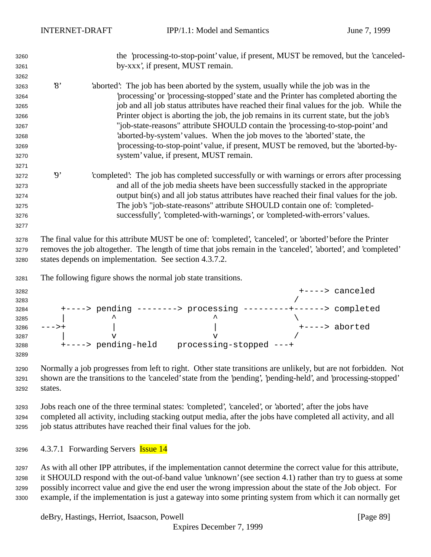| 3260<br>3261         | the 'processing-to-stop-point' value, if present, MUST be removed, but the 'canceled-<br>by-xxx', if present, MUST remain.                                                                                                                  |
|----------------------|---------------------------------------------------------------------------------------------------------------------------------------------------------------------------------------------------------------------------------------------|
| 3262                 |                                                                                                                                                                                                                                             |
| 3263                 | $\mathcal{S}$<br>'aborted': The job has been aborted by the system, usually while the job was in the                                                                                                                                        |
| 3264                 | processing' or 'processing-stopped' state and the Printer has completed aborting the                                                                                                                                                        |
| 3265                 | job and all job status attributes have reached their final values for the job. While the                                                                                                                                                    |
| 3266                 | Printer object is aborting the job, the job remains in its current state, but the job's                                                                                                                                                     |
| 3267                 | "job-state-reasons" attribute SHOULD contain the 'processing-to-stop-point' and                                                                                                                                                             |
| 3268                 | 'aborted-by-system' values. When the job moves to the 'aborted' state, the                                                                                                                                                                  |
| 3269                 | processing-to-stop-point' value, if present, MUST be removed, but the 'aborted-by-                                                                                                                                                          |
| 3270                 | system' value, if present, MUST remain.                                                                                                                                                                                                     |
| 3271                 |                                                                                                                                                                                                                                             |
| 3272                 | $\boldsymbol{\vartheta}$<br>completed: The job has completed successfully or with warnings or errors after processing                                                                                                                       |
| 3273                 | and all of the job media sheets have been successfully stacked in the appropriate                                                                                                                                                           |
| 3274                 | output bin(s) and all job status attributes have reached their final values for the job.                                                                                                                                                    |
| 3275                 | The job's "job-state-reasons" attribute SHOULD contain one of: 'completed-                                                                                                                                                                  |
| 3276                 | successfully', 'completed-with-warnings', or 'completed-with-errors' values.                                                                                                                                                                |
| 3277                 |                                                                                                                                                                                                                                             |
| 3279<br>3280         | removes the job altogether. The length of time that jobs remain in the 'canceled', 'aborted', and 'completed'<br>states depends on implementation. See section 4.3.7.2.                                                                     |
| 3281                 | The following figure shows the normal job state transitions.                                                                                                                                                                                |
| 3282                 | +----> canceled                                                                                                                                                                                                                             |
| 3283                 |                                                                                                                                                                                                                                             |
| 3284                 | +----> pending --------> processing ---------+------> completed                                                                                                                                                                             |
| 3285                 |                                                                                                                                                                                                                                             |
| 3286                 | +----> aborted<br>$--->+$<br>$\overline{V}$                                                                                                                                                                                                 |
| 3287<br>3288         | +----> pending-held    processing-stopped ---+                                                                                                                                                                                              |
| 3289                 |                                                                                                                                                                                                                                             |
| 3290<br>3291<br>3292 | Normally a job progresses from left to right. Other state transitions are unlikely, but are not forbidden. Not<br>shown are the transitions to the 'canceled' state from the 'pending', 'pending-held', and 'processing-stopped'<br>states. |
| 3293                 | Jobs reach one of the three terminal states: 'completed', 'canceled', or 'aborted', after the jobs have                                                                                                                                     |
|                      | completed all activity, including stacking output media, after the jobs have completed all activity, and all                                                                                                                                |
| 3294                 | job status attributes have reached their final values for the job.                                                                                                                                                                          |
| 3295                 |                                                                                                                                                                                                                                             |
| 3296                 | 4.3.7.1 Forwarding Servers <b>Issue 14</b>                                                                                                                                                                                                  |
| 3297                 | As with all other IPP attributes, if the implementation cannot determine the correct value for this attribute,                                                                                                                              |
|                      | $\frac{1}{2}$ CHOHI D geometric the out of hand value introvers (ese section 4.1) without han twite guess at a                                                                                                                              |

 it SHOULD respond with the out-of-band value 'unknown' (see section 4.1) rather than try to guess at some possibly incorrect value and give the end user the wrong impression about the state of the Job object. For example, if the implementation is just a gateway into some printing system from which it can normally get

deBry, Hastings, Herriot, Isaacson, Powell [Page 89]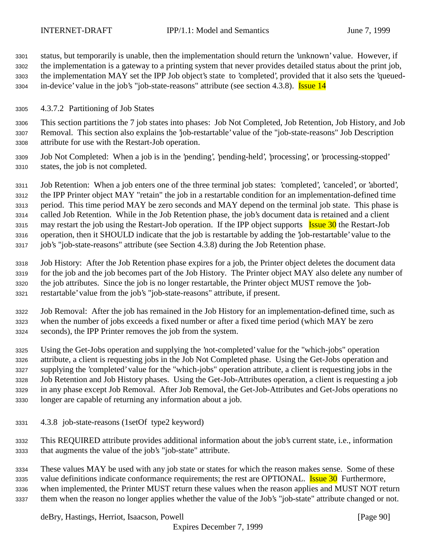status, but temporarily is unable, then the implementation should return the 'unknown' value. However, if the implementation is a gateway to a printing system that never provides detailed status about the print job, the implementation MAY set the IPP Job object's state to 'completed', provided that it also sets the 'queued-3304 in-device' value in the job's "job-state-reasons" attribute (see section 4.3.8). Issue 14

4.3.7.2 Partitioning of Job States

 This section partitions the 7 job states into phases: Job Not Completed, Job Retention, Job History, and Job Removal. This section also explains the 'job-restartable' value of the "job-state-reasons" Job Description attribute for use with the Restart-Job operation.

 Job Not Completed: When a job is in the 'pending', 'pending-held', 'processing', or 'processing-stopped' states, the job is not completed.

 Job Retention: When a job enters one of the three terminal job states: 'completed', 'canceled', or 'aborted', the IPP Printer object MAY "retain" the job in a restartable condition for an implementation-defined time period. This time period MAY be zero seconds and MAY depend on the terminal job state. This phase is called Job Retention. While in the Job Retention phase, the job's document data is retained and a client 3315 may restart the job using the Restart-Job operation. If the IPP object supports Issue 30 the Restart-Job operation, then it SHOULD indicate that the job is restartable by adding the 'job-restartable' value to the job's "job-state-reasons" attribute (see Section 4.3.8) during the Job Retention phase.

 Job History: After the Job Retention phase expires for a job, the Printer object deletes the document data for the job and the job becomes part of the Job History. The Printer object MAY also delete any number of the job attributes. Since the job is no longer restartable, the Printer object MUST remove the 'job-restartable' value from the job's "job-state-reasons" attribute, if present.

 Job Removal: After the job has remained in the Job History for an implementation-defined time, such as when the number of jobs exceeds a fixed number or after a fixed time period (which MAY be zero seconds), the IPP Printer removes the job from the system.

 Using the Get-Jobs operation and supplying the 'not-completed' value for the "which-jobs" operation attribute, a client is requesting jobs in the Job Not Completed phase. Using the Get-Jobs operation and supplying the 'completed' value for the "which-jobs" operation attribute, a client is requesting jobs in the Job Retention and Job History phases. Using the Get-Job-Attributes operation, a client is requesting a job in any phase except Job Removal. After Job Removal, the Get-Job-Attributes and Get-Jobs operations no longer are capable of returning any information about a job.

4.3.8 job-state-reasons (1setOf type2 keyword)

 This REQUIRED attribute provides additional information about the job's current state, i.e., information that augments the value of the job's "job-state" attribute.

 These values MAY be used with any job state or states for which the reason makes sense. Some of these 3335 value definitions indicate conformance requirements; the rest are OPTIONAL. Issue 30 Furthermore, when implemented, the Printer MUST return these values when the reason applies and MUST NOT return them when the reason no longer applies whether the value of the Job's "job-state" attribute changed or not.

deBry, Hastings, Herriot, Isaacson, Powell **Example 2018** [Page 90]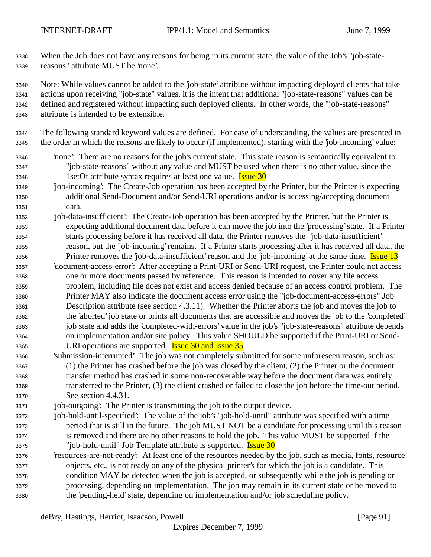When the Job does not have any reasons for being in its current state, the value of the Job's "job-state-reasons" attribute MUST be 'none'.

 Note: While values cannot be added to the 'job-state' attribute without impacting deployed clients that take actions upon receiving "job-state" values, it is the intent that additional "job-state-reasons" values can be defined and registered without impacting such deployed clients. In other words, the "job-state-reasons" attribute is intended to be extensible.

 The following standard keyword values are defined. For ease of understanding, the values are presented in the order in which the reasons are likely to occur (if implemented), starting with the 'job-incoming' value:

- 'none': There are no reasons for the job's current state. This state reason is semantically equivalent to "job-state-reasons" without any value and MUST be used when there is no other value, since the 3348 1setOf attribute syntax requires at least one value. **Issue 30**
- 'job-incoming': The Create-Job operation has been accepted by the Printer, but the Printer is expecting additional Send-Document and/or Send-URI operations and/or is accessing/accepting document data.
- 'job-data-insufficient': The Create-Job operation has been accepted by the Printer, but the Printer is expecting additional document data before it can move the job into the 'processing' state. If a Printer starts processing before it has received all data, the Printer removes the 'job-data-insufficient' reason, but the 'job-incoming' remains. If a Printer starts processing after it has received all data, the 3356 Printer removes the 'job-data-insufficient' reason and the 'job-incoming' at the same time. Issue 13
- 'document-access-error': After accepting a Print-URI or Send-URI request, the Printer could not access one or more documents passed by reference. This reason is intended to cover any file access problem, including file does not exist and access denied because of an access control problem. The Printer MAY also indicate the document access error using the "job-document-access-errors" Job Description attribute (see section 4.3.11). Whether the Printer aborts the job and moves the job to the 'aborted' job state or prints all documents that are accessible and moves the job to the 'completed' job state and adds the 'completed-with-errors' value in the job's "job-state-reasons" attribute depends on implementation and/or site policy. This value SHOULD be supported if the Print-URI or Send-3365 URI operations are supported. **Issue 30 and Issue 35**
- 'submission-interrupted': The job was not completely submitted for some unforeseen reason, such as: (1) the Printer has crashed before the job was closed by the client, (2) the Printer or the document transfer method has crashed in some non-recoverable way before the document data was entirely transferred to the Printer, (3) the client crashed or failed to close the job before the time-out period. See section 4.4.31.
- 'job-outgoing': The Printer is transmitting the job to the output device.
- 'job-hold-until-specified': The value of the job's "job-hold-until" attribute was specified with a time period that is still in the future. The job MUST NOT be a candidate for processing until this reason is removed and there are no other reasons to hold the job. This value MUST be supported if the "job-hold-until" Job Template attribute is supported. Issue 30
- 'resources-are-not-ready': At least one of the resources needed by the job, such as media, fonts, resource objects, etc., is not ready on any of the physical printer's for which the job is a candidate. This condition MAY be detected when the job is accepted, or subsequently while the job is pending or processing, depending on implementation. The job may remain in its current state or be moved to the 'pending-held' state, depending on implementation and/or job scheduling policy.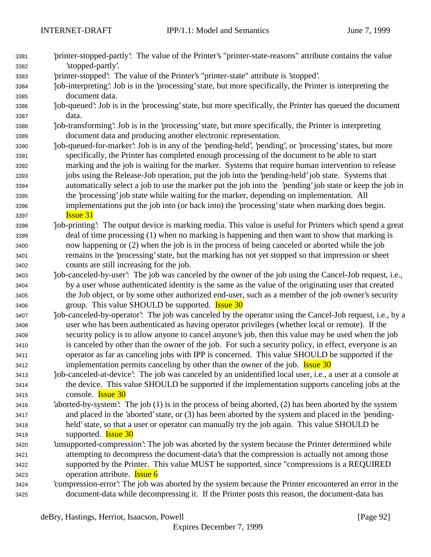'printer-stopped-partly': The value of the Printer's "printer-state-reasons" attribute contains the value

| 3382 | 'stopped-partly'.                                                                                           |
|------|-------------------------------------------------------------------------------------------------------------|
| 3383 | 'printer-stopped': The value of the Printer's "printer-state" attribute is 'stopped'.                       |
| 3384 | job-interpreting': Job is in the 'processing' state, but more specifically, the Printer is interpreting the |
| 3385 | document data.                                                                                              |
| 3386 | job-queued': Job is in the 'processing' state, but more specifically, the Printer has queued the document   |
| 3387 | data.                                                                                                       |
| 3388 | job-transforming: Job is in the 'processing' state, but more specifically, the Printer is interpreting      |
| 3389 | document data and producing another electronic representation.                                              |
| 3390 | job-queued-for-marker': Job is in any of the 'pending-held', 'pending', or 'processing' states, but more    |
| 3391 | specifically, the Printer has completed enough processing of the document to be able to start               |
| 3392 | marking and the job is waiting for the marker. Systems that require human intervention to release           |
| 3393 | jobs using the Release-Job operation, put the job into the 'pending-held' job state. Systems that           |
| 3394 | automatically select a job to use the marker put the job into the 'pending' job state or keep the job in    |
| 3395 | the 'processing' job state while waiting for the marker, depending on implementation. All                   |
| 3396 | implementations put the job into (or back into) the 'processing' state when marking does begin.             |
| 3397 | <b>Issue 31</b>                                                                                             |
| 3398 | job-printing: The output device is marking media. This value is useful for Printers which spend a great     |
| 3399 | deal of time processing (1) when no marking is happening and then want to show that marking is              |
| 3400 | now happening or (2) when the job is in the process of being canceled or aborted while the job              |
| 3401 | remains in the 'processing' state, but the marking has not yet stopped so that impression or sheet          |
| 3402 | counts are still increasing for the job.                                                                    |
| 3403 | job-canceled-by-user': The job was canceled by the owner of the job using the Cancel-Job request, i.e.,     |
| 3404 | by a user whose authenticated identity is the same as the value of the originating user that created        |
| 3405 | the Job object, or by some other authorized end-user, such as a member of the job owner's security          |
| 3406 | group. This value SHOULD be supported. <b>Issue 30</b>                                                      |
| 3407 | job-canceled-by-operator: The job was canceled by the operator using the Cancel-Job request, i.e., by a     |
| 3408 | user who has been authenticated as having operator privileges (whether local or remote). If the             |
| 3409 | security policy is to allow anyone to cancel anyone's job, then this value may be used when the job         |
| 3410 | is canceled by other than the owner of the job. For such a security policy, in effect, everyone is an       |
| 3411 | operator as far as canceling jobs with IPP is concerned. This value SHOULD be supported if the              |
| 3412 | implementation permits canceling by other than the owner of the job. <b>Issue 30</b>                        |
| 3413 | job-canceled-at-device': The job was canceled by an unidentified local user, i.e., a user at a console at   |
| 3414 | the device. This value SHOULD be supported if the implementation supports canceling jobs at the             |
| 3415 | console. <b>Issue 30</b>                                                                                    |
| 3416 | 'aborted-by-system': The job (1) is in the process of being aborted, (2) has been aborted by the system     |
| 3417 | and placed in the 'aborted' state, or (3) has been aborted by the system and placed in the 'pending-        |
| 3418 | held' state, so that a user or operator can manually try the job again. This value SHOULD be                |
| 3419 | supported. <b>Issue 30</b>                                                                                  |
| 3420 | 'unsupported-compression': The job was aborted by the system because the Printer determined while           |
| 3421 | attempting to decompress the document-data's that the compression is actually not among those               |
| 3422 | supported by the Printer. This value MUST be supported, since "compressions is a REQUIRED                   |
| 3423 | operation attribute. <b>Issue 6</b>                                                                         |
| 3424 | 'compression-error': The job was aborted by the system because the Printer encountered an error in the      |
| 3425 | document-data while decompressing it. If the Printer posts this reason, the document-data has               |
|      |                                                                                                             |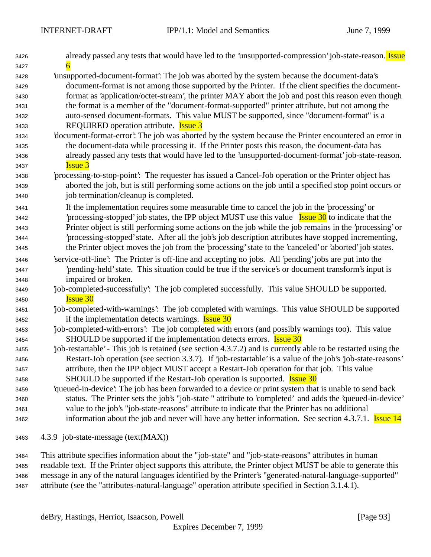| 3426 | already passed any tests that would have led to the 'unsupported-compression' job-state-reason. Issue         |
|------|---------------------------------------------------------------------------------------------------------------|
| 3427 |                                                                                                               |
| 3428 | 'unsupported-document-format': The job was aborted by the system because the document-data's                  |
| 3429 | document-format is not among those supported by the Printer. If the client specifies the document-            |
| 3430 | format as 'application/octet-stream', the printer MAY abort the job and post this reason even though          |
| 3431 | the format is a member of the "document-format-supported" printer attribute, but not among the                |
| 3432 | auto-sensed document-formats. This value MUST be supported, since "document-format" is a                      |
| 3433 | REQUIRED operation attribute. <b>Issue 3</b>                                                                  |
| 3434 | 'document-format-error': The job was aborted by the system because the Printer encountered an error in        |
| 3435 | the document-data while processing it. If the Printer posts this reason, the document-data has                |
| 3436 | already passed any tests that would have led to the 'unsupported-document-format' job-state-reason.           |
| 3437 | <b>Issue 3</b>                                                                                                |
| 3438 | processing-to-stop-point. The requester has issued a Cancel-Job operation or the Printer object has           |
| 3439 | aborted the job, but is still performing some actions on the job until a specified stop point occurs or       |
| 3440 | job termination/cleanup is completed.                                                                         |
| 3441 | If the implementation requires some measurable time to cancel the job in the 'processing' or                  |
| 3442 | processing-stopped job states, the IPP object MUST use this value <b>Issue 30</b> to indicate that the        |
| 3443 | Printer object is still performing some actions on the job while the job remains in the 'processing' or       |
| 3444 | processing-stopped' state. After all the job's job description attributes have stopped incrementing,          |
| 3445 | the Printer object moves the job from the 'processing' state to the 'canceled' or 'aborted' job states.       |
| 3446 | 'service-off-line': The Printer is off-line and accepting no jobs. All 'pending' jobs are put into the        |
| 3447 | pending-held' state. This situation could be true if the service's or document transform's input is           |
| 3448 | impaired or broken.                                                                                           |
| 3449 | job-completed-successfully: The job completed successfully. This value SHOULD be supported.                   |
| 3450 | <b>Issue 30</b>                                                                                               |
| 3451 | job-completed-with-warnings': The job completed with warnings. This value SHOULD be supported                 |
| 3452 | if the implementation detects warnings. <b>Issue 30</b>                                                       |
| 3453 | job-completed-with-errors': The job completed with errors (and possibly warnings too). This value             |
| 3454 | SHOULD be supported if the implementation detects errors. <b>Issue 30</b>                                     |
| 3455 | job-restartable' - This job is retained (see section 4.3.7.2) and is currently able to be restarted using the |
| 3456 | Restart-Job operation (see section 3.3.7). If 'job-restartable' is a value of the job's 'job-state-reasons'   |
| 3457 | attribute, then the IPP object MUST accept a Restart-Job operation for that job. This value                   |
| 3458 | SHOULD be supported if the Restart-Job operation is supported. <b>Issue 30</b>                                |
| 3459 | 'queued-in-device': The job has been forwarded to a device or print system that is unable to send back        |
| 3460 | status. The Printer sets the job's "job-state " attribute to 'completed' and adds the 'queued-in-device'      |
| 3461 | value to the job's "job-state-reasons" attribute to indicate that the Printer has no additional               |
| 3462 | information about the job and never will have any better information. See section 4.3.7.1. Issue 14           |
| 3463 | 4.3.9 job-state-message (text(MAX))                                                                           |
|      |                                                                                                               |

 This attribute specifies information about the "job-state" and "job-state-reasons" attributes in human readable text. If the Printer object supports this attribute, the Printer object MUST be able to generate this message in any of the natural languages identified by the Printer's "generated-natural-language-supported" attribute (see the "attributes-natural-language" operation attribute specified in Section 3.1.4.1).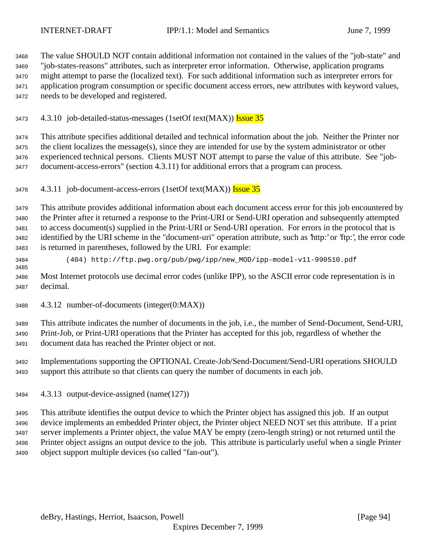The value SHOULD NOT contain additional information not contained in the values of the "job-state" and "job-states-reasons" attributes, such as interpreter error information. Otherwise, application programs might attempt to parse the (localized text). For such additional information such as interpreter errors for application program consumption or specific document access errors, new attributes with keyword values, needs to be developed and registered.

3473 4.3.10 job-detailed-status-messages (1setOf text(MAX)) Issue 35

 This attribute specifies additional detailed and technical information about the job. Neither the Printer nor the client localizes the message(s), since they are intended for use by the system administrator or other experienced technical persons. Clients MUST NOT attempt to parse the value of this attribute. See "job-document-access-errors" (section 4.3.11) for additional errors that a program can process.

3478 4.3.11 job-document-access-errors (1setOf text(MAX)) Issue 35

 This attribute provides additional information about each document access error for this job encountered by the Printer after it returned a response to the Print-URI or Send-URI operation and subsequently attempted to access document(s) supplied in the Print-URI or Send-URI operation. For errors in the protocol that is identified by the URI scheme in the "document-uri" operation attribute, such as 'http:' or 'ftp:', the error code is returned in parentheses, followed by the URI. For example:

(404) http://ftp.pwg.org/pub/pwg/ipp/new\_MOD/ipp-model-v11-990510.pdf

 Most Internet protocols use decimal error codes (unlike IPP), so the ASCII error code representation is in decimal.

4.3.12 number-of-documents (integer(0:MAX))

 This attribute indicates the number of documents in the job, i.e., the number of Send-Document, Send-URI, Print-Job, or Print-URI operations that the Printer has accepted for this job, regardless of whether the document data has reached the Printer object or not.

 Implementations supporting the OPTIONAL Create-Job/Send-Document/Send-URI operations SHOULD support this attribute so that clients can query the number of documents in each job.

4.3.13 output-device-assigned (name(127))

 This attribute identifies the output device to which the Printer object has assigned this job. If an output device implements an embedded Printer object, the Printer object NEED NOT set this attribute. If a print server implements a Printer object, the value MAY be empty (zero-length string) or not returned until the Printer object assigns an output device to the job. This attribute is particularly useful when a single Printer object support multiple devices (so called "fan-out").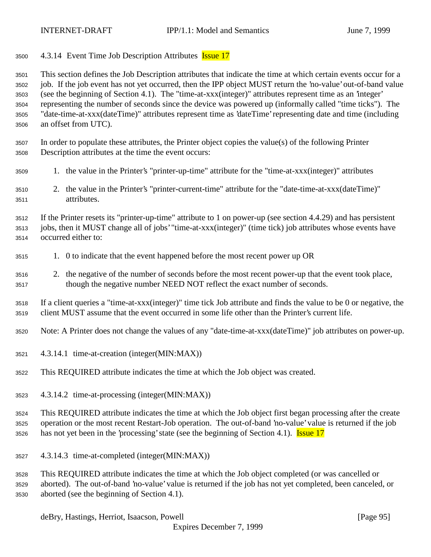3500 4.3.14 Event Time Job Description Attributes **Issue 17** 

 This section defines the Job Description attributes that indicate the time at which certain events occur for a job. If the job event has not yet occurred, then the IPP object MUST return the 'no-value' out-of-band value (see the beginning of Section 4.1). The "time-at-xxx(integer)" attributes represent time as an 'integer' representing the number of seconds since the device was powered up (informally called "time ticks"). The "date-time-at-xxx(dateTime)" attributes represent time as 'dateTime' representing date and time (including an offset from UTC).

 In order to populate these attributes, the Printer object copies the value(s) of the following Printer Description attributes at the time the event occurs:

- 1. the value in the Printer's "printer-up-time" attribute for the "time-at-xxx(integer)" attributes
- 2. the value in the Printer's "printer-current-time" attribute for the "date-time-at-xxx(dateTime)" attributes.

 If the Printer resets its "printer-up-time" attribute to 1 on power-up (see section 4.4.29) and has persistent jobs, then it MUST change all of jobs' "time-at-xxx(integer)" (time tick) job attributes whose events have occurred either to:

- 1. 0 to indicate that the event happened before the most recent power up OR
- 2. the negative of the number of seconds before the most recent power-up that the event took place, though the negative number NEED NOT reflect the exact number of seconds.

 If a client queries a "time-at-xxx(integer)" time tick Job attribute and finds the value to be 0 or negative, the client MUST assume that the event occurred in some life other than the Printer's current life.

Note: A Printer does not change the values of any "date-time-at-xxx(dateTime)" job attributes on power-up.

- 4.3.14.1 time-at-creation (integer(MIN:MAX))
- This REQUIRED attribute indicates the time at which the Job object was created.
- 4.3.14.2 time-at-processing (integer(MIN:MAX))

 This REQUIRED attribute indicates the time at which the Job object first began processing after the create operation or the most recent Restart-Job operation. The out-of-band 'no-value' value is returned if the job 3526 has not yet been in the 'processing' state (see the beginning of Section 4.1). **Issue 17** 

4.3.14.3 time-at-completed (integer(MIN:MAX))

 This REQUIRED attribute indicates the time at which the Job object completed (or was cancelled or aborted). The out-of-band 'no-value' value is returned if the job has not yet completed, been canceled, or aborted (see the beginning of Section 4.1).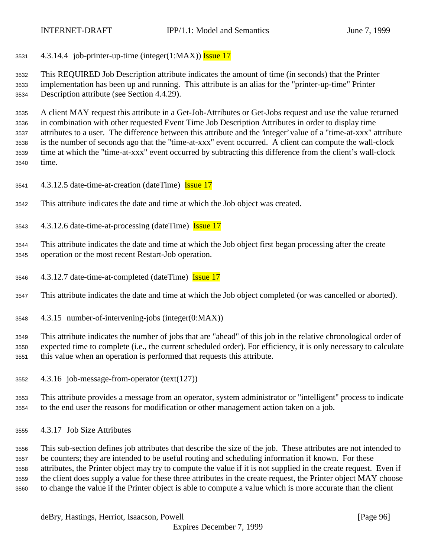4.3.14.4 job-printer-up-time (integer(1:MAX)) Issue 17

 This REQUIRED Job Description attribute indicates the amount of time (in seconds) that the Printer implementation has been up and running. This attribute is an alias for the "printer-up-time" Printer Description attribute (see Section 4.4.29).

 A client MAY request this attribute in a Get-Job-Attributes or Get-Jobs request and use the value returned in combination with other requested Event Time Job Description Attributes in order to display time attributes to a user. The difference between this attribute and the 'integer' value of a "time-at-xxx" attribute is the number of seconds ago that the "time-at-xxx" event occurred. A client can compute the wall-clock time at which the "time-at-xxx" event occurred by subtracting this difference from the client's wall-clock time.

- 3541 4.3.12.5 date-time-at-creation (dateTime) **Issue 17**
- This attribute indicates the date and time at which the Job object was created.
- 4.3.12.6 date-time-at-processing (dateTime) Issue 17

 This attribute indicates the date and time at which the Job object first began processing after the create operation or the most recent Restart-Job operation.

4.3.12.7 date-time-at-completed (dateTime) Issue 17

This attribute indicates the date and time at which the Job object completed (or was cancelled or aborted).

4.3.15 number-of-intervening-jobs (integer(0:MAX))

 This attribute indicates the number of jobs that are "ahead" of this job in the relative chronological order of expected time to complete (i.e., the current scheduled order). For efficiency, it is only necessary to calculate this value when an operation is performed that requests this attribute.

4.3.16 job-message-from-operator (text(127))

 This attribute provides a message from an operator, system administrator or "intelligent" process to indicate to the end user the reasons for modification or other management action taken on a job.

4.3.17 Job Size Attributes

 This sub-section defines job attributes that describe the size of the job. These attributes are not intended to be counters; they are intended to be useful routing and scheduling information if known. For these attributes, the Printer object may try to compute the value if it is not supplied in the create request. Even if the client does supply a value for these three attributes in the create request, the Printer object MAY choose to change the value if the Printer object is able to compute a value which is more accurate than the client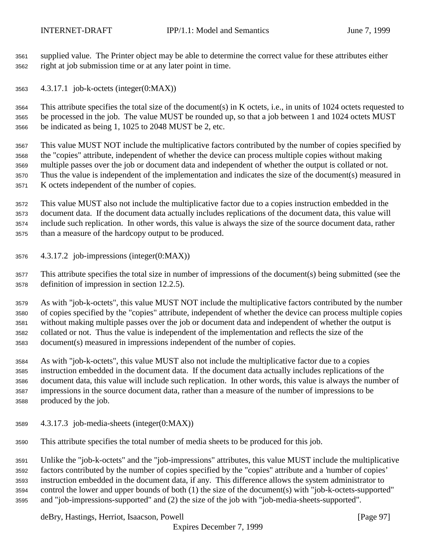supplied value. The Printer object may be able to determine the correct value for these attributes either right at job submission time or at any later point in time.

4.3.17.1 job-k-octets (integer(0:MAX))

 This attribute specifies the total size of the document(s) in K octets, i.e., in units of 1024 octets requested to be processed in the job. The value MUST be rounded up, so that a job between 1 and 1024 octets MUST be indicated as being 1, 1025 to 2048 MUST be 2, etc.

 This value MUST NOT include the multiplicative factors contributed by the number of copies specified by the "copies" attribute, independent of whether the device can process multiple copies without making multiple passes over the job or document data and independent of whether the output is collated or not. Thus the value is independent of the implementation and indicates the size of the document(s) measured in K octets independent of the number of copies.

 This value MUST also not include the multiplicative factor due to a copies instruction embedded in the document data. If the document data actually includes replications of the document data, this value will include such replication. In other words, this value is always the size of the source document data, rather than a measure of the hardcopy output to be produced.

4.3.17.2 job-impressions (integer(0:MAX))

 This attribute specifies the total size in number of impressions of the document(s) being submitted (see the definition of impression in section 12.2.5).

 As with "job-k-octets", this value MUST NOT include the multiplicative factors contributed by the number of copies specified by the "copies" attribute, independent of whether the device can process multiple copies without making multiple passes over the job or document data and independent of whether the output is collated or not. Thus the value is independent of the implementation and reflects the size of the document(s) measured in impressions independent of the number of copies.

 As with "job-k-octets", this value MUST also not include the multiplicative factor due to a copies instruction embedded in the document data. If the document data actually includes replications of the document data, this value will include such replication. In other words, this value is always the number of impressions in the source document data, rather than a measure of the number of impressions to be produced by the job.

4.3.17.3 job-media-sheets (integer(0:MAX))

This attribute specifies the total number of media sheets to be produced for this job.

 Unlike the "job-k-octets" and the "job-impressions" attributes, this value MUST include the multiplicative factors contributed by the number of copies specified by the "copies" attribute and a 'number of copies' instruction embedded in the document data, if any. This difference allows the system administrator to control the lower and upper bounds of both (1) the size of the document(s) with "job-k-octets-supported" and "job-impressions-supported" and (2) the size of the job with "job-media-sheets-supported".

deBry, Hastings, Herriot, Isaacson, Powell **Example 2018** [Page 97]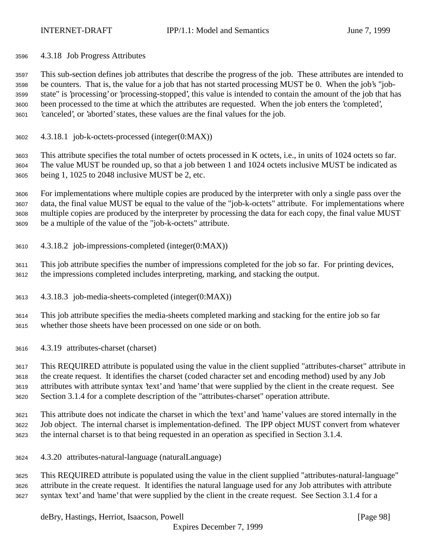4.3.18 Job Progress Attributes

 This sub-section defines job attributes that describe the progress of the job. These attributes are intended to be counters. That is, the value for a job that has not started processing MUST be 0. When the job's "job- state" is 'processing' or 'processing-stopped', this value is intended to contain the amount of the job that has been processed to the time at which the attributes are requested. When the job enters the 'completed', 'canceled', or 'aborted' states, these values are the final values for the job.

4.3.18.1 job-k-octets-processed (integer(0:MAX))

 This attribute specifies the total number of octets processed in K octets, i.e., in units of 1024 octets so far. The value MUST be rounded up, so that a job between 1 and 1024 octets inclusive MUST be indicated as being 1, 1025 to 2048 inclusive MUST be 2, etc.

 For implementations where multiple copies are produced by the interpreter with only a single pass over the data, the final value MUST be equal to the value of the "job-k-octets" attribute. For implementations where multiple copies are produced by the interpreter by processing the data for each copy, the final value MUST be a multiple of the value of the "job-k-octets" attribute.

4.3.18.2 job-impressions-completed (integer(0:MAX))

 This job attribute specifies the number of impressions completed for the job so far. For printing devices, the impressions completed includes interpreting, marking, and stacking the output.

4.3.18.3 job-media-sheets-completed (integer(0:MAX))

 This job attribute specifies the media-sheets completed marking and stacking for the entire job so far whether those sheets have been processed on one side or on both.

4.3.19 attributes-charset (charset)

 This REQUIRED attribute is populated using the value in the client supplied "attributes-charset" attribute in the create request. It identifies the charset (coded character set and encoding method) used by any Job attributes with attribute syntax 'text' and 'name' that were supplied by the client in the create request. See Section 3.1.4 for a complete description of the "attributes-charset" operation attribute.

 This attribute does not indicate the charset in which the 'text' and 'name' values are stored internally in the Job object. The internal charset is implementation-defined. The IPP object MUST convert from whatever the internal charset is to that being requested in an operation as specified in Section 3.1.4.

4.3.20 attributes-natural-language (naturalLanguage)

 This REQUIRED attribute is populated using the value in the client supplied "attributes-natural-language" attribute in the create request. It identifies the natural language used for any Job attributes with attribute syntax 'text' and 'name' that were supplied by the client in the create request. See Section 3.1.4 for a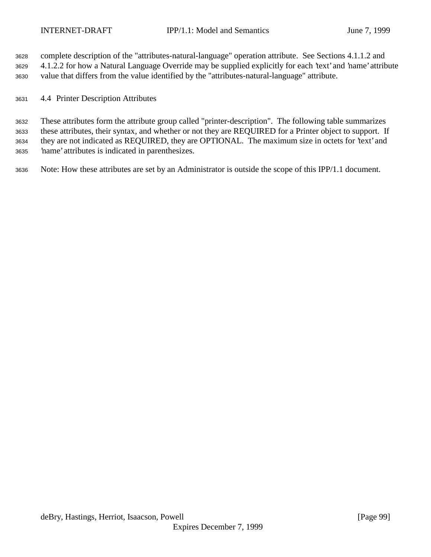complete description of the "attributes-natural-language" operation attribute. See Sections 4.1.1.2 and 4.1.2.2 for how a Natural Language Override may be supplied explicitly for each 'text' and 'name' attribute value that differs from the value identified by the "attributes-natural-language" attribute.

4.4 Printer Description Attributes

 These attributes form the attribute group called "printer-description". The following table summarizes these attributes, their syntax, and whether or not they are REQUIRED for a Printer object to support. If they are not indicated as REQUIRED, they are OPTIONAL. The maximum size in octets for 'text' and 'name' attributes is indicated in parenthesizes.

Note: How these attributes are set by an Administrator is outside the scope of this IPP/1.1 document.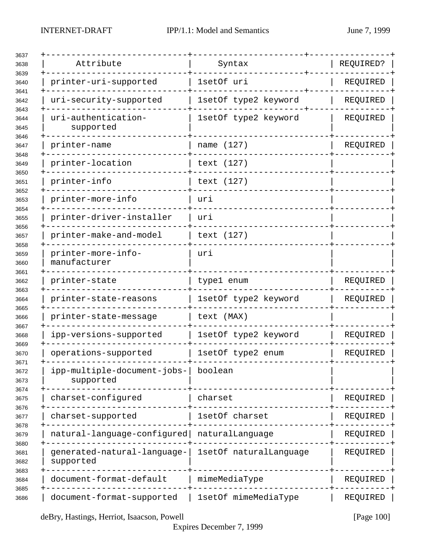| Attribute                                | Syntax                 | REQUIRED? |  |
|------------------------------------------|------------------------|-----------|--|
| printer-uri-supported                    | 1setOf uri             | REQUIRED  |  |
| uri-security-supported                   | 1setOf type2 keyword   | REQUIRED  |  |
| uri-authentication-<br>supported         | 1setOf type2 keyword   | REQUIRED  |  |
| printer-name                             | name (127)             | REQUIRED  |  |
| printer-location                         | text (127)             |           |  |
| printer-info                             | text (127)             |           |  |
| printer-more-info                        | uri                    |           |  |
| printer-driver-installer                 | uri                    |           |  |
| printer-make-and-model                   | text (127)             |           |  |
| printer-more-info-<br>manufacturer       | uri                    |           |  |
| printer-state                            | type1 enum             | REQUIRED  |  |
| printer-state-reasons                    | 1setOf type2 keyword   | REQUIRED  |  |
| printer-state-message                    | text (MAX)             |           |  |
| ipp-versions-supported                   | 1setOf type2 keyword   | REQUIRED  |  |
| operations-supported                     | 1setOf type2 enum      | REQUIRED  |  |
| ipp-multiple-document-jobs-<br>supported | boolean                |           |  |
| charset-configured                       | charset                | REQUIRED  |  |
| charset-supported                        | 1setOf charset         | REQUIRED  |  |
| natural-language-configured              | naturalLanguage        | REQUIRED  |  |
| generated-natural-language-<br>supported | 1setOf naturalLanguage | REQUIRED  |  |
| document-format-default                  | mimeMediaType          | REQUIRED  |  |
| document-format-supported                | 1setOf mimeMediaType   | REQUIRED  |  |

deBry, Hastings, Herriot, Isaacson, Powell [Page 100]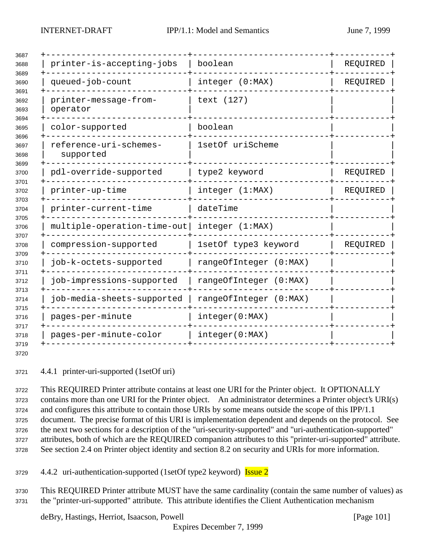| printer-is-accepting-jobs           | boolean                | REQUIRED |
|-------------------------------------|------------------------|----------|
| queued-job-count                    | integer (0:MAX)        | REQUIRED |
| printer-message-from-<br>operator   | text (127)             |          |
| color-supported                     | boolean                |          |
| reference-uri-schemes-<br>supported | 1setOf uriScheme       |          |
| pdl-override-supported              | type2 keyword          | REQUIRED |
| printer-up-time                     | integer (1:MAX)        | REQUIRED |
| printer-current-time                | dateTime               |          |
| multiple-operation-time-out         | integer (1:MAX)        |          |
| compression-supported               | 1setOf type3 keyword   | REQUIRED |
| job-k-octets-supported              | rangeOfInteger (0:MAX) |          |
| job-impressions-supported           | rangeOfInteger (0:MAX) |          |
| job-media-sheets-supported          | rangeOfInteger (0:MAX) |          |
| pages-per-minute                    | integer(0:MAX)         |          |
| pages-per-minute-color              | integer(0:MAX)         |          |

4.4.1 printer-uri-supported (1setOf uri)

 This REQUIRED Printer attribute contains at least one URI for the Printer object. It OPTIONALLY contains more than one URI for the Printer object. An administrator determines a Printer object's URI(s) and configures this attribute to contain those URIs by some means outside the scope of this IPP/1.1 document. The precise format of this URI is implementation dependent and depends on the protocol. See the next two sections for a description of the "uri-security-supported" and "uri-authentication-supported" attributes, both of which are the REQUIRED companion attributes to this "printer-uri-supported" attribute. See section 2.4 on Printer object identity and section 8.2 on security and URIs for more information.

4.4.2 uri-authentication-supported (1setOf type2 keyword) **Issue 2** 

 This REQUIRED Printer attribute MUST have the same cardinality (contain the same number of values) as the "printer-uri-supported" attribute. This attribute identifies the Client Authentication mechanism

deBry, Hastings, Herriot, Isaacson, Powell [Page 101]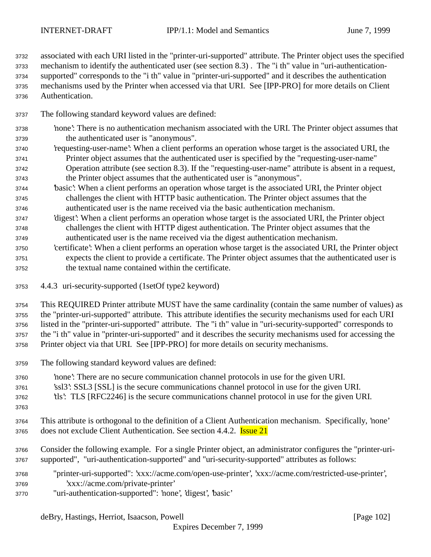associated with each URI listed in the "printer-uri-supported" attribute. The Printer object uses the specified mechanism to identify the authenticated user (see section 8.3) . The "i th" value in "uri-authentication- supported" corresponds to the "i th" value in "printer-uri-supported" and it describes the authentication mechanisms used by the Printer when accessed via that URI. See [IPP-PRO] for more details on Client Authentication.

- The following standard keyword values are defined:
- 'none': There is no authentication mechanism associated with the URI. The Printer object assumes that the authenticated user is "anonymous".
- 'requesting-user-name': When a client performs an operation whose target is the associated URI, the Printer object assumes that the authenticated user is specified by the "requesting-user-name" Operation attribute (see section 8.3). If the "requesting-user-name" attribute is absent in a request, the Printer object assumes that the authenticated user is "anonymous".
- 'basic': When a client performs an operation whose target is the associated URI, the Printer object challenges the client with HTTP basic authentication. The Printer object assumes that the authenticated user is the name received via the basic authentication mechanism.
- 'digest': When a client performs an operation whose target is the associated URI, the Printer object challenges the client with HTTP digest authentication. The Printer object assumes that the authenticated user is the name received via the digest authentication mechanism.
- 'certificate': When a client performs an operation whose target is the associated URI, the Printer object expects the client to provide a certificate. The Printer object assumes that the authenticated user is the textual name contained within the certificate.
- 4.4.3 uri-security-supported (1setOf type2 keyword)
- This REQUIRED Printer attribute MUST have the same cardinality (contain the same number of values) as the "printer-uri-supported" attribute. This attribute identifies the security mechanisms used for each URI listed in the "printer-uri-supported" attribute. The "i th" value in "uri-security-supported" corresponds to the "i th" value in "printer-uri-supported" and it describes the security mechanisms used for accessing the Printer object via that URI. See [IPP-PRO] for more details on security mechanisms.
- The following standard keyword values are defined:
- 'none': There are no secure communication channel protocols in use for the given URI. 'ssl3': SSL3 [SSL] is the secure communications channel protocol in use for the given URI. 'tls': TLS [RFC2246] is the secure communications channel protocol in use for the given URI.
- 
- This attribute is orthogonal to the definition of a Client Authentication mechanism. Specifically, 'none' 3765 does not exclude Client Authentication. See section 4.4.2. **Issue 21**
- Consider the following example. For a single Printer object, an administrator configures the "printer-uri-supported", "uri-authentication-supported" and "uri-security-supported" attributes as follows:
- "printer-uri-supported": 'xxx://acme.com/open-use-printer', 'xxx://acme.com/restricted-use-printer', 'xxx://acme.com/private-printer'
- "uri-authentication-supported": 'none', 'digest', 'basic'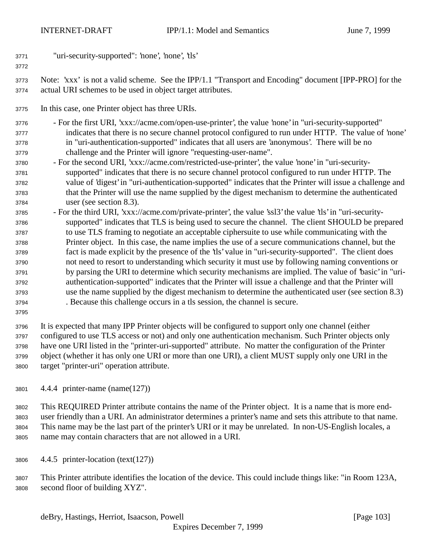"uri-security-supported": 'none', 'none', 'tls'

## 

 Note: 'xxx' is not a valid scheme. See the IPP/1.1 "Transport and Encoding" document [IPP-PRO] for the actual URI schemes to be used in object target attributes.

In this case, one Printer object has three URIs.

 - For the first URI, 'xxx://acme.com/open-use-printer', the value 'none' in "uri-security-supported" indicates that there is no secure channel protocol configured to run under HTTP. The value of 'none' in "uri-authentication-supported" indicates that all users are 'anonymous'. There will be no challenge and the Printer will ignore "requesting-user-name".

- For the second URI, 'xxx://acme.com/restricted-use-printer', the value 'none' in "uri-security- supported" indicates that there is no secure channel protocol configured to run under HTTP. The value of 'digest' in "uri-authentication-supported" indicates that the Printer will issue a challenge and that the Printer will use the name supplied by the digest mechanism to determine the authenticated user (see section 8.3).
- For the third URI, 'xxx://acme.com/private-printer', the value 'ssl3' the value 'tls' in "uri-security- supported" indicates that TLS is being used to secure the channel. The client SHOULD be prepared to use TLS framing to negotiate an acceptable ciphersuite to use while communicating with the Printer object. In this case, the name implies the use of a secure communications channel, but the fact is made explicit by the presence of the 'tls' value in "uri-security-supported". The client does not need to resort to understanding which security it must use by following naming conventions or by parsing the URI to determine which security mechanisms are implied. The value of 'basic' in "uri- authentication-supported" indicates that the Printer will issue a challenge and that the Printer will use the name supplied by the digest mechanism to determine the authenticated user (see section 8.3) . Because this challenge occurs in a tls session, the channel is secure.
- 

 It is expected that many IPP Printer objects will be configured to support only one channel (either configured to use TLS access or not) and only one authentication mechanism. Such Printer objects only have one URI listed in the "printer-uri-supported" attribute. No matter the configuration of the Printer object (whether it has only one URI or more than one URI), a client MUST supply only one URI in the target "printer-uri" operation attribute.

4.4.4 printer-name (name(127))

 This REQUIRED Printer attribute contains the name of the Printer object. It is a name that is more end- user friendly than a URI. An administrator determines a printer's name and sets this attribute to that name. This name may be the last part of the printer's URI or it may be unrelated. In non-US-English locales, a name may contain characters that are not allowed in a URI.

4.4.5 printer-location (text(127))

 This Printer attribute identifies the location of the device. This could include things like: "in Room 123A, second floor of building XYZ".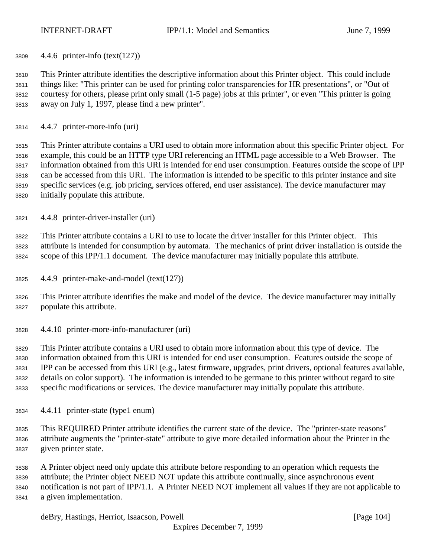4.4.6 printer-info (text(127))

 This Printer attribute identifies the descriptive information about this Printer object. This could include things like: "This printer can be used for printing color transparencies for HR presentations", or "Out of courtesy for others, please print only small (1-5 page) jobs at this printer", or even "This printer is going away on July 1, 1997, please find a new printer".

4.4.7 printer-more-info (uri)

 This Printer attribute contains a URI used to obtain more information about this specific Printer object. For example, this could be an HTTP type URI referencing an HTML page accessible to a Web Browser. The information obtained from this URI is intended for end user consumption. Features outside the scope of IPP can be accessed from this URI. The information is intended to be specific to this printer instance and site specific services (e.g. job pricing, services offered, end user assistance). The device manufacturer may initially populate this attribute.

4.4.8 printer-driver-installer (uri)

 This Printer attribute contains a URI to use to locate the driver installer for this Printer object. This attribute is intended for consumption by automata. The mechanics of print driver installation is outside the scope of this IPP/1.1 document. The device manufacturer may initially populate this attribute.

4.4.9 printer-make-and-model (text(127))

 This Printer attribute identifies the make and model of the device. The device manufacturer may initially populate this attribute.

4.4.10 printer-more-info-manufacturer (uri)

 This Printer attribute contains a URI used to obtain more information about this type of device. The information obtained from this URI is intended for end user consumption. Features outside the scope of IPP can be accessed from this URI (e.g., latest firmware, upgrades, print drivers, optional features available, details on color support). The information is intended to be germane to this printer without regard to site specific modifications or services. The device manufacturer may initially populate this attribute.

4.4.11 printer-state (type1 enum)

 This REQUIRED Printer attribute identifies the current state of the device. The "printer-state reasons" attribute augments the "printer-state" attribute to give more detailed information about the Printer in the given printer state.

 A Printer object need only update this attribute before responding to an operation which requests the attribute; the Printer object NEED NOT update this attribute continually, since asynchronous event notification is not part of IPP/1.1. A Printer NEED NOT implement all values if they are not applicable to a given implementation.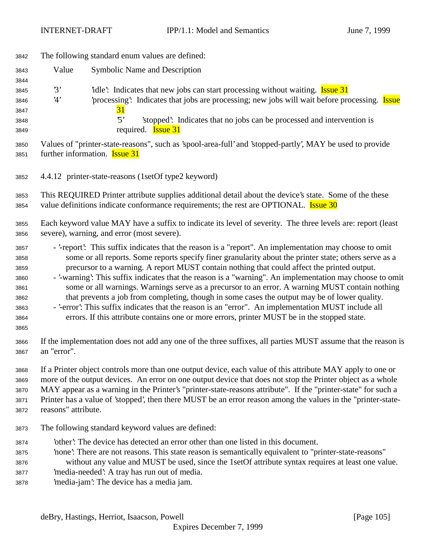| 3842                                                                 | The following standard enum values are defined:                                                                                                                                                                                                                                                                                                                                                                                                                                                                                                                                                                                                                                                                                                                                                                                        |  |  |  |
|----------------------------------------------------------------------|----------------------------------------------------------------------------------------------------------------------------------------------------------------------------------------------------------------------------------------------------------------------------------------------------------------------------------------------------------------------------------------------------------------------------------------------------------------------------------------------------------------------------------------------------------------------------------------------------------------------------------------------------------------------------------------------------------------------------------------------------------------------------------------------------------------------------------------|--|--|--|
| 3843                                                                 | Value<br><b>Symbolic Name and Description</b>                                                                                                                                                                                                                                                                                                                                                                                                                                                                                                                                                                                                                                                                                                                                                                                          |  |  |  |
| 3844<br>3845<br>3846<br>3847<br>3848<br>3849                         | 3'<br>idle: Indicates that new jobs can start processing without waiting. <b>Issue 31</b><br>processing: Indicates that jobs are processing; new jobs will wait before processing. <b>Issue</b><br>4'<br><u>31</u><br>$\cdot$ 5'<br>'stopped': Indicates that no jobs can be processed and intervention is<br>required. <b>Issue 31</b>                                                                                                                                                                                                                                                                                                                                                                                                                                                                                                |  |  |  |
| 3850                                                                 | Values of "printer-state-reasons", such as 'spool-area-full' and 'stopped-partly', MAY be used to provide                                                                                                                                                                                                                                                                                                                                                                                                                                                                                                                                                                                                                                                                                                                              |  |  |  |
| 3851                                                                 | further information. <b>Issue 31</b>                                                                                                                                                                                                                                                                                                                                                                                                                                                                                                                                                                                                                                                                                                                                                                                                   |  |  |  |
| 3852                                                                 | 4.4.12 printer-state-reasons (1setOf type2 keyword)                                                                                                                                                                                                                                                                                                                                                                                                                                                                                                                                                                                                                                                                                                                                                                                    |  |  |  |
| 3853                                                                 | This REQUIRED Printer attribute supplies additional detail about the device's state. Some of the these                                                                                                                                                                                                                                                                                                                                                                                                                                                                                                                                                                                                                                                                                                                                 |  |  |  |
| 3854                                                                 | value definitions indicate conformance requirements; the rest are OPTIONAL. <b>Issue 30</b>                                                                                                                                                                                                                                                                                                                                                                                                                                                                                                                                                                                                                                                                                                                                            |  |  |  |
| 3855                                                                 | Each keyword value MAY have a suffix to indicate its level of severity. The three levels are: report (least                                                                                                                                                                                                                                                                                                                                                                                                                                                                                                                                                                                                                                                                                                                            |  |  |  |
| 3856                                                                 | severe), warning, and error (most severe).                                                                                                                                                                                                                                                                                                                                                                                                                                                                                                                                                                                                                                                                                                                                                                                             |  |  |  |
| 3857<br>3858<br>3859<br>3860<br>3861<br>3862<br>3863<br>3864<br>3865 | - '-report': This suffix indicates that the reason is a "report". An implementation may choose to omit<br>some or all reports. Some reports specify finer granularity about the printer state; others serve as a<br>precursor to a warning. A report MUST contain nothing that could affect the printed output.<br>- '-warning': This suffix indicates that the reason is a "warning". An implementation may choose to omit<br>some or all warnings. Warnings serve as a precursor to an error. A warning MUST contain nothing<br>that prevents a job from completing, though in some cases the output may be of lower quality.<br>- '-error': This suffix indicates that the reason is an "error". An implementation MUST include all<br>errors. If this attribute contains one or more errors, printer MUST be in the stopped state. |  |  |  |
| 3866                                                                 | If the implementation does not add any one of the three suffixes, all parties MUST assume that the reason is                                                                                                                                                                                                                                                                                                                                                                                                                                                                                                                                                                                                                                                                                                                           |  |  |  |
| 3867                                                                 | an "error".                                                                                                                                                                                                                                                                                                                                                                                                                                                                                                                                                                                                                                                                                                                                                                                                                            |  |  |  |
| 3868                                                                 | If a Printer object controls more than one output device, each value of this attribute MAY apply to one or                                                                                                                                                                                                                                                                                                                                                                                                                                                                                                                                                                                                                                                                                                                             |  |  |  |
| 3869                                                                 | more of the output devices. An error on one output device that does not stop the Printer object as a whole                                                                                                                                                                                                                                                                                                                                                                                                                                                                                                                                                                                                                                                                                                                             |  |  |  |
| 3870                                                                 | MAY appear as a warning in the Printer's "printer-state-reasons attribute". If the "printer-state" for such a                                                                                                                                                                                                                                                                                                                                                                                                                                                                                                                                                                                                                                                                                                                          |  |  |  |
| 3871                                                                 | Printer has a value of 'stopped', then there MUST be an error reason among the values in the "printer-state-                                                                                                                                                                                                                                                                                                                                                                                                                                                                                                                                                                                                                                                                                                                           |  |  |  |
| 3872                                                                 | reasons" attribute.                                                                                                                                                                                                                                                                                                                                                                                                                                                                                                                                                                                                                                                                                                                                                                                                                    |  |  |  |
| 3873                                                                 | The following standard keyword values are defined:                                                                                                                                                                                                                                                                                                                                                                                                                                                                                                                                                                                                                                                                                                                                                                                     |  |  |  |
| 3874                                                                 | other': The device has detected an error other than one listed in this document.                                                                                                                                                                                                                                                                                                                                                                                                                                                                                                                                                                                                                                                                                                                                                       |  |  |  |
| 3875                                                                 | 'none': There are not reasons. This state reason is semantically equivalent to "printer-state-reasons"                                                                                                                                                                                                                                                                                                                                                                                                                                                                                                                                                                                                                                                                                                                                 |  |  |  |
| 3876                                                                 | without any value and MUST be used, since the 1setOf attribute syntax requires at least one value.                                                                                                                                                                                                                                                                                                                                                                                                                                                                                                                                                                                                                                                                                                                                     |  |  |  |
| 3877                                                                 | 'media-needed': A tray has run out of media.                                                                                                                                                                                                                                                                                                                                                                                                                                                                                                                                                                                                                                                                                                                                                                                           |  |  |  |
| 3878                                                                 | 'media-jam': The device has a media jam.                                                                                                                                                                                                                                                                                                                                                                                                                                                                                                                                                                                                                                                                                                                                                                                               |  |  |  |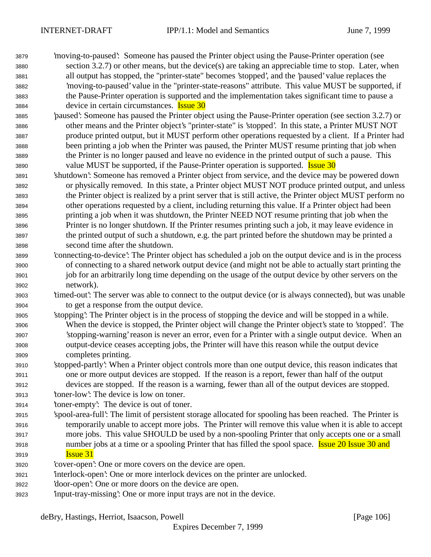- 'moving-to-paused': Someone has paused the Printer object using the Pause-Printer operation (see section 3.2.7) or other means, but the device(s) are taking an appreciable time to stop. Later, when all output has stopped, the "printer-state" becomes 'stopped', and the 'paused' value replaces the 'moving-to-paused' value in the "printer-state-reasons" attribute. This value MUST be supported, if the Pause-Printer operation is supported and the implementation takes significant time to pause a device in certain circumstances. Issue 30
- 'paused': Someone has paused the Printer object using the Pause-Printer operation (see section 3.2.7) or other means and the Printer object's "printer-state" is 'stopped'. In this state, a Printer MUST NOT produce printed output, but it MUST perform other operations requested by a client. If a Printer had been printing a job when the Printer was paused, the Printer MUST resume printing that job when the Printer is no longer paused and leave no evidence in the printed output of such a pause. This 3890 value MUST be supported, if the Pause-Printer operation is supported. **Issue 30**
- 'shutdown': Someone has removed a Printer object from service, and the device may be powered down or physically removed. In this state, a Printer object MUST NOT produce printed output, and unless the Printer object is realized by a print server that is still active, the Printer object MUST perform no other operations requested by a client, including returning this value. If a Printer object had been printing a job when it was shutdown, the Printer NEED NOT resume printing that job when the Printer is no longer shutdown. If the Printer resumes printing such a job, it may leave evidence in the printed output of such a shutdown, e.g. the part printed before the shutdown may be printed a second time after the shutdown.
- 'connecting-to-device': The Printer object has scheduled a job on the output device and is in the process of connecting to a shared network output device (and might not be able to actually start printing the job for an arbitrarily long time depending on the usage of the output device by other servers on the network).
- 'timed-out': The server was able to connect to the output device (or is always connected), but was unable to get a response from the output device.
- 'stopping': The Printer object is in the process of stopping the device and will be stopped in a while. When the device is stopped, the Printer object will change the Printer object's state to 'stopped'. The 'stopping-warning' reason is never an error, even for a Printer with a single output device. When an output-device ceases accepting jobs, the Printer will have this reason while the output device completes printing.
- 'stopped-partly': When a Printer object controls more than one output device, this reason indicates that one or more output devices are stopped. If the reason is a report, fewer than half of the output devices are stopped. If the reason is a warning, fewer than all of the output devices are stopped.
- 'toner-low': The device is low on toner.
- 'toner-empty': The device is out of toner.
- 'spool-area-full': The limit of persistent storage allocated for spooling has been reached. The Printer is temporarily unable to accept more jobs. The Printer will remove this value when it is able to accept more jobs. This value SHOULD be used by a non-spooling Printer that only accepts one or a small 3918 number jobs at a time or a spooling Printer that has filled the spool space. **Issue 20 Issue 30 and Issue 31**
- 'cover-open': One or more covers on the device are open.
- 'interlock-open': One or more interlock devices on the printer are unlocked.
- 'door-open': One or more doors on the device are open.
- 'input-tray-missing': One or more input trays are not in the device.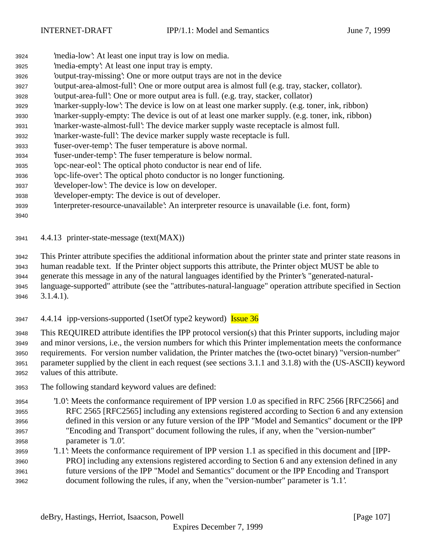- 'media-low': At least one input tray is low on media.
- 'media-empty': At least one input tray is empty.
- 'output-tray-missing': One or more output trays are not in the device
- 'output-area-almost-full': One or more output area is almost full (e.g. tray, stacker, collator).
- 'output-area-full': One or more output area is full. (e.g. tray, stacker, collator)
- 'marker-supply-low': The device is low on at least one marker supply. (e.g. toner, ink, ribbon)
- 'marker-supply-empty: The device is out of at least one marker supply. (e.g. toner, ink, ribbon)
- 'marker-waste-almost-full': The device marker supply waste receptacle is almost full.
- 'marker-waste-full': The device marker supply waste receptacle is full.
- 'fuser-over-temp': The fuser temperature is above normal.
- 'fuser-under-temp': The fuser temperature is below normal.
- 'opc-near-eol': The optical photo conductor is near end of life.
- 'opc-life-over': The optical photo conductor is no longer functioning.
- 'developer-low': The device is low on developer.
- 'developer-empty: The device is out of developer.
- 'interpreter-resource-unavailable': An interpreter resource is unavailable (i.e. font, form)

## 

4.4.13 printer-state-message (text(MAX))

 This Printer attribute specifies the additional information about the printer state and printer state reasons in human readable text. If the Printer object supports this attribute, the Printer object MUST be able to

 generate this message in any of the natural languages identified by the Printer's "generated-natural- language-supported" attribute (see the "attributes-natural-language" operation attribute specified in Section 3.1.4.1).

3947 4.4.14 ipp-versions-supported (1setOf type2 keyword) Issue 36

 This REQUIRED attribute identifies the IPP protocol version(s) that this Printer supports, including major and minor versions, i.e., the version numbers for which this Printer implementation meets the conformance requirements. For version number validation, the Printer matches the (two-octet binary) "version-number" parameter supplied by the client in each request (see sections 3.1.1 and 3.1.8) with the (US-ASCII) keyword values of this attribute.

- The following standard keyword values are defined:
- '1.0': Meets the conformance requirement of IPP version 1.0 as specified in RFC 2566 [RFC2566] and RFC 2565 [RFC2565] including any extensions registered according to Section 6 and any extension defined in this version or any future version of the IPP "Model and Semantics" document or the IPP "Encoding and Transport" document following the rules, if any, when the "version-number" parameter is '1.0'.
- '1.1': Meets the conformance requirement of IPP version 1.1 as specified in this document and [IPP- PRO] including any extensions registered according to Section 6 and any extension defined in any future versions of the IPP "Model and Semantics" document or the IPP Encoding and Transport document following the rules, if any, when the "version-number" parameter is '1.1'.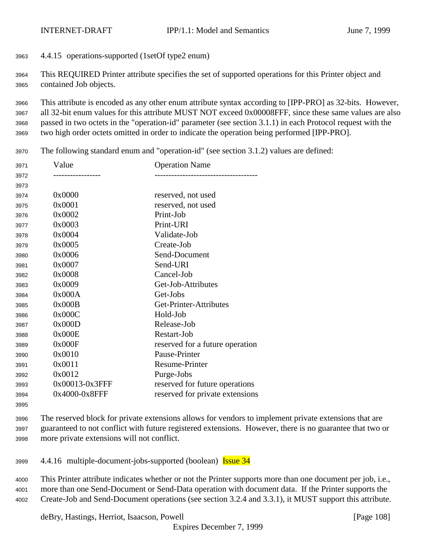4.4.15 operations-supported (1setOf type2 enum)

 This REQUIRED Printer attribute specifies the set of supported operations for this Printer object and contained Job objects.

 This attribute is encoded as any other enum attribute syntax according to [IPP-PRO] as 32-bits. However, all 32-bit enum values for this attribute MUST NOT exceed 0x00008FFF, since these same values are also passed in two octets in the "operation-id" parameter (see section 3.1.1) in each Protocol request with the two high order octets omitted in order to indicate the operation being performed [IPP-PRO].

The following standard enum and "operation-id" (see section 3.1.2) values are defined:

| 3971 | Value          | <b>Operation Name</b>           |
|------|----------------|---------------------------------|
| 3972 |                |                                 |
| 3973 |                |                                 |
| 3974 | 0x0000         | reserved, not used              |
| 3975 | 0x0001         | reserved, not used              |
| 3976 | 0x0002         | Print-Job                       |
| 3977 | 0x0003         | Print-URI                       |
| 3978 | 0x0004         | Validate-Job                    |
| 3979 | 0x0005         | Create-Job                      |
| 3980 | 0x0006         | Send-Document                   |
| 3981 | 0x0007         | Send-URI                        |
| 3982 | 0x0008         | Cancel-Job                      |
| 3983 | 0x0009         | Get-Job-Attributes              |
| 3984 | 0x000A         | Get-Jobs                        |
| 3985 | 0x000B         | Get-Printer-Attributes          |
| 3986 | 0x000C         | Hold-Job                        |
| 3987 | 0x000D         | Release-Job                     |
| 3988 | 0x000E         | Restart-Job                     |
| 3989 | 0x000F         | reserved for a future operation |
| 3990 | 0x0010         | Pause-Printer                   |
| 3991 | 0x0011         | Resume-Printer                  |
| 3992 | 0x0012         | Purge-Jobs                      |
| 3993 | 0x00013-0x3FFF | reserved for future operations  |
| 3994 | 0x4000-0x8FFF  | reserved for private extensions |
|      |                |                                 |

 The reserved block for private extensions allows for vendors to implement private extensions that are guaranteed to not conflict with future registered extensions. However, there is no guarantee that two or more private extensions will not conflict.

4.4.16 multiple-document-jobs-supported (boolean) Issue 34

 This Printer attribute indicates whether or not the Printer supports more than one document per job, i.e., more than one Send-Document or Send-Data operation with document data. If the Printer supports the Create-Job and Send-Document operations (see section 3.2.4 and 3.3.1), it MUST support this attribute.

deBry, Hastings, Herriot, Isaacson, Powell [Page 108]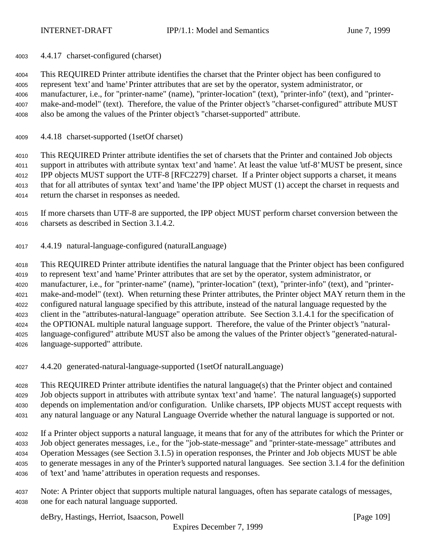4.4.17 charset-configured (charset)

 This REQUIRED Printer attribute identifies the charset that the Printer object has been configured to represent 'text' and 'name' Printer attributes that are set by the operator, system administrator, or manufacturer, i.e., for "printer-name" (name), "printer-location" (text), "printer-info" (text), and "printer- make-and-model" (text). Therefore, the value of the Printer object's "charset-configured" attribute MUST also be among the values of the Printer object's "charset-supported" attribute.

4.4.18 charset-supported (1setOf charset)

 This REQUIRED Printer attribute identifies the set of charsets that the Printer and contained Job objects support in attributes with attribute syntax 'text' and 'name'. At least the value 'utf-8' MUST be present, since IPP objects MUST support the UTF-8 [RFC2279] charset. If a Printer object supports a charset, it means that for all attributes of syntax 'text' and 'name' the IPP object MUST (1) accept the charset in requests and return the charset in responses as needed.

- If more charsets than UTF-8 are supported, the IPP object MUST perform charset conversion between the charsets as described in Section 3.1.4.2.
- 4.4.19 natural-language-configured (naturalLanguage)

 This REQUIRED Printer attribute identifies the natural language that the Printer object has been configured to represent 'text' and 'name' Printer attributes that are set by the operator, system administrator, or manufacturer, i.e., for "printer-name" (name), "printer-location" (text), "printer-info" (text), and "printer- make-and-model" (text). When returning these Printer attributes, the Printer object MAY return them in the configured natural language specified by this attribute, instead of the natural language requested by the client in the "attributes-natural-language" operation attribute. See Section 3.1.4.1 for the specification of the OPTIONAL multiple natural language support. Therefore, the value of the Printer object's "natural- language-configured" attribute MUST also be among the values of the Printer object's "generated-natural-language-supported" attribute.

4.4.20 generated-natural-language-supported (1setOf naturalLanguage)

 This REQUIRED Printer attribute identifies the natural language(s) that the Printer object and contained Job objects support in attributes with attribute syntax 'text' and 'name'. The natural language(s) supported depends on implementation and/or configuration. Unlike charsets, IPP objects MUST accept requests with any natural language or any Natural Language Override whether the natural language is supported or not.

 If a Printer object supports a natural language, it means that for any of the attributes for which the Printer or Job object generates messages, i.e., for the "job-state-message" and "printer-state-message" attributes and Operation Messages (see Section 3.1.5) in operation responses, the Printer and Job objects MUST be able to generate messages in any of the Printer's supported natural languages. See section 3.1.4 for the definition of 'text' and 'name' attributes in operation requests and responses.

 Note: A Printer object that supports multiple natural languages, often has separate catalogs of messages, one for each natural language supported.

deBry, Hastings, Herriot, Isaacson, Powell [Page 109]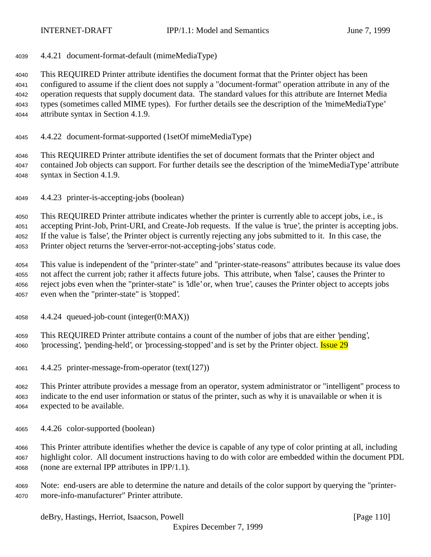4.4.21 document-format-default (mimeMediaType)

 This REQUIRED Printer attribute identifies the document format that the Printer object has been configured to assume if the client does not supply a "document-format" operation attribute in any of the operation requests that supply document data. The standard values for this attribute are Internet Media types (sometimes called MIME types). For further details see the description of the 'mimeMediaType' attribute syntax in Section 4.1.9.

4.4.22 document-format-supported (1setOf mimeMediaType)

 This REQUIRED Printer attribute identifies the set of document formats that the Printer object and contained Job objects can support. For further details see the description of the 'mimeMediaType' attribute syntax in Section 4.1.9.

4.4.23 printer-is-accepting-jobs (boolean)

 This REQUIRED Printer attribute indicates whether the printer is currently able to accept jobs, i.e., is accepting Print-Job, Print-URI, and Create-Job requests. If the value is 'true', the printer is accepting jobs. If the value is 'false', the Printer object is currently rejecting any jobs submitted to it. In this case, the Printer object returns the 'server-error-not-accepting-jobs' status code.

 This value is independent of the "printer-state" and "printer-state-reasons" attributes because its value does not affect the current job; rather it affects future jobs. This attribute, when 'false', causes the Printer to reject jobs even when the "printer-state" is 'idle' or, when 'true', causes the Printer object to accepts jobs even when the "printer-state" is 'stopped'.

4.4.24 queued-job-count (integer(0:MAX))

 This REQUIRED Printer attribute contains a count of the number of jobs that are either 'pending', 4060 'processing', 'pending-held', or 'processing-stopped' and is set by the Printer object. **Issue 29** 

4.4.25 printer-message-from-operator (text(127))

 This Printer attribute provides a message from an operator, system administrator or "intelligent" process to indicate to the end user information or status of the printer, such as why it is unavailable or when it is expected to be available.

4.4.26 color-supported (boolean)

 This Printer attribute identifies whether the device is capable of any type of color printing at all, including highlight color. All document instructions having to do with color are embedded within the document PDL (none are external IPP attributes in IPP/1.1).

 Note: end-users are able to determine the nature and details of the color support by querying the "printer-more-info-manufacturer" Printer attribute.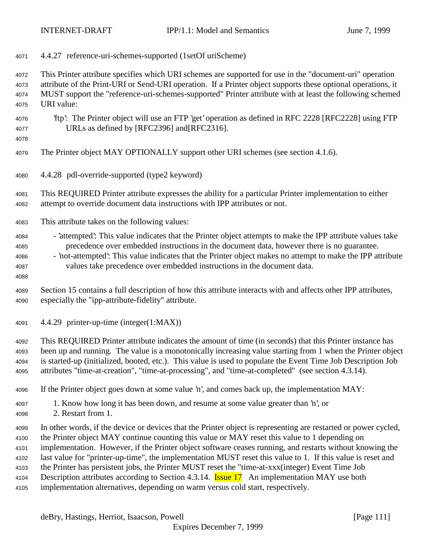4.4.27 reference-uri-schemes-supported (1setOf uriScheme)

 This Printer attribute specifies which URI schemes are supported for use in the "document-uri" operation attribute of the Print-URI or Send-URI operation. If a Printer object supports these optional operations, it MUST support the "reference-uri-schemes-supported" Printer attribute with at least the following schemed URI value:

 'ftp': The Printer object will use an FTP 'get' operation as defined in RFC 2228 [RFC2228] using FTP URLs as defined by [RFC2396] and[RFC2316].

The Printer object MAY OPTIONALLY support other URI schemes (see section 4.1.6).

4.4.28 pdl-override-supported (type2 keyword)

 This REQUIRED Printer attribute expresses the ability for a particular Printer implementation to either attempt to override document data instructions with IPP attributes or not.

- This attribute takes on the following values:
- 'attempted': This value indicates that the Printer object attempts to make the IPP attribute values take precedence over embedded instructions in the document data, however there is no guarantee.
- 'not-attempted': This value indicates that the Printer object makes no attempt to make the IPP attribute values take precedence over embedded instructions in the document data.
- Section 15 contains a full description of how this attribute interacts with and affects other IPP attributes, especially the "ipp-attribute-fidelity" attribute.
- 4.4.29 printer-up-time (integer(1:MAX))
- This REQUIRED Printer attribute indicates the amount of time (in seconds) that this Printer instance has been up and running. The value is a monotonically increasing value starting from 1 when the Printer object is started-up (initialized, booted, etc.). This value is used to populate the Event Time Job Description Job attributes "time-at-creation", "time-at-processing", and "time-at-completed" (see section 4.3.14).
- If the Printer object goes down at some value 'n', and comes back up, the implementation MAY:
- 1. Know how long it has been down, and resume at some value greater than 'n', or
- 2. Restart from 1.
- In other words, if the device or devices that the Printer object is representing are restarted or power cycled, the Printer object MAY continue counting this value or MAY reset this value to 1 depending on implementation. However, if the Printer object software ceases running, and restarts without knowing the last value for "printer-up-time", the implementation MUST reset this value to 1. If this value is reset and the Printer has persistent jobs, the Printer MUST reset the "time-at-xxx(integer) Event Time Job 4104 Description attributes according to Section 4.3.14. **Issue 17** An implementation MAY use both
- implementation alternatives, depending on warm versus cold start, respectively.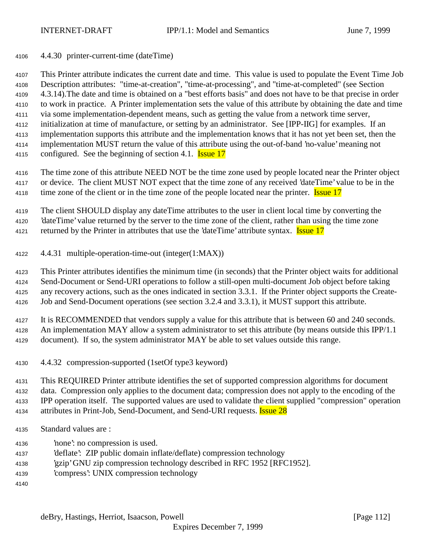4.4.30 printer-current-time (dateTime)

 This Printer attribute indicates the current date and time. This value is used to populate the Event Time Job Description attributes: "time-at-creation", "time-at-processing", and "time-at-completed" (see Section 4.3.14).The date and time is obtained on a "best efforts basis" and does not have to be that precise in order to work in practice. A Printer implementation sets the value of this attribute by obtaining the date and time via some implementation-dependent means, such as getting the value from a network time server, initialization at time of manufacture, or setting by an administrator. See [IPP-IIG] for examples. If an implementation supports this attribute and the implementation knows that it has not yet been set, then the implementation MUST return the value of this attribute using the out-of-band 'no-value' meaning not 4115 configured. See the beginning of section 4.1. **Issue 17** 

 The time zone of this attribute NEED NOT be the time zone used by people located near the Printer object or device. The client MUST NOT expect that the time zone of any received 'dateTime' value to be in the 4118 time zone of the client or in the time zone of the people located near the printer. Issue 17

 The client SHOULD display any dateTime attributes to the user in client local time by converting the 'dateTime' value returned by the server to the time zone of the client, rather than using the time zone 4121 returned by the Printer in attributes that use the 'dateTime' attribute syntax. **Issue 17** 

4.4.31 multiple-operation-time-out (integer(1:MAX))

 This Printer attributes identifies the minimum time (in seconds) that the Printer object waits for additional Send-Document or Send-URI operations to follow a still-open multi-document Job object before taking any recovery actions, such as the ones indicated in section 3.3.1. If the Printer object supports the Create-Job and Send-Document operations (see section 3.2.4 and 3.3.1), it MUST support this attribute.

 It is RECOMMENDED that vendors supply a value for this attribute that is between 60 and 240 seconds. An implementation MAY allow a system administrator to set this attribute (by means outside this IPP/1.1

document). If so, the system administrator MAY be able to set values outside this range.

4.4.32 compression-supported (1setOf type3 keyword)

 This REQUIRED Printer attribute identifies the set of supported compression algorithms for document data. Compression only applies to the document data; compression does not apply to the encoding of the

IPP operation itself. The supported values are used to validate the client supplied "compression" operation

- 4134 attributes in Print-Job, Send-Document, and Send-URI requests. **Issue 28**
- Standard values are :
- 'none': no compression is used.
- 'deflate': ZIP public domain inflate/deflate) compression technology
- 'gzip' GNU zip compression technology described in RFC 1952 [RFC1952].
- 'compress': UNIX compression technology
-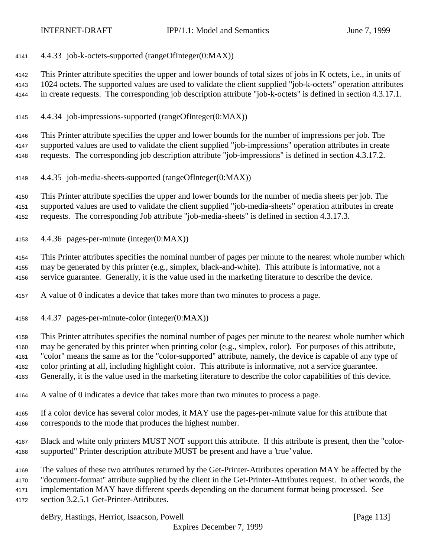4.4.33 job-k-octets-supported (rangeOfInteger(0:MAX))

 This Printer attribute specifies the upper and lower bounds of total sizes of jobs in K octets, i.e., in units of 1024 octets. The supported values are used to validate the client supplied "job-k-octets" operation attributes in create requests. The corresponding job description attribute "job-k-octets" is defined in section 4.3.17.1.

4.4.34 job-impressions-supported (rangeOfInteger(0:MAX))

 This Printer attribute specifies the upper and lower bounds for the number of impressions per job. The supported values are used to validate the client supplied "job-impressions" operation attributes in create requests. The corresponding job description attribute "job-impressions" is defined in section 4.3.17.2.

4.4.35 job-media-sheets-supported (rangeOfInteger(0:MAX))

 This Printer attribute specifies the upper and lower bounds for the number of media sheets per job. The supported values are used to validate the client supplied "job-media-sheets" operation attributes in create requests. The corresponding Job attribute "job-media-sheets" is defined in section 4.3.17.3.

4.4.36 pages-per-minute (integer(0:MAX))

 This Printer attributes specifies the nominal number of pages per minute to the nearest whole number which may be generated by this printer (e.g., simplex, black-and-white). This attribute is informative, not a service guarantee. Generally, it is the value used in the marketing literature to describe the device.

A value of 0 indicates a device that takes more than two minutes to process a page.

4.4.37 pages-per-minute-color (integer(0:MAX))

 This Printer attributes specifies the nominal number of pages per minute to the nearest whole number which may be generated by this printer when printing color (e.g., simplex, color). For purposes of this attribute, "color" means the same as for the "color-supported" attribute, namely, the device is capable of any type of color printing at all, including highlight color. This attribute is informative, not a service guarantee.

Generally, it is the value used in the marketing literature to describe the color capabilities of this device.

- A value of 0 indicates a device that takes more than two minutes to process a page.
- If a color device has several color modes, it MAY use the pages-per-minute value for this attribute that corresponds to the mode that produces the highest number.
- Black and white only printers MUST NOT support this attribute. If this attribute is present, then the "color-supported" Printer description attribute MUST be present and have a 'true' value.
- The values of these two attributes returned by the Get-Printer-Attributes operation MAY be affected by the
- "document-format" attribute supplied by the client in the Get-Printer-Attributes request. In other words, the

implementation MAY have different speeds depending on the document format being processed. See

section 3.2.5.1 Get-Printer-Attributes.

deBry, Hastings, Herriot, Isaacson, Powell [Page 113]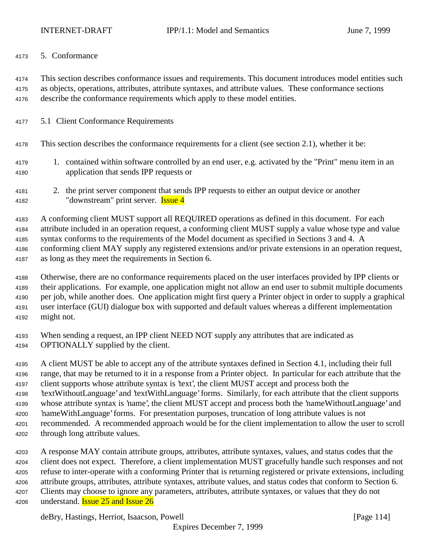#### 5. Conformance

 This section describes conformance issues and requirements. This document introduces model entities such as objects, operations, attributes, attribute syntaxes, and attribute values. These conformance sections describe the conformance requirements which apply to these model entities.

- 5.1 Client Conformance Requirements
- This section describes the conformance requirements for a client (see section 2.1), whether it be:
- 1. contained within software controlled by an end user, e.g. activated by the "Print" menu item in an application that sends IPP requests or
- 2. the print server component that sends IPP requests to either an output device or another 4182 "downstream" print server. **Issue 4**

 A conforming client MUST support all REQUIRED operations as defined in this document. For each attribute included in an operation request, a conforming client MUST supply a value whose type and value syntax conforms to the requirements of the Model document as specified in Sections 3 and 4. A conforming client MAY supply any registered extensions and/or private extensions in an operation request,

- as long as they meet the requirements in Section 6.
- Otherwise, there are no conformance requirements placed on the user interfaces provided by IPP clients or their applications. For example, one application might not allow an end user to submit multiple documents per job, while another does. One application might first query a Printer object in order to supply a graphical user interface (GUI) dialogue box with supported and default values whereas a different implementation might not.
- When sending a request, an IPP client NEED NOT supply any attributes that are indicated as OPTIONALLY supplied by the client.
- A client MUST be able to accept any of the attribute syntaxes defined in Section 4.1, including their full range, that may be returned to it in a response from a Printer object. In particular for each attribute that the client supports whose attribute syntax is 'text', the client MUST accept and process both the 'textWithoutLanguage' and 'textWithLanguage' forms. Similarly, for each attribute that the client supports whose attribute syntax is 'name', the client MUST accept and process both the 'nameWithoutLanguage' and 'nameWithLanguage' forms. For presentation purposes, truncation of long attribute values is not recommended. A recommended approach would be for the client implementation to allow the user to scroll through long attribute values.
- A response MAY contain attribute groups, attributes, attribute syntaxes, values, and status codes that the client does not expect. Therefore, a client implementation MUST gracefully handle such responses and not refuse to inter-operate with a conforming Printer that is returning registered or private extensions, including attribute groups, attributes, attribute syntaxes, attribute values, and status codes that conform to Section 6. Clients may choose to ignore any parameters, attributes, attribute syntaxes, or values that they do not 4208 understand. **Issue 25 and Issue 26**

deBry, Hastings, Herriot, Isaacson, Powell [Page 114]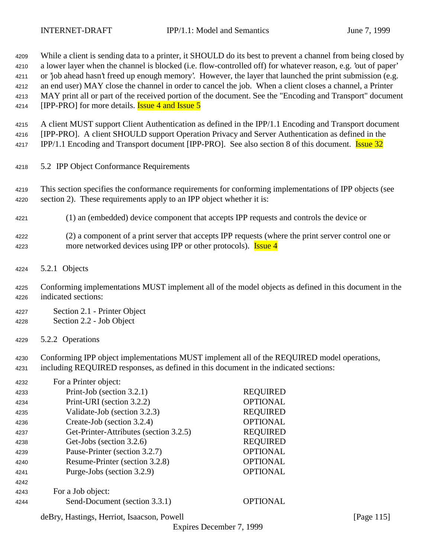While a client is sending data to a printer, it SHOULD do its best to prevent a channel from being closed by a lower layer when the channel is blocked (i.e. flow-controlled off) for whatever reason, e.g. 'out of paper' or 'job ahead hasn't freed up enough memory'. However, the layer that launched the print submission (e.g. an end user) MAY close the channel in order to cancel the job. When a client closes a channel, a Printer MAY print all or part of the received portion of the document. See the "Encoding and Transport" document **IPP-PRO** for more details. **Issue 4 and Issue 5**  A client MUST support Client Authentication as defined in the IPP/1.1 Encoding and Transport document [IPP-PRO]. A client SHOULD support Operation Privacy and Server Authentication as defined in the 4217 IPP/1.1 Encoding and Transport document [IPP-PRO]. See also section 8 of this document. Issue 32

- 5.2 IPP Object Conformance Requirements
- This section specifies the conformance requirements for conforming implementations of IPP objects (see section 2). These requirements apply to an IPP object whether it is:
- (1) an (embedded) device component that accepts IPP requests and controls the device or
- (2) a component of a print server that accepts IPP requests (where the print server control one or 4223 more networked devices using IPP or other protocols). **Issue 4**
- 5.2.1 Objects
- Conforming implementations MUST implement all of the model objects as defined in this document in the indicated sections:
- Section 2.1 Printer Object Section 2.2 - Job Object
- 5.2.2 Operations

 Conforming IPP object implementations MUST implement all of the REQUIRED model operations, including REQUIRED responses, as defined in this document in the indicated sections:

| 4232 | For a Printer object:                  |                 |
|------|----------------------------------------|-----------------|
| 4233 | Print-Job (section 3.2.1)              | <b>REQUIRED</b> |
| 4234 | Print-URI (section 3.2.2)              | <b>OPTIONAL</b> |
| 4235 | Validate-Job (section 3.2.3)           | <b>REQUIRED</b> |
| 4236 | Create-Job (section 3.2.4)             | <b>OPTIONAL</b> |
| 4237 | Get-Printer-Attributes (section 3.2.5) | <b>REQUIRED</b> |
| 4238 | Get-Jobs (section 3.2.6)               | <b>REQUIRED</b> |
| 4239 | Pause-Printer (section 3.2.7)          | <b>OPTIONAL</b> |
| 4240 | Resume-Printer (section 3.2.8)         | <b>OPTIONAL</b> |
| 4241 | Purge-Jobs (section 3.2.9)             | <b>OPTIONAL</b> |
| 4242 |                                        |                 |
| 4243 | For a Job object:                      |                 |
| 4244 | Send-Document (section 3.3.1)          | <b>OPTIONAL</b> |

deBry, Hastings, Herriot, Isaacson, Powell [Page 115]

Expires December 7, 1999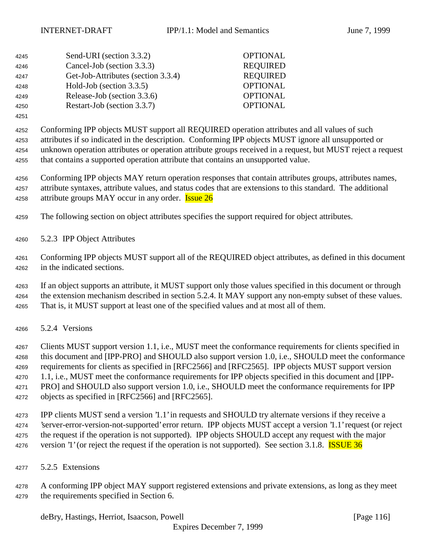| 4245 | Send-URI (section 3.3.2)           | <b>OPTIONAL</b> |
|------|------------------------------------|-----------------|
| 4246 | Cancel-Job (section 3.3.3)         | <b>REQUIRED</b> |
| 4247 | Get-Job-Attributes (section 3.3.4) | <b>REQUIRED</b> |
| 4248 | Hold-Job (section 3.3.5)           | <b>OPTIONAL</b> |
| 4249 | Release-Job (section 3.3.6)        | <b>OPTIONAL</b> |
| 4250 | Restart-Job (section 3.3.7)        | <b>OPTIONAL</b> |
|      |                                    |                 |

 Conforming IPP objects MUST support all REQUIRED operation attributes and all values of such attributes if so indicated in the description. Conforming IPP objects MUST ignore all unsupported or unknown operation attributes or operation attribute groups received in a request, but MUST reject a request that contains a supported operation attribute that contains an unsupported value.

 Conforming IPP objects MAY return operation responses that contain attributes groups, attributes names, attribute syntaxes, attribute values, and status codes that are extensions to this standard. The additional 4258 attribute groups MAY occur in any order. **Issue 26** 

The following section on object attributes specifies the support required for object attributes.

5.2.3 IPP Object Attributes

 Conforming IPP objects MUST support all of the REQUIRED object attributes, as defined in this document in the indicated sections.

 If an object supports an attribute, it MUST support only those values specified in this document or through 4264 the extension mechanism described in section 5.2.4. It MAY support any non-empty subset of these values. That is, it MUST support at least one of the specified values and at most all of them.

5.2.4 Versions

 Clients MUST support version 1.1, i.e., MUST meet the conformance requirements for clients specified in this document and [IPP-PRO] and SHOULD also support version 1.0, i.e., SHOULD meet the conformance requirements for clients as specified in [RFC2566] and [RFC2565]. IPP objects MUST support version 1.1, i.e., MUST meet the conformance requirements for IPP objects specified in this document and [IPP- PRO] and SHOULD also support version 1.0, i.e., SHOULD meet the conformance requirements for IPP objects as specified in [RFC2566] and [RFC2565].

 IPP clients MUST send a version '1.1' in requests and SHOULD try alternate versions if they receive a 'server-error-version-not-supported' error return. IPP objects MUST accept a version '1.1' request (or reject the request if the operation is not supported). IPP objects SHOULD accept any request with the major 4276 version '1' (or reject the request if the operation is not supported). See section 3.1.8. **ISSUE 36** 

5.2.5 Extensions

 A conforming IPP object MAY support registered extensions and private extensions, as long as they meet the requirements specified in Section 6.

deBry, Hastings, Herriot, Isaacson, Powell [Page 116]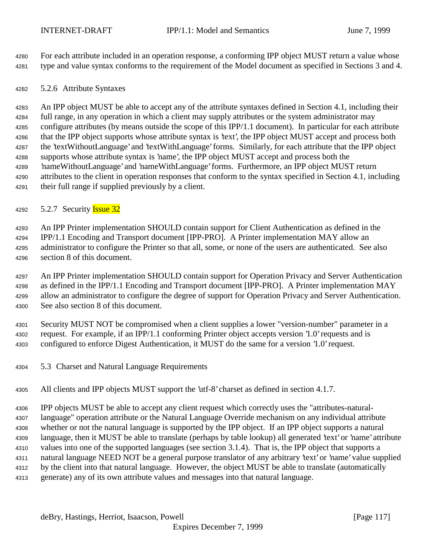For each attribute included in an operation response, a conforming IPP object MUST return a value whose type and value syntax conforms to the requirement of the Model document as specified in Sections 3 and 4.

5.2.6 Attribute Syntaxes

 An IPP object MUST be able to accept any of the attribute syntaxes defined in Section 4.1, including their full range, in any operation in which a client may supply attributes or the system administrator may configure attributes (by means outside the scope of this IPP/1.1 document). In particular for each attribute 4286 that the IPP object supports whose attribute syntax is 'text', the IPP object MUST accept and process both the 'textWithoutLanguage' and 'textWithLanguage' forms. Similarly, for each attribute that the IPP object supports whose attribute syntax is 'name', the IPP object MUST accept and process both the 'nameWithoutLanguage' and 'nameWithLanguage' forms. Furthermore, an IPP object MUST return attributes to the client in operation responses that conform to the syntax specified in Section 4.1, including their full range if supplied previously by a client.

4292 5.2.7 Security **Issue 32** 

 An IPP Printer implementation SHOULD contain support for Client Authentication as defined in the 4294 IPP/1.1 Encoding and Transport document [IPP-PRO]. A Printer implementation MAY allow an administrator to configure the Printer so that all, some, or none of the users are authenticated. See also section 8 of this document.

 An IPP Printer implementation SHOULD contain support for Operation Privacy and Server Authentication as defined in the IPP/1.1 Encoding and Transport document [IPP-PRO]. A Printer implementation MAY allow an administrator to configure the degree of support for Operation Privacy and Server Authentication. See also section 8 of this document.

 Security MUST NOT be compromised when a client supplies a lower "version-number" parameter in a request. For example, if an IPP/1.1 conforming Printer object accepts version '1.0' requests and is configured to enforce Digest Authentication, it MUST do the same for a version '1.0' request.

- 5.3 Charset and Natural Language Requirements
- All clients and IPP objects MUST support the 'utf-8' charset as defined in section 4.1.7.

 IPP objects MUST be able to accept any client request which correctly uses the "attributes-natural- language" operation attribute or the Natural Language Override mechanism on any individual attribute whether or not the natural language is supported by the IPP object. If an IPP object supports a natural language, then it MUST be able to translate (perhaps by table lookup) all generated 'text' or 'name' attribute values into one of the supported languages (see section 3.1.4). That is, the IPP object that supports a natural language NEED NOT be a general purpose translator of any arbitrary 'text' or 'name' value supplied by the client into that natural language. However, the object MUST be able to translate (automatically generate) any of its own attribute values and messages into that natural language.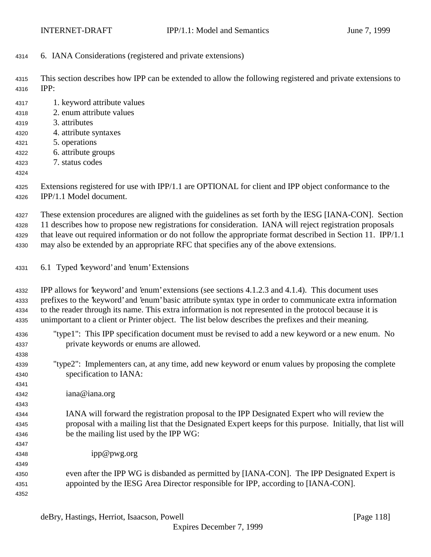6. IANA Considerations (registered and private extensions)

 This section describes how IPP can be extended to allow the following registered and private extensions to IPP:

 1. keyword attribute values 2. enum attribute values 3. attributes 4. attribute syntaxes 5. operations 6. attribute groups 7. status codes Extensions registered for use with IPP/1.1 are OPTIONAL for client and IPP object conformance to the

IPP/1.1 Model document.

These extension procedures are aligned with the guidelines as set forth by the IESG [IANA-CON]. Section

 11 describes how to propose new registrations for consideration. IANA will reject registration proposals that leave out required information or do not follow the appropriate format described in Section 11. IPP/1.1

may also be extended by an appropriate RFC that specifies any of the above extensions.

6.1 Typed 'keyword' and 'enum' Extensions

 IPP allows for 'keyword' and 'enum' extensions (see sections 4.1.2.3 and 4.1.4). This document uses prefixes to the 'keyword' and 'enum' basic attribute syntax type in order to communicate extra information to the reader through its name. This extra information is not represented in the protocol because it is unimportant to a client or Printer object. The list below describes the prefixes and their meaning.

- "type1": This IPP specification document must be revised to add a new keyword or a new enum. No private keywords or enums are allowed.
- "type2": Implementers can, at any time, add new keyword or enum values by proposing the complete specification to IANA:
- iana@iana.org

- IANA will forward the registration proposal to the IPP Designated Expert who will review the proposal with a mailing list that the Designated Expert keeps for this purpose. Initially, that list will be the mailing list used by the IPP WG:
- ipp@pwg.org
- even after the IPP WG is disbanded as permitted by [IANA-CON]. The IPP Designated Expert is appointed by the IESG Area Director responsible for IPP, according to [IANA-CON].
	- deBry, Hastings, Herriot, Isaacson, Powell [Page 118]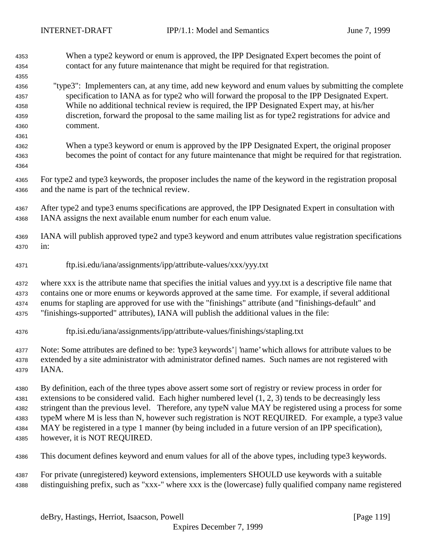- When a type2 keyword or enum is approved, the IPP Designated Expert becomes the point of contact for any future maintenance that might be required for that registration.
- "type3": Implementers can, at any time, add new keyword and enum values by submitting the complete specification to IANA as for type2 who will forward the proposal to the IPP Designated Expert. While no additional technical review is required, the IPP Designated Expert may, at his/her discretion, forward the proposal to the same mailing list as for type2 registrations for advice and comment.
- When a type3 keyword or enum is approved by the IPP Designated Expert, the original proposer becomes the point of contact for any future maintenance that might be required for that registration.
- For type2 and type3 keywords, the proposer includes the name of the keyword in the registration proposal and the name is part of the technical review.
- After type2 and type3 enums specifications are approved, the IPP Designated Expert in consultation with IANA assigns the next available enum number for each enum value.
- IANA will publish approved type2 and type3 keyword and enum attributes value registration specifications in:
- ftp.isi.edu/iana/assignments/ipp/attribute-values/xxx/yyy.txt

 where xxx is the attribute name that specifies the initial values and yyy.txt is a descriptive file name that contains one or more enums or keywords approved at the same time. For example, if several additional enums for stapling are approved for use with the "finishings" attribute (and "finishings-default" and "finishings-supported" attributes), IANA will publish the additional values in the file:

ftp.isi.edu/iana/assignments/ipp/attribute-values/finishings/stapling.txt

 Note: Some attributes are defined to be: 'type3 keywords' | 'name' which allows for attribute values to be extended by a site administrator with administrator defined names. Such names are not registered with IANA.

 By definition, each of the three types above assert some sort of registry or review process in order for extensions to be considered valid. Each higher numbered level (1, 2, 3) tends to be decreasingly less stringent than the previous level. Therefore, any typeN value MAY be registered using a process for some typeM where M is less than N, however such registration is NOT REQUIRED. For example, a type3 value MAY be registered in a type 1 manner (by being included in a future version of an IPP specification), however, it is NOT REQUIRED.

- This document defines keyword and enum values for all of the above types, including type3 keywords.
- For private (unregistered) keyword extensions, implementers SHOULD use keywords with a suitable distinguishing prefix, such as "xxx-" where xxx is the (lowercase) fully qualified company name registered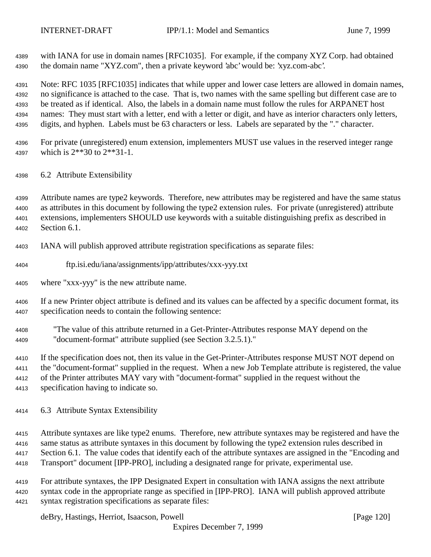with IANA for use in domain names [RFC1035]. For example, if the company XYZ Corp. had obtained the domain name "XYZ.com", then a private keyword 'abc' would be: 'xyz.com-abc'.

 Note: RFC 1035 [RFC1035] indicates that while upper and lower case letters are allowed in domain names, no significance is attached to the case. That is, two names with the same spelling but different case are to be treated as if identical. Also, the labels in a domain name must follow the rules for ARPANET host names: They must start with a letter, end with a letter or digit, and have as interior characters only letters, digits, and hyphen. Labels must be 63 characters or less. Labels are separated by the "." character.

- For private (unregistered) enum extension, implementers MUST use values in the reserved integer range which is 2\*\*30 to 2\*\*31-1.
- 6.2 Attribute Extensibility

 Attribute names are type2 keywords. Therefore, new attributes may be registered and have the same status as attributes in this document by following the type2 extension rules. For private (unregistered) attribute extensions, implementers SHOULD use keywords with a suitable distinguishing prefix as described in Section 6.1.

- IANA will publish approved attribute registration specifications as separate files:
- ftp.isi.edu/iana/assignments/ipp/attributes/xxx-yyy.txt
- where "xxx-yyy" is the new attribute name.

 If a new Printer object attribute is defined and its values can be affected by a specific document format, its specification needs to contain the following sentence:

 "The value of this attribute returned in a Get-Printer-Attributes response MAY depend on the "document-format" attribute supplied (see Section 3.2.5.1)."

 If the specification does not, then its value in the Get-Printer-Attributes response MUST NOT depend on the "document-format" supplied in the request. When a new Job Template attribute is registered, the value of the Printer attributes MAY vary with "document-format" supplied in the request without the specification having to indicate so.

6.3 Attribute Syntax Extensibility

 Attribute syntaxes are like type2 enums. Therefore, new attribute syntaxes may be registered and have the same status as attribute syntaxes in this document by following the type2 extension rules described in 4417 Section 6.1. The value codes that identify each of the attribute syntaxes are assigned in the "Encoding and Transport" document [IPP-PRO], including a designated range for private, experimental use.

 For attribute syntaxes, the IPP Designated Expert in consultation with IANA assigns the next attribute syntax code in the appropriate range as specified in [IPP-PRO]. IANA will publish approved attribute syntax registration specifications as separate files:

deBry, Hastings, Herriot, Isaacson, Powell [Page 120]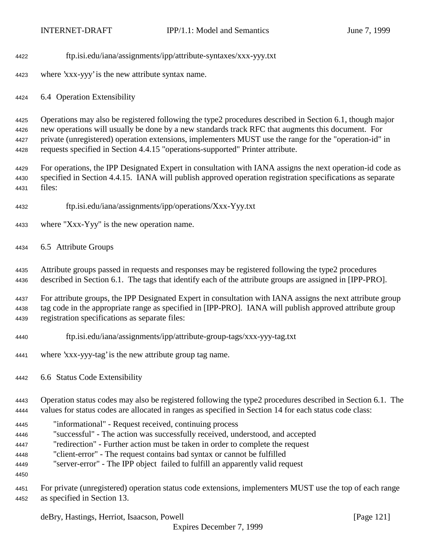- ftp.isi.edu/iana/assignments/ipp/attribute-syntaxes/xxx-yyy.txt
- where 'xxx-yyy' is the new attribute syntax name.

6.4 Operation Extensibility

 Operations may also be registered following the type2 procedures described in Section 6.1, though major new operations will usually be done by a new standards track RFC that augments this document. For private (unregistered) operation extensions, implementers MUST use the range for the "operation-id" in requests specified in Section 4.4.15 "operations-supported" Printer attribute.

 For operations, the IPP Designated Expert in consultation with IANA assigns the next operation-id code as specified in Section 4.4.15. IANA will publish approved operation registration specifications as separate files:

- ftp.isi.edu/iana/assignments/ipp/operations/Xxx-Yyy.txt
- where "Xxx-Yyy" is the new operation name.
- 6.5 Attribute Groups

 Attribute groups passed in requests and responses may be registered following the type2 procedures described in Section 6.1. The tags that identify each of the attribute groups are assigned in [IPP-PRO].

 For attribute groups, the IPP Designated Expert in consultation with IANA assigns the next attribute group tag code in the appropriate range as specified in [IPP-PRO]. IANA will publish approved attribute group registration specifications as separate files:

- ftp.isi.edu/iana/assignments/ipp/attribute-group-tags/xxx-yyy-tag.txt
- where 'xxx-yyy-tag' is the new attribute group tag name.
- 6.6 Status Code Extensibility

 Operation status codes may also be registered following the type2 procedures described in Section 6.1. The values for status codes are allocated in ranges as specified in Section 14 for each status code class:

- "informational" Request received, continuing process
- "successful" The action was successfully received, understood, and accepted
- "redirection" Further action must be taken in order to complete the request
- "client-error" The request contains bad syntax or cannot be fulfilled
- "server-error" The IPP object failed to fulfill an apparently valid request
- 

 For private (unregistered) operation status code extensions, implementers MUST use the top of each range as specified in Section 13.

deBry, Hastings, Herriot, Isaacson, Powell [Page 121]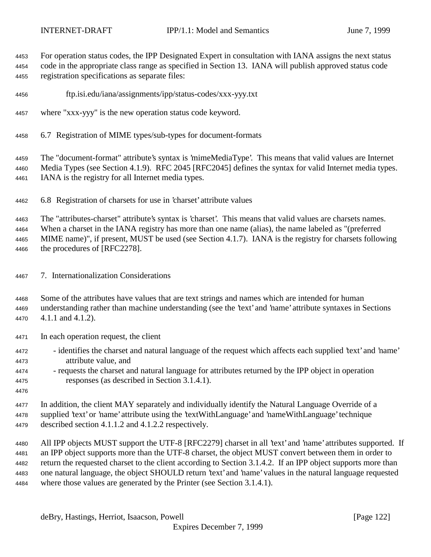For operation status codes, the IPP Designated Expert in consultation with IANA assigns the next status code in the appropriate class range as specified in Section 13. IANA will publish approved status code registration specifications as separate files:

- ftp.isi.edu/iana/assignments/ipp/status-codes/xxx-yyy.txt
- where "xxx-yyy" is the new operation status code keyword.
- 6.7 Registration of MIME types/sub-types for document-formats

 The "document-format" attribute's syntax is 'mimeMediaType'. This means that valid values are Internet Media Types (see Section 4.1.9). RFC 2045 [RFC2045] defines the syntax for valid Internet media types. IANA is the registry for all Internet media types.

6.8 Registration of charsets for use in 'charset' attribute values

The "attributes-charset" attribute's syntax is 'charset'. This means that valid values are charsets names.

When a charset in the IANA registry has more than one name (alias), the name labeled as "(preferred

 MIME name)", if present, MUST be used (see Section 4.1.7). IANA is the registry for charsets following the procedures of [RFC2278].

- 7. Internationalization Considerations
- Some of the attributes have values that are text strings and names which are intended for human understanding rather than machine understanding (see the 'text' and 'name' attribute syntaxes in Sections 4.1.1 and 4.1.2).
- In each operation request, the client
- identifies the charset and natural language of the request which affects each supplied 'text' and 'name' attribute value, and
- requests the charset and natural language for attributes returned by the IPP object in operation responses (as described in Section 3.1.4.1).
- 

 In addition, the client MAY separately and individually identify the Natural Language Override of a supplied 'text' or 'name' attribute using the 'textWithLanguage' and 'nameWithLanguage' technique described section 4.1.1.2 and 4.1.2.2 respectively.

 All IPP objects MUST support the UTF-8 [RFC2279] charset in all 'text' and 'name' attributes supported. If an IPP object supports more than the UTF-8 charset, the object MUST convert between them in order to return the requested charset to the client according to Section 3.1.4.2. If an IPP object supports more than one natural language, the object SHOULD return 'text' and 'name' values in the natural language requested where those values are generated by the Printer (see Section 3.1.4.1).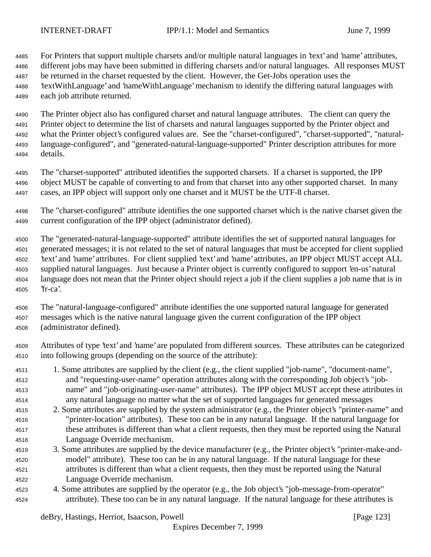For Printers that support multiple charsets and/or multiple natural languages in 'text' and 'name' attributes, different jobs may have been submitted in differing charsets and/or natural languages. All responses MUST be returned in the charset requested by the client. However, the Get-Jobs operation uses the 'textWithLanguage' and 'nameWithLanguage' mechanism to identify the differing natural languages with each job attribute returned.

 The Printer object also has configured charset and natural language attributes. The client can query the Printer object to determine the list of charsets and natural languages supported by the Printer object and what the Printer object's configured values are. See the "charset-configured", "charset-supported", "natural- language-configured", and "generated-natural-language-supported" Printer description attributes for more details.

 The "charset-supported" attributed identifies the supported charsets. If a charset is supported, the IPP object MUST be capable of converting to and from that charset into any other supported charset. In many cases, an IPP object will support only one charset and it MUST be the UTF-8 charset.

 The "charset-configured" attribute identifies the one supported charset which is the native charset given the current configuration of the IPP object (administrator defined).

 The "generated-natural-language-supported" attribute identifies the set of supported natural languages for generated messages; it is not related to the set of natural languages that must be accepted for client supplied 'text' and 'name' attributes. For client supplied 'text' and 'name' attributes, an IPP object MUST accept ALL supplied natural languages. Just because a Printer object is currently configured to support 'en-us' natural language does not mean that the Printer object should reject a job if the client supplies a job name that is in 'fr-ca'.

 The "natural-language-configured" attribute identifies the one supported natural language for generated messages which is the native natural language given the current configuration of the IPP object (administrator defined).

- Attributes of type 'text' and 'name' are populated from different sources. These attributes can be categorized into following groups (depending on the source of the attribute):
- 1. Some attributes are supplied by the client (e.g., the client supplied "job-name", "document-name", and "requesting-user-name" operation attributes along with the corresponding Job object's "job- name" and "job-originating-user-name" attributes). The IPP object MUST accept these attributes in any natural language no matter what the set of supported languages for generated messages
- 2. Some attributes are supplied by the system administrator (e.g., the Printer object's "printer-name" and "printer-location" attributes). These too can be in any natural language. If the natural language for these attributes is different than what a client requests, then they must be reported using the Natural Language Override mechanism.
- 3. Some attributes are supplied by the device manufacturer (e.g., the Printer object's "printer-make-and- model" attribute). These too can be in any natural language. If the natural language for these attributes is different than what a client requests, then they must be reported using the Natural Language Override mechanism.
- 4. Some attributes are supplied by the operator (e.g., the Job object's "job-message-from-operator" attribute). These too can be in any natural language. If the natural language for these attributes is

deBry, Hastings, Herriot, Isaacson, Powell [Page 123]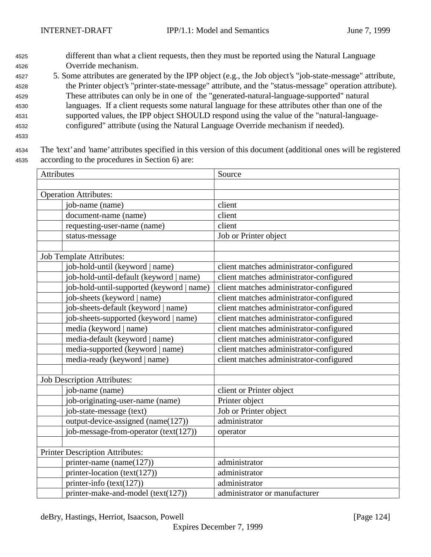- <sup>4525</sup> different than what a client requests, then they must be reported using the Natural Language <sup>4526</sup> Override mechanism.
- <sup>4527</sup> 5. Some attributes are generated by the IPP object (e.g., the Job object's "job-state-message" attribute, <sup>4528</sup> the Printer object's "printer-state-message" attribute, and the "status-message" operation attribute). <sup>4529</sup> These attributes can only be in one of the "generated-natural-language-supported" natural <sup>4530</sup> languages. If a client requests some natural language for these attributes other than one of the <sup>4531</sup> supported values, the IPP object SHOULD respond using the value of the "natural-language-<sup>4532</sup> configured" attribute (using the Natural Language Override mechanism if needed).
- 4533
- <sup>4534</sup> The 'text' and 'name' attributes specified in this version of this document (additional ones will be registered <sup>4535</sup> according to the procedures in Section 6) are:

| Attributes                                | Source                                  |  |  |
|-------------------------------------------|-----------------------------------------|--|--|
|                                           |                                         |  |  |
| <b>Operation Attributes:</b>              |                                         |  |  |
| job-name (name)                           | client                                  |  |  |
| document-name (name)                      | client                                  |  |  |
| requesting-user-name (name)               | client                                  |  |  |
| status-message                            | Job or Printer object                   |  |  |
|                                           |                                         |  |  |
| <b>Job Template Attributes:</b>           |                                         |  |  |
| job-hold-until (keyword   name)           | client matches administrator-configured |  |  |
| job-hold-until-default (keyword   name)   | client matches administrator-configured |  |  |
| job-hold-until-supported (keyword   name) | client matches administrator-configured |  |  |
| job-sheets (keyword   name)               | client matches administrator-configured |  |  |
| job-sheets-default (keyword   name)       | client matches administrator-configured |  |  |
| job-sheets-supported (keyword   name)     | client matches administrator-configured |  |  |
| media (keyword   name)                    | client matches administrator-configured |  |  |
| media-default (keyword   name)            | client matches administrator-configured |  |  |
| media-supported (keyword   name)          | client matches administrator-configured |  |  |
| media-ready (keyword   name)              | client matches administrator-configured |  |  |
| <b>Job Description Attributes:</b>        |                                         |  |  |
| job-name (name)                           | client or Printer object                |  |  |
| job-originating-user-name (name)          | Printer object                          |  |  |
| job-state-message (text)                  | Job or Printer object                   |  |  |
| output-device-assigned (name(127))        | administrator                           |  |  |
| job-message-from-operator (text(127))     | operator                                |  |  |
| <b>Printer Description Attributes:</b>    |                                         |  |  |
| printer-name (name $(127)$ )              | administrator                           |  |  |
| printer-location (text(127))              | administrator                           |  |  |
| printer-info $(text(127))$                | administrator                           |  |  |
|                                           |                                         |  |  |
| printer-make-and-model (text(127))        | administrator or manufacturer           |  |  |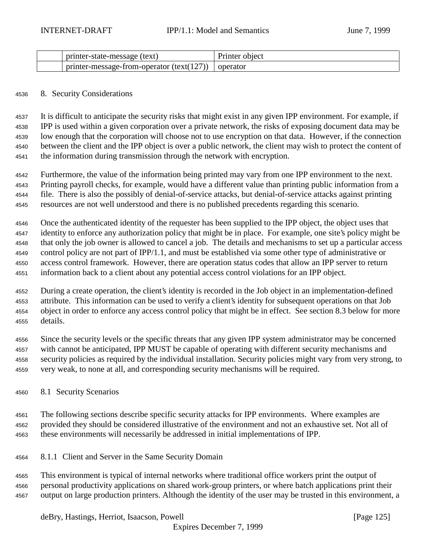| printer-state-message (text)                            | Printer object |
|---------------------------------------------------------|----------------|
| $\frac{1}{2}$ printer-message-from-operator (text(127)) | operator       |

#### 8. Security Considerations

 It is difficult to anticipate the security risks that might exist in any given IPP environment. For example, if IPP is used within a given corporation over a private network, the risks of exposing document data may be low enough that the corporation will choose not to use encryption on that data. However, if the connection between the client and the IPP object is over a public network, the client may wish to protect the content of the information during transmission through the network with encryption.

 Furthermore, the value of the information being printed may vary from one IPP environment to the next. Printing payroll checks, for example, would have a different value than printing public information from a file. There is also the possibly of denial-of-service attacks, but denial-of-service attacks against printing resources are not well understood and there is no published precedents regarding this scenario.

 Once the authenticated identity of the requester has been supplied to the IPP object, the object uses that identity to enforce any authorization policy that might be in place. For example, one site's policy might be that only the job owner is allowed to cancel a job. The details and mechanisms to set up a particular access control policy are not part of IPP/1.1, and must be established via some other type of administrative or access control framework. However, there are operation status codes that allow an IPP server to return information back to a client about any potential access control violations for an IPP object.

 During a create operation, the client's identity is recorded in the Job object in an implementation-defined attribute. This information can be used to verify a client's identity for subsequent operations on that Job object in order to enforce any access control policy that might be in effect. See section 8.3 below for more details.

 Since the security levels or the specific threats that any given IPP system administrator may be concerned with cannot be anticipated, IPP MUST be capable of operating with different security mechanisms and security policies as required by the individual installation. Security policies might vary from very strong, to very weak, to none at all, and corresponding security mechanisms will be required.

8.1 Security Scenarios

 The following sections describe specific security attacks for IPP environments. Where examples are provided they should be considered illustrative of the environment and not an exhaustive set. Not all of these environments will necessarily be addressed in initial implementations of IPP.

8.1.1 Client and Server in the Same Security Domain

 This environment is typical of internal networks where traditional office workers print the output of personal productivity applications on shared work-group printers, or where batch applications print their output on large production printers. Although the identity of the user may be trusted in this environment, a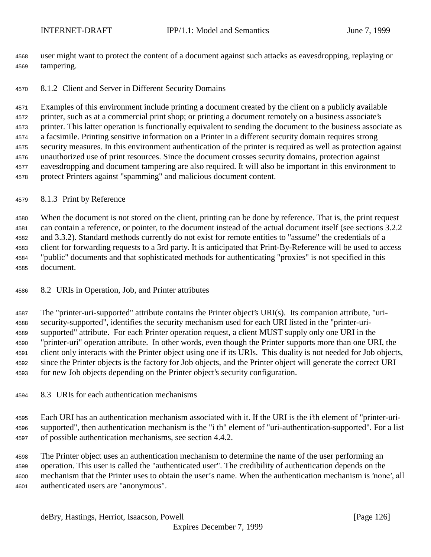user might want to protect the content of a document against such attacks as eavesdropping, replaying or tampering.

# 8.1.2 Client and Server in Different Security Domains

 Examples of this environment include printing a document created by the client on a publicly available printer, such as at a commercial print shop; or printing a document remotely on a business associate's printer. This latter operation is functionally equivalent to sending the document to the business associate as a facsimile. Printing sensitive information on a Printer in a different security domain requires strong security measures. In this environment authentication of the printer is required as well as protection against unauthorized use of print resources. Since the document crosses security domains, protection against eavesdropping and document tampering are also required. It will also be important in this environment to protect Printers against "spamming" and malicious document content.

## 8.1.3 Print by Reference

 When the document is not stored on the client, printing can be done by reference. That is, the print request can contain a reference, or pointer, to the document instead of the actual document itself (see sections 3.2.2 and 3.3.2). Standard methods currently do not exist for remote entities to "assume" the credentials of a client for forwarding requests to a 3rd party. It is anticipated that Print-By-Reference will be used to access "public" documents and that sophisticated methods for authenticating "proxies" is not specified in this document.

## 8.2 URIs in Operation, Job, and Printer attributes

 The "printer-uri-supported" attribute contains the Printer object's URI(s). Its companion attribute, "uri- security-supported", identifies the security mechanism used for each URI listed in the "printer-uri- supported" attribute. For each Printer operation request, a client MUST supply only one URI in the "printer-uri" operation attribute. In other words, even though the Printer supports more than one URI, the client only interacts with the Printer object using one if its URIs. This duality is not needed for Job objects, since the Printer objects is the factory for Job objects, and the Printer object will generate the correct URI for new Job objects depending on the Printer object's security configuration.

8.3 URIs for each authentication mechanisms

 Each URI has an authentication mechanism associated with it. If the URI is the i'th element of "printer-uri- supported", then authentication mechanism is the "i th" element of "uri-authentication-supported". For a list of possible authentication mechanisms, see section 4.4.2.

 The Printer object uses an authentication mechanism to determine the name of the user performing an operation. This user is called the "authenticated user". The credibility of authentication depends on the 4600 mechanism that the Printer uses to obtain the user's name. When the authentication mechanism is 'none', all authenticated users are "anonymous".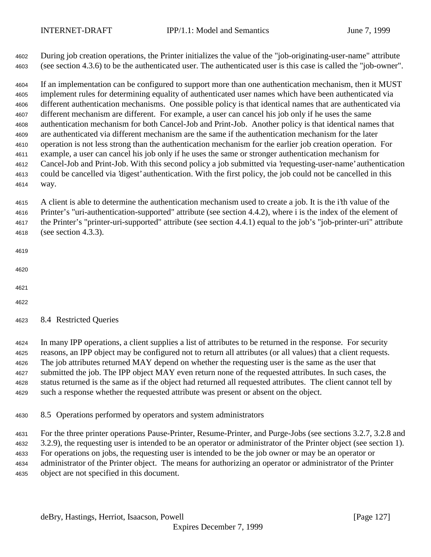During job creation operations, the Printer initializes the value of the "job-originating-user-name" attribute (see section 4.3.6) to be the authenticated user. The authenticated user is this case is called the "job-owner".

 If an implementation can be configured to support more than one authentication mechanism, then it MUST implement rules for determining equality of authenticated user names which have been authenticated via different authentication mechanisms. One possible policy is that identical names that are authenticated via different mechanism are different. For example, a user can cancel his job only if he uses the same authentication mechanism for both Cancel-Job and Print-Job. Another policy is that identical names that are authenticated via different mechanism are the same if the authentication mechanism for the later operation is not less strong than the authentication mechanism for the earlier job creation operation. For example, a user can cancel his job only if he uses the same or stronger authentication mechanism for Cancel-Job and Print-Job. With this second policy a job submitted via 'requesting-user-name' authentication could be cancelled via 'digest' authentication. With the first policy, the job could not be cancelled in this way.

 A client is able to determine the authentication mechanism used to create a job. It is the i'th value of the Printer's "uri-authentication-supported" attribute (see section 4.4.2), where i is the index of the element of the Printer's "printer-uri-supported" attribute (see section 4.4.1) equal to the job's "job-printer-uri" attribute (see section 4.3.3).

- 
- 
- 
- 

8.4 Restricted Queries

 In many IPP operations, a client supplies a list of attributes to be returned in the response. For security reasons, an IPP object may be configured not to return all attributes (or all values) that a client requests. The job attributes returned MAY depend on whether the requesting user is the same as the user that submitted the job. The IPP object MAY even return none of the requested attributes. In such cases, the status returned is the same as if the object had returned all requested attributes. The client cannot tell by such a response whether the requested attribute was present or absent on the object.

8.5 Operations performed by operators and system administrators

For the three printer operations Pause-Printer, Resume-Printer, and Purge-Jobs (see sections 3.2.7, 3.2.8 and

3.2.9), the requesting user is intended to be an operator or administrator of the Printer object (see section 1).

 For operations on jobs, the requesting user is intended to be the job owner or may be an operator or administrator of the Printer object. The means for authorizing an operator or administrator of the Printer

object are not specified in this document.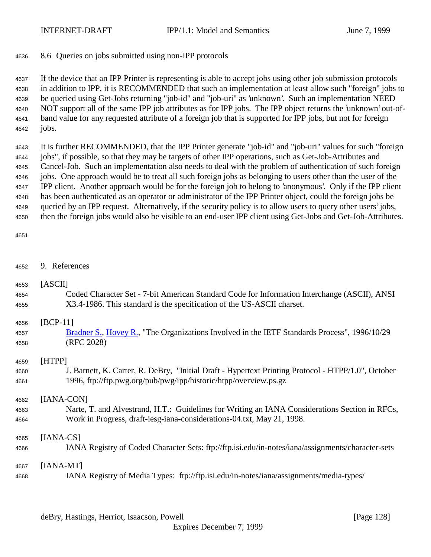# 8.6 Queries on jobs submitted using non-IPP protocols

 If the device that an IPP Printer is representing is able to accept jobs using other job submission protocols in addition to IPP, it is RECOMMENDED that such an implementation at least allow such "foreign" jobs to be queried using Get-Jobs returning "job-id" and "job-uri" as 'unknown'. Such an implementation NEED NOT support all of the same IPP job attributes as for IPP jobs. The IPP object returns the 'unknown' out-of- band value for any requested attribute of a foreign job that is supported for IPP jobs, but not for foreign jobs.

 It is further RECOMMENDED, that the IPP Printer generate "job-id" and "job-uri" values for such "foreign jobs", if possible, so that they may be targets of other IPP operations, such as Get-Job-Attributes and Cancel-Job. Such an implementation also needs to deal with the problem of authentication of such foreign jobs. One approach would be to treat all such foreign jobs as belonging to users other than the user of the IPP client. Another approach would be for the foreign job to belong to 'anonymous'. Only if the IPP client has been authenticated as an operator or administrator of the IPP Printer object, could the foreign jobs be queried by an IPP request. Alternatively, if the security policy is to allow users to query other users' jobs, then the foreign jobs would also be visible to an end-user IPP client using Get-Jobs and Get-Job-Attributes.

#### 

| 4652 | 9. References                                                                                      |
|------|----------------------------------------------------------------------------------------------------|
| 4653 | [ASCII]                                                                                            |
| 4654 | Coded Character Set - 7-bit American Standard Code for Information Interchange (ASCII), ANSI       |
| 4655 | X3.4-1986. This standard is the specification of the US-ASCII charset.                             |
| 4656 | $[BCP-11]$                                                                                         |
| 4657 | Bradner S., Hovey R., "The Organizations Involved in the IETF Standards Process", 1996/10/29       |
| 4658 | (RFC 2028)                                                                                         |
| 4659 | [HTPP]                                                                                             |
| 4660 | J. Barnett, K. Carter, R. DeBry, "Initial Draft - Hypertext Printing Protocol - HTPP/1.0", October |
| 4661 | 1996, ftp://ftp.pwg.org/pub/pwg/ipp/historic/htpp/overview.ps.gz                                   |
| 4662 | [IANA-CON]                                                                                         |
| 4663 | Narte, T. and Alvestrand, H.T.: Guidelines for Writing an IANA Considerations Section in RFCs,     |
| 4664 | Work in Progress, draft-iesg-iana-considerations-04.txt, May 21, 1998.                             |
| 4665 | $[IANA-CS]$                                                                                        |
| 4666 | IANA Registry of Coded Character Sets: ftp://ftp.isi.edu/in-notes/iana/assignments/character-sets  |
| 4667 | $[IANA-MT]$                                                                                        |
| 4668 | IANA Registry of Media Types: ftp://ftp.isi.edu/in-notes/iana/assignments/media-types/             |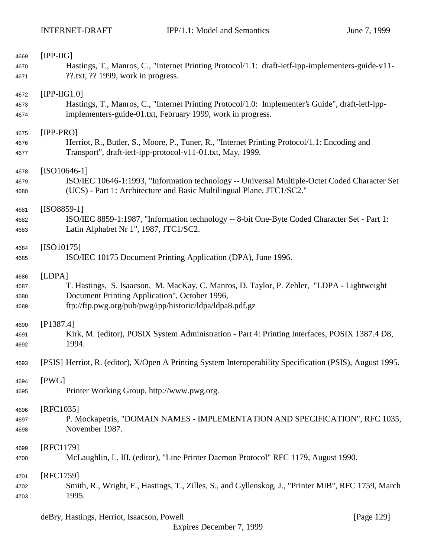| 4669<br>4670<br>4671         | $[IPP-IIG]$<br>Hastings, T., Manros, C., "Internet Printing Protocol/1.1: draft-ietf-ipp-implementers-guide-v11-<br>??.txt, ?? 1999, work in progress.                                                           |  |
|------------------------------|------------------------------------------------------------------------------------------------------------------------------------------------------------------------------------------------------------------|--|
| 4672<br>4673<br>4674         | $[IPP-HG1.0]$<br>Hastings, T., Manros, C., "Internet Printing Protocol/1.0: Implementer's Guide", draft-ietf-ipp-<br>implementers-guide-01.txt, February 1999, work in progress.                                 |  |
| 4675<br>4676<br>4677         | $[IPP-PRO]$<br>Herriot, R., Butler, S., Moore, P., Tuner, R., "Internet Printing Protocol/1.1: Encoding and<br>Transport", draft-ietf-ipp-protocol-v11-01.txt, May, 1999.                                        |  |
| 4678<br>4679<br>4680         | $[ISO10646-1]$<br>ISO/IEC 10646-1:1993, "Information technology -- Universal Multiple-Octet Coded Character Set<br>(UCS) - Part 1: Architecture and Basic Multilingual Plane, JTC1/SC2."                         |  |
| 4681<br>4682<br>4683         | $[ISO8859-1]$<br>ISO/IEC 8859-1:1987, "Information technology -- 8-bit One-Byte Coded Character Set - Part 1:<br>Latin Alphabet Nr 1", 1987, JTC1/SC2.                                                           |  |
| 4684<br>4685                 | $[ISO10175]$<br>ISO/IEC 10175 Document Printing Application (DPA), June 1996.                                                                                                                                    |  |
| 4686<br>4687<br>4688<br>4689 | [LDPA]<br>T. Hastings, S. Isaacson, M. MacKay, C. Manros, D. Taylor, P. Zehler, "LDPA - Lightweight<br>Document Printing Application", October 1996,<br>ftp://ftp.pwg.org/pub/pwg/ipp/historic/ldpa/ldpa8.pdf.gz |  |
| 4690<br>4691<br>4692         | [P1387.4]<br>Kirk, M. (editor), POSIX System Administration - Part 4: Printing Interfaces, POSIX 1387.4 D8,<br>1994.                                                                                             |  |
| 4693                         | [PSIS] Herriot, R. (editor), X/Open A Printing System Interoperability Specification (PSIS), August 1995.                                                                                                        |  |
| 4694<br>4695                 | [PWG]<br>Printer Working Group, http://www.pwg.org.                                                                                                                                                              |  |
| 4696<br>4697<br>4698         | [RFC1035]<br>P. Mockapetris, "DOMAIN NAMES - IMPLEMENTATION AND SPECIFICATION", RFC 1035,<br>November 1987.                                                                                                      |  |
| 4699<br>4700                 | [RFC1179]<br>McLaughlin, L. III, (editor), "Line Printer Daemon Protocol" RFC 1179, August 1990.                                                                                                                 |  |
| 4701<br>4702<br>4703         | [RFC1759]<br>Smith, R., Wright, F., Hastings, T., Zilles, S., and Gyllenskog, J., "Printer MIB", RFC 1759, March<br>1995.                                                                                        |  |

deBry, Hastings, Herriot, Isaacson, Powell [Page 129]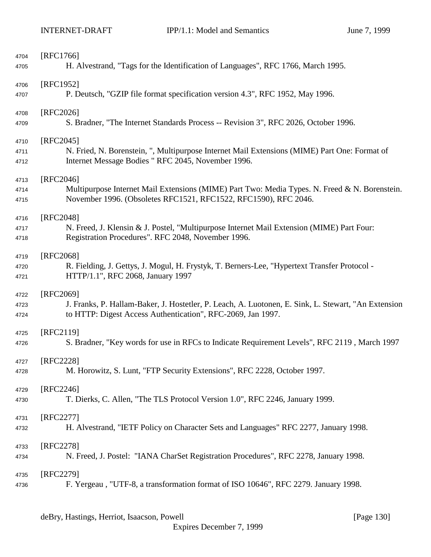| 4704 | [RFC1766]                                                                                           |
|------|-----------------------------------------------------------------------------------------------------|
| 4705 | H. Alvestrand, "Tags for the Identification of Languages", RFC 1766, March 1995.                    |
| 4706 | [RFC1952]                                                                                           |
| 4707 | P. Deutsch, "GZIP file format specification version 4.3", RFC 1952, May 1996.                       |
| 4708 | [RFC2026]                                                                                           |
| 4709 | S. Bradner, "The Internet Standards Process -- Revision 3", RFC 2026, October 1996.                 |
| 4710 | $[RFC2045]$                                                                                         |
| 4711 | N. Fried, N. Borenstein, ", Multipurpose Internet Mail Extensions (MIME) Part One: Format of        |
| 4712 | Internet Message Bodies " RFC 2045, November 1996.                                                  |
| 4713 | $[RFC2046]$                                                                                         |
| 4714 | Multipurpose Internet Mail Extensions (MIME) Part Two: Media Types. N. Freed & N. Borenstein.       |
| 4715 | November 1996. (Obsoletes RFC1521, RFC1522, RFC1590), RFC 2046.                                     |
| 4716 | [RFC2048]                                                                                           |
| 4717 | N. Freed, J. Klensin & J. Postel, "Multipurpose Internet Mail Extension (MIME) Part Four:           |
| 4718 | Registration Procedures". RFC 2048, November 1996.                                                  |
| 4719 | [RFC2068]                                                                                           |
| 4720 | R. Fielding, J. Gettys, J. Mogul, H. Frystyk, T. Berners-Lee, "Hypertext Transfer Protocol -        |
| 4721 | HTTP/1.1", RFC 2068, January 1997                                                                   |
| 4722 | [RFC2069]                                                                                           |
| 4723 | J. Franks, P. Hallam-Baker, J. Hostetler, P. Leach, A. Luotonen, E. Sink, L. Stewart, "An Extension |
| 4724 | to HTTP: Digest Access Authentication", RFC-2069, Jan 1997.                                         |
| 4725 | $[RFC2119]$                                                                                         |
| 4726 | S. Bradner, "Key words for use in RFCs to Indicate Requirement Levels", RFC 2119, March 1997        |
| 4727 | [RFC2228]                                                                                           |
| 4728 | M. Horowitz, S. Lunt, "FTP Security Extensions", RFC 2228, October 1997.                            |
| 4729 | [RFC2246]                                                                                           |
| 4730 | T. Dierks, C. Allen, "The TLS Protocol Version 1.0", RFC 2246, January 1999.                        |
| 4731 | [RFC2277]                                                                                           |
| 4732 | H. Alvestrand, "IETF Policy on Character Sets and Languages" RFC 2277, January 1998.                |
| 4733 | [RFC2278]                                                                                           |
| 4734 | N. Freed, J. Postel: "IANA CharSet Registration Procedures", RFC 2278, January 1998.                |
| 4735 | [RFC2279]                                                                                           |
| 4736 | F. Yergeau, "UTF-8, a transformation format of ISO 10646", RFC 2279. January 1998.                  |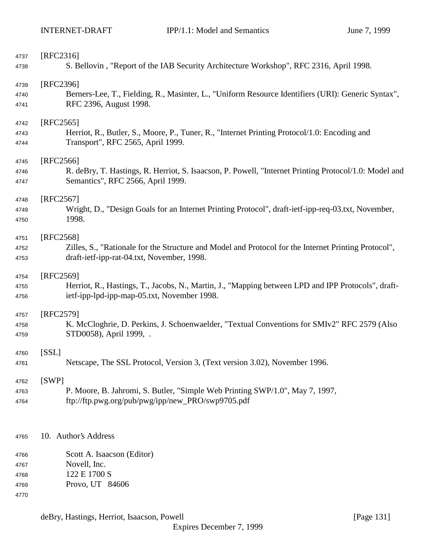| 4737 | $[RFC2316]$                                                                                           |
|------|-------------------------------------------------------------------------------------------------------|
| 4738 | S. Bellovin, "Report of the IAB Security Architecture Workshop", RFC 2316, April 1998.                |
| 4739 | [RFC2396]                                                                                             |
| 4740 | Berners-Lee, T., Fielding, R., Masinter, L., "Uniform Resource Identifiers (URI): Generic Syntax",    |
| 4741 | RFC 2396, August 1998.                                                                                |
| 4742 | [RFC2565]                                                                                             |
| 4743 | Herriot, R., Butler, S., Moore, P., Tuner, R., "Internet Printing Protocol/1.0: Encoding and          |
| 4744 | Transport", RFC 2565, April 1999.                                                                     |
| 4745 | $[RFC2566]$                                                                                           |
| 4746 | R. deBry, T. Hastings, R. Herriot, S. Isaacson, P. Powell, "Internet Printing Protocol/1.0: Model and |
| 4747 | Semantics", RFC 2566, April 1999.                                                                     |
| 4748 | $[RFC2567]$                                                                                           |
| 4749 | Wright, D., "Design Goals for an Internet Printing Protocol", draft-ietf-ipp-req-03.txt, November,    |
| 4750 | 1998.                                                                                                 |
| 4751 | [RFC2568]                                                                                             |
| 4752 | Zilles, S., "Rationale for the Structure and Model and Protocol for the Internet Printing Protocol",  |
| 4753 | draft-ietf-ipp-rat-04.txt, November, 1998.                                                            |
| 4754 | [RFC2569]                                                                                             |
| 4755 | Herriot, R., Hastings, T., Jacobs, N., Martin, J., "Mapping between LPD and IPP Protocols", draft-    |
| 4756 | ietf-ipp-lpd-ipp-map-05.txt, November 1998.                                                           |
| 4757 | [RFC2579]                                                                                             |
| 4758 | K. McCloghrie, D. Perkins, J. Schoenwaelder, "Textual Conventions for SMIv2" RFC 2579 (Also           |
| 4759 | STD0058), April 1999, .                                                                               |
| 4760 | [SSL]                                                                                                 |
| 4761 | Netscape, The SSL Protocol, Version 3, (Text version 3.02), November 1996.                            |
| 4762 | [SWP]                                                                                                 |
| 4763 | P. Moore, B. Jahromi, S. Butler, "Simple Web Printing SWP/1.0", May 7, 1997,                          |
| 4764 | ftp://ftp.pwg.org/pub/pwg/ipp/new_PRO/swp9705.pdf                                                     |
|      |                                                                                                       |
| 4765 | 10. Author's Address                                                                                  |
| 4766 | Scott A. Isaacson (Editor)                                                                            |
| 4767 | Novell, Inc.                                                                                          |
| 4768 | 122 E 1700 S                                                                                          |
| 4769 | Provo, UT 84606                                                                                       |
| 4770 |                                                                                                       |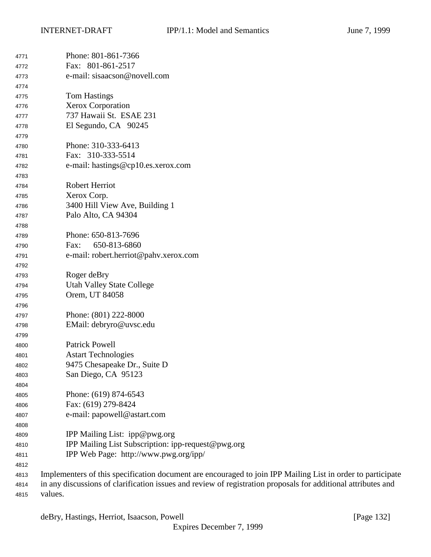| 4771 | Phone: 801-861-7366                                                                                           |
|------|---------------------------------------------------------------------------------------------------------------|
| 4772 | Fax: 801-861-2517                                                                                             |
| 4773 | e-mail: sisaacson@novell.com                                                                                  |
| 4774 |                                                                                                               |
| 4775 | <b>Tom Hastings</b>                                                                                           |
| 4776 | <b>Xerox Corporation</b>                                                                                      |
| 4777 | 737 Hawaii St. ESAE 231                                                                                       |
| 4778 | El Segundo, CA 90245                                                                                          |
| 4779 |                                                                                                               |
| 4780 | Phone: 310-333-6413                                                                                           |
| 4781 | Fax: 310-333-5514                                                                                             |
| 4782 | e-mail: hastings@cp10.es.xerox.com                                                                            |
| 4783 |                                                                                                               |
| 4784 | Robert Herriot                                                                                                |
| 4785 | Xerox Corp.                                                                                                   |
| 4786 | 3400 Hill View Ave, Building 1                                                                                |
| 4787 | Palo Alto, CA 94304                                                                                           |
| 4788 |                                                                                                               |
| 4789 | Phone: 650-813-7696                                                                                           |
| 4790 | 650-813-6860<br>Fax:                                                                                          |
| 4791 | e-mail: robert.herriot@pahv.xerox.com                                                                         |
| 4792 |                                                                                                               |
| 4793 | Roger deBry                                                                                                   |
| 4794 | <b>Utah Valley State College</b>                                                                              |
| 4795 | Orem, UT 84058                                                                                                |
| 4796 |                                                                                                               |
| 4797 | Phone: (801) 222-8000                                                                                         |
| 4798 | EMail: debryro@uvsc.edu                                                                                       |
| 4799 |                                                                                                               |
| 4800 | <b>Patrick Powell</b>                                                                                         |
| 4801 | <b>Astart Technologies</b>                                                                                    |
| 4802 | 9475 Chesapeake Dr., Suite D                                                                                  |
| 4803 | San Diego, CA 95123                                                                                           |
| 4804 |                                                                                                               |
| 4805 | Phone: (619) 874-6543                                                                                         |
| 4806 | Fax: (619) 279-8424                                                                                           |
| 4807 | e-mail: papowell@astart.com                                                                                   |
| 4808 |                                                                                                               |
| 4809 | IPP Mailing List: ipp@pwg.org                                                                                 |
| 4810 | IPP Mailing List Subscription: ipp-request@pwg.org                                                            |
| 4811 | IPP Web Page: http://www.pwg.org/ipp/                                                                         |
| 4812 |                                                                                                               |
| 4813 | Implementers of this specification document are encouraged to join IPP Mailing List in order to participate   |
| 4814 | in any discussions of clarification issues and review of registration proposals for additional attributes and |

values.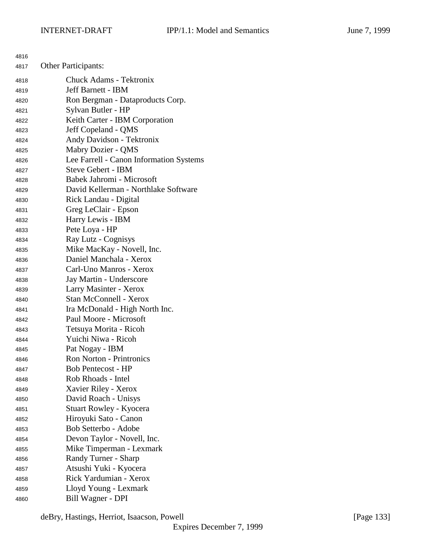| 4816 |                                         |
|------|-----------------------------------------|
| 4817 | Other Participants:                     |
| 4818 | <b>Chuck Adams - Tektronix</b>          |
| 4819 | <b>Jeff Barnett - IBM</b>               |
| 4820 | Ron Bergman - Dataproducts Corp.        |
| 4821 | Sylvan Butler - HP                      |
| 4822 | Keith Carter - IBM Corporation          |
| 4823 | Jeff Copeland - QMS                     |
| 4824 | Andy Davidson - Tektronix               |
| 4825 | Mabry Dozier - QMS                      |
| 4826 | Lee Farrell - Canon Information Systems |
| 4827 | <b>Steve Gebert - IBM</b>               |
| 4828 | Babek Jahromi - Microsoft               |
| 4829 | David Kellerman - Northlake Software    |
| 4830 | Rick Landau - Digital                   |
| 4831 | Greg LeClair - Epson                    |
| 4832 | Harry Lewis - IBM                       |
| 4833 | Pete Loya - HP                          |
| 4834 | Ray Lutz - Cognisys                     |
| 4835 | Mike MacKay - Novell, Inc.              |
| 4836 | Daniel Manchala - Xerox                 |
| 4837 | Carl-Uno Manros - Xerox                 |
| 4838 | Jay Martin - Underscore                 |
| 4839 | Larry Masinter - Xerox                  |
| 4840 | <b>Stan McConnell - Xerox</b>           |
| 4841 | Ira McDonald - High North Inc.          |
| 4842 | Paul Moore - Microsoft                  |
| 4843 | Tetsuya Morita - Ricoh                  |
| 4844 | Yuichi Niwa - Ricoh                     |
| 4845 | Pat Nogay - IBM                         |
| 4846 | <b>Ron Norton - Printronics</b>         |
| 4847 | <b>Bob Pentecost - HP</b>               |
| 4848 | Rob Rhoads - Intel                      |
| 4849 | Xavier Riley - Xerox                    |
| 4850 | David Roach - Unisys                    |
| 4851 | Stuart Rowley - Kyocera                 |
| 4852 | Hiroyuki Sato - Canon                   |
| 4853 | Bob Setterbo - Adobe                    |
| 4854 | Devon Taylor - Novell, Inc.             |
| 4855 | Mike Timperman - Lexmark                |
| 4856 | Randy Turner - Sharp                    |
| 4857 | Atsushi Yuki - Kyocera                  |
| 4858 | Rick Yardumian - Xerox                  |
| 4859 | Lloyd Young - Lexmark                   |
| 4860 | Bill Wagner - DPI                       |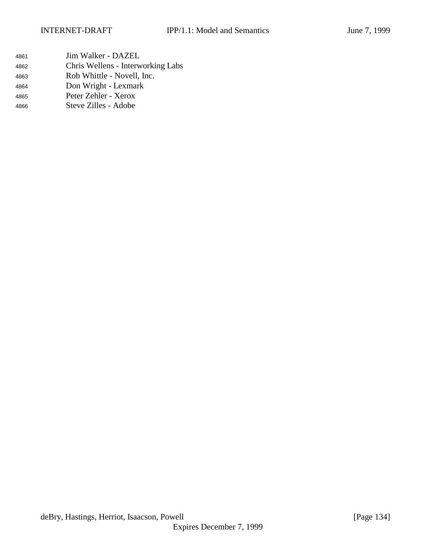- Jim Walker DAZEL Chris Wellens - Interworking Labs
- Rob Whittle Novell, Inc.
- Don Wright Lexmark
- Peter Zehler Xerox
- Steve Zilles Adobe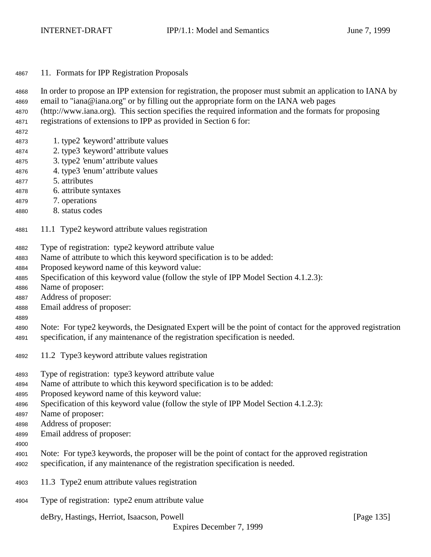| 4867 |  |  |  |  | 11. Formats for IPP Registration Proposals |  |
|------|--|--|--|--|--------------------------------------------|--|
|------|--|--|--|--|--------------------------------------------|--|

 In order to propose an IPP extension for registration, the proposer must submit an application to IANA by email to "iana@iana.org" or by filling out the appropriate form on the IANA web pages

- (http://www.iana.org). This section specifies the required information and the formats for proposing
- registrations of extensions to IPP as provided in Section 6 for:
- 
- 1. type2 'keyword' attribute values
- 2. type3 'keyword' attribute values
- 3. type2 'enum' attribute values
- 4. type3 'enum' attribute values
- 5. attributes
- 6. attribute syntaxes
- 7. operations
- 8. status codes
- 11.1 Type2 keyword attribute values registration
- Type of registration: type2 keyword attribute value
- Name of attribute to which this keyword specification is to be added:
- Proposed keyword name of this keyword value:
- Specification of this keyword value (follow the style of IPP Model Section 4.1.2.3):
- Name of proposer:
- Address of proposer:
- Email address of proposer:
- 

 Note: For type2 keywords, the Designated Expert will be the point of contact for the approved registration specification, if any maintenance of the registration specification is needed.

- 11.2 Type3 keyword attribute values registration
- Type of registration: type3 keyword attribute value
- Name of attribute to which this keyword specification is to be added:
- Proposed keyword name of this keyword value:
- Specification of this keyword value (follow the style of IPP Model Section 4.1.2.3):
- Name of proposer:
- Address of proposer:
- Email address of proposer:
- 
- Note: For type3 keywords, the proposer will be the point of contact for the approved registration specification, if any maintenance of the registration specification is needed.
- 11.3 Type2 enum attribute values registration
- Type of registration: type2 enum attribute value

deBry, Hastings, Herriot, Isaacson, Powell [Page 135]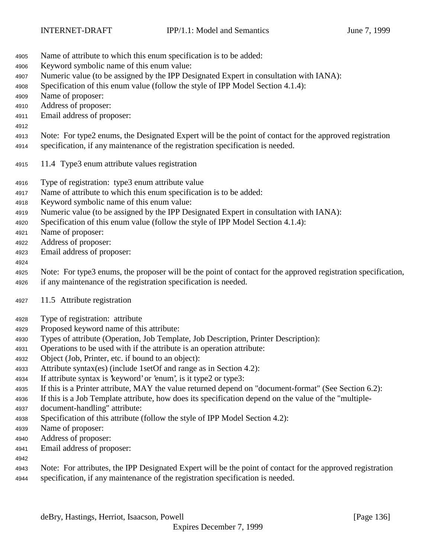- Name of attribute to which this enum specification is to be added:
- Keyword symbolic name of this enum value:
- Numeric value (to be assigned by the IPP Designated Expert in consultation with IANA):
- Specification of this enum value (follow the style of IPP Model Section 4.1.4):
- Name of proposer:
- Address of proposer:
- Email address of proposer:
- 

Note: For type2 enums, the Designated Expert will be the point of contact for the approved registration

- specification, if any maintenance of the registration specification is needed.
- 11.4 Type3 enum attribute values registration
- Type of registration: type3 enum attribute value
- Name of attribute to which this enum specification is to be added:
- Keyword symbolic name of this enum value:
- Numeric value (to be assigned by the IPP Designated Expert in consultation with IANA):
- Specification of this enum value (follow the style of IPP Model Section 4.1.4):
- Name of proposer:
- Address of proposer:
- Email address of proposer:

## 

 Note: For type3 enums, the proposer will be the point of contact for the approved registration specification, if any maintenance of the registration specification is needed.

- 11.5 Attribute registration
- Type of registration: attribute
- Proposed keyword name of this attribute:
- Types of attribute (Operation, Job Template, Job Description, Printer Description):
- Operations to be used with if the attribute is an operation attribute:
- Object (Job, Printer, etc. if bound to an object):
- Attribute syntax(es) (include 1setOf and range as in Section 4.2):
- If attribute syntax is 'keyword' or 'enum', is it type2 or type3:
- If this is a Printer attribute, MAY the value returned depend on "document-format" (See Section 6.2):
- If this is a Job Template attribute, how does its specification depend on the value of the "multiple-
- document-handling" attribute:
- Specification of this attribute (follow the style of IPP Model Section 4.2):
- Name of proposer:
- Address of proposer:
- Email address of proposer:
- 
- Note: For attributes, the IPP Designated Expert will be the point of contact for the approved registration specification, if any maintenance of the registration specification is needed.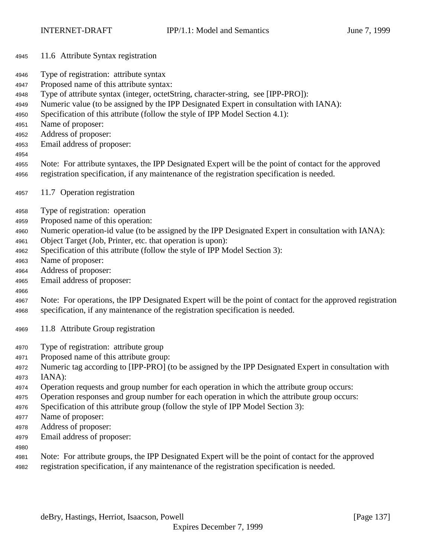- 11.6 Attribute Syntax registration
- Type of registration: attribute syntax
- Proposed name of this attribute syntax:
- Type of attribute syntax (integer, octetString, character-string, see [IPP-PRO]):
- Numeric value (to be assigned by the IPP Designated Expert in consultation with IANA):
- Specification of this attribute (follow the style of IPP Model Section 4.1):
- Name of proposer:
- Address of proposer:
- Email address of proposer:
- 
- Note: For attribute syntaxes, the IPP Designated Expert will be the point of contact for the approved registration specification, if any maintenance of the registration specification is needed.
- 11.7 Operation registration
- Type of registration: operation
- Proposed name of this operation:
- Numeric operation-id value (to be assigned by the IPP Designated Expert in consultation with IANA):
- Object Target (Job, Printer, etc. that operation is upon):
- Specification of this attribute (follow the style of IPP Model Section 3):
- Name of proposer:
- Address of proposer:
- Email address of proposer:
- Note: For operations, the IPP Designated Expert will be the point of contact for the approved registration specification, if any maintenance of the registration specification is needed.
- 11.8 Attribute Group registration
- Type of registration: attribute group
- Proposed name of this attribute group:
- Numeric tag according to [IPP-PRO] (to be assigned by the IPP Designated Expert in consultation with IANA):
- Operation requests and group number for each operation in which the attribute group occurs:
- Operation responses and group number for each operation in which the attribute group occurs:
- Specification of this attribute group (follow the style of IPP Model Section 3):
- Name of proposer:
- Address of proposer:
- Email address of proposer:
- 
- Note: For attribute groups, the IPP Designated Expert will be the point of contact for the approved
- registration specification, if any maintenance of the registration specification is needed.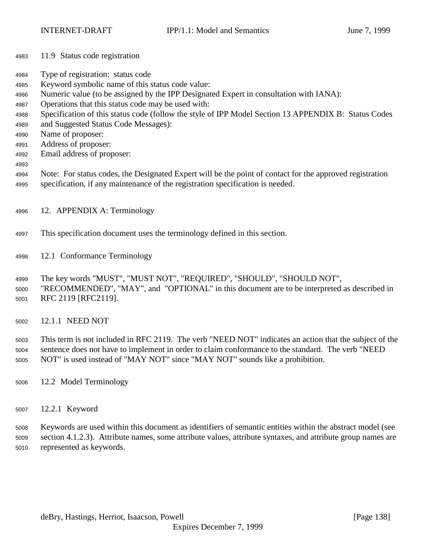- 11.9 Status code registration
- Type of registration: status code
- Keyword symbolic name of this status code value:
- Numeric value (to be assigned by the IPP Designated Expert in consultation with IANA):
- Operations that this status code may be used with:
- Specification of this status code (follow the style of IPP Model Section 13 APPENDIX B: Status Codes
- and Suggested Status Code Messages):
- Name of proposer:
- Address of proposer:
- Email address of proposer:
- 
- Note: For status codes, the Designated Expert will be the point of contact for the approved registration specification, if any maintenance of the registration specification is needed.
- 12. APPENDIX A: Terminology
- This specification document uses the terminology defined in this section.
- 12.1 Conformance Terminology
- The key words "MUST", "MUST NOT", "REQUIRED", "SHOULD", "SHOULD NOT", "RECOMMENDED", "MAY", and "OPTIONAL" in this document are to be interpreted as described in
- RFC 2119 [RFC2119].
- 12.1.1 NEED NOT

 This term is not included in RFC 2119. The verb "NEED NOT" indicates an action that the subject of the sentence does not have to implement in order to claim conformance to the standard. The verb "NEED NOT" is used instead of "MAY NOT" since "MAY NOT" sounds like a prohibition.

- 12.2 Model Terminology
- 12.2.1 Keyword

 Keywords are used within this document as identifiers of semantic entities within the abstract model (see section 4.1.2.3). Attribute names, some attribute values, attribute syntaxes, and attribute group names are represented as keywords.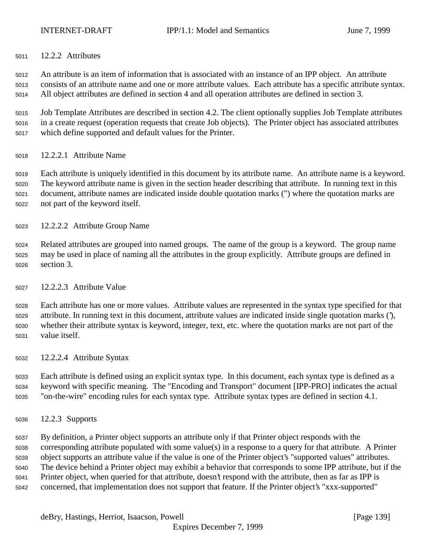12.2.2 Attributes

 An attribute is an item of information that is associated with an instance of an IPP object. An attribute consists of an attribute name and one or more attribute values. Each attribute has a specific attribute syntax. All object attributes are defined in section 4 and all operation attributes are defined in section 3.

 Job Template Attributes are described in section 4.2. The client optionally supplies Job Template attributes in a create request (operation requests that create Job objects). The Printer object has associated attributes which define supported and default values for the Printer.

12.2.2.1 Attribute Name

 Each attribute is uniquely identified in this document by its attribute name. An attribute name is a keyword. The keyword attribute name is given in the section header describing that attribute. In running text in this document, attribute names are indicated inside double quotation marks (") where the quotation marks are not part of the keyword itself.

12.2.2.2 Attribute Group Name

 Related attributes are grouped into named groups. The name of the group is a keyword. The group name may be used in place of naming all the attributes in the group explicitly. Attribute groups are defined in section 3.

12.2.2.3 Attribute Value

 Each attribute has one or more values. Attribute values are represented in the syntax type specified for that attribute. In running text in this document, attribute values are indicated inside single quotation marks ('), whether their attribute syntax is keyword, integer, text, etc. where the quotation marks are not part of the value itself.

12.2.2.4 Attribute Syntax

 Each attribute is defined using an explicit syntax type. In this document, each syntax type is defined as a keyword with specific meaning. The "Encoding and Transport" document [IPP-PRO] indicates the actual "on-the-wire" encoding rules for each syntax type. Attribute syntax types are defined in section 4.1.

12.2.3 Supports

 By definition, a Printer object supports an attribute only if that Printer object responds with the corresponding attribute populated with some value(s) in a response to a query for that attribute. A Printer object supports an attribute value if the value is one of the Printer object's "supported values" attributes. The device behind a Printer object may exhibit a behavior that corresponds to some IPP attribute, but if the Printer object, when queried for that attribute, doesn't respond with the attribute, then as far as IPP is concerned, that implementation does not support that feature. If the Printer object's "xxx-supported"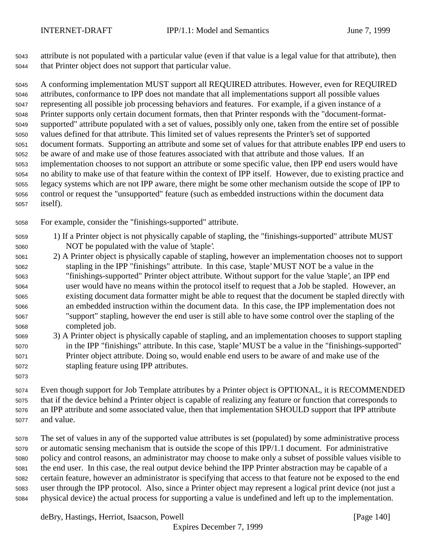attribute is not populated with a particular value (even if that value is a legal value for that attribute), then that Printer object does not support that particular value.

 A conforming implementation MUST support all REQUIRED attributes. However, even for REQUIRED attributes, conformance to IPP does not mandate that all implementations support all possible values representing all possible job processing behaviors and features. For example, if a given instance of a Printer supports only certain document formats, then that Printer responds with the "document-format- supported" attribute populated with a set of values, possibly only one, taken from the entire set of possible values defined for that attribute. This limited set of values represents the Printer's set of supported document formats. Supporting an attribute and some set of values for that attribute enables IPP end users to be aware of and make use of those features associated with that attribute and those values. If an implementation chooses to not support an attribute or some specific value, then IPP end users would have no ability to make use of that feature within the context of IPP itself. However, due to existing practice and legacy systems which are not IPP aware, there might be some other mechanism outside the scope of IPP to control or request the "unsupported" feature (such as embedded instructions within the document data itself).

For example, consider the "finishings-supported" attribute.

- 1) If a Printer object is not physically capable of stapling, the "finishings-supported" attribute MUST NOT be populated with the value of 'staple'.
- 2) A Printer object is physically capable of stapling, however an implementation chooses not to support stapling in the IPP "finishings" attribute. In this case, 'staple' MUST NOT be a value in the "finishings-supported" Printer object attribute. Without support for the value 'staple', an IPP end user would have no means within the protocol itself to request that a Job be stapled. However, an existing document data formatter might be able to request that the document be stapled directly with an embedded instruction within the document data. In this case, the IPP implementation does not "support" stapling, however the end user is still able to have some control over the stapling of the completed job.
- 3) A Printer object is physically capable of stapling, and an implementation chooses to support stapling in the IPP "finishings" attribute. In this case, 'staple' MUST be a value in the "finishings-supported" Printer object attribute. Doing so, would enable end users to be aware of and make use of the stapling feature using IPP attributes.
- Even though support for Job Template attributes by a Printer object is OPTIONAL, it is RECOMMENDED that if the device behind a Printer object is capable of realizing any feature or function that corresponds to an IPP attribute and some associated value, then that implementation SHOULD support that IPP attribute and value.
- The set of values in any of the supported value attributes is set (populated) by some administrative process or automatic sensing mechanism that is outside the scope of this IPP/1.1 document. For administrative policy and control reasons, an administrator may choose to make only a subset of possible values visible to the end user. In this case, the real output device behind the IPP Printer abstraction may be capable of a certain feature, however an administrator is specifying that access to that feature not be exposed to the end user through the IPP protocol. Also, since a Printer object may represent a logical print device (not just a physical device) the actual process for supporting a value is undefined and left up to the implementation.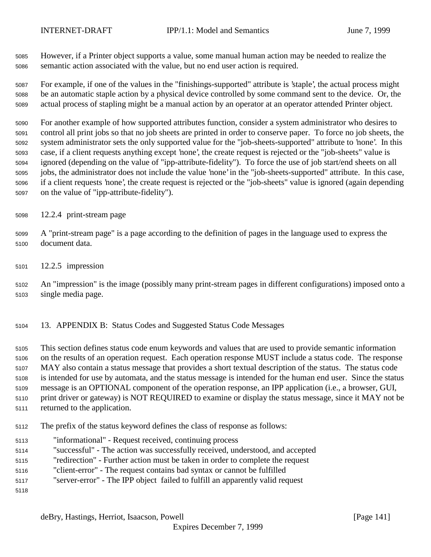However, if a Printer object supports a value, some manual human action may be needed to realize the semantic action associated with the value, but no end user action is required.

 For example, if one of the values in the "finishings-supported" attribute is 'staple', the actual process might be an automatic staple action by a physical device controlled by some command sent to the device. Or, the actual process of stapling might be a manual action by an operator at an operator attended Printer object.

 For another example of how supported attributes function, consider a system administrator who desires to control all print jobs so that no job sheets are printed in order to conserve paper. To force no job sheets, the system administrator sets the only supported value for the "job-sheets-supported" attribute to 'none'. In this case, if a client requests anything except 'none', the create request is rejected or the "job-sheets" value is ignored (depending on the value of "ipp-attribute-fidelity"). To force the use of job start/end sheets on all jobs, the administrator does not include the value 'none' in the "job-sheets-supported" attribute. In this case, if a client requests 'none', the create request is rejected or the "job-sheets" value is ignored (again depending on the value of "ipp-attribute-fidelity").

12.2.4 print-stream page

- A "print-stream page" is a page according to the definition of pages in the language used to express the document data.
- 12.2.5 impression

 An "impression" is the image (possibly many print-stream pages in different configurations) imposed onto a single media page.

13. APPENDIX B: Status Codes and Suggested Status Code Messages

 This section defines status code enum keywords and values that are used to provide semantic information on the results of an operation request. Each operation response MUST include a status code. The response MAY also contain a status message that provides a short textual description of the status. The status code is intended for use by automata, and the status message is intended for the human end user. Since the status message is an OPTIONAL component of the operation response, an IPP application (i.e., a browser, GUI, print driver or gateway) is NOT REQUIRED to examine or display the status message, since it MAY not be returned to the application.

- The prefix of the status keyword defines the class of response as follows:
- "informational" Request received, continuing process
- "successful" The action was successfully received, understood, and accepted
- "redirection" Further action must be taken in order to complete the request
- "client-error" The request contains bad syntax or cannot be fulfilled
- "server-error" The IPP object failed to fulfill an apparently valid request
-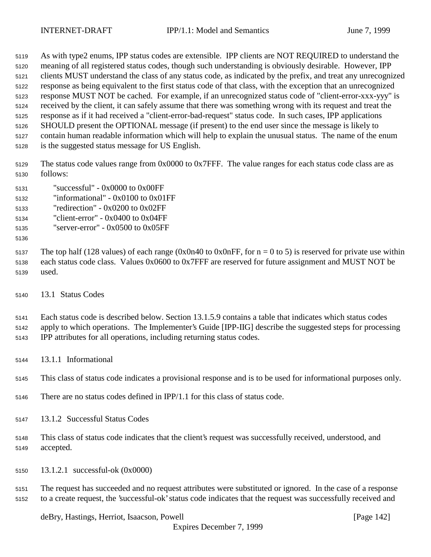As with type2 enums, IPP status codes are extensible. IPP clients are NOT REQUIRED to understand the

meaning of all registered status codes, though such understanding is obviously desirable. However, IPP

clients MUST understand the class of any status code, as indicated by the prefix, and treat any unrecognized

 response as being equivalent to the first status code of that class, with the exception that an unrecognized response MUST NOT be cached. For example, if an unrecognized status code of "client-error-xxx-yyy" is

received by the client, it can safely assume that there was something wrong with its request and treat the

response as if it had received a "client-error-bad-request" status code. In such cases, IPP applications

SHOULD present the OPTIONAL message (if present) to the end user since the message is likely to

contain human readable information which will help to explain the unusual status. The name of the enum

is the suggested status message for US English.

 The status code values range from 0x0000 to 0x7FFF. The value ranges for each status code class are as follows:

- "successful" 0x0000 to 0x00FF
- "informational" 0x0100 to 0x01FF
- "redirection" 0x0200 to 0x02FF
- "client-error" 0x0400 to 0x04FF
- "server-error" 0x0500 to 0x05FF
- 

5137 The top half (128 values) of each range (0x0n40 to 0x0nFF, for  $n = 0$  to 5) is reserved for private use within each status code class. Values 0x0600 to 0x7FFF are reserved for future assignment and MUST NOT be used.

13.1 Status Codes

 Each status code is described below. Section 13.1.5.9 contains a table that indicates which status codes apply to which operations. The Implementer's Guide [IPP-IIG] describe the suggested steps for processing IPP attributes for all operations, including returning status codes.

13.1.1 Informational

This class of status code indicates a provisional response and is to be used for informational purposes only.

- There are no status codes defined in IPP/1.1 for this class of status code.
- 13.1.2 Successful Status Codes
- This class of status code indicates that the client's request was successfully received, understood, and accepted.
- 13.1.2.1 successful-ok (0x0000)

 The request has succeeded and no request attributes were substituted or ignored. In the case of a response to a create request, the 'successful-ok' status code indicates that the request was successfully received and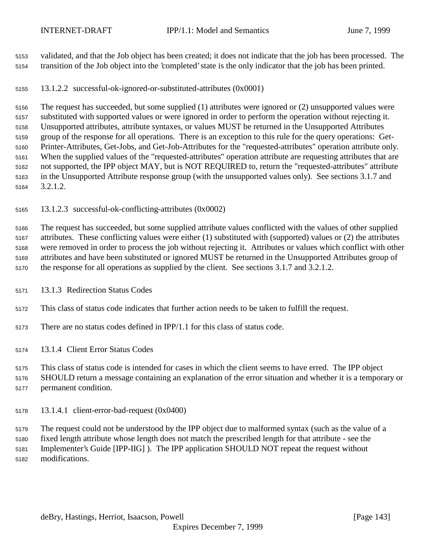validated, and that the Job object has been created; it does not indicate that the job has been processed. The transition of the Job object into the 'completed' state is the only indicator that the job has been printed.

13.1.2.2 successful-ok-ignored-or-substituted-attributes (0x0001)

 The request has succeeded, but some supplied (1) attributes were ignored or (2) unsupported values were substituted with supported values or were ignored in order to perform the operation without rejecting it. Unsupported attributes, attribute syntaxes, or values MUST be returned in the Unsupported Attributes group of the response for all operations. There is an exception to this rule for the query operations: Get- Printer-Attributes, Get-Jobs, and Get-Job-Attributes for the "requested-attributes" operation attribute only. When the supplied values of the "requested-attributes" operation attribute are requesting attributes that are not supported, the IPP object MAY, but is NOT REQUIRED to, return the "requested-attributes" attribute in the Unsupported Attribute response group (with the unsupported values only). See sections 3.1.7 and 3.2.1.2.

13.1.2.3 successful-ok-conflicting-attributes (0x0002)

 The request has succeeded, but some supplied attribute values conflicted with the values of other supplied attributes. These conflicting values were either (1) substituted with (supported) values or (2) the attributes were removed in order to process the job without rejecting it. Attributes or values which conflict with other attributes and have been substituted or ignored MUST be returned in the Unsupported Attributes group of the response for all operations as supplied by the client. See sections 3.1.7 and 3.2.1.2.

- 13.1.3 Redirection Status Codes
- This class of status code indicates that further action needs to be taken to fulfill the request.
- There are no status codes defined in IPP/1.1 for this class of status code.

13.1.4 Client Error Status Codes

This class of status code is intended for cases in which the client seems to have erred. The IPP object

 SHOULD return a message containing an explanation of the error situation and whether it is a temporary or permanent condition.

13.1.4.1 client-error-bad-request (0x0400)

 The request could not be understood by the IPP object due to malformed syntax (such as the value of a fixed length attribute whose length does not match the prescribed length for that attribute - see the Implementer's Guide [IPP-IIG] ). The IPP application SHOULD NOT repeat the request without modifications.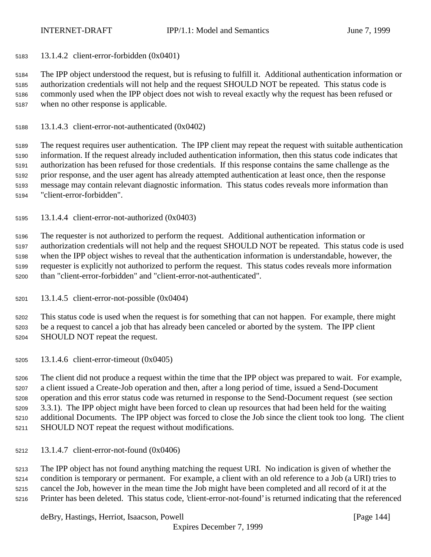13.1.4.2 client-error-forbidden (0x0401)

 The IPP object understood the request, but is refusing to fulfill it. Additional authentication information or authorization credentials will not help and the request SHOULD NOT be repeated. This status code is commonly used when the IPP object does not wish to reveal exactly why the request has been refused or when no other response is applicable.

13.1.4.3 client-error-not-authenticated (0x0402)

 The request requires user authentication. The IPP client may repeat the request with suitable authentication information. If the request already included authentication information, then this status code indicates that authorization has been refused for those credentials. If this response contains the same challenge as the prior response, and the user agent has already attempted authentication at least once, then the response message may contain relevant diagnostic information. This status codes reveals more information than "client-error-forbidden".

13.1.4.4 client-error-not-authorized (0x0403)

 The requester is not authorized to perform the request. Additional authentication information or authorization credentials will not help and the request SHOULD NOT be repeated. This status code is used when the IPP object wishes to reveal that the authentication information is understandable, however, the requester is explicitly not authorized to perform the request. This status codes reveals more information than "client-error-forbidden" and "client-error-not-authenticated".

13.1.4.5 client-error-not-possible (0x0404)

 This status code is used when the request is for something that can not happen. For example, there might be a request to cancel a job that has already been canceled or aborted by the system. The IPP client SHOULD NOT repeat the request.

13.1.4.6 client-error-timeout (0x0405)

 The client did not produce a request within the time that the IPP object was prepared to wait. For example, a client issued a Create-Job operation and then, after a long period of time, issued a Send-Document operation and this error status code was returned in response to the Send-Document request (see section 3.3.1). The IPP object might have been forced to clean up resources that had been held for the waiting additional Documents. The IPP object was forced to close the Job since the client took too long. The client SHOULD NOT repeat the request without modifications.

13.1.4.7 client-error-not-found (0x0406)

 The IPP object has not found anything matching the request URI. No indication is given of whether the condition is temporary or permanent. For example, a client with an old reference to a Job (a URI) tries to cancel the Job, however in the mean time the Job might have been completed and all record of it at the Printer has been deleted. This status code, 'client-error-not-found' is returned indicating that the referenced

deBry, Hastings, Herriot, Isaacson, Powell [Page 144]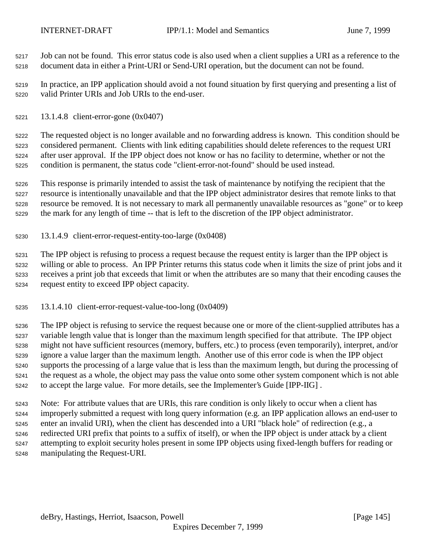Job can not be found. This error status code is also used when a client supplies a URI as a reference to the document data in either a Print-URI or Send-URI operation, but the document can not be found.

 In practice, an IPP application should avoid a not found situation by first querying and presenting a list of valid Printer URIs and Job URIs to the end-user.

13.1.4.8 client-error-gone (0x0407)

 The requested object is no longer available and no forwarding address is known. This condition should be considered permanent. Clients with link editing capabilities should delete references to the request URI after user approval. If the IPP object does not know or has no facility to determine, whether or not the condition is permanent, the status code "client-error-not-found" should be used instead.

 This response is primarily intended to assist the task of maintenance by notifying the recipient that the resource is intentionally unavailable and that the IPP object administrator desires that remote links to that resource be removed. It is not necessary to mark all permanently unavailable resources as "gone" or to keep the mark for any length of time -- that is left to the discretion of the IPP object administrator.

13.1.4.9 client-error-request-entity-too-large (0x0408)

 The IPP object is refusing to process a request because the request entity is larger than the IPP object is willing or able to process. An IPP Printer returns this status code when it limits the size of print jobs and it receives a print job that exceeds that limit or when the attributes are so many that their encoding causes the request entity to exceed IPP object capacity.

13.1.4.10 client-error-request-value-too-long (0x0409)

 The IPP object is refusing to service the request because one or more of the client-supplied attributes has a variable length value that is longer than the maximum length specified for that attribute. The IPP object might not have sufficient resources (memory, buffers, etc.) to process (even temporarily), interpret, and/or ignore a value larger than the maximum length. Another use of this error code is when the IPP object supports the processing of a large value that is less than the maximum length, but during the processing of the request as a whole, the object may pass the value onto some other system component which is not able to accept the large value. For more details, see the Implementer's Guide [IPP-IIG] .

 Note: For attribute values that are URIs, this rare condition is only likely to occur when a client has improperly submitted a request with long query information (e.g. an IPP application allows an end-user to enter an invalid URI), when the client has descended into a URI "black hole" of redirection (e.g., a redirected URI prefix that points to a suffix of itself), or when the IPP object is under attack by a client attempting to exploit security holes present in some IPP objects using fixed-length buffers for reading or manipulating the Request-URI.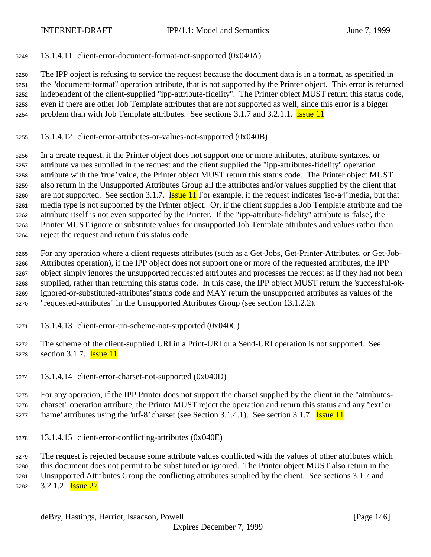13.1.4.11 client-error-document-format-not-supported (0x040A)

 The IPP object is refusing to service the request because the document data is in a format, as specified in the "document-format" operation attribute, that is not supported by the Printer object. This error is returned independent of the client-supplied "ipp-attribute-fidelity". The Printer object MUST return this status code, even if there are other Job Template attributes that are not supported as well, since this error is a bigger 5254 problem than with Job Template attributes. See sections 3.1.7 and 3.2.1.1. **Issue 11** 

13.1.4.12 client-error-attributes-or-values-not-supported (0x040B)

 In a create request, if the Printer object does not support one or more attributes, attribute syntaxes, or attribute values supplied in the request and the client supplied the "ipp-attributes-fidelity" operation attribute with the 'true' value, the Printer object MUST return this status code. The Printer object MUST also return in the Unsupported Attributes Group all the attributes and/or values supplied by the client that 5260 are not supported. See section 3.1.7. **Issue 11** For example, if the request indicates 'iso-a4' media, but that media type is not supported by the Printer object. Or, if the client supplies a Job Template attribute and the attribute itself is not even supported by the Printer. If the "ipp-attribute-fidelity" attribute is 'false', the Printer MUST ignore or substitute values for unsupported Job Template attributes and values rather than reject the request and return this status code.

 For any operation where a client requests attributes (such as a Get-Jobs, Get-Printer-Attributes, or Get-Job- Attributes operation), if the IPP object does not support one or more of the requested attributes, the IPP object simply ignores the unsupported requested attributes and processes the request as if they had not been supplied, rather than returning this status code. In this case, the IPP object MUST return the 'successful-ok- ignored-or-substituted-attributes' status code and MAY return the unsupported attributes as values of the "requested-attributes" in the Unsupported Attributes Group (see section 13.1.2.2).

- 13.1.4.13 client-error-uri-scheme-not-supported (0x040C)
- The scheme of the client-supplied URI in a Print-URI or a Send-URI operation is not supported. See 5273 section 3.1.7. **Issue 11**
- 13.1.4.14 client-error-charset-not-supported (0x040D)

 For any operation, if the IPP Printer does not support the charset supplied by the client in the "attributes- charset" operation attribute, the Printer MUST reject the operation and return this status and any 'text' or 5277 hame' attributes using the 'utf-8' charset (see Section 3.1.4.1). See section 3.1.7. **Issue 11** 

13.1.4.15 client-error-conflicting-attributes (0x040E)

 The request is rejected because some attribute values conflicted with the values of other attributes which this document does not permit to be substituted or ignored. The Printer object MUST also return in the Unsupported Attributes Group the conflicting attributes supplied by the client. See sections 3.1.7 and 5282 3.2.1.2. **Issue 27**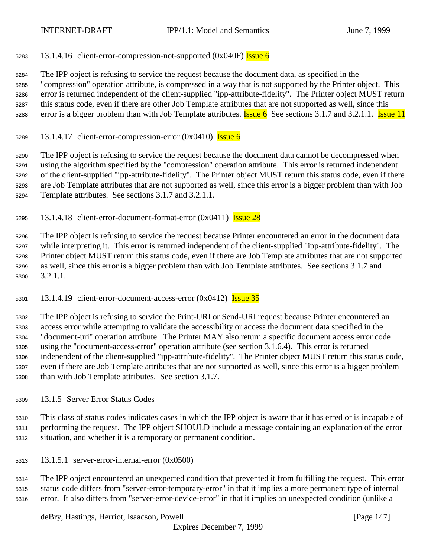5283 13.1.4.16 client-error-compression-not-supported  $(0x040F)$  Issue 6

 The IPP object is refusing to service the request because the document data, as specified in the "compression" operation attribute, is compressed in a way that is not supported by the Printer object. This error is returned independent of the client-supplied "ipp-attribute-fidelity". The Printer object MUST return this status code, even if there are other Job Template attributes that are not supported as well, since this 5288 error is a bigger problem than with Job Template attributes. **Issue 6** See sections 3.1.7 and 3.2.1.1. **Issue 11** 

5289 13.1.4.17 client-error-compression-error  $(0x0410)$  Issue 6

 The IPP object is refusing to service the request because the document data cannot be decompressed when using the algorithm specified by the "compression" operation attribute. This error is returned independent of the client-supplied "ipp-attribute-fidelity". The Printer object MUST return this status code, even if there are Job Template attributes that are not supported as well, since this error is a bigger problem than with Job Template attributes. See sections 3.1.7 and 3.2.1.1.

13.1.4.18 client-error-document-format-error  $(0x0411)$  Issue 28

 The IPP object is refusing to service the request because Printer encountered an error in the document data while interpreting it. This error is returned independent of the client-supplied "ipp-attribute-fidelity". The Printer object MUST return this status code, even if there are Job Template attributes that are not supported as well, since this error is a bigger problem than with Job Template attributes. See sections 3.1.7 and 3.2.1.1.

5301 13.1.4.19 client-error-document-access-error  $(0x0412)$  Issue 35

 The IPP object is refusing to service the Print-URI or Send-URI request because Printer encountered an access error while attempting to validate the accessibility or access the document data specified in the "document-uri" operation attribute. The Printer MAY also return a specific document access error code using the "document-access-error" operation attribute (see section 3.1.6.4). This error is returned independent of the client-supplied "ipp-attribute-fidelity". The Printer object MUST return this status code, even if there are Job Template attributes that are not supported as well, since this error is a bigger problem than with Job Template attributes. See section 3.1.7.

13.1.5 Server Error Status Codes

 This class of status codes indicates cases in which the IPP object is aware that it has erred or is incapable of performing the request. The IPP object SHOULD include a message containing an explanation of the error situation, and whether it is a temporary or permanent condition.

13.1.5.1 server-error-internal-error (0x0500)

 The IPP object encountered an unexpected condition that prevented it from fulfilling the request. This error status code differs from "server-error-temporary-error" in that it implies a more permanent type of internal error. It also differs from "server-error-device-error" in that it implies an unexpected condition (unlike a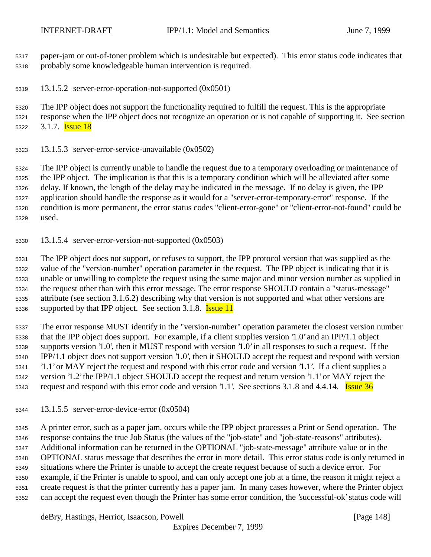paper-jam or out-of-toner problem which is undesirable but expected). This error status code indicates that probably some knowledgeable human intervention is required.

13.1.5.2 server-error-operation-not-supported (0x0501)

The IPP object does not support the functionality required to fulfill the request. This is the appropriate

 response when the IPP object does not recognize an operation or is not capable of supporting it. See section 5322 3.1.7. **Issue 18** 

13.1.5.3 server-error-service-unavailable (0x0502)

 The IPP object is currently unable to handle the request due to a temporary overloading or maintenance of the IPP object. The implication is that this is a temporary condition which will be alleviated after some delay. If known, the length of the delay may be indicated in the message. If no delay is given, the IPP application should handle the response as it would for a "server-error-temporary-error" response. If the condition is more permanent, the error status codes "client-error-gone" or "client-error-not-found" could be used.

13.1.5.4 server-error-version-not-supported (0x0503)

 The IPP object does not support, or refuses to support, the IPP protocol version that was supplied as the value of the "version-number" operation parameter in the request. The IPP object is indicating that it is unable or unwilling to complete the request using the same major and minor version number as supplied in the request other than with this error message. The error response SHOULD contain a "status-message" attribute (see section 3.1.6.2) describing why that version is not supported and what other versions are 5336 supported by that IPP object. See section 3.1.8. **Issue 11** 

 The error response MUST identify in the "version-number" operation parameter the closest version number that the IPP object does support. For example, if a client supplies version '1.0' and an IPP/1.1 object supports version '1.0', then it MUST respond with version '1.0' in all responses to such a request. If the IPP/1.1 object does not support version '1.0', then it SHOULD accept the request and respond with version '1.1' or MAY reject the request and respond with this error code and version '1.1'. If a client supplies a version '1.2' the IPP/1.1 object SHOULD accept the request and return version '1.1' or MAY reject the 5343 request and respond with this error code and version '1.1'. See sections 3.1.8 and 4.4.14. **Issue 36** 

13.1.5.5 server-error-device-error (0x0504)

 A printer error, such as a paper jam, occurs while the IPP object processes a Print or Send operation. The response contains the true Job Status (the values of the "job-state" and "job-state-reasons" attributes). Additional information can be returned in the OPTIONAL "job-state-message" attribute value or in the OPTIONAL status message that describes the error in more detail. This error status code is only returned in situations where the Printer is unable to accept the create request because of such a device error. For example, if the Printer is unable to spool, and can only accept one job at a time, the reason it might reject a create request is that the printer currently has a paper jam. In many cases however, where the Printer object can accept the request even though the Printer has some error condition, the 'successful-ok' status code will

deBry, Hastings, Herriot, Isaacson, Powell [Page 148]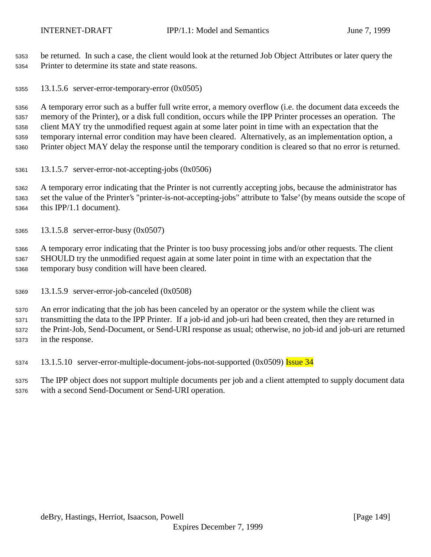be returned. In such a case, the client would look at the returned Job Object Attributes or later query the Printer to determine its state and state reasons.

13.1.5.6 server-error-temporary-error (0x0505)

 A temporary error such as a buffer full write error, a memory overflow (i.e. the document data exceeds the memory of the Printer), or a disk full condition, occurs while the IPP Printer processes an operation. The client MAY try the unmodified request again at some later point in time with an expectation that the temporary internal error condition may have been cleared. Alternatively, as an implementation option, a Printer object MAY delay the response until the temporary condition is cleared so that no error is returned.

13.1.5.7 server-error-not-accepting-jobs (0x0506)

 A temporary error indicating that the Printer is not currently accepting jobs, because the administrator has set the value of the Printer's "printer-is-not-accepting-jobs" attribute to 'false' (by means outside the scope of this IPP/1.1 document).

13.1.5.8 server-error-busy (0x0507)

 A temporary error indicating that the Printer is too busy processing jobs and/or other requests. The client SHOULD try the unmodified request again at some later point in time with an expectation that the temporary busy condition will have been cleared.

13.1.5.9 server-error-job-canceled (0x0508)

 An error indicating that the job has been canceled by an operator or the system while the client was transmitting the data to the IPP Printer. If a job-id and job-uri had been created, then they are returned in the Print-Job, Send-Document, or Send-URI response as usual; otherwise, no job-id and job-uri are returned in the response.

5374 13.1.5.10 server-error-multiple-document-jobs-not-supported (0x0509) Issue 34

 The IPP object does not support multiple documents per job and a client attempted to supply document data with a second Send-Document or Send-URI operation.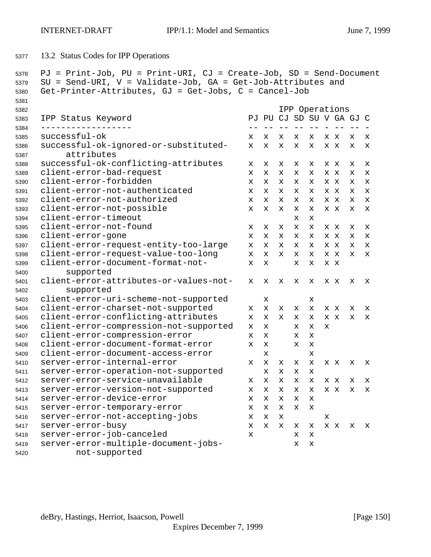13.2 Status Codes for IPP Operations

```
5378 PJ = Print-Job, PU = Print-URI, CJ = Create-Job, SD = Send-Document
5379 SU = Send-URI, V = Validate-Job, GA = Get-Job-Attributes and
5380 Get-Printer-Attributes, GJ = Get-Jobs, C = Cancel-Job
5381
5382 IPP Operations
5383 IPP Status Keyword PJ PU CJ SD SU V GA GJ C
5384 ------------------ -- -- -- -- -- - -- -- -
5385 successful-ok x x x x x x x x x
5386 successful-ok-ignored-or-substituted- x x x x x x x x x
5387 attributes
5388 successful-ok-conflicting-attributes x x x x x x x x x
5389 client-error-bad-request x x x x x x x x x
5390 client-error-forbidden x x x x x x x x x
5391 client-error-not-authenticated x x x x x x x x x
5392 client-error-not-authorized x x x x x x x x x
5393 client-error-not-possible x x x x x x x x x
5394 client-error-timeout x x
5395 client-error-not-found x x x x x x x x x
5396 client-error-gone x x x x x x x x x
5397 client-error-request-entity-too-large x x x x x x x x x
5398 client-error-request-value-too-long x x x x x x x x x
5399 client-error-document-format-not- x x x x x x
5400 supported
5401 client-error-attributes-or-values-not- x x x x x x x x x
5402 supported
5403 client-error-uri-scheme-not-supported x x
5404 client-error-charset-not-supported x x x x x x x x x
5405 client-error-conflicting-attributes x x x x x x x x x
5406 client-error-compression-not-supported x x x x x
5407 client-error-compression-error x x x x
5408 client-error-document-format-error x x x x
5409 client-error-document-access-error x x
5410 server-error-internal-error x x x x x x x x x
5411 server-error-operation-not-supported x x x x
5412 server-error-service-unavailable x x x x x x x x x
5413 server-error-version-not-supported x x x x x x x x x
5414 server-error-device-error x x x x x
5415 server-error-temporary-error x x x x x
5416 server-error-not-accepting-jobs x x x x
5417 server-error-busy x x x x x x x x x
5418 server-error-job-canceled x x x
5419 server-error-multiple-document-jobs- x x
5420 not-supported
```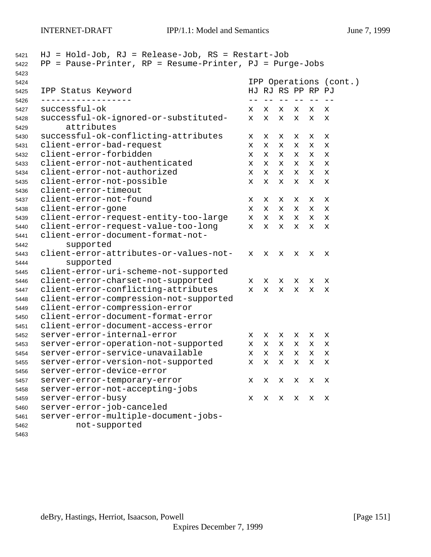| 5422<br>5423 | $HJ = Hold-Job$ , $RJ = Release-Job$ , $RS = Restart-Job$<br>= Pause-Printer, RP = Resume-Printer, PJ = Purge-Jobs<br>PP |   |                        |            |           |    |   |
|--------------|--------------------------------------------------------------------------------------------------------------------------|---|------------------------|------------|-----------|----|---|
| 5424         |                                                                                                                          |   | IPP Operations (cont.) |            |           |    |   |
| 5425         | IPP Status Keyword                                                                                                       |   | HJ RJ RS PP RP PJ      |            |           |    |   |
| 5426<br>5427 | successful-ok                                                                                                            | x | x                      | $- -$<br>х | $ -$<br>x | X. | x |
| 5428<br>5429 | successful-ok-ignored-or-substituted-<br>attributes                                                                      | x | x                      | х          | x         | х  | х |
| 5430         | successful-ok-conflicting-attributes                                                                                     | x | х                      | х          | х         | x  | х |
| 5431         | client-error-bad-request                                                                                                 | x | x                      | х          | х         | х  | x |
| 5432         | client-error-forbidden                                                                                                   | x | x                      | x          | x         | х  | x |
| 5433         | client-error-not-authenticated                                                                                           | x | x                      | x          | х         | х  | x |
| 5434         | client-error-not-authorized                                                                                              | x | x                      | x          | x         | x  | x |
| 5435         | client-error-not-possible                                                                                                | x | x                      | х          | x         | х  | X |
| 5436         | client-error-timeout                                                                                                     |   |                        |            |           |    |   |
| 5437         | client-error-not-found                                                                                                   | х | х                      | х          | х         | х  | х |
| 5438         | client-error-gone                                                                                                        | x | x                      | x          | x         | x  | х |
| 5439         | client-error-request-entity-too-large                                                                                    | x | $\mathbf x$            | x          | x         | x  | X |
| 5440         | client-error-request-value-too-long                                                                                      | x | X                      | x          | x         | X. | x |
| 5441         | client-error-document-format-not-                                                                                        |   |                        |            |           |    |   |
| 5442         | supported                                                                                                                |   |                        |            |           |    |   |
| 5443         | client-error-attributes-or-values-not-                                                                                   | x | x                      | х          | х         | х  | х |
| 5444         | supported                                                                                                                |   |                        |            |           |    |   |
| 5445         | client-error-uri-scheme-not-supported                                                                                    |   |                        |            |           |    |   |
| 5446         | client-error-charset-not-supported                                                                                       | x | x                      | x          | х         | х  | х |
| 5447         | client-error-conflicting-attributes                                                                                      | x | x                      | x          | х         | х  | x |
| 5448         | client-error-compression-not-supported                                                                                   |   |                        |            |           |    |   |
| 5449         | client-error-compression-error                                                                                           |   |                        |            |           |    |   |
| 5450         | client-error-document-format-error                                                                                       |   |                        |            |           |    |   |
| 5451         | client-error-document-access-error                                                                                       |   |                        |            |           |    |   |
| 5452         | server-error-internal-error                                                                                              | x | x                      | x          | x         | x  | X |
| 5453         | server-error-operation-not-supported                                                                                     | x | x                      | x          | х         | x  | x |
| 5454         | server-error-service-unavailable                                                                                         | x | X                      | х          | x         | X  | х |
| 5455         | server-error-version-not-supported                                                                                       | х | x                      | X          | х         | х  | х |
| 5456         | server-error-device-error                                                                                                |   |                        |            |           |    |   |
| 5457         | server-error-temporary-error                                                                                             | х | x                      | x          | х         | х  | х |
| 5458         | server-error-not-accepting-jobs                                                                                          |   |                        |            |           |    |   |
| 5459         | server-error-busy                                                                                                        | х | х                      | х          | х         | х  | х |
| 5460         | server-error-job-canceled                                                                                                |   |                        |            |           |    |   |
| 5461         | server-error-multiple-document-jobs-                                                                                     |   |                        |            |           |    |   |
| 5462         | not-supported                                                                                                            |   |                        |            |           |    |   |
| 5463         |                                                                                                                          |   |                        |            |           |    |   |

deBry, Hastings, Herriot, Isaacson, Powell [Page 151]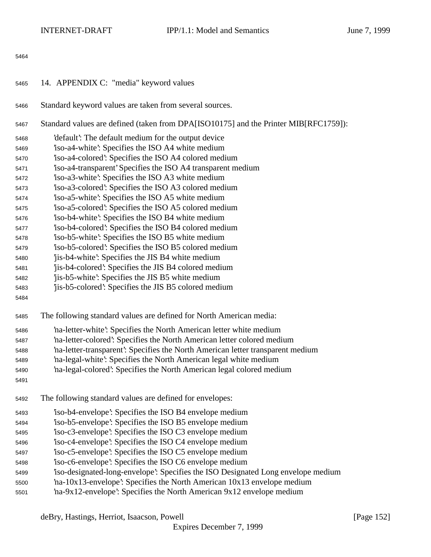| 5465 | 14. APPENDIX C: "media" keyword values                                               |
|------|--------------------------------------------------------------------------------------|
| 5466 | Standard keyword values are taken from several sources.                              |
| 5467 | Standard values are defined (taken from DPA[ISO10175] and the Printer MIB[RFC1759]): |
| 5468 | 'default': The default medium for the output device                                  |
| 5469 | iso-a4-white': Specifies the ISO A4 white medium                                     |
| 5470 | iso-a4-colored: Specifies the ISO A4 colored medium                                  |
| 5471 | iso-a4-transparent' Specifies the ISO A4 transparent medium                          |
| 5472 | iso-a3-white': Specifies the ISO A3 white medium                                     |
| 5473 | iso-a3-colored: Specifies the ISO A3 colored medium                                  |
| 5474 | iso-a5-white': Specifies the ISO A5 white medium                                     |
| 5475 | iso-a5-colored: Specifies the ISO A5 colored medium                                  |
| 5476 | iso-b4-white: Specifies the ISO B4 white medium                                      |
| 5477 | iso-b4-colored: Specifies the ISO B4 colored medium                                  |
| 5478 | iso-b5-white: Specifies the ISO B5 white medium                                      |
| 5479 | iso-b5-colored: Specifies the ISO B5 colored medium                                  |
| 5480 | 'jis-b4-white': Specifies the JIS B4 white medium                                    |
| 5481 | jis-b4-colored: Specifies the JIS B4 colored medium                                  |
| 5482 | jis-b5-white': Specifies the JIS B5 white medium                                     |
| 5483 | jis-b5-colored: Specifies the JIS B5 colored medium                                  |
| 5484 |                                                                                      |
| 5485 | The following standard values are defined for North American media:                  |
| 5486 | 'na-letter-white': Specifies the North American letter white medium                  |
| 5487 | 'na-letter-colored': Specifies the North American letter colored medium              |
| 5488 | 'na-letter-transparent': Specifies the North American letter transparent medium      |
| 5489 | 'na-legal-white': Specifies the North American legal white medium                    |
| 5490 | 'na-legal-colored': Specifies the North American legal colored medium                |
| 5491 |                                                                                      |
| 5492 | The following standard values are defined for envelopes:                             |
| 5493 | iso-b4-envelope: Specifies the ISO B4 envelope medium                                |
| 5494 | 'iso-b5-envelope': Specifies the ISO B5 envelope medium                              |
| 5495 | iso-c3-envelope: Specifies the ISO C3 envelope medium                                |
| 5496 | iso-c4-envelope: Specifies the ISO C4 envelope medium                                |
| 5497 | iso-c5-envelope: Specifies the ISO C5 envelope medium                                |
| 5498 | iso-c6-envelope: Specifies the ISO C6 envelope medium                                |
| 5499 | iso-designated-long-envelope: Specifies the ISO Designated Long envelope medium      |
| 5500 | na-10x13-envelope: Specifies the North American 10x13 envelope medium                |
| 5501 | 'na-9x12-envelope': Specifies the North American 9x12 envelope medium                |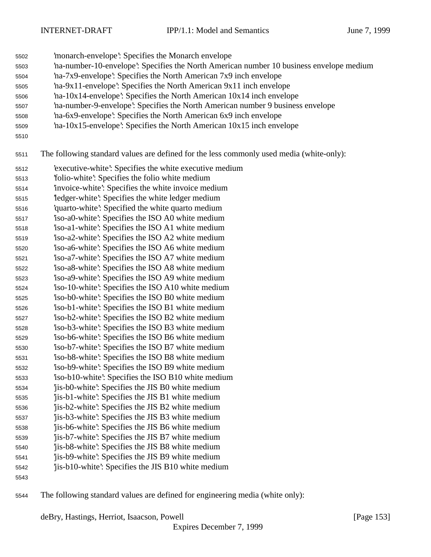- 'monarch-envelope': Specifies the Monarch envelope
- 'na-number-10-envelope': Specifies the North American number 10 business envelope medium
- 'na-7x9-envelope': Specifies the North American 7x9 inch envelope
- 'na-9x11-envelope': Specifies the North American 9x11 inch envelope
- 'na-10x14-envelope': Specifies the North American 10x14 inch envelope
- 'na-number-9-envelope': Specifies the North American number 9 business envelope
- 'na-6x9-envelope': Specifies the North American 6x9 inch envelope
- 'na-10x15-envelope': Specifies the North American 10x15 inch envelope
- 

The following standard values are defined for the less commonly used media (white-only):

- 'executive-white': Specifies the white executive medium
- 'folio-white': Specifies the folio white medium
- 'invoice-white': Specifies the white invoice medium
- 'ledger-white': Specifies the white ledger medium
- 'quarto-white': Specified the white quarto medium
- 'iso-a0-white': Specifies the ISO A0 white medium
- 'iso-a1-white': Specifies the ISO A1 white medium
- 'iso-a2-white': Specifies the ISO A2 white medium 'iso-a6-white': Specifies the ISO A6 white medium
- 'iso-a7-white': Specifies the ISO A7 white medium
- 'iso-a8-white': Specifies the ISO A8 white medium
- 'iso-a9-white': Specifies the ISO A9 white medium
- 'iso-10-white': Specifies the ISO A10 white medium
- 'iso-b0-white': Specifies the ISO B0 white medium 'iso-b1-white': Specifies the ISO B1 white medium
- 'iso-b2-white': Specifies the ISO B2 white medium
- 'iso-b3-white': Specifies the ISO B3 white medium
- 'iso-b6-white': Specifies the ISO B6 white medium
- 'iso-b7-white': Specifies the ISO B7 white medium
- 'iso-b8-white': Specifies the ISO B8 white medium 'iso-b9-white': Specifies the ISO B9 white medium
- 'iso-b10-white': Specifies the ISO B10 white medium
- 'jis-b0-white': Specifies the JIS B0 white medium
- 'jis-b1-white': Specifies the JIS B1 white medium
- 'jis-b2-white': Specifies the JIS B2 white medium
- 'jis-b3-white': Specifies the JIS B3 white medium
- 'jis-b6-white': Specifies the JIS B6 white medium
- 'jis-b7-white': Specifies the JIS B7 white medium
- 'jis-b8-white': Specifies the JIS B8 white medium
- 'jis-b9-white': Specifies the JIS B9 white medium 'jis-b10-white': Specifies the JIS B10 white medium
- 
- The following standard values are defined for engineering media (white only):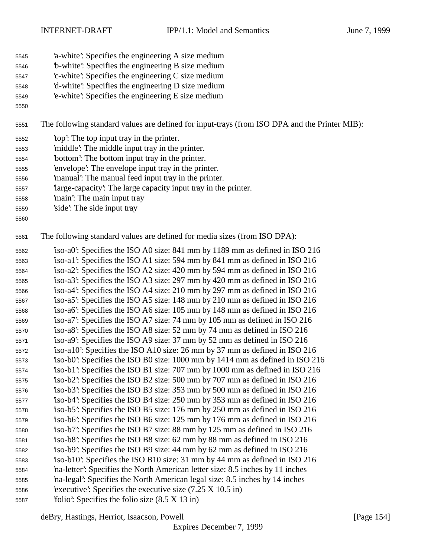- 'a-white': Specifies the engineering A size medium
- 'b-white': Specifies the engineering B size medium
- 'c-white': Specifies the engineering C size medium
- 'd-white': Specifies the engineering D size medium
- 'e-white': Specifies the engineering E size medium
- 

The following standard values are defined for input-trays (from ISO DPA and the Printer MIB):

- 'top': The top input tray in the printer.
- 'middle': The middle input tray in the printer.
- 'bottom': The bottom input tray in the printer.
- 'envelope': The envelope input tray in the printer.
- 'manual': The manual feed input tray in the printer.
- 'large-capacity': The large capacity input tray in the printer.
- 'main': The main input tray
- 'side': The side input tray
- 

The following standard values are defined for media sizes (from ISO DPA):

 'iso-a0': Specifies the ISO A0 size: 841 mm by 1189 mm as defined in ISO 216 'iso-a1': Specifies the ISO A1 size: 594 mm by 841 mm as defined in ISO 216 'iso-a2': Specifies the ISO A2 size: 420 mm by 594 mm as defined in ISO 216 'iso-a3': Specifies the ISO A3 size: 297 mm by 420 mm as defined in ISO 216 'iso-a4': Specifies the ISO A4 size: 210 mm by 297 mm as defined in ISO 216 'iso-a5': Specifies the ISO A5 size: 148 mm by 210 mm as defined in ISO 216 'iso-a6': Specifies the ISO A6 size: 105 mm by 148 mm as defined in ISO 216 'iso-a7': Specifies the ISO A7 size: 74 mm by 105 mm as defined in ISO 216 'iso-a8': Specifies the ISO A8 size: 52 mm by 74 mm as defined in ISO 216 'iso-a9': Specifies the ISO A9 size: 37 mm by 52 mm as defined in ISO 216 'iso-a10': Specifies the ISO A10 size: 26 mm by 37 mm as defined in ISO 216 'iso-b0': Specifies the ISO B0 size: 1000 mm by 1414 mm as defined in ISO 216 'iso-b1': Specifies the ISO B1 size: 707 mm by 1000 mm as defined in ISO 216 'iso-b2': Specifies the ISO B2 size: 500 mm by 707 mm as defined in ISO 216 'iso-b3': Specifies the ISO B3 size: 353 mm by 500 mm as defined in ISO 216 'iso-b4': Specifies the ISO B4 size: 250 mm by 353 mm as defined in ISO 216 'iso-b5': Specifies the ISO B5 size: 176 mm by 250 mm as defined in ISO 216 'iso-b6': Specifies the ISO B6 size: 125 mm by 176 mm as defined in ISO 216 'iso-b7': Specifies the ISO B7 size: 88 mm by 125 mm as defined in ISO 216 'iso-b8': Specifies the ISO B8 size: 62 mm by 88 mm as defined in ISO 216 'iso-b9': Specifies the ISO B9 size: 44 mm by 62 mm as defined in ISO 216 'iso-b10': Specifies the ISO B10 size: 31 mm by 44 mm as defined in ISO 216 'na-letter': Specifies the North American letter size: 8.5 inches by 11 inches 'na-legal': Specifies the North American legal size: 8.5 inches by 14 inches 'executive': Specifies the executive size (7.25 X 10.5 in) 'folio': Specifies the folio size (8.5 X 13 in)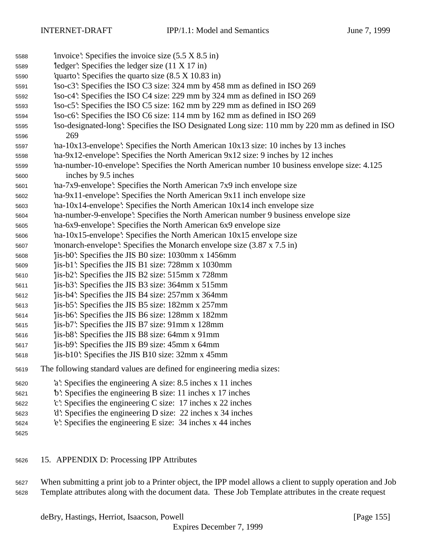| 5588 | 'invoice': Specifies the invoice size $(5.5 \times 8.5 \text{ in})$                             |
|------|-------------------------------------------------------------------------------------------------|
| 5589 | $\text{`ledge'}$ : Specifies the ledger size (11 X 17 in)                                       |
| 5590 | quarto: Specifies the quarto size $(8.5 \times 10.83 \text{ in})$                               |
| 5591 | iso-c3: Specifies the ISO C3 size: 324 mm by 458 mm as defined in ISO 269                       |
| 5592 | iso-c4: Specifies the ISO C4 size: 229 mm by 324 mm as defined in ISO 269                       |
| 5593 | iso-c5: Specifies the ISO C5 size: 162 mm by 229 mm as defined in ISO 269                       |
| 5594 | iso-c6: Specifies the ISO C6 size: 114 mm by 162 mm as defined in ISO 269                       |
| 5595 | iso-designated-long: Specifies the ISO Designated Long size: 110 mm by 220 mm as defined in ISO |
| 5596 | 269                                                                                             |
| 5597 | $'$ na-10x13-envelope': Specifies the North American 10x13 size: 10 inches by 13 inches         |
| 5598 | 'na-9x12-envelope': Specifies the North American 9x12 size: 9 inches by 12 inches               |
| 5599 | na-number-10-envelope': Specifies the North American number 10 business envelope size: 4.125    |
| 5600 | inches by 9.5 inches                                                                            |
| 5601 | na-7x9-envelope: Specifies the North American 7x9 inch envelope size                            |
| 5602 | 'na-9x11-envelope': Specifies the North American 9x11 inch envelope size                        |
| 5603 | $'$ na-10x14-envelope': Specifies the North American $10x14$ inch envelope size                 |
| 5604 | na-number-9-envelope': Specifies the North American number 9 business envelope size             |
| 5605 | 'na-6x9-envelope': Specifies the North American 6x9 envelope size                               |
| 5606 | 'na-10x15-envelope': Specifies the North American 10x15 envelope size                           |
| 5607 | 'monarch-envelope': Specifies the Monarch envelope size $(3.87 \times 7.5 \text{ in})$          |
| 5608 | jis-b0: Specifies the JIS B0 size: 1030mm x 1456mm                                              |
| 5609 | 'jis-b1': Specifies the JIS B1 size: 728mm x 1030mm                                             |
| 5610 | 'jis-b2': Specifies the JIS B2 size: 515mm x 728mm                                              |
| 5611 | jis-b3: Specifies the JIS B3 size: 364mm x 515mm                                                |
| 5612 | 'jis-b4': Specifies the JIS B4 size: 257mm x 364mm                                              |
| 5613 | jis-b5: Specifies the JIS B5 size: 182mm x 257mm                                                |
| 5614 | jis-b6: Specifies the JIS B6 size: 128mm x 182mm                                                |
| 5615 | 'jis-b7': Specifies the JIS B7 size: 91mm x 128mm                                               |
| 5616 | 'jis-b8': Specifies the JIS B8 size: 64mm x 91mm                                                |
| 5617 | 'jis-b9': Specifies the JIS B9 size: 45mm x 64mm                                                |
| 5618 | 'jis-b10': Specifies the JIS B10 size: 32mm x 45mm                                              |
| 5619 | The following standard values are defined for engineering media sizes:                          |
| 5620 | 'a': Specifies the engineering A size: 8.5 inches x 11 inches                                   |
| 5621 | b: Specifies the engineering B size: 11 inches x 17 inches                                      |
| 5622 | $c$ : Specifies the engineering C size: 17 inches x 22 inches                                   |
| 5623 | 'd': Specifies the engineering D size: 22 inches x 34 inches                                    |
| 5624 | e: Specifies the engineering E size: $34$ inches x 44 inches                                    |
| 5625 |                                                                                                 |
|      |                                                                                                 |
|      |                                                                                                 |

15. APPENDIX D: Processing IPP Attributes

 When submitting a print job to a Printer object, the IPP model allows a client to supply operation and Job Template attributes along with the document data. These Job Template attributes in the create request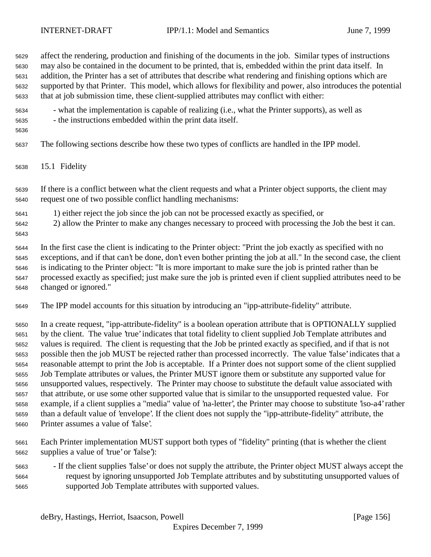affect the rendering, production and finishing of the documents in the job. Similar types of instructions may also be contained in the document to be printed, that is, embedded within the print data itself. In addition, the Printer has a set of attributes that describe what rendering and finishing options which are supported by that Printer. This model, which allows for flexibility and power, also introduces the potential that at job submission time, these client-supplied attributes may conflict with either: - what the implementation is capable of realizing (i.e., what the Printer supports), as well as - the instructions embedded within the print data itself. The following sections describe how these two types of conflicts are handled in the IPP model. 15.1 Fidelity If there is a conflict between what the client requests and what a Printer object supports, the client may request one of two possible conflict handling mechanisms: 1) either reject the job since the job can not be processed exactly as specified, or 2) allow the Printer to make any changes necessary to proceed with processing the Job the best it can. In the first case the client is indicating to the Printer object: "Print the job exactly as specified with no exceptions, and if that can't be done, don't even bother printing the job at all." In the second case, the client is indicating to the Printer object: "It is more important to make sure the job is printed rather than be processed exactly as specified; just make sure the job is printed even if client supplied attributes need to be changed or ignored." The IPP model accounts for this situation by introducing an "ipp-attribute-fidelity" attribute. In a create request, "ipp-attribute-fidelity" is a boolean operation attribute that is OPTIONALLY supplied by the client. The value 'true' indicates that total fidelity to client supplied Job Template attributes and values is required. The client is requesting that the Job be printed exactly as specified, and if that is not possible then the job MUST be rejected rather than processed incorrectly. The value 'false' indicates that a reasonable attempt to print the Job is acceptable. If a Printer does not support some of the client supplied Job Template attributes or values, the Printer MUST ignore them or substitute any supported value for unsupported values, respectively. The Printer may choose to substitute the default value associated with that attribute, or use some other supported value that is similar to the unsupported requested value. For example, if a client supplies a "media" value of 'na-letter', the Printer may choose to substitute 'iso-a4' rather than a default value of 'envelope'. If the client does not supply the "ipp-attribute-fidelity" attribute, the Printer assumes a value of 'false'.

- Each Printer implementation MUST support both types of "fidelity" printing (that is whether the client supplies a value of 'true' or 'false'):
- If the client supplies 'false' or does not supply the attribute, the Printer object MUST always accept the request by ignoring unsupported Job Template attributes and by substituting unsupported values of supported Job Template attributes with supported values.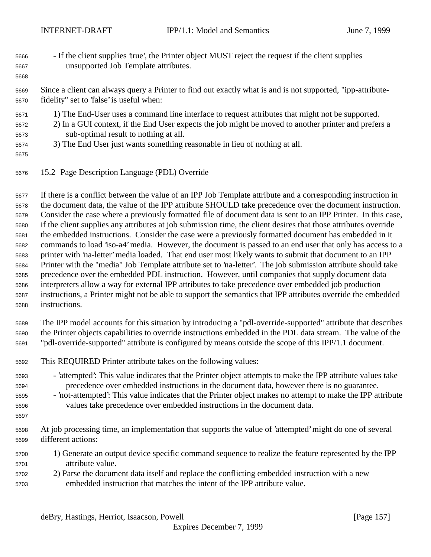- If the client supplies 'true', the Printer object MUST reject the request if the client supplies unsupported Job Template attributes.
- Since a client can always query a Printer to find out exactly what is and is not supported, "ipp-attribute-fidelity" set to 'false' is useful when:
- 1) The End-User uses a command line interface to request attributes that might not be supported.
- 2) In a GUI context, if the End User expects the job might be moved to another printer and prefers a sub-optimal result to nothing at all.
- 3) The End User just wants something reasonable in lieu of nothing at all.
- 

15.2 Page Description Language (PDL) Override

 If there is a conflict between the value of an IPP Job Template attribute and a corresponding instruction in the document data, the value of the IPP attribute SHOULD take precedence over the document instruction. Consider the case where a previously formatted file of document data is sent to an IPP Printer. In this case, if the client supplies any attributes at job submission time, the client desires that those attributes override the embedded instructions. Consider the case were a previously formatted document has embedded in it commands to load 'iso-a4' media. However, the document is passed to an end user that only has access to a printer with 'na-letter' media loaded. That end user most likely wants to submit that document to an IPP Printer with the "media" Job Template attribute set to 'na-letter'. The job submission attribute should take precedence over the embedded PDL instruction. However, until companies that supply document data interpreters allow a way for external IPP attributes to take precedence over embedded job production instructions, a Printer might not be able to support the semantics that IPP attributes override the embedded instructions.

- The IPP model accounts for this situation by introducing a "pdl-override-supported" attribute that describes the Printer objects capabilities to override instructions embedded in the PDL data stream. The value of the "pdl-override-supported" attribute is configured by means outside the scope of this IPP/1.1 document.
- This REQUIRED Printer attribute takes on the following values:
- 'attempted': This value indicates that the Printer object attempts to make the IPP attribute values take precedence over embedded instructions in the document data, however there is no guarantee.
- 'not-attempted': This value indicates that the Printer object makes no attempt to make the IPP attribute values take precedence over embedded instructions in the document data.
- 
- At job processing time, an implementation that supports the value of 'attempted' might do one of several different actions:
- 1) Generate an output device specific command sequence to realize the feature represented by the IPP attribute value.
- 2) Parse the document data itself and replace the conflicting embedded instruction with a new embedded instruction that matches the intent of the IPP attribute value.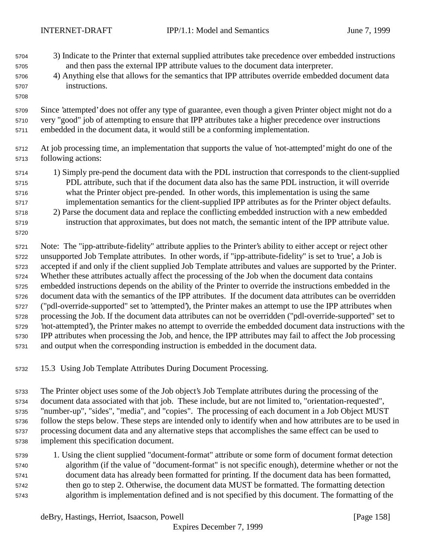- 3) Indicate to the Printer that external supplied attributes take precedence over embedded instructions and then pass the external IPP attribute values to the document data interpreter.
- 4) Anything else that allows for the semantics that IPP attributes override embedded document data instructions.
- Since 'attempted' does not offer any type of guarantee, even though a given Printer object might not do a very "good" job of attempting to ensure that IPP attributes take a higher precedence over instructions embedded in the document data, it would still be a conforming implementation.
- At job processing time, an implementation that supports the value of 'not-attempted' might do one of the following actions:
- 1) Simply pre-pend the document data with the PDL instruction that corresponds to the client-supplied PDL attribute, such that if the document data also has the same PDL instruction, it will override what the Printer object pre-pended. In other words, this implementation is using the same implementation semantics for the client-supplied IPP attributes as for the Printer object defaults.
- 2) Parse the document data and replace the conflicting embedded instruction with a new embedded instruction that approximates, but does not match, the semantic intent of the IPP attribute value.
- Note: The "ipp-attribute-fidelity" attribute applies to the Printer's ability to either accept or reject other unsupported Job Template attributes. In other words, if "ipp-attribute-fidelity" is set to 'true', a Job is accepted if and only if the client supplied Job Template attributes and values are supported by the Printer. Whether these attributes actually affect the processing of the Job when the document data contains embedded instructions depends on the ability of the Printer to override the instructions embedded in the document data with the semantics of the IPP attributes. If the document data attributes can be overridden ("pdl-override-supported" set to 'attempted'), the Printer makes an attempt to use the IPP attributes when processing the Job. If the document data attributes can not be overridden ("pdl-override-supported" set to 'not-attempted'), the Printer makes no attempt to override the embedded document data instructions with the IPP attributes when processing the Job, and hence, the IPP attributes may fail to affect the Job processing and output when the corresponding instruction is embedded in the document data.
- 15.3 Using Job Template Attributes During Document Processing.
- The Printer object uses some of the Job object's Job Template attributes during the processing of the document data associated with that job. These include, but are not limited to, "orientation-requested", "number-up", "sides", "media", and "copies". The processing of each document in a Job Object MUST follow the steps below. These steps are intended only to identify when and how attributes are to be used in processing document data and any alternative steps that accomplishes the same effect can be used to implement this specification document.
- 1. Using the client supplied "document-format" attribute or some form of document format detection algorithm (if the value of "document-format" is not specific enough), determine whether or not the document data has already been formatted for printing. If the document data has been formatted, then go to step 2. Otherwise, the document data MUST be formatted. The formatting detection algorithm is implementation defined and is not specified by this document. The formatting of the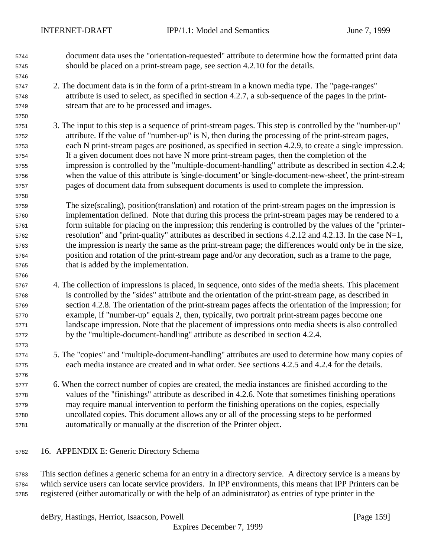- document data uses the "orientation-requested" attribute to determine how the formatted print data should be placed on a print-stream page, see section 4.2.10 for the details.
- 2. The document data is in the form of a print-stream in a known media type. The "page-ranges" attribute is used to select, as specified in section 4.2.7, a sub-sequence of the pages in the print-stream that are to be processed and images.
- 3. The input to this step is a sequence of print-stream pages. This step is controlled by the "number-up" attribute. If the value of "number-up" is N, then during the processing of the print-stream pages, each N print-stream pages are positioned, as specified in section 4.2.9, to create a single impression. If a given document does not have N more print-stream pages, then the completion of the impression is controlled by the "multiple-document-handling" attribute as described in section 4.2.4; when the value of this attribute is 'single-document' or 'single-document-new-sheet', the print-stream pages of document data from subsequent documents is used to complete the impression.
- The size(scaling), position(translation) and rotation of the print-stream pages on the impression is implementation defined. Note that during this process the print-stream pages may be rendered to a form suitable for placing on the impression; this rendering is controlled by the values of the "printer- resolution" and "print-quality" attributes as described in sections 4.2.12 and 4.2.13. In the case N=1, the impression is nearly the same as the print-stream page; the differences would only be in the size, position and rotation of the print-stream page and/or any decoration, such as a frame to the page, that is added by the implementation.
- 4. The collection of impressions is placed, in sequence, onto sides of the media sheets. This placement is controlled by the "sides" attribute and the orientation of the print-stream page, as described in section 4.2.8. The orientation of the print-stream pages affects the orientation of the impression; for example, if "number-up" equals 2, then, typically, two portrait print-stream pages become one landscape impression. Note that the placement of impressions onto media sheets is also controlled by the "multiple-document-handling" attribute as described in section 4.2.4.
- 5. The "copies" and "multiple-document-handling" attributes are used to determine how many copies of each media instance are created and in what order. See sections 4.2.5 and 4.2.4 for the details.
- 6. When the correct number of copies are created, the media instances are finished according to the values of the "finishings" attribute as described in 4.2.6. Note that sometimes finishing operations may require manual intervention to perform the finishing operations on the copies, especially uncollated copies. This document allows any or all of the processing steps to be performed automatically or manually at the discretion of the Printer object.
- 16. APPENDIX E: Generic Directory Schema

 This section defines a generic schema for an entry in a directory service. A directory service is a means by which service users can locate service providers. In IPP environments, this means that IPP Printers can be registered (either automatically or with the help of an administrator) as entries of type printer in the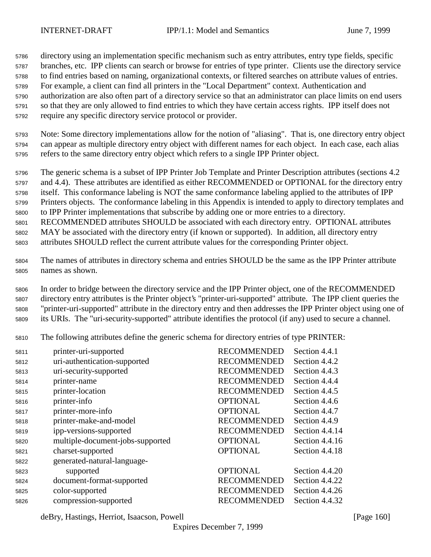directory using an implementation specific mechanism such as entry attributes, entry type fields, specific branches, etc. IPP clients can search or browse for entries of type printer. Clients use the directory service to find entries based on naming, organizational contexts, or filtered searches on attribute values of entries. For example, a client can find all printers in the "Local Department" context. Authentication and authorization are also often part of a directory service so that an administrator can place limits on end users so that they are only allowed to find entries to which they have certain access rights. IPP itself does not require any specific directory service protocol or provider.

 Note: Some directory implementations allow for the notion of "aliasing". That is, one directory entry object can appear as multiple directory entry object with different names for each object. In each case, each alias refers to the same directory entry object which refers to a single IPP Printer object.

 The generic schema is a subset of IPP Printer Job Template and Printer Description attributes (sections 4.2 and 4.4). These attributes are identified as either RECOMMENDED or OPTIONAL for the directory entry itself. This conformance labeling is NOT the same conformance labeling applied to the attributes of IPP Printers objects. The conformance labeling in this Appendix is intended to apply to directory templates and to IPP Printer implementations that subscribe by adding one or more entries to a directory. RECOMMENDED attributes SHOULD be associated with each directory entry. OPTIONAL attributes

 MAY be associated with the directory entry (if known or supported). In addition, all directory entry attributes SHOULD reflect the current attribute values for the corresponding Printer object.

 The names of attributes in directory schema and entries SHOULD be the same as the IPP Printer attribute names as shown.

 In order to bridge between the directory service and the IPP Printer object, one of the RECOMMENDED directory entry attributes is the Printer object's "printer-uri-supported" attribute. The IPP client queries the "printer-uri-supported" attribute in the directory entry and then addresses the IPP Printer object using one of its URIs. The "uri-security-supported" attribute identifies the protocol (if any) used to secure a channel.

The following attributes define the generic schema for directory entries of type PRINTER:

| 5811 | printer-uri-supported            | <b>RECOMMENDED</b> | Section 4.4.1  |
|------|----------------------------------|--------------------|----------------|
| 5812 | uri-authentication-supported     | <b>RECOMMENDED</b> | Section 4.4.2  |
| 5813 | uri-security-supported           | <b>RECOMMENDED</b> | Section 4.4.3  |
| 5814 | printer-name                     | <b>RECOMMENDED</b> | Section 4.4.4  |
| 5815 | printer-location                 | <b>RECOMMENDED</b> | Section 4.4.5  |
| 5816 | printer-info                     | <b>OPTIONAL</b>    | Section 4.4.6  |
| 5817 | printer-more-info                | <b>OPTIONAL</b>    | Section 4.4.7  |
| 5818 | printer-make-and-model           | <b>RECOMMENDED</b> | Section 4.4.9  |
| 5819 | ipp-versions-supported           | <b>RECOMMENDED</b> | Section 4.4.14 |
| 5820 | multiple-document-jobs-supported | <b>OPTIONAL</b>    | Section 4.4.16 |
| 5821 | charset-supported                | <b>OPTIONAL</b>    | Section 4.4.18 |
| 5822 | generated-natural-language-      |                    |                |
| 5823 | supported                        | <b>OPTIONAL</b>    | Section 4.4.20 |
| 5824 | document-format-supported        | <b>RECOMMENDED</b> | Section 4.4.22 |
| 5825 | color-supported                  | <b>RECOMMENDED</b> | Section 4.4.26 |
| 5826 | compression-supported            | <b>RECOMMENDED</b> | Section 4.4.32 |
|      |                                  |                    |                |

deBry, Hastings, Herriot, Isaacson, Powell [Page 160]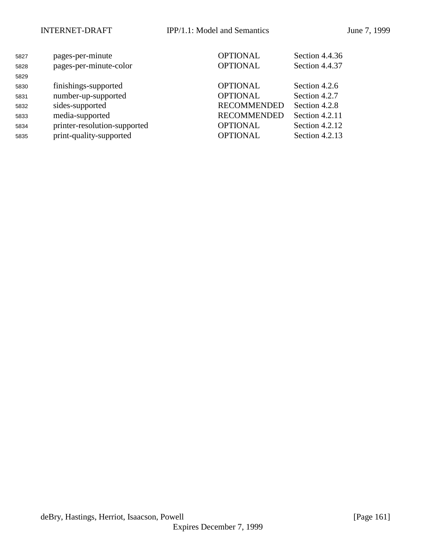| 5827 | pages-per-minute             | <b>OPTIONAL</b>    | Section 4.4.36 |
|------|------------------------------|--------------------|----------------|
| 5828 | pages-per-minute-color       | <b>OPTIONAL</b>    | Section 4.4.37 |
| 5829 |                              |                    |                |
| 5830 | finishings-supported         | <b>OPTIONAL</b>    | Section 4.2.6  |
| 5831 | number-up-supported          | <b>OPTIONAL</b>    | Section 4.2.7  |
| 5832 | sides-supported              | <b>RECOMMENDED</b> | Section 4.2.8  |
| 5833 | media-supported              | <b>RECOMMENDED</b> | Section 4.2.11 |
| 5834 | printer-resolution-supported | <b>OPTIONAL</b>    | Section 4.2.12 |
| 5835 | print-quality-supported      | <b>OPTIONAL</b>    | Section 4.2.13 |
|      |                              |                    |                |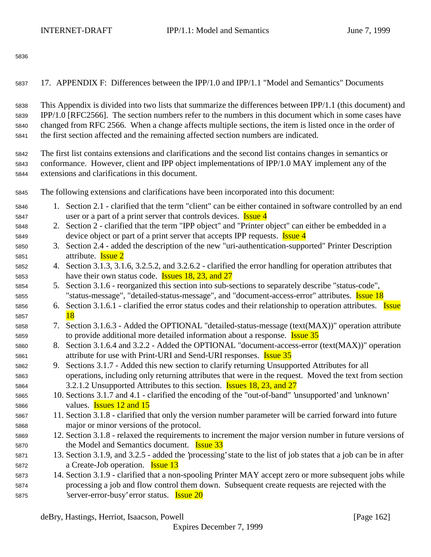| 5838 | This Appendix is divided into two lists that summarize the differences between IPP/1.1 (this document) and |
|------|------------------------------------------------------------------------------------------------------------|
| 5839 | IPP/1.0 [RFC2566]. The section numbers refer to the numbers in this document which in some cases have      |
| 5840 | changed from RFC 2566. When a change affects multiple sections, the item is listed once in the order of    |
| 5841 | the first section affected and the remaining affected section numbers are indicated.                       |
| 5842 | The first list contains extensions and clarifications and the second list contains changes in semantics or |
| 5843 | conformance. However, client and IPP object implementations of IPP/1.0 MAY implement any of the            |
| 5844 | extensions and clarifications in this document.                                                            |
| 5845 | The following extensions and clarifications have been incorporated into this document:                     |
| 5846 | 1. Section 2.1 - clarified that the term "client" can be either contained in software controlled by an end |
| 5847 | user or a part of a print server that controls devices. <b>Issue 4</b>                                     |
| 5848 | 2. Section 2 - clarified that the term "IPP object" and "Printer object" can either be embedded in a       |
| 5849 | device object or part of a print server that accepts IPP requests. <b>Issue 4</b>                          |
| 5850 | 3. Section 2.4 - added the description of the new "uri-authentication-supported" Printer Description       |
| 5851 | attribute. <b>Issue 2</b>                                                                                  |
| 5852 | 4. Section 3.1.3, 3.1.6, 3.2.5.2, and 3.2.6.2 - clarified the error handling for operation attributes that |
| 5853 | have their own status code. <b>Issues 18, 23, and 27</b>                                                   |
| 5854 | 5. Section 3.1.6 - reorganized this section into sub-sections to separately describe "status-code",        |
| 5855 | "status-message", "detailed-status-message", and "document-access-error" attributes. <b>Issue 18</b>       |

17. APPENDIX F: Differences between the IPP/1.0 and IPP/1.1 "Model and Semantics" Documents

- 5856 6. Section 3.1.6.1 clarified the error status codes and their relationship to operation attributes. **Issue** 5857 18
- 7. Section 3.1.6.3 Added the OPTIONAL "detailed-status-message (text(MAX))" operation attribute 5859 to provide additional more detailed information about a response. **Issue 35**
- 8. Section 3.1.6.4 and 3.2.2 Added the OPTIONAL "document-access-error (text(MAX))" operation 5861 attribute for use with Print-URI and Send-URI responses. **Issue 35**
- 9. Sections 3.1.7 Added this new section to clarify returning Unsupported Attributes for all operations, including only returning attributes that were in the request. Moved the text from section 5864 3.2.1.2 Unsupported Attributes to this section. **Issues 18, 23, and 27**
- 10. Sections 3.1.7 and 4.1 clarified the encoding of the "out-of-band" 'unsupported' and 'unknown' values. Issues 12 and 15
- 11. Section 3.1.8 clarified that only the version number parameter will be carried forward into future major or minor versions of the protocol.
- 12. Section 3.1.8 relaxed the requirements to increment the major version number in future versions of the Model and Semantics document. Issue 33
- 13. Section 3.1.9, and 3.2.5 added the 'processing' state to the list of job states that a job can be in after 5872 a Create-Job operation. **Issue 13**
- 14. Section 3.1.9 clarified that a non-spooling Printer MAY accept zero or more subsequent jobs while processing a job and flow control them down. Subsequent create requests are rejected with the 5875 'server-error-busy' error status. **Issue 20**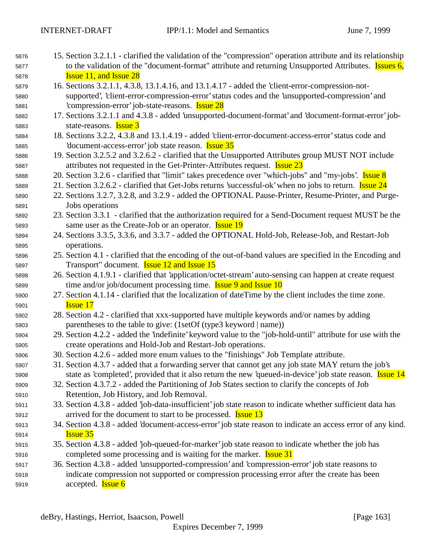| 5876 | 15. Section 3.2.1.1 - clarified the validation of the "compression" operation attribute and its relationship |  |
|------|--------------------------------------------------------------------------------------------------------------|--|
| 5877 | to the validation of the "document-format" attribute and returning Unsupported Attributes. Issues 6,         |  |
| 5878 | <b>Issue 11, and Issue 28</b>                                                                                |  |

- 16. Sections 3.2.1.1, 4.3.8, 13.1.4.16, and 13.1.4.17 added the 'client-error-compression-not- supported', 'client-error-compression-error' status codes and the 'unsupported-compression' and 'compression-error' job-state-reasons. Issue 28
- 17. Sections 3.2.1.1 and 4.3.8 added 'unsupported-document-format' and 'document-format-error' job-state-reasons. Issue 3
- 18. Sections 3.2.2, 4.3.8 and 13.1.4.19 added 'client-error-document-access-error' status code and 5885 'document-access-error' job state reason. **Issue 35**
- 19. Section 3.2.5.2 and 3.2.6.2 clarified that the Unsupported Attributes group MUST NOT include 5887 attributes not requested in the Get-Printer-Attributes request. **Issue 23**
- 588 20. Section 3.2.6 clarified that "limit" takes precedence over "which-jobs" and "my-jobs'. Issue 8
- 5889 21. Section 3.2.6.2 clarified that Get-Jobs returns 'successful-ok' when no jobs to return. **Issue 24**
- 22. Sections 3.2.7, 3.2.8, and 3.2.9 added the OPTIONAL Pause-Printer, Resume-Printer, and Purge-Jobs operations
- 23. Section 3.3.1 clarified that the authorization required for a Send-Document request MUST be the 5893 same user as the Create-Job or an operator. **Issue 19**
- 24. Sections 3.3.5, 3.3.6, and 3.3.7 added the OPTIONAL Hold-Job, Release-Job, and Restart-Job operations.
- 25. Section 4.1 clarified that the encoding of the out-of-band values are specified in the Encoding and Transport" document. Issue 12 and Issue 15
- 26. Section 4.1.9.1 clarified that 'application/octet-stream' auto-sensing can happen at create request 5899 time and/or job/document processing time. **Issue 9 and Issue 10**
- 27. Section 4.1.14 clarified that the localization of dateTime by the client includes the time zone. **Issue 17**
- 28. Section 4.2 clarified that xxx-supported have multiple keywords and/or names by adding parentheses to the table to give: (1setOf (type3 keyword | name))
- 29. Section 4.2.2 added the 'indefinite' keyword value to the "job-hold-until" attribute for use with the create operations and Hold-Job and Restart-Job operations.
- 30. Section 4.2.6 added more enum values to the "finishings" Job Template attribute.
- 31. Section 4.3.7 added that a forwarding server that cannot get any job state MAY return the job's 5908 state as 'completed', provided that it also return the new 'queued-in-device' job state reason. **Issue 14**
- 32. Section 4.3.7.2 added the Partitioning of Job States section to clarify the concepts of Job Retention, Job History, and Job Removal.
- 33. Section 4.3.8 added 'job-data-insufficient' job state reason to indicate whether sufficient data has 5912 arrived for the document to start to be processed. **Issue 13**
- 34. Section 4.3.8 added 'document-access-error' job state reason to indicate an access error of any kind. Issue 35
- 35. Section 4.3.8 added 'job-queued-for-marker' job state reason to indicate whether the job has 5916 completed some processing and is waiting for the marker. **Issue 31**
- 36. Section 4.3.8 added 'unsupported-compression' and 'compression-error' job state reasons to indicate compression not supported or compression processing error after the create has been 5919 accepted. **Issue 6**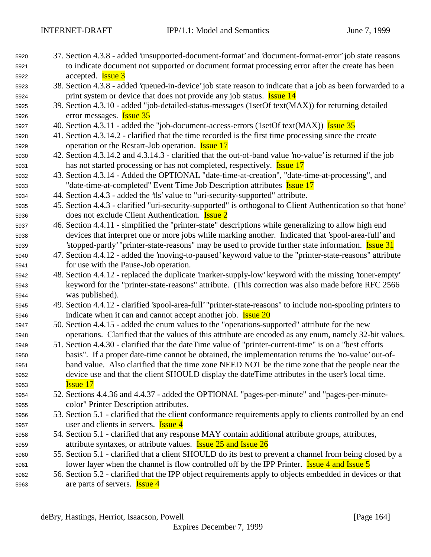- 37. Section 4.3.8 added 'unsupported-document-format' and 'document-format-error' job state reasons to indicate document not supported or document format processing error after the create has been accepted. Issue 3
- 38. Section 4.3.8 added 'queued-in-device' job state reason to indicate that a job as been forwarded to a 5924 print system or device that does not provide any job status. **Issue 14**
- 39. Section 4.3.10 added "job-detailed-status-messages (1setOf text(MAX)) for returning detailed error messages. Issue 35
- 40. Section 4.3.11 added the "job-document-access-errors (1setOf text(MAX)) Issue 35
- 41. Section 4.3.14.2 clarified that the time recorded is the first time processing since the create 5929 operation or the Restart-Job operation. **Issue 17**
- 42. Section 4.3.14.2 and 4.3.14.3 clarified that the out-of-band value 'no-value' is returned if the job 5931 has not started processing or has not completed, respectively. **Issue 17**
- 43. Section 4.3.14 Added the OPTIONAL "date-time-at-creation", "date-time-at-processing", and 5933 "date-time-at-completed" Event Time Job Description attributes **Issue 17**
- 44. Section 4.4.3 added the 'tls' value to "uri-security-supported" attribute.
- 45. Section 4.4.3 clarified "uri-security-supported" is orthogonal to Client Authentication so that 'none' does not exclude Client Authentication. Issue 2
- 46. Section 4.4.11 simplified the "printer-state" descriptions while generalizing to allow high end devices that interpret one or more jobs while marking another. Indicated that 'spool-area-full' and 5939 'stopped-partly' "printer-state-reasons" may be used to provide further state information. **Issue 31**
- 47. Section 4.4.12 added the 'moving-to-paused' keyword value to the "printer-state-reasons" attribute for use with the Pause-Job operation.
- 48. Section 4.4.12 replaced the duplicate 'marker-supply-low' keyword with the missing 'toner-empty' keyword for the "printer-state-reasons" attribute. (This correction was also made before RFC 2566 was published).
- 49. Section 4.4.12 clarified 'spool-area-full' "printer-state-reasons" to include non-spooling printers to 5946 indicate when it can and cannot accept another job. **Issue 20**
- 50. Section 4.4.15 added the enum values to the "operations-supported" attribute for the new operations. Clarified that the values of this attribute are encoded as any enum, namely 32-bit values.
- 51. Section 4.4.30 clarified that the dateTime value of "printer-current-time" is on a "best efforts basis". If a proper date-time cannot be obtained, the implementation returns the 'no-value' out-of- band value. Also clarified that the time zone NEED NOT be the time zone that the people near the device use and that the client SHOULD display the dateTime attributes in the user's local time. Issue 17
- 52. Sections 4.4.36 and 4.4.37 added the OPTIONAL "pages-per-minute" and "pages-per-minute-color" Printer Description attributes.
- 53. Section 5.1 clarified that the client conformance requirements apply to clients controlled by an end 5957 user and clients in servers. **Issue 4**
- 54. Section 5.1 clarified that any response MAY contain additional attribute groups, attributes, **attribute syntaxes, or attribute values. Issue 25 and Issue 26**
- 55. Section 5.1 clarified that a client SHOULD do its best to prevent a channel from being closed by a 5961 lower layer when the channel is flow controlled off by the IPP Printer. **Issue 4 and Issue 5**
- 56. Section 5.2 clarified that the IPP object requirements apply to objects embedded in devices or that 5963 are parts of servers. **Issue 4**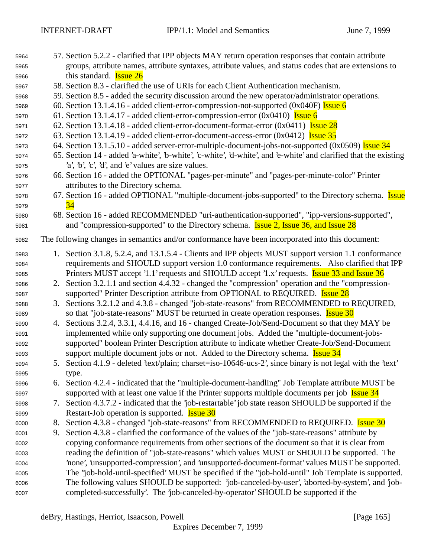| 5964 |    | 57. Section 5.2.2 - clarified that IPP objects MAY return operation responses that contain attribute             |
|------|----|------------------------------------------------------------------------------------------------------------------|
| 5965 |    | groups, attribute names, attribute syntaxes, attribute values, and status codes that are extensions to           |
| 5966 |    | this standard. <b>Issue 26</b>                                                                                   |
| 5967 |    | 58. Section 8.3 - clarified the use of URIs for each Client Authentication mechanism.                            |
| 5968 |    | 59. Section 8.5 - added the security discussion around the new operator/administrator operations.                |
| 5969 |    | 60. Section 13.1.4.16 - added client-error-compression-not-supported $(0x040F)$ Issue 6                          |
| 5970 |    | 61. Section 13.1.4.17 - added client-error-compression-error $(0x0410)$ Issue 6                                  |
| 5971 |    | 62. Section 13.1.4.18 - added client-error-document-format-error $(0x0411)$ Issue 28                             |
| 5972 |    | 63. Section 13.1.4.19 - added client-error-document-access-error $(0x0412)$ Issue 35                             |
| 5973 |    | 64. Section 13.1.5.10 - added server-error-multiple-document-jobs-not-supported (0x0509) Issue 34                |
| 5974 |    | 65. Section 14 - added 'a-white', 'b-white', 'c-white', 'd-white', and 'e-white' and clarified that the existing |
| 5975 |    | $a, b, c, d,$ and $e$ values are size values.                                                                    |
| 5976 |    | 66. Section 16 - added the OPTIONAL "pages-per-minute" and "pages-per-minute-color" Printer                      |
| 5977 |    | attributes to the Directory schema.                                                                              |
| 5978 |    | 67. Section 16 - added OPTIONAL "multiple-document-jobs-supported" to the Directory schema. Issue                |
| 5979 |    | 34                                                                                                               |
| 5980 |    | 68. Section 16 - added RECOMMENDED "uri-authentication-supported", "ipp-versions-supported",                     |
| 5981 |    | and "compression-supported" to the Directory schema. <b>Issue 2, Issue 36, and Issue 28</b>                      |
| 5982 |    | The following changes in semantics and/or conformance have been incorporated into this document:                 |
| 5983 |    | 1. Section 3.1.8, 5.2.4, and 13.1.5.4 - Clients and IPP objects MUST support version 1.1 conformance             |
| 5984 |    | requirements and SHOULD support version 1.0 conformance requirements. Also clarified that IPP                    |
| 5985 |    | Printers MUST accept '1.1' requests and SHOULD accept '1.x' requests. <b>Issue 33 and Issue 36</b>               |
| 5986 |    | 2. Section 3.2.1.1 and section 4.4.32 - changed the "compression" operation and the "compression-                |
| 5987 |    | supported" Printer Description attribute from OPTIONAL to REQUIRED. <b>Issue 28</b>                              |
| 5988 |    | 3. Sections 3.2.1.2 and 4.3.8 - changed "job-state-reasons" from RECOMMENDED to REQUIRED,                        |
| 5989 |    | so that "job-state-reasons" MUST be returned in create operation responses. <b>Issue 30</b>                      |
| 5990 |    | 4. Sections 3.2.4, 3.3.1, 4.4.16, and 16 - changed Create-Job/Send-Document so that they MAY be                  |
| 5991 |    | implemented while only supporting one document jobs. Added the "multiple-document-jobs-                          |
| 5992 |    | supported" boolean Printer Description attribute to indicate whether Create-Job/Send-Document                    |
| 5993 |    | support multiple document jobs or not. Added to the Directory schema. <b>Issue 34</b>                            |
| 5994 |    | 5. Section 4.1.9 - deleted 'text/plain; charset=iso-10646-ucs-2', since binary is not legal with the 'text'      |
| 5995 |    | type.                                                                                                            |
| 5996 |    | 6. Section 4.2.4 - indicated that the "multiple-document-handling" Job Template attribute MUST be                |
| 5997 |    | supported with at least one value if the Printer supports multiple documents per job Issue 34                    |
| 5998 |    | 7. Section 4.3.7.2 - indicated that the 'job-restartable' job state reason SHOULD be supported if the            |
| 5999 |    | Restart-Job operation is supported. <b>Issue 30</b>                                                              |
| 6000 |    | 8. Section 4.3.8 - changed "job-state-reasons" from RECOMMENDED to REQUIRED. Issue 30                            |
| 6001 | 9. | Section 4.3.8 - clarified the conformance of the values of the "job-state-reasons" attribute by                  |
| 6002 |    | copying conformance requirements from other sections of the document so that it is clear from                    |
| 6003 |    | reading the definition of "job-state-reasons" which values MUST or SHOULD be supported. The                      |
| 6004 |    | 'none', 'unsupported-compression', and 'unsupported-document-format' values MUST be supported.                   |
| 6005 |    | The "job-hold-until-specified' MUST be specified if the "job-hold-until" Job Template is supported.              |
| 6006 |    | The following values SHOULD be supported: 'job-canceled-by-user', 'aborted-by-system', and 'job-                 |
| 6007 |    | completed-successfully'. The 'job-canceled-by-operator' SHOULD be supported if the                               |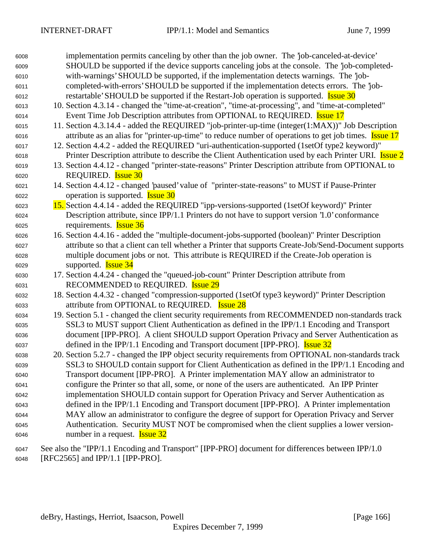| 6008 | implementation permits canceling by other than the job owner. The 'job-canceled-at-device'                   |
|------|--------------------------------------------------------------------------------------------------------------|
| 6009 | SHOULD be supported if the device supports canceling jobs at the console. The 'job-completed-                |
| 6010 | with-warnings' SHOULD be supported, if the implementation detects warnings. The 'job-                        |
| 6011 | completed-with-errors' SHOULD be supported if the implementation detects errors. The 'job-                   |
| 6012 | restartable' SHOULD be supported if the Restart-Job operation is supported. <b>Issue 30</b>                  |
| 6013 | 10. Section 4.3.14 - changed the "time-at-creation", "time-at-processing", and "time-at-completed"           |
| 6014 | Event Time Job Description attributes from OPTIONAL to REQUIRED. <b>Issue 17</b>                             |
| 6015 | 11. Section 4.3.14.4 - added the REQUIRED "job-printer-up-time (integer(1:MAX))" Job Description             |
| 6016 | attribute as an alias for "printer-up-time" to reduce number of operations to get job times. <b>Issue 17</b> |
| 6017 | 12. Section 4.4.2 - added the REQUIRED "uri-authentication-supported (1setOf type2 keyword)"                 |
| 6018 | Printer Description attribute to describe the Client Authentication used by each Printer URI. <b>Issue 2</b> |
| 6019 | 13. Section 4.4.12 - changed "printer-state-reasons" Printer Description attribute from OPTIONAL to          |
| 6020 | REQUIRED. <b>Issue 30</b>                                                                                    |
| 6021 | 14. Section 4.4.12 - changed 'paused' value of "printer-state-reasons" to MUST if Pause-Printer              |
| 6022 | operation is supported. <b>Issue 30</b>                                                                      |
| 6023 | 15. Section 4.4.14 - added the REQUIRED "ipp-versions-supported (1setOf keyword)" Printer                    |
| 6024 | Description attribute, since IPP/1.1 Printers do not have to support version '1.0' conformance               |
| 6025 | requirements. <b>Issue 36</b>                                                                                |
| 6026 | 16. Section 4.4.16 - added the "multiple-document-jobs-supported (boolean)" Printer Description              |
| 6027 | attribute so that a client can tell whether a Printer that supports Create-Job/Send-Document supports        |
| 6028 | multiple document jobs or not. This attribute is REQUIRED if the Create-Job operation is                     |
| 6029 | supported. <b>Issue 34</b>                                                                                   |
| 6030 | 17. Section 4.4.24 - changed the "queued-job-count" Printer Description attribute from                       |
| 6031 | RECOMMENDED to REQUIRED. <b>Issue 29</b>                                                                     |
| 6032 | 18. Section 4.4.32 - changed "compression-supported (1setOf type3 keyword)" Printer Description              |
| 6033 | attribute from OPTIONAL to REQUIRED. <b>Issue 28</b>                                                         |
| 6034 | 19. Section 5.1 - changed the client security requirements from RECOMMENDED non-standards track              |
| 6035 | SSL3 to MUST support Client Authentication as defined in the IPP/1.1 Encoding and Transport                  |
| 6036 | document [IPP-PRO]. A client SHOULD support Operation Privacy and Server Authentication as                   |
| 6037 | defined in the IPP/1.1 Encoding and Transport document [IPP-PRO]. <b>Issue 32</b>                            |
| 6038 | 20. Section 5.2.7 - changed the IPP object security requirements from OPTIONAL non-standards track           |
| 6039 | SSL3 to SHOULD contain support for Client Authentication as defined in the IPP/1.1 Encoding and              |
| 6040 | Transport document [IPP-PRO]. A Printer implementation MAY allow an administrator to                         |
| 6041 | configure the Printer so that all, some, or none of the users are authenticated. An IPP Printer              |
| 6042 | implementation SHOULD contain support for Operation Privacy and Server Authentication as                     |
| 6043 | defined in the IPP/1.1 Encoding and Transport document [IPP-PRO]. A Printer implementation                   |
| 6044 | MAY allow an administrator to configure the degree of support for Operation Privacy and Server               |
| 6045 | Authentication. Security MUST NOT be compromised when the client supplies a lower version-                   |
| 6046 | number in a request. <b>Issue 32</b>                                                                         |
|      |                                                                                                              |

 See also the "IPP/1.1 Encoding and Transport" [IPP-PRO] document for differences between IPP/1.0 [RFC2565] and IPP/1.1 [IPP-PRO].